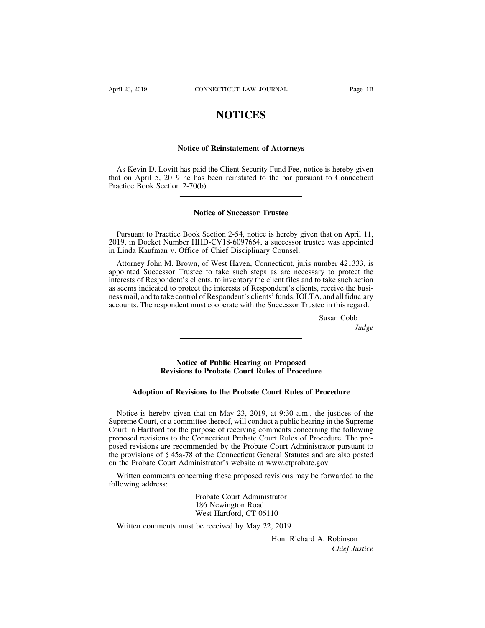# **NOTICES**

# **NOTICES**<br>
NOTICES<br>
Notice of Reinstatement of Attorneys<br>
hee peid the Client Sequrity: Earl East period is

**NOTICES**<br>Notice of Reinstatement of Attorneys<br>As Kevin D. Lovitt has paid the Client Security Fund Fee, notice is hereby given<br>at on April 5, 2019 he has been reinstated to the bar pursuant to Connecticut<br>actice Book Sect Notice of Reinstatement of Attorneys<br>As Kevin D. Lovitt has paid the Client Security Fund Fee, notice is hereby given<br>that on April 5, 2019 he has been reinstated to the bar pursuant to Connecticut<br>Practice Book Section 2-Notice of Rein<br>
As Kevin D. Lovitt has paid the C<br>
that on April 5, 2019 he has been<br>
Practice Book Section 2-70(b). paid the Client Security Fund Fee, notice<br>has been reinstated to the bar pursuan<br>0(b).<br>Notice of Successor Trustee

Notice Book Section 2-70(b).<br>
Notice of Successor Trustee<br>
Pursuant to Practice Book Section 2-54, notice is hereby given that on April 11,<br>
19, in Docket Number HHD-CV18-6097664, a successor trustee was appointed<br>
Linda K Practice Book Section 2-70(b).<br>
Notice of Successor Trustee<br>
Dursuant to Practice Book Section 2-54, notice is hereby given that on April 11,<br>
2019, in Docket Number HHD-CV18-6097664, a successor trustee was appointed<br>
in Notice of Successor Trustee<br>
Pursuant to Practice Book Section 2-54, notice is hereby given<br>
2019, in Docket Number HHD-CV18-6097664, a successor trust<br>
in Linda Kaufman v. Office of Chief Disciplinary Counsel.<br>
Attorney J

**Notice of Successor Trustee**<br>
Pursuant to Practice Book Section 2-54, notice is hereby given that on April 11,<br>
19, in Docket Number HHD-CV18-6097664, a successor trustee was appointed<br>
Linda Kaufman v. Office of Chief Di Pursuant to Practice Book Section 2-54, notice is hereby given that on April 11,<br>2019, in Docket Number HHD-CV18-6097664, a successor trustee was appointed<br>in Linda Kaufman v. Office of Chief Disciplinary Counsel.<br>Attorney Pursuant to Practice Book Section 2-54, notice is hereby given that on April 11, 2019, in Docket Number HHD-CV18-6097664, a successor trustee was appointed in Linda Kaufman v. Office of Chief Disciplinary Counsel.<br>Attorney Pursuant to Practice Book Section 2-54, notice is hereby given that on April 11, 2019, in Docket Number HHD-CV18-6097664, a successor trustee was appointed in Linda Kaufman v. Office of Chief Disciplinary Counsel.<br>Attorney 2019, in Docket Number HHD-CV18-6097664, a successor trustee was appointed<br>in Linda Kaufman v. Office of Chief Disciplinary Counsel.<br>Attorney John M. Brown, of West Haven, Connecticut, juris number 421333, is<br>appointed Suc in Linda Kaufman v. Office of Chief Disciplinary Counsel.<br>
Attorney John M. Brown, of West Haven, Connecticut, juris number 421333, is<br>
appointed Successor Trustee to take such steps as are necessary to protect the<br>
intere umber 421333, is<br>y to protect the<br>b take such action<br>receive the busi-<br>, and all fiduciary<br>ee in this regard.<br>Susan Cobb<br>Judge

*Judge*

**Notice of Public Hearing on Proposed**<br> **Notice of Public Hearing on Proposed**<br> **Notice of Public Hearing on Proposed**<br> **Notice of Probate Court Rules of Procedure** Susan Cob<br> **Revisions to Public Hearing on Proposed<br>
Revisions to Probate Court Rules of Procedure**<br> **Revisions to the Pupbate Court Rules of Procedure Adoption of Revisions to Probate Court Rules of Procedure**<br> **Adoption of Revisions to the Probate Court Rules of Procedure**<br> **Adoption of Revisions to the Probate Court Rules of Procedure** 

Notice of Public Hearing on Proposed<br>
Revisions to Probate Court Rules of Procedure<br>
Adoption of Revisions to the Probate Court Rules of Procedure<br>
Notice is hereby given that on May 23, 2019, at 9:30 a.m., the justices of Revisions to Probate Court Rules of Procedure<br>
Adoption of Revisions to the Probate Court Rules of Procedure<br>
Notice is hereby given that on May 23, 2019, at 9:30 a.m., the justices of the<br>
Supreme Court, or a committee th Adoption of Revisions to the Probate Court Rules of Procedure<br>Notice is hereby given that on May 23, 2019, at 9:30 a.m., the justices of the<br>Supreme Court, or a committee thereof, will conduct a public hearing in the Supre Adoption of Revisions to the Probate Court Rules of Procedure<br>Notice is hereby given that on May 23, 2019, at 9:30 a.m., the justices of the<br>Supreme Court, or a committee thereof, will conduct a public hearing in the Supr Adoption of Revisions to the Probate Court Rules of Procedure<br>
Notice is hereby given that on May 23, 2019, at 9:30 a.m., the justices of the<br>
Supreme Court, or a committee thereof, will conduct a public hearing in the Sup Notice is hereby given that on May 23, 2019, at 9:30 a.m., the justices of the<br>Supreme Court, or a committee thereof, will conduct a public hearing in the Supreme<br>Court in Hartford for the purpose of receiving comments con Notice is hereby given that on May 23, 2019, at 9:30 a.m., the justice<br>Supreme Court, or a committee thereof, will conduct a public hearing in the S<br>Court in Hartford for the purpose of receiving comments concerning the fo preme Court, or a committee thereof, will conduct a public hearing in the Supreme<br>
wurt in Hartford for the purpose of receiving comments concerning the following<br>
oposed revisions to the Connecticut Probate Court Rules of Court in Hartford for the<br>proposed revisions to the<br>posed revisions are recourt<br>the provisions of § 45a-7<br>on the Probate Court Ad<br>Written comments cor<br>following address: From Court Administrator<br>
Inended by the Probate Court Administrator's website at www.ctprobat<br>
Frobate Court Administrator<br>
Probate Court Administrator<br>
Probate Court Administrator<br>
186 Newington Road<br>
West Hartford, CT 0

Written comments concerning these proposed revisions may<br>lowing address:<br>Probate Court Administrator<br>186 Newington Road<br>West Hartford, CT 06110<br>Written comments must be received by May 22, 2019.<br>Hon. Richar

Finance by the Frobate Court Audio<br>f the Connecticut General Statu<br>inistrator's website at <u>www.ctpre</u><br>rrning these proposed revisions m<br>Probate Court Administrator<br>186 Newington Road<br>West Hartford, CT 06110<br>he received by of the Conflection Central Statutes?<br>
inistrator's website at <u>www.ctprobate</u><br>
rming these proposed revisions may b<br>
Probate Court Administrator<br>
186 Newington Road<br>
West Hartford, CT 06110<br>
be received by May 22, 2019.

rator<br>10<br>, 2019.<br>Hon. Richard A. Robinson<br>*Chief Justice Chief Justice*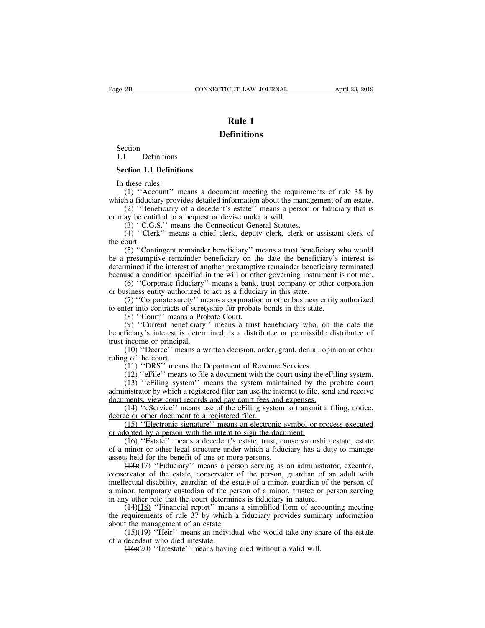## **Definitions**

Section<br>1.1 Definitions Section<br>1.1 Definitions<br>Section 1.1 Definitions Section<br>
1.1 Definitions<br> **Section 1.1 Definitions**<br>
In these rules:<br>
(1) "Account" manage a day

Section<br>1.1 Definitions<br>**Section 1.1 Definiti**<br>In these rules:<br>(1) "Account" m<br>ich a fiduciary provi (1) Continuous<br>
(1) Continuous<br>
(1) 'Account'' means a document meeting the requirements of rule 38 by<br>
(2) ''Account'' means a document meeting the requirements of rule 38 by<br>
(2) ''Beneficiary of a decedent's estate'' me Section 1.1 Definitions<br>
In these rules:<br>
(1) "Account" means a document meeting the requirements of rule 38 by<br>
which a fiduciary provides detailed information about the management of an estate.<br>
(2) "Beneficiary of a dec (2) <sup>1</sup> **Contriguity:** 1.1 **Definitions**<br>
these rules:<br>
(1) "Account" means a document meeting the requirements of rule 38 by<br>
h a fiduciary provides detailed information about the management of an estate.<br>
(2) "Beneficiar **Section 1.1 Definitions**<br>
In these rules:<br>
(1) "Account" means a document meeting the requir<br>
which a fiduciary provides detailed information about the ma<br>
(2) "Beneficiary of a decedent's estate" means a pers<br>
or may be ction 1.1 Definitions<br>these rules:<br>(1) "Account" means a document meeting the requiremer<br>h a fiduciary provides detailed information about the manage<br>(2) "Beneficiary of a decedent's estate" means a person or<br>ay be entitle these rules:<br>(1) "Account" means a document meeting the requirements of rule 38 by<br>h a fiduciary provides detailed information about the management of an estate.<br>(2) "Beneficiary of a decedent's estate" means a person or f

It these function<br>
(1) "Accomplement"<br>
(2) "Bene<br>
or may be entitied (3) "C.G.<br>
(4) "Cler!<br>
the court.<br>
(5) "Cont<br>
be a presumptic (1) Account means a document meeting the requirements of rate 56 by<br>h a fiduciary provides detailed information about the management of an estate.<br>(2) "Beneficiary of a decedent's estate" means a person or fiduciary that which a huddiary provides detailed information about the management of an estate.<br>
(2) "Beneficiary of a decedent's estate" means a person or fiduciary that is<br>
or may be entitled to a bequest or devise under a will.<br>
(3) determined if the interest of another presumptive remains a person of indictary that is<br>dor may be entitled to a bequest or devise under a will.<br>(3) "C.G.S." means a chief clerk, deputy clerk, clerk or assistant clerk of<br> because a condition specified in the will or other governing instrument is not be a presumptive remainder beneficiary'' means a trust beneficiary who would be a presumptive remainder beneficiary'' means a trust beneficiary (4) "Clerk" means a chief clerk, deputy clerk, clerk or assistant clerk of ourt.<br>
(5) "Contingent remainder beneficiary" means a trust beneficiary who would<br>
presumptive remainder beneficiary on the date the beneficiary's ( $\rightarrow$ ) Cicik means a ciner cicik, depaty cicik, cicik or asset<br>the court.<br>(5) "Contingent remainder beneficiary" means a trust beneficial<br>be a presumptive remainder beneficiary on the date the beneficial<br>determined if the (5) "Contingent remainder beneficiary" means a trust beneficiary who would presumptive remainder beneficiary on the date the beneficiary's interest is mined if the interest of another presumptive remainder beneficiary ter (3) Contingent remainder beneficiary ineans a dust beneficiary with the a presumptive remainder beneficiary is determined if the interest of another presumptive remainder beneficiary the because a condition specified in t presumptive remainter beneficially on the mined if the interest of another presumptives a condition specified in the will or oth (6) "Corporate fiduciary" means a bank, siness entity authorized to act as a fiducial (7) "Co

If the meters of another presumptive remainder beneficiary derifinated<br>use a condition specified in the will or other governing instrument is not met.<br>(6) "Corporate fiduciary" means a bank, trust company or other corporat because a condition spectrica in the win of other governing instrument is not inct.<br>
(6) "Corporate fiduciary" means a bank, trust company or other corporation<br>
or business entity authorized to act as a fiduciary in this s (b) Corporate Hutchary<br>or business entity authorized to<br>(7) "Corporate surety" me<br>to enter into contracts of surety<br>(8) "Court" means a Prol<br>(9) "Current beneficiary"<br>beneficiary's interest is determ<br>trust income or princi (7) "Corporate surety" means a corporation or other business entity authorized<br>ter into contracts of suretyship for probate bonds in this state.<br>(8) "Court" means a Probate Court.<br>(9) "Current beneficiary" means a trust be to enter into contracts of<br>
(8) "Court" means<br>
(9) "Current benef<br>
beneficiary's interest is<br>
trust income or principal<br>
(10) "Decree" mea<br>
ruling of the court.<br>
(11) "DRS" means<br>
(12) "eFile" means (8) "Court" means a Probate Court.<br>
(9) "Court" means a Probate Court.<br>
(9) "Current beneficiary" means a trust beneficiary who, on<br>
ficiary's interest is determined, is a distribute or permissible<br>
income or principal.<br>

(9) "Current beneficiary" means a trust beneficiary who, on the date the ficiary's interest is determined, is a distributee or permissible distributee of income or principal.<br>(10) "Decree" means a written decision, order, (2) Current behenciary means a trust behenciary who, on the date the ficiary's interest is determined, is a distributee or permissible distributee of income or principal.<br>(10) "Decree" means a written decision, order, gra beneficially s interest is determined, is a distributee of permission distributee of<br>trust income or principal.<br>(10) "Decree" means a written decision, order, grant, denial, opinion or other<br>ruling of the court.<br>(11) "DRS (10) "Decree" means a written decision, order, grant, denial, opir<br>ruling of the court.<br>(11) "DRS" means the Department of Revenue Services.<br>(12) "eFile" means to file a document with the court using the eFi<br>(13) "eFiling (10) Decree ineans a written decision, order, grant, dennar, opinion or other<br>g of the court.<br>(11) "DRS" means the Department of Revenue Services.<br>(12) <u>"eFile"</u> means to file a document with the court using the eFiling s (11) "DRS" means the Department of Revenus (12) "eFile" means to file a document with the  $(13)$  "eFiling system" means the system madministrator by which a registered filer can use the idocuments, view court records and (11) DKS means the Department of Reventic services.<br>
(12) <u>"eFile</u>" means to file a document with the court using the eFiling system.<br>
(13) "eFiling system" means the system maintained by the probate court<br>
mistrator by w (12) The means to the a document with the court using the (13) "eFiling system" means the system maintained by the administrator by which a registered filer can use the internet to file, is documents, view court records a

(15) Criming system means are system manufamed by the probate contributions in<br>strator by which a registered filer can use the internet to file, send and receive<br>ments, view court records and pay court fees and expenses.<br> documents, view court records and pay court fees and expenses.<br>
(14) "eService" means use of the eFiling system to transmit a filing, notice,<br>
decree or other document to a registered filer.<br>
(15) "Electronic signature" m (14) "eService" means use of the eFiling system t<br>decree or other document to a registered filer.<br>(15) "Electronic signature" means an electronic sy<br>or adopted by a person with the intent to sign the docur<br>(16) "Estate" m

(14) ESCIVICE means use of the Erimg system to transmit a rimig, notice,<br>e or other document to a registered filer.<br>(15) "Electronic signature" means an electronic symbol or process executed<br>lopted by a person with the in (15) "Electronic signature" means an electronic symbol or process executed<br>or adopted by a person with the intent to sign the document.<br>(16) "Estate" means a decedent's estate, trust, conservatorship estate, estate<br>of a m or adopted by a person with the intent to sign the document.<br>
(16) "Estate" means a decedent's estate, trust, conservatorship estate, estate<br>
of a minor or other legal structure under which a fiduciary has a duty to manag a minor, temporary custodian of the person of a minor, trust, conservatorship estate, estate of a minor or other legal structure under which a fiduciary has a duty to manage assets held for the benefit of one or more pers of a minor or other legal structure under which a fiduciary has a duty<br>assets held for the benefit of one or more persons.<br> $(13)(17)$  "Fiduciary" means a person serving as an administrate<br>conservator of the estate, conserv find the benefit of one or more persons.<br>
(143)(17) "Fiduciary" means a person serving as an administrator, executor,<br>
ervator of the estate, conservator of the person, guardian of an adult with<br>
ectual disability, guardi dentify in the requirement of one of more persons.<br>
(43)(17) "Fiduciary" means a person serving as an administrator, executor,<br>
conservator of the estate, conservator of the person, guardian of an adult with<br>
intellectual conservator of the estate, conservator of the estate, conservator of intellectual disability, guardian of the estate a minor, temporary custodian of the pers in any other role that the court determine  $(44)(18)$  "Financial Example 1 and disability, guardian of the person, guardian of an adult while<br>ectual disability, guardian of the estate of a minor, guardian of the person of<br>nor, temporary custodian of the person of a minor, trustee or pe

a minor, temporary custodian of the value of a minor, temporary custodian of the p<br>in any other role that the court determ<br> $(44)(18)$  "Financial report" mean<br>the requirements of rule 37 by which<br>about the management of an a minor, temporary custodian of the person of a minor, trustee or person serving<br>in any other role that the court determines is fiduciary in nature.<br> $(14)(18)$  "Financial report" means a simplified form of accounting meeti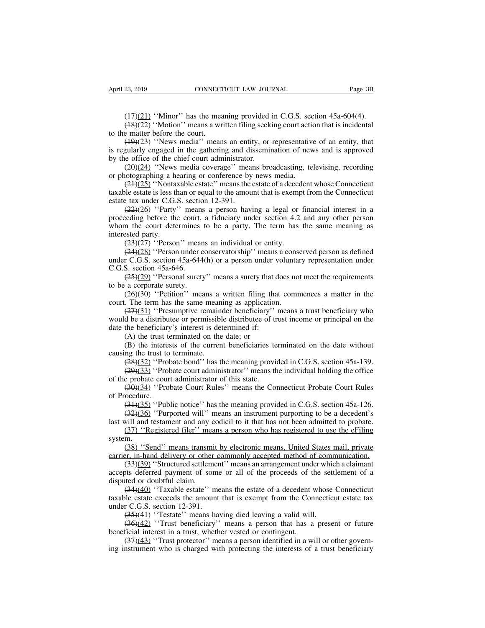23, 2019<br>
CONNECTICUT LAW JOURNAL<br>
(17)(21) "Minor" has the meaning provided in C.G.S. section 45a-604(4).<br>
(18)(22) "Motion" means a written filing seeking court action that is incidental<br>
e matter before the court. 23, 2019 CONNECTICUT LAW JOURNAL Page 3B<br>
(17)(21) "Minor" has the meaning provided in C.G.S. section 45a-604(4).<br>
(18)(22) "Motion" means a written filing seeking court action that is incidental<br>
e matter before the cour April 23, 2019 CONNECT<br>
(17)(21) "Minor" has the mea<br>
(18)(22) "Motion" means a wr<br>
to the matter before the court.<br>
(19)(23) "News media" mean<br>
is regularly engaged in the gathering

23, 2019 CONNECTICUT LAW JOURNAL Page 3B<br>
(17)(21) "Minor" has the meaning provided in C.G.S. section 45a-604(4).<br>
(18)(22) "Motion" means a written filing seeking court action that is incidental<br>
e matter before the cour (17)(21) "Minor" has the meaning provided in C.G.S. section 45a-604(4).<br>
(18)(22) "Motion" means a written filing seeking court action that is incidental<br>
to the matter before the court.<br>
(19)(23) "News media" means an en  $(17)(21)$  "Minor" has the meaning provided  $(18)(22)$  "Motion" means a written filing seekito the matter before the court.<br>  $(19)(23)$  "News media" means an entity, or is regularly engaged in the gathering and dissemire by ( $\frac{17}{22}$ ) "Minor" has the meaning provided in C.G.S. section 45a-604(4).<br>( $\frac{18}{22}$ ) "Motion" means a written filing seeking court action that is incidental<br>e matter before the court.<br>( $\frac{19}{23}$ ) "News media" mean (19.22) "Motion" mas are incuming provided in eventor (18.22) "Motion" means a written filing seeking court action to the matter before the court.<br>
(19.23) "News media" means an entity, or representative is regularly enga

(19)(22) 'Nontaxable estate'' means and estate of an entity, that  $(\frac{19}{23})$  "News media" means an entity, or representative of an entity, that gularly engaged in the gathering and dissemination of news and is approved e ( $\frac{19)(23}{23}$  "News media" means an entity, or representative of an entity, that<br>is regularly engaged in the gathering and dissemination of news and is approved<br>by the office of the chief court administrator.<br> $\frac{(20)(24)}$ is regularly engaged in the gathering and di<br>by the office of the chief court administrator<br> $(20)(24)$  "News media coverage" means<br>or photographing a hearing or conference by<br> $(21)(25)$  "Nontaxable estate" means the<br>taxable

(29)(24) "News media coverage" means broadcasting, televising, recording (29)(24) "News media coverage" means broadcasting, televising, recording otographing a hearing or conference by news media.<br>(24)(25) "Nontaxable est by an effice of the contract dammistation.<br>  $(20)(24)$  "News media coverage" means broadcasting, televising, recording<br>
or photographing a hearing or conference by news media.<br>  $(21)(25)$  "Nontaxable estate" means the estat or photographing a hearing or conference by news media.<br>
(21)(25) "Nontaxable estate" means the estate of a decedent whose Connecticut<br>
taxable estate is less than or equal to the amount that is exempt from the Connecticu  $\frac{(24)(25)}{(224)(26)}$ . Nonta:<br>taxable estate is less the<br>state tax under C.G.:<br> $\frac{(22)(26)}{(23)(27)}$ . Proceeding before the<br>whom the court dete<br>interested party.<br> $\frac{(23)(27)}{(24)(28)}$ . Person (24)(25) "Nontaxable estate" means the estate of a decedent whose Connecticut<br>taxable estate is less than or equal to the amount that is exempt from the Connecticut<br>estate tax under C.G.S. section 12-391.<br>(22)(26) "Party" (22)(26) 'Person' means an individual or entity.<br>
(22)(26) 'Party' means a person having a legal or financial interest in a<br>
eding before the court, a fiduciary under section 4.2 and any other person<br>
in the court determi (22)(26) "Party" means a person having a legal or financial interest in a<br>proceeding before the court, a fiduciary under section 4.2 and any other person<br>whom the court determines to be a party. The term has the same mean proceeding before the court,<br>proceeding before the court,<br>whom the court determines<br>interested party.<br> $\frac{(23)(27)}{185}$  "Person" mear<br> $\frac{(24)(28)}{185}$  "Person under c<br>under C.G.S. section 45a-646.<br> $\frac{(25)(29)}{185}$  "Persona

(25)(29) ''Person'' means a surety. The term has the same meaning as ested party.<br>
(23)(27) ''Person'' means an individual or entity.<br>
(24)(28) ''Person'' means an individual or entity.<br>
(24)(28) ''Person under conservato interested party.<br>  $(23)(27)$  "Person" mean<br>  $(24)(28)$  "Person under cc<br>
under C.G.S. section 45a-644<br>
C.G.S. section 45a-646.<br>  $(25)(29)$  "Personal surety<br>
to be a corporate surety.<br>  $(26)(30)$  "Petition" mea<br>
court. The te (23)(27) ''Person'' means an individual or entity.<br>
(24)(28) ''Person under conservatorship'' means a conserved person as defined<br>
r C.G.S. section 45a-644(h) or a person under voluntary representation under<br>
S. section 4 (24)(28) "Person Intellis and Individual of endity.<br>
(24)(28) "Person under conservatorship" means a cons<br>
under C.G.S. section 45a-644(h) or a person under volunta<br>
C.G.S. section 45a-646.<br>
(25)(29) "Personal surety" mea

(26.5) The section 45a-644(h) or a person under voluntary representation under<br>S. section 45a-646.<br>(25)(29) "Personal surety" means a surety that does not meet the requirements<br>a corporate surety.<br>(26)(30) "Petition" mean C.G.S. section 45a-646.<br>  $(25)(29)$  "Personal surety" means a surety that does not meet the requirements<br>
to be a corporate surety.<br>  $(26)(30)$  "Petition" means a written filing that commences a matter in the<br>
court. The te  $(25)(29)$  "Personal surety" means a surety that d<br>to be a corporate surety.<br> $(26)(30)$  "Petition" means a written filing that<br>court. The term has the same meaning as application<br> $(27)(31)$  "Presumptive remainder beneficiary (25)(29) "Personal surety" means a surety that does not meet the requirements<br>to be a corporate surety.<br>(26)(30) "Petition" means a written filing that commences a matter in the<br>court. The term has the same meaning as app (26)(30) "Petition" means a written filing that commences a matter in the . The term has the same meaning as application.<br>
(27)(31) "Presumptive remainder beneficiary" means a trust beneficiary who d be a distributee or p court. The term has the same mean<br>
(27)(31) "Presumptive remain<br>
would be a distributee or permissible<br>
date the beneficiary's interest is de<br>
(A) the trust terminated on the<br>
(B) the interests of the curren<br>
causing the (27)(31) ''Presumptive remainder beneficiary'' means a trust beneficiary who d be a distributee or permissible distributee of trust income or principal on the the beneficiary's interest is determined if:<br>(A) the trust ter (29)(33) ''Probate Court Rules'' means the Connecticut Probate Court Rules (39)(34) ''Probate Court Rules'' means the Connecticut Probate Court Rules'' means the individual holding the office  $(39)(32)$  ''Probate bond'' ha

date the beneficiary's interest is determined if:<br>
(A) the trust terminated on the date; or<br>
(B) the interests of the current beneficiaries te<br>
causing the trust to terminate.<br>  $(\frac{28)(32)}{\pmb{\cdot}29)(33)}$  "Probate bond" has t (A) the trust terminated on the date; or<br>
(B) the interests of the current beneficiaries terminated on the date without<br>
ng the trust to terminate.<br>  $\frac{(28)(32)}{1000}$  "Probate bond" has the meaning provided in C.G.S. sect (B) the interesting the trust to<br>causing the trust to<br> $\frac{(28)(32)}{(29)(33)}$  "Prology"<br>of the probate cour<br> $\frac{(30)(34)}{(31)(35)}$  "Pro<br> $\frac{(34)(35)}{(32)(36)}$  "Pur

(34)(32) ''Probate bond'' has the meaning provided in C.G.S. section 45a-139.<br>
(29)(33) ''Probate court administrator'' means the individual holding the office<br>
e probate court administrator of this state.<br>
(30)(34) ''Pro (28)(32) "Probate bond" has the meaning provided in C.G.S. section 45a-139.<br>
(29)(33) "Probate court administrator" means the individual holding the office<br>
e probate court administrator of this state.<br>
(30)(34) "Probate (29)(33) "Probate court administrator" means the individual holding the office<br>of the probate court administrator of this state.<br>(30)(34) "Probate Court Rules" means the Connecticut Probate Court Rules<br>of Procedure.<br>(31)( (37) ''Constructured filer'' means are matterial model of the errobate court administrator of this state.<br>  $(30)(34)$  ''Probate Court Rules'' means the Connecticut Probate Court Rules<br>  $(34)(35)$  ''Public notice'' has the m (34)(35) "Public notice" has the meaning provided in C.G.S. section 45a-126.<br>
(32)(36) "Purported will" means an instrument purporting to be a decedent's<br>
will and testament and any codicil to it that has not been admitte

system.

(34)(35) "Public notice" has the meaning provided in C.G.S. section 45a-126.<br>
(32)(36) "Purported will" means an instrument purporting to be a decedent's<br>
last will and testament and any codicil to it that has not been ad (32)(36) "Purported will" means an instrument purporting to be a decedent's will and testament and any codicil to it that has not been admitted to probate.<br>(37) "Registered filer" means a person who has registered to use accepts deferred payment of some or all of the proceeds of the settlement of a disputed or doubtful cannot approximately electronic means. United States mail, private carrier, in-hand delivery or other commonly accepted m  $\frac{(37) "Resistered filter" me  
\nsystem. (38) "Send" means transmi  
\ncarrier, in-hand delivery or other  
\n(33)(39) "Structured settlement  
\naccepts deferred payment of so  
\ndisputed or doubtful claim.  
\n(34)(40) "Taxable estate" i  
\ntaxable estate exceeds the amount$ (34) 'Send'' means transmit by electronic means, United States mail, private er, in-hand delivery or other commonly accepted method of communication.<br>(33) ''Send'' means transmit by electronic means, United States mail, p (38) "Send" means transmit by electronic means, United States mail, private carrier, in-hand delivery or other commonly accepted method of communication.<br>
(33)(39) "Structured settlement" means an arrangement under which carrier, in-hand delivery or other c<br>  $(33)(39)$  "Structured settlemer<br>
accepts deferred payment of some<br>
disputed or doubtful claim.<br>  $(34)(40)$  "Taxable estate" me<br>
taxable estate exceeds the amount<br>
under C.G.S. section (33)(39) "Structured settlement" means an arrangement under which (33)(39) "Structured settlement" means an arrangement under which the settled or doubtful claim.<br>
(34)(40) "Taxable estate" means the estate of a decedent

(36)(32) 'Contracts controlled the means and analysis and the values of the settlement of a tred or doubtful claim.<br>
(34)(40) "Taxable estate" means the estate of a decedent whose Connecticut lele estate exceeds the amoun disputed or doubtful claim.<br>  $(34)(40)$  "Taxable estate" means the estate of a decedent v<br>
taxable estate exceeds the amount that is exempt from the Con<br>
under C.G.S. section 12-391.<br>  $(35)(41)$  "Testate" means having died (34)(40) "Taxable estate" means the estate of a decedent whose Connecticut<br>le estate exceeds the amount that is exempt from the Connecticut estate tax<br>r C.G.S. section 12-391.<br>(35)(41) "Testate" means having died leaving taxable estate exceeds the amount that is exempt from the Connecticut estate tax under C.G.S. section 12-391.<br>  $(35)(41)$  "Testate" means having died leaving a valid will.<br>  $(36)(42)$  "Trust beneficiary" means a person that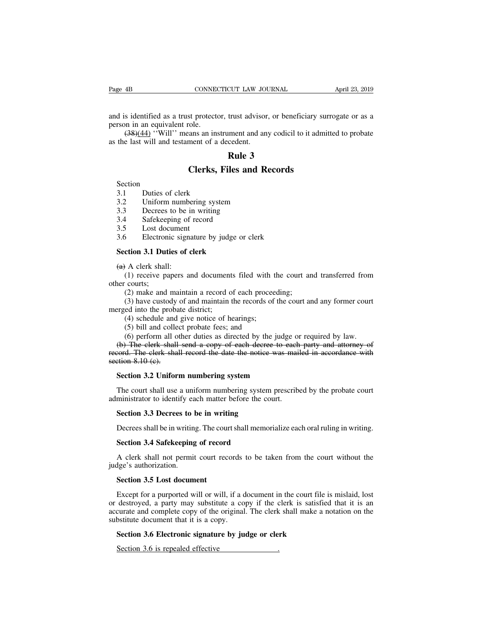Page 4B<br>
CONNECTICUT LAW JOURNAL<br>
and is identified as a trust protector, trust advisor, or beneficiary surrogate or as a<br>
person in an equivalent role.<br>
(38)(44) "Will" means an instrument and any codicil to it admitted t Page 4B<br>
cONNEC<br>
and is identified as a trust protect<br>
person in an equivalent role.<br>
(38)(44) "Will" means an ins<br>
as the last will and testament of a (38)(44) "Will" means an instrument and any codicil to it admitted to probate<br>e last will and testament of a decedent. Page 4B<br>
CONNECTICUT LAW JOU<br>
and is identified as a trust protector, trust advisor<br>
person in an equivalent role.<br>
(38)(44) "Will" means an instrument and an<br>
as the last will and testament of a decedent.<br> **Rule 3** CUT LAW JOURNAL<br>
trust advisor, or bene<br>
ument and any codicil<br>
cedent.<br> **Rule 3**<br> **Rule 3**<br> **Rule 3** St protector, trust advisor, or beneficiary supplements.<br>
Sole.<br>
Sole.<br>
Sole.<br> **Clerks, Files and Records** 

Controller in the last will and testament of a depth<br>the last will and testament of a depth<br>Section<br>3.1 Duties of clerk<br>3.2 Uniform numbering system<br>3.3 Decrees to be in writing

Section

**2.3**<br> **2.3**<br> **2.3**<br> **2.3**<br> **2.4**<br> **3.3**<br> **3.4**<br> **3.4**<br> **3.4**<br> **3.4**<br> **3.4**<br> **5.4**<br> **5.4**<br> **5.4**<br> **5.4**<br> **5.4**<br> **5.4**<br> **5.4**<br> **5.4**<br> **5.4**<br> **5.4**<br> **5.4**<br> **5.4**<br> **5.4**<br> **5.4**<br> **5.4**<br> **5.4**<br> **5.4**<br> **5.4**<br> **5.4**<br> **5.4**<br> **5.4 Example 3<br>
Section**<br>
3.1 Duties of clerk<br>
3.2 Uniform numbering system<br>
3.3 Decrees to be in writing<br>
3.4 Safekeeping of record<br>
3.5 Lost document

Section<br>
3.1 Duties of clerk<br>
3.2 Uniform numbering s<br>
3.3 Decrees to be in writ<br>
3.4 Safekeeping of record<br>
3.5 Lost document<br>
3.6 Electronic signature I

**Clerks, Files an**<br>
Section<br>
3.1 Duties of clerk<br>
3.2 Uniform numbering system<br>
3.3 Decrees to be in writing<br>
3.4 Safekeeping of record<br>
3.5 Lost document<br>
3.6 Electronic signature by judge or Section<br>
3.1 Duties of clerk<br>
3.2 Uniform numbering system<br>
3.3 Decrees to be in writing<br>
3.4 Safekeeping of record<br>
3.5 Lost document<br>
3.6 Electronic signature by judge or clerk<br>
Section 3.1 Duties of clerk 3.2 Uniform numbering system<br>
3.3 Decrees to be in writing<br>
3.4 Safekeeping of record<br>
3.5 Lost document<br>
3.6 Electronic signature by judge or<br> **Section 3.1 Duties of clerk**<br>
(a) A clerk shall:

3.3 Decrees to be 1<br>3.4 Safekeeping of<br>3.5 Lost document<br>3.6 Electronic sign:<br>**Section 3.1 Duties of (4)** A clerk shall:<br>(1) receive papers and the courts; (1) Safekeeping of record<br>
1) Lost document<br>
5 Electronic signature by judge or clerk<br>
1) A clerk shall:<br>
1) receive papers and documents filed with the court and transferred from<br>
1) courts;<br>
1) make and maintain a record 3.5 Lost doce<br>3.6 Electron<br>Section 3.1 Dut<br> $\leftrightarrow$  A clerk shall<br>(1) receive pa<br>other courts;<br>(2) make and<br>(3) have custo Electronic signature by judge or clerk<br> **ction 3.1 Duties of clerk**<br>
A clerk shall:<br>
(1) receive papers and documents filed with the court ar<br>
courts;<br>
(2) make and maintain a record of each proceeding;<br>
(3) have custody (a) A clerk shall:<br>
(1) receive papers and document<br>
other courts;<br>
(2) make and maintain a record of<br>
(3) have custody of and maintain in<br>
merged into the probate district;<br>
(4) schedule and give notice of here (5) bill A clerk shall:<br>(1) receive papers and documents filed with t<br>courts;<br>(2) make and maintain a record of each procee<br>(3) have custody of and maintain the records of<br>ed into the probate district;<br>(4) schedule and give notice (1) receive papers and documents filed with the courts;<br>(2) make and maintain a record of each proceed (3) have custody of and maintain the records of (3) have custody of and maintain the records of (4) schedule and give

(4) custom **3.1 Duties of clerk**<br>
(4) have clear to and maintain a record of each proceeding;<br>
(2) make and maintain a record of each proceeding;<br>
(3) have custody of and maintain the records of the court and any former co

(2) make and maintain a record of each proceeding;<br>
(3) have custody of and maintain the records of the court and any former court<br>
ed into the probate district;<br>
(4) schedule and give notice of hearings;<br>
(5) bill and col (2) make and maintain a record of each proceeding;<br>
(3) have custody of and maintain the records of the court and any former court<br>
rrged into the probate district;<br>
(4) schedule and give notice of hearings;<br>
(5) bill and (3) have custody of and maintain the records of the court and any former court<br>merged into the probate district;<br>(4) schedule and give notice of hearings;<br>(5) bill and collect probate fees; and<br>(6) perform all other dutie merged into the proba<br>
(4) schedule and<br>
(5) bill and colle<br>
(6) perform all o<br>
(b) The clerk shall<br>
record. The clerk shall<br>
section 8.10 (c).<br>
Section 3.2 Unifor (4) schedule and give notice of hearings;<br>
(5) bill and collect probate fees; and<br>
(6) perform all other duties as directed by the judge or re<br>
(b) The clerk shall send a copy of each decree to each pair<br>
cord. The clerk s (6) perform all other duties as directed by the judge or required by law.<br>
(b) The clerk shall send a copy of each decree to each party and attorney of cord. The clerk shall record the date the notice was mailed in accord (b) The clerk shall send a copy of each decree to each<br>record. The clerk shall record the date the notice was mai<br>section 8.10 (c).<br>**Section 3.2 Uniform numbering system**<br>The court shall use a uniform numbering system pre

**Section 3.2 Uniform numbering system**<br>**Section 3.2 Uniform numbering system**<br>The court shall use a uniform numbering system<br>ministrator to identify each matter before the course **Section 3.3 Decrees to be in writing**<br>Dec Section 3.2 Uniform numbering system<br>The court shall use a uniform numbering system prescribed by the probate court<br>ministrator to identify each matter before the court.<br>Section 3.3 Decrees to be in writing<br>Decrees shall b The court shall use a uniform numbering system<br>ministrator to identify each matter before the co<br>**Section 3.3 Decrees to be in writing**<br>Decrees shall be in writing. The court shall memo:<br>**Section 3.4 Safekeeping of record** 

Section 3.3 Decrees to be in writing<br>Decrees shall be in writing. The court shall memorialize each oral ruling in writing.<br>Section 3.4 Safekeeping of record<br>A clerk shall not permit court records to be taken from the court Section 3.3 Decrees to I<br>Decrees shall be in writing<br>Section 3.4 Safekeeping<br>A clerk shall not permit<br>judge's authorization.<br>Section 3.5 Lost docum Decrees shall be in writing. The cour<br>**Section 3.4 Safekeeping of record**<br>A clerk shall not permit court rece<br>dge's authorization.<br>**Section 3.5 Lost document**<br>Except for a purported will or will,

Section 3.4 Safekeeping of record<br>
A clerk shall not permit court records to be taken from the court without the<br>
1ge's authorization.<br>
Section 3.5 Lost document<br>
Except for a purported will or will, if a document in the c A clerk shall not permit court records to be taken from the court without the judge's authorization.<br> **Section 3.5 Lost document**<br>
Except for a purported will or will, if a document in the court file is mislaid, lost<br>
or d A clerk shall not permit court records to be taken from the court without the judge's authorization.<br> **Section 3.5 Lost document**<br>
Except for a purported will or will, if a document in the court file is mislaid, lost<br>
or d judge's authorization.<br> **Section 3.5 Lost document**<br>
Except for a purported will or will, if a d<br>
or destroyed, a party may substitute a co<br>
accurate and complete copy of the original<br>
substitute document that it is a copy **Section 3.5 Lost document**<br>Except for a purported will or will, if a document in the court file<br>destroyed, a party may substitute a copy if the clerk is satisfie<br>curate and complete copy of the original. The clerk shall m Except for a purported will or will, if a document in destroyed, a party may substitute a copy if the curate and complete copy of the original. The clerk bestitute document that it is a copy.<br>Section 3.6 Electronic signatu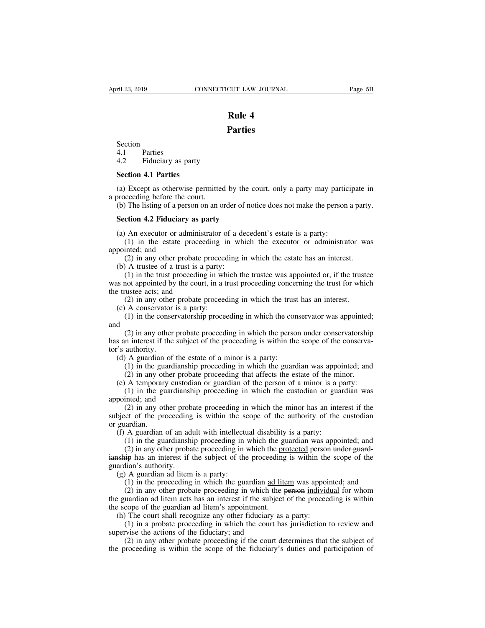## **Parties**

Section Section<br>4.1 Parties<br>4.2 Fiduciary as pa **14.4**<br> **14.1**<br> **14.1**<br> **14.2** Fiduciary as party<br> **14.1** Parties Section<br>4.1 Parties<br>4.2 Fiduciary as party<br>**Section 4.1 Parties**<br>(a) Except as otherwise per Section<br>4.1 Parties<br>4.2 Fiduciary as party<br>**Section 4.1 Parties**<br>(a) Except as otherwise permitted<br>a proceeding before the court.<br>(b) The listing of a person on an o

(a) Except as otherwise permitted by the court, only a party may participate in<br>
(a) Except as otherwise permitted by the court, only a party may participate in<br>
(b) The listing of a person on an order of notice does not m 4.1 Parties<br>
4.2 Fiduciary as party<br>
Section 4.1 Parties<br>
(a) Except as otherwise permitted by the court, only a party may participate in<br>
proceeding before the court.<br>
(b) The listing of a person on an order of notice doe Find Tarties<br>
(a) Except as otherwise permitted by the corroceeding before the court.<br>
(b) The listing of a person on an order of no<br> **Section 4.2 Fiduciary as party**<br>
(a) An executor or administrator of a deced (a) Except as otherwise permitted by the court, only a party may partic proceeding before the court.<br>
(b) The listing of a person on an order of notice does not make the person<br> **Section 4.2 Fiduciary as party**<br>
(a) An ex (1) Except as otherwise permitted by the court, only a party may participate in coeding before the court.<br>
(1) The listing of a person on an order of notice does not make the person a party.<br> **ction 4.2 Fiduciary as party** 

a proceeding before the composed of the Control of a person **4.2 Fiduciary**<br> **Section 4.2 Fiduciary**<br>
(a) An executor or adm<br>
(1) in the estate propointed; and<br>
(2) in any other prob<br>
(b) A trustee of a trust (2) The listing of a person on an order of notice does not make the person a party<br> **ction 4.2 Fiduciary as party**<br>
(4) An executor or administrator of a decedent's estate is a party:<br>
(1) in the estate proceeding in which

Section 4.2 Fiduciary as party<br>
(a) An executor or administrator of a de<br>
(1) in the estate proceeding in wh<br>
pointed; and<br>
(2) in any other probate proceeding i<br>
(b) A truste of a trust is a party:<br>
(1) in the trust proc (1) consideration 4.2 Fiduciary as party<br>
(1) in the estate proceeding in which the executor or administrator was<br>
inted; and<br>
(2) in any other probate proceeding in which the estate has an interest.<br>
(2) in any other prob (a) An executor or administrator of a decedent's estate is a party:<br>
(1) in the estate proceeding in which the executor or administrator was<br>
appointed; and<br>
(2) in any other probate proceeding in which the estate has an (a) An executor of administration<br>
(1) in the estate proceed<br>
appointed; and<br>
(2) in any other probate p<br>
(b) A trustee of a trust is a p<br>
(1) in the trust proceeding<br>
was not appointed by the court,<br>
the trustee acts; an (1) in the estate proceeding in which the estate has an interest.<br>
(2) in any other probate proceeding in which the estate has an interest.<br>
(1) in the trust proceeding in which the trustee was appointed or, if the trust<br> appointed; and<br>
(2) in any other probate proceeding in which the estate has an interest.<br>
(b) A trustee of a trust is a party:<br>
(1) in the trust proceeding in which the trustee was appointed or, if the trustee<br>
was not app (2) in any other probate proceeding in which the cstate has an interest.<br>
(1) in the trust proceeding in which the trustee was appointed or, if the trustee<br>
not appointed by the court, in a trust proceeding concerning the

and

(1) in the trust proceeding in which the trustee was appointed of, if the trustee not appointed by the court, in a trust proceeding concerning the trust for which ustee acts; and (2) in any other probate proceeding in whi was not appointed by the court, in a trust proceeding concerning the trust for which<br>the trustee acts; and<br>(2) in any other probate proceeding in which the trust has an interest.<br>(b) A conservator is a party:<br>(1) in the co the transic acts, and<br>
(2) in any other<br>
(c) A conservator<br>
(1) in the conservator<br>
and<br>
(2) in any other<br>
has an interest if the<br>
tor's authority.<br>
(d) A guardian of<br>
(1) in the guard (c) A conservator is a party:<br>
(c) A conservator is a party:<br>
(1) in the conservatorship proceeding in which the cond<br>
(2) in any other probate proceeding in which the perso<br>
s an interest if the subject of the proceeding (1) in the conservatorship proceeding in which the conservator was appointed;<br>
(2) in any other probate proceeding in which the person under conservatorship<br>
in interest if the subject of the proceeding is within the scop (1) in the conservatorship proceeding in which the person under conservatorship<br>n interest if the subject of the proceeding is within the scope of the conserva-<br>authority.<br>A guardian of the estate of a minor is a party:<br>(1 (2) in any other probate proceeding in which the person under conservatorship s an interest if the subject of the proceeding is within the scope of the conserva-<br>  $\dot{c}$  a temporary.<br>
(d) A guardian of the estate of a mi (2) in any other probate proceeding in which the person under conservatorsing<br>in interest if the subject of the proceeding is within the scope of the conserva-<br>authority.<br>(1) in the guardianship proceeding in which the gu

tor's authority.<br>
(d) A guardian of the e<br>
(1) in the guardiansh<br>
(2) in any other prob<br>
(e) A temporary custod<br>
(1) in the guardiansh<br>
appointed; and<br>
(2) in any other prob<br>
subject of the proceeding aturiority.<br>
(1) in the guardianship proceeding in which the guardian was appointed; and<br>
(2) in any other probate proceeding that affects the estate of the minor.<br>
A temporary custodian or guardian of the person of a mino (d) A guardian of the estate of a minor is a party.<br>
(1) in the guardianship proceeding in which the guardian was appointed; and<br>
(2) in any other probate proceeding that affects the estate of the minor.<br>
(e) A temporary (1) in the guardian (2) in any ot (e) A temporar (1) in the guardian (2) in any ot subject of the proportion of  $A$  guardian (1) in the gu (2) in any other probate proceeding that aricets the estate of the line<br>(e) A temporary custodian or guardian of the person of a minor is a pointed; and<br>(2) in any other probate proceeding in which the minor has an inte<br>b A temporary custodian or guardian or the person or a film is a party.<br>
(1) in the guardianship proceeding in which the custodian or guardian was<br>
inted; and<br>
(2) in any other probate proceeding in which the minor has an i (1) in the guardianship proceeding in which the eustodian of guardian was<br>inted; and (2) in any other probate proceeding in which the minor has an interest if the<br>cet of the proceeding is within the scope of the authority (2) in any other probate proceeding in which the minor has an interest if the subject of the proceeding is within the scope of the authority of the custodian or guardian.<br>
(f) A guardian of an adult with intellectual disa

guardian.<br>
(c) in any other proceding<br>
or guardian.<br>
(f) A guardian of an ad<br>
(1) in the guardianship<br>
(2) in any other proba<br>
in the guardian ditem<br>
(g) A guardian ad litem<br>
(1) in the proceeding guardian.<br>
(f) A guardian of an adult with intellecture (1) in the guardianship proceeding in (2) in any other probate proceeding in (2) in any other probate proceeding in visible ardian's authority.<br>
(g) A guardian ad li A guardian of an adult with intellectual disability is a party:<br>
(1) in the guardianship proceeding in which the guardian was appointed; and<br>
(2) in any other probate proceeding in which the <u>protected</u> person under guard

A guardian of an adult with interlectual disability is a party.<br>
(1) in the guardianship proceeding in which the guardian was appointed; and<br>
(2) in any other probate proceeding in which the <u>protected</u> person under guard (1) in the guardianship proceeding in which the guardian was appointed, and<br>
(2) in any other probate proceeding in which the protected person under guard-<br>
ianship has an interest if the subject of the proceeding is with (2) in any other probate proceeding in which the proceeding<br>
ianship has an interest if the subject of the proceeding<br>
guardian's authority.<br>
(g) A guardian ad litem is a party:<br>
(1) in the proceeding in which the guardia Supposes in the subject of the proceeding is whilm the ardian's authority.<br>
(g) A guardian ad litem is a party:<br>
(1) in the proceeding in which the guardian <u>ad litem</u> was appoin<br>
(2) in any other probate proceeding in whi (1) in the proceeding in which the guardian <u>ad litem</u> was appointed; and (2) in any other probate proceeding in which the <del>person</del> individual for whom uardian ad litem acts has an interest if the subject of the proceedin (g) A guardian ad fitch is a party.<br>
(1) in the proceeding in which the guardian <u>ad 1</u><br>
(2) in any other probate proceeding in which the<br>
the guardian ad litem acts has an interest if the subject<br>
the scope of the guardi (1) in the proceeding in which the guatural <u>ad helm</u> was appointed, and (2) in any other probate proceeding in which the <del>person</del> individual for whom uardian ad litem acts has an interest if the subject of the proceeding the guardian ad litem acts has an interest if the subject of the proceeding is within the scope of the guardian ad litem's appointment.<br>
(h) The court shall recognize any other fiduciary as a party:<br>
(1) in a probate proc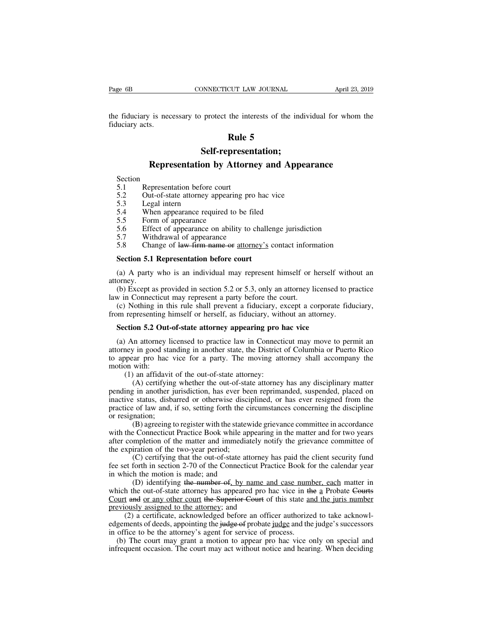Page 6B<br>
CONNECTICUT LAW JOURNAL<br>
the fiduciary is necessary to protect the interests of the individual for whom the<br>
fiduciary acts. Page 6B<br>the fiduciary is nec<br>fiduciary acts. **CUT LAW JOURNAL**<br>the interests of the in<br>**Rule 5**<br>**presentation;** Figures is necessary to protect the interests of the individual for whom the<br> **Rule 5**<br> **Representation by Attorney and Appearance**<br> **Representation by Attorney and Appearance**<br> **Expresentation before court** 

# **Self-representation;**

# Self-representation;<br>
Section<br>
Section<br>
5.1 Representation before court<br>
5.2 Out-of-state attorney appearing pro hac vice<br>
5.3 Legal intern<br>
5.4 When appearance required to be filed

- Section<br>5.1 Representation before court Self<br>
Representation b<br>
Section<br>
5.1 Representation before c<br>
5.2 Out-of-state attorney ap<br>
5.3 Legal intern<br>
5.4 When appearance requires
- **114.1 Rule :**<br> **12.1 Representation by Attorn**<br>
Section<br>
5.1 Representation before court<br>
5.2 Out-of-state attorney appearing pr<br>
5.3 Legal intern **Example 15.3**<br>Section<br>5.1 Representation before court<br>5.2 Out-of-state attorney appearin<br>5.3 Legal intern<br>5.4 When appearance required to<br>5.5 Form of appearance<br>5.6 Effect of appearance on abilit<br>5.7 Withdrawal of appeara 5.1 Representation before court<br>5.2 Out-of-state attorney appearing pro<br>5.3 Legal intern<br>5.4 When appearance required to be file<br>5.5 Form of appearance<br>5.6 Effect of appearance on ability to cl<br>5.7 Withdrawal of appearance
- 
- 
- 
- **Example 19 When all App**<br>Section<br>5.1 Representation before court<br>5.2 Out-of-state attorney appearing pro hac vice<br>5.3 Legal intern<br>5.4 When appearance required to be filed<br>5.5 Form of appearance<br>5.6 Effect of appearance o
- 
- Section<br>
5.1 Representation before court<br>
5.2 Out-of-state attorney appearing pro hac vice<br>
5.3 Legal intern<br>
5.4 When appearance required to be filed<br>
5.5 Form of appearance<br>
5.6 Effect of appearance on ability to challen 5.2 Out-of-state attorney appearing pro hac vice<br>5.3 Legal intern<br>5.4 When appearance required to be filed<br>5.5 Form of appearance<br>5.6 Effect of appearance<br>5.6 Effect of appearance<br>5.7 Withdrawal of appearance<br>5.8 Change of

5.3 Legal intern<br>
5.4 When appearance required to be filed<br>
5.5 Form of appearance<br>
5.6 Effect of appearance on ability to challen<br>
5.7 Withdrawal of appearance<br>
5.8 Change of <del>law firm name or <u>attorney's</u></del> constants the (5.5 Form of appearance<br>
5.6 Effect of appearance<br>
5.7 Withdrawal of appearance<br>
5.8 Change of <del>law firm name or</del> <u>attorney's</u> contact information<br> **Section 5.1 Representation before court**<br>
(a) A party who is an individua attorney. (b) Except as provided in section 5.2 or 5.3, only an attorney is entered in Section 5.1 Representation before court<br>
(a) A party who is an individual may represent himself or herself without an orney.<br>
(b) Except as prov 5.8 Change of law firm name or <u>attorney's</u> contact inform<br> **Section 5.1 Representation before court**<br>
(a) A party who is an individual may represent himself or l<br>
attorney.<br>
(b) Except as provided in section 5.2 or 5.3, Section 5.1 Representation before court<br>
(a) A party who is an individual may represent himself or herself without an<br>
orney.<br>
(b) Except as provided in section 5.2 or 5.3, only an attorney licensed to practice<br>
w in Conn **Section 5.1 Representation before court**<br>
(a) A party who is an individual may represent himself or herself without<br>
attorney.<br>
(b) Except as provided in section 5.2 or 5.3, only an attorney licensed to provide<br>
law in C (a) A party who is an individual may represent himself or herself vorney.<br>
(b) Except as provided in section 5.2 or 5.3, only an attorney licensed<br> *w* in Connecticut may represent a party before the court.<br>
(c) Nothing in

(b) Except as provided in section 5.2 or 5.3, only an attorney licensed to practice w in Connecticut may represent a party before the court.<br>
(c) Nothing in this rule shall prevent a fiduciary, except a corporate fiduciar atteriancy in Connecticut may represent a party before the court.<br>
(c) Nothing in this rule shall prevent a fiduciary, except a corporate fiduciary,<br>
from representing himself or herself, as fiduciary, without an attorney. (c) Nothing in this rule shall prevent a fiduciary, except a corporate fiduciary,<br>from representing himself or herself, as fiduciary, without an attorney.<br>**Section 5.2 Out-of-state attorney appearing pro hac vice**<br>(a) An from representing l<br> **Section 5.2 Out**<br>
(a) An attorney is<br>
attorney in good state<br>
to appear pro hac<br>
motion with:<br>
(1) an affidavi<br>
(A) certifying (1) an attorney icensed to practice law in Connection 5.2 Out-of-state attorney appearing pro I<br>An attorney licensed to practice law in Connection<br>the out-of-state, the District opear pro hac vice for a party. The moving a (A) certifying whether the out-of-state attorney appearing pro hac vice<br>an attorney licensed to practice law in Connecticut may move to permit an<br>y in good standing in another state, the District of Columbia or Puerto Ric

(a) An attorney licensed to practice law in Connecticut may move to permit an attorney in good standing in another state, the District of Columbia or Puerto Rico to appear pro hac vice for a party. The moving attorney shal (a) An attorney incensed to practice faw in Connecticut may move to perint and attorney in good standing in another state, the District of Columbia or Puerto Rico to appear pro hac vice for a party. The moving attorney sha ationity in good standing in another state, the District of Columbia of Fuerto Kico<br>to appear pro hac vice for a party. The moving attorney shall accompany the<br>motion with:<br>(1) an affidavit of the out-of-state attorney:<br>(A or appear pro naction<br>motion with:<br>(1) an affidavit<br>(A) certifying<br>pending in another j<br>inactive status, disba<br>practice of law and,<br>or resignation;<br>(B) agreeing with the Connecticut with.<br>
an affidavit of the out-of-state attorney:<br>
(A) certifying whether the out-of-state attorney has any disciplinary matter<br>
in another jurisdiction, has ever been reprimanded, suspended, placed on<br>
a status, disbarred (1) an amdavit of the odi-on-state attorney.<br>
(A) certifying whether the out-of-state attorney has any disciplinary matter<br>
pending in another jurisdiction, has ever been reprimanded, suspended, placed on<br>
inactive status (A) certifying withcl the odi-or-state attoricy has any disciplinaly matter<br>pending in another jurisdiction, has ever been reprimanded, suspended, placed on<br>inactive status, disbarred or otherwise disciplined, or has ever

pending in another jurisdiction, has ever be<br>inactive status, disbarred or otherwise disci-<br>practice of law and, if so, setting forth the cor-<br>resignation;<br>(B) agreeing to register with the statev<br>with the Connecticut Prac For the out-of-state attorney has been resigned from the origins of law and, if so, setting forth the circumstances concerning the discipline mation;<br>(B) agreeing to register with the statewide grievance committee in accor fractice of raw and, it so, setting forth the encluded areas concerning the discipline<br>or resignation;<br>(B) agreeing to register with the statewide grievance committee in accordance<br>with the Connecticut Practice Book while (B) agreeing to register with the statew<br>with the Connecticut Practice Book while app<br>after completion of the matter and immediate<br>the expiration of the two-year period;<br>(C) certifying that the out-of-state att<br>fee set fo (B) agreemg to register with the statewide grievance committee in accordance<br>
E Connecticut Practice Book while appearing in the matter and for two years<br>
mpletion of the matter and immediately notify the grievance commit

which the Confection Fractice Book will appearing in the inatter and for two years<br>after completion of the matter and immediately notify the grievance committee of<br>the expiration of the two-year period;<br>(C) certifying that anter completion of the matter and immediately notify the grievance committee of<br>the expiration of the two-year period;<br>(C) certifying that the out-of-state attorney has paid the client security fund<br>fee set forth in secti the expiration of the two-year period,<br>
(C) certifying that the out-of-state attorney I<br>
fee set forth in section 2-70 of the Connecticut Prace<br>
in which the motion is made; and<br>
(D) identifying the number of, by name and (C) certifying that the out-of-state attorney has paid the client security fund<br>fee set forth in section 2-70 of the Connecticut Practice Book for the calendar year<br>in which the motion is made; and<br>(D) identifying the num edgements of deeds, appointing the judge of probate in active book for the calculata year<br>in which the motion is made; and<br>(D) identifying the number of, by name and case number, each matter in<br>which the out-of-state attor In which the hotion is made, and<br>
(D) identifying the number of, by name and case num<br>
which the out-of-state attorney has appeared pro hac vice in the<br>
Court and or any other court the Superior Court of this state are<br>
pr (b) identifying the number of, by name and case number, each matter in<br>ich the out-of-state attorney has appeared pro hac vice in the a Probate Courts<br>ourt and or any other court the Superior Court of this state and the j

Figure 1.1 The court and or any other court the Superior Court of this state and the juris number<br>previously assigned to the attorney; and<br>(2) a certificate, acknowledged before an officer authorized to take acknowl-<br>edge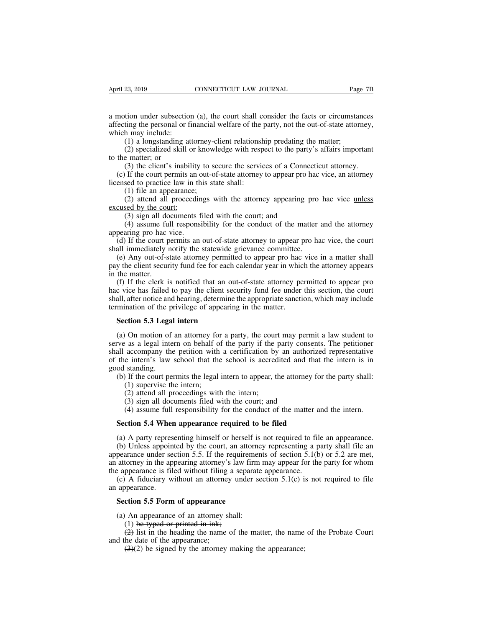April 23, 2019 CONNECTICUT LAW JOURNAL Page 7B<br>a motion under subsection (a), the court shall consider the facts or circumstances<br>affecting the personal or financial welfare of the party, not the out-of-state attorney,<br>whi April 23, 2019 CONNECTICUT LAW JOURNAL Page 7B<br>a motion under subsection (a), the court shall consider the facts or circumstances<br>affecting the personal or financial welfare of the party, not the out-of-state attorney,<br>whi April 23, 2019<br>
a motion under subsection<br>
affecting the personal or fi<br>
which may include:<br>
(1) a longstanding at<br>
(2) specialized skill c (2) 23, 2019 CONNECTICUT LAW JOURNAL Page<br>
(1) a longstanding the personal or financial welfare of the party, not the out-of-state attorney<br>
(1) a longstanding attorney-client relationship predating the matter;<br>
(2) specia (2) specialized skill on knowledge with respect to the facts or circumstances<br>ting the personal or financial welfare of the party, not the out-of-state attorney,<br>h may include:<br>(1) a longstanding attorney-client relationsh a motion under subsect<br>affecting the personal or<br>which may include:<br>(1) a longstanding<br>(2) specialized skil<br>to the matter; or<br>(3) the client's inal<br>(c) If the court permit tion under subsection (a), the court shall consider the facts or circumstances<br>ting the personal or financial welfare of the party, not the out-of-state attorney,<br>h may include:<br>(1) a longstanding attorney-client relations (c) If the court permits an out-of-state shall:<br>
(d) a longstanding attorney-client relationship predating the matter;<br>
(d) a longstanding attorney-client relationship predating the matter;<br>
(2) specialized skill or knowle

anceting the personal of miancial weirare of the which may include:<br>
(1) a longstanding attorney-client relationsh<br>
(2) specialized skill or knowledge with resp<br>
to the matter; or<br>
(3) the client's inability to secure the (1) a longstanding attorney-c<br>
(2) specialized skill or knowle matter; or<br>
(3) the client's inability to see<br>
(3) the client's inability to see<br>
(1) if the court permits an out-of<br>
(1) file an appearance;<br>
(2) attend all (1) a longstraining attorney-enem relationship predating the matter,<br>
(2) specialized skill or knowledge with respect to the party's affairs important<br>  $e$  matter; or<br>
(3) the client's inability to secure the services of to the matter; or<br>
(3) the client's inability<br>
(c) If the court permits an<br>
licensed to practice law in t<br>
(1) file an appearance;<br>
(2) attend all proceeds<br>
excused by the court;<br>
(3) sign all documents<br>
(4) assume full r (3) the client's inability to secure the services of a Connector (3) the client's inability to secure the services of a Connector If the court permits an out-of-state attorney to appear pro his sead to practice law in thi (3) the cheft s mability to secure the services of a Collectical attorney.<br>
If the court permits an out-of-state attorney to appear pro hac vice, an attorney<br>
sed to practice law in this state shall:<br>
(1) file an appearan

(1) file an appearance;<br>
(2) attend all proceedings with the attorney appearing pro hac vice <u>unless</u><br>
cused by the court;<br>
(3) sign all documents filed with the court; and<br>
(4) assume full responsibility for the conduct

(c) if the court permits and<br>licensed to practice law in th<br>(1) file an appearance;<br>(2) attend all proceedine<br>excused by the court;<br>(3) sign all documents f<br>(4) assume full responsi<br>appearing pro hac vice.<br>(d) If the cour

(1) file an appearance;<br>
(2) attend all proceedings with the attorney appearing pro hac vice <u>unless</u><br>
<u>excused by the court;</u><br>
(3) sign all documents filed with the court; and<br>
(4) assume full responsibility for the condu (2) attend an procecumgs with the attorney appearing pro hac vice <u>timess</u> cused by the court;<br>
(3) sign all documents filed with the court; and<br>
(4) assume full responsibility for the conduct of the matter and the attorn (3) sign all documents filed with the court; and<br>
(4) assume full responsibility for the conduct of the matter and the attorney<br>
appearing pro hac vice.<br>
(d) If the court permits an out-of-state attorney to appear pro hac (3) sign an do<br>
(4) assume fu<br>
appearing pro hac<br>
(d) If the court p<br>
shall immediately i<br>
(e) Any out-of-s<br>
pay the client secure<br>
in the matter.<br>
(f) If the clerk i<br>
hac vice has failed

(a) assume fun responsionity for the conduct of the matter and the attorney<br>pearing pro hac vice.<br>(d) If the court permits an out-of-state attorney to appear pro hac vice, the court<br>all immediately notify the statewide gri appearing pro nac vice.<br>
(d) If the court permits an out-of-state attorney to appear pro hac vice, the court<br>
shall immediately notify the statewide grievance committee.<br>
(e) Any out-of-state attorney permitted to appear p (a) If the coart permits an out-or-state attorney to appear pro hac vice, the coart<br>
shall immediately notify the statewide grievance committee.<br>
(e) Any out-of-state attorney permitted to appear pro hac vice in a matter s Shart immediately holdly the statewide grievance committee.<br>
(e) Any out-of-state attorney permitted to appear pro hace<br>
pay the client security fund fee for each calendar year in whice<br>
in the matter.<br>
(f) If the clerk is **Set in the Client security fund fee for each of** the matter.<br>
(f) If the clerk is notified that an out c vice has failed to pay the client secull, after notice and hearing, determine the mination of the privilege of appea (f) If the clerk is notified that an out-of-state attorney permitted to appear pro<br>c vice has failed to pay the client security fund fee under this section, the court<br>all, after notice and hearing, determine the appropriat

hac vice has failed to pay the client security fund fee under this section, the court<br>shall, after notice and hearing, determine the appropriate sanction, which may include<br>termination of the privilege of appearing in the shall, after notice and hearing, determine the appropriate sanction, which may include<br>termination of the privilege of appearing in the matter.<br>**Section 5.3 Legal intern**<br>(a) On motion of an attorney for a party, the court **Section 5.3 Legal intern**<br> **Section 5.3 Legal intern**<br>
(a) On motion of an attorney for a party, the court may permit a law student to<br>
serve as a legal intern on behalf of the party if the party consents. The petitioner<br> **Section 5.3 Legal**<br>(a) On motion of<br>serve as a legal inte<br>shall accompany the<br>of the intern's law<br>good standing.<br>(b) If the court pe<br>(1) supervise th Section 5.3 Legal intern<br>
(a) On motion of an attorney for a party, the court may permit a law student to<br>
ve as a legal intern on behalf of the party if the party consents. The petitioner<br>
all accompany the petition with On motion of an attorney for<br>as a legal intern on behalf of<br>accompany the petition with<br>e intern's law school that the<br>standing.<br>If the court permits the legal<br>(1) supervise the intern;<br>(2) attend all proceedings with<br>(3) (2) attend all proceedings with the conduction by<br>
(2) as a legal intern on behalf of the party if the j<br>
accompany the petition with a certification by<br>
e intern's law school that the school is accred<br>
standing.<br>
(1) sup As a legal intern on octain of the party if the party conserved<br>accompany the petition with a certification by an author<br>e intern's law school that the school is accredited and the<br>standing.<br>If the court permits the legal (4) assume full responsibility for the conduct of the matter and the intern.<br>
(4) assume full responsibility for the court; and<br>
(4) assume full responsibility for the court; and<br>
(4) assume full responsibility for the con od standing.<br>
(b) If the court permits the legal intern to appear, the attorney for<br>
(1) supervise the intern;<br>
(2) attend all proceedings with the intern;<br>
(3) sign all documents filed with the court; and<br>
(4) assume full

(1) supervise the intern;<br>
(2) attend all proceedings with the intern;<br>
(3) sign all documents filed with the court; and<br>
(4) assume full responsibility for the conduct of the matter and the intern.<br> **Section 5.4 When app** (2) attend all proceedings with the intern;<br>
(3) sign all documents filed with the court; and<br>
(4) assume full responsibility for the conduct of the matter and the intern.<br> **Section 5.4 When appearance required to be file** (3) sign all documents filed with the court; and<br>
(4) assume full responsibility for the conduct of the matter and the intern.<br> **Section 5.4 When appearance required to be filed**<br>
(a) A party representing himself or herse (4) assume full responsibility for the conduct of the matter and the intern.<br> **Section 5.4 When appearance required to be filed**<br>
(a) A party representing himself or herself is not required to file an appearance.<br>
(b) Unl **Section 5.4 When appearance required to be filed**<br>(a) A party representing himself or herself is not required to fil<br>(b) Unless appointed by the court, an attorney representing a p<br>appearance under section 5.5. If the re Section 5.4 When appearance required to be filed<br>
(a) A party representing himself or herself is not required to file an appearance.<br>
(b) Unless appointed by the court, an attorney representing a party shall file an<br>
pear (a) A party repres<br>(b) Unless appoin<br>appearance under se<br>an attorney in the ap<br>the appearance is fil<br>(c) A fiduciary w<br>an appearance.<br>**Section 5.5 Form** (b) Unless appointed by the court, an attorn<br>pearance under section 5.5. If the requireme<br>attorney in the appearing attorney's law firm<br>e appearance is filed without filing a separa<br>(c) A fiduciary without an attorney unde (a) attorney in the appearing attorney's law firm<br>
e appearance is filed without filing a separate<br>
(c) A fiduciary without an attorney under se<br>
appearance.<br> **Section 5.5 Form of appearance**<br>
(a) An appearance of an atto

ppearance is filed without filing a se<br>
(A fiduciary without an attorney ur<br>
ppearance.<br> **ction 5.5 Form of appearance**<br>
(A appearance of an attorney shall<br>
(1) be typed or printed in ink;<br>
(2) list in the heading the name

(2) A fiduciary without an attorney under section 5.1(c) is not required to file<br>ppearance.<br>**Comment of appearance**<br>(2) An appearance of an attorney shall:<br>(1) be typed or printed in ink;<br>(2) list in the heading the name an appearance.<br> **Section 5.5 Form of appearance**<br>
(a) An appearance of an attorney s<br>
(1) be typed or printed in ink;<br>
(2) list in the heading the name<br>
and the date of the appearance;<br>
(3)(2) be signed by the attorney (3)(3) component of appearance<br>
(4) An appearance of an attorney shall:<br>
(1) <del>be typed or printed in ink;</del><br>
(4) list in the heading the name of the matter, the name<br>
the date of the appearance;<br>
(3)(2) be signed by the at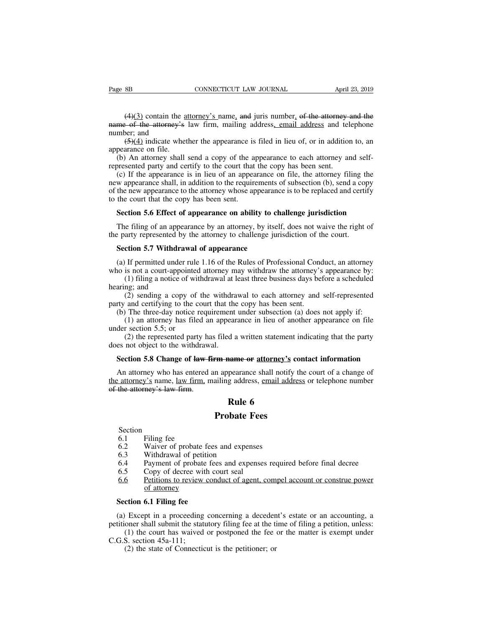(4)(3) contain the <u>attorney's</u> name, and juris number, of the attorney and the of the attorney's law firm, mailing address, email address and telephone ber; and Page 8B CONNECTICUT LAW JOURNAL April 23, 2019<br>
(4)(3) contain the <u>attorney's</u> name, and juris number, of the attorney and the<br>
name of the attorney's law firm, mailing address, email address and telephone<br>
number; and<br> Page 8B<br>  $(4)(3)$  contain the s<br>
name of the attorney's<br>
number; and<br>  $(5)(4)$  indicate whe<br>
appearance on file. SB CONNECTICUT LAW JOURNAL April 23, 2019<br>
(4)(3) contain the <u>attorney's</u> name, and juris number, of the attorney and the<br>  $\rightarrow$  of the attorney's law firm, mailing address<u>, email address</u> and telephone<br>
(5)(4) indicate  $(4)(3)$  contain the a<br>
name of the attorney's<br>
number; and<br>  $(5)(4)$  indicate whet<br>
appearance on file.<br>
(b) An attorney shall<br>
represented party and ce (4)(3) contain the <u>attorney's</u> name, and juris number, of the attorney and the<br>me of the attorney's law firm, mailing address, email address and telephone<br>mber; and<br>(5)(4) indicate whether the appearance is filed in lieu (4)(3) contain the <u>attorney's name</u>, and juris number, of the attorney and<br>mame of the attorney's law firm, mailing address, email address and tel<br>number; and<br>(5)(4) indicate whether the appearance is filed in lieu of, o

(e) If the attorney's law firm, mailing address, email address and telephone<br>mber; and (5)(4) indicate whether the appearance is filed in lieu of, or in addition to, an<br>pearance on file.<br>(b) An attorney shall send a copy manne of the anomey-s law fifth, manning address, chain address and elephone<br>number; and  $(5)(4)$  indicate whether the appearance is filed in lieu of, or in addition to, an<br>appearance on file.<br>(b) An attorney shall send a (5)(4) indicate whether the appearance is filed in lieu of, or in addition to, an appearance on file.<br>
(b) An attorney shall send a copy of the appearance to each attorney and self-<br>
represented party and certify to the c to the court interest appearance of the appearance on file.<br>
(b) An attorney shall send a copy of the appearance on file.<br>
(c) If the appearance is in lieu of an appearance shall, in addition to the require<br>
of the new ap (b) An attorney shall send a copy of the appearance to each attorney and self-<br>presented party and certify to the court that the copy has been sent.<br>(c) If the appearance is in lieu of an appearance on file, the attorney f (c) If the appearance is in lieu of an appearance on file, the attorney filing the w appearance shall, in addition to the requirements of subsection (b), send a copy the new appearance to the attorney whose appearance is the party appearance shall, in addition to the requirements of subsection (b), send a cop of the new appearance to the attorney whose appearance is to be replaced and certice to the court that the copy has been sent.<br>Secti

the new appearance to the attorney whose appearance<br>the court that the copy has been sent.<br>**Section 5.6 Effect of appearance on ability to check**<br>The filing of an appearance by an attorney, by itsel<br>e party represented by Section 5.6 Effect of appearance on ability to challenge jurisdiction<br>The filing of an appearance by an attorney, by itself, does not waive the right of<br>e party represented by the attorney to challenge jurisdiction of the

Section 5.0 Effect of appearance on ability to challenge jurisdiction<br>The filing of an appearance by an attorney, by itself, does not waive the right of<br>the party represented by the attorney to challenge jurisdiction of th (1) filing a notice by an attorney, by itself, does not waive the right of arty represented by the attorney to challenge jurisdiction of the court.<br> **ction 5.7 Withdrawal of appearance**<br>
If permitted under rule 1.16 of the the party represented by<br> **Section 5.7 Withdra**<br>
(a) If permitted under<br>
who is not a court-appo<br>
(1) filing a notice c<br>
hearing; and<br>
(2) sending a copy<br>
party and certifying to (2) sending a copy of the withdrawal to each attorney and self-represented and centrality are divided attorney may withdraw the attorney's appearance by:<br>
(1) filing a notice of withdrawal at least three business days befo **Section 5.7 Withdrawal of appearance**<br>(a) If permitted under rule 1.16 of the Rules of Professional Con<br>who is not a court-appointed attorney may withdraw the attorney's<br>(1) filing a notice of withdrawal at least three b (a) If permitted under rule 1.16 of the Rules of Professional Conduct, an attorney<br>io is not a court-appointed attorney may withdraw the attorney's appearance by:<br>(1) filing a notice of withdrawal at least three business In permitted under rule 1.10 of the Kures of Trotessional Conduct, an attorney<br>is not a court-appointed attorney may withdraw the attorney's appearance by:<br>(1) filing a notice of withdrawal at least three business days bef who is not a court-appointed<br>
(1) filing a notice of with<br>
hearing; and<br>
(2) sending a copy of<br>
party and certifying to the c<br>
(b) The three-day notice i<br>
(1) an attorney has file<br>
under section 5.5; or<br>
(2) the represente

(1) thing a notice of windrawar at least time business days before a sendance<br>ng; and<br>(2) sending a copy of the withdrawal to each attorney and self-represented<br>and certifying to the court that the copy has been sent.<br>The does not determined a copy of the withdrawal party and certifying to the court that the (b) The three-day notice requirement (1) an attorney has filed an appear under section 5.5; or (2) the represented party has filed a

**Section 5.8 Change of law firm name or attorney's contact information**<br>An attorney has filed an appearance in lieu of another appearance on file<br>der section 5.5; or<br>(2) the represented party has filed a written statement

(1) an attorney has filed an appearance in lieu of another appearance on file<br>der section 5.5; or<br>(2) the represented party has filed a written statement indicating that the party<br>es not object to the withdrawal.<br>**Section** under section 5.5; or<br>
(2) the represented party has filed a written statement indicating that the party<br>
does not object to the withdrawal.<br> **Section 5.8 Change of law firm name or attorney's contact information**<br>
An att (2) the represented party had does not object to the withdraw.<br>Section 5.8 Change of law firm.<br>An attorney who has entered the attorney's name, law firm, not the attorney's law firm. d a written statement<br> **Rule 6**<br> **Rule 6**<br> **Rule 6**<br> **Rule 6**<br> **Rule 6** Figure 1.<br> **Probate 3.1** and the probate shall notify the sailing address, <u>email addres</u><br> **Rule 6**<br> **Probate Fees** Francey S hame, <u>law firm</u>,<br>the attorney's law firm.<br>6.1 Filing fee<br>6.2 Waiver of probate 1<br>6.3 Withdrawal of petit

Section

- 
- **EXECUTE:**<br> **Rule 6.1**<br> **Section**<br>
6.1 Filing fee<br>
6.2 Waiver of probate fees and expen<br>
6.3 Withdrawal of petition<br>
6.4 Payment of probate fees and expe<br>
6.5 Copy of decree with court seal
- 
- **EXECUTE:**<br> **Rule 6.1**<br> **Probate Fees**<br>
Section<br>
6.1 Filing fee<br>
6.2 Waiver of probate fees and expenses<br>
6.3 Withdrawal of petition<br>
6.4 Payment of probate fees and expenses require
- 
- **Probate Fees**<br>
6.1 Filing fee<br>
6.2 Waiver of probate fees and expenses<br>
6.3 Withdrawal of petition<br>
6.4 Payment of probate fees and expenses required before final decree<br>
6.5 Copy of decree with court seal<br>
<u>6.6</u> Petition **Probate Fee**<br>
Section<br>
6.1 Filing fee<br>
6.2 Waiver of probate fees and expenses<br>
6.3 Withdrawal of petition<br>
6.4 Payment of probate fees and expense<br>
6.5 Copy of decree with court seal<br>
<u>6.6</u> Petitions to review conduct of Section<br>6.1 Filing fee<br>6.2 Waiver of probate fees and expenses<br>6.3 Withdrawal of petition<br>6.4 Payment of probate fees and expenses required before final decree<br>6.5 Copy of decree with court seal<br><u>6.6</u> Petitions to review c 6.1 Filing fee<br>
6.2 Waiver of probate fees and expenses<br>
6.3 Withdrawal of petition<br>
6.4 Payment of probate fees and expenses required before final decree<br>
6.5 Copy of decree with court seal<br>
<u>6.6</u> Petitions to review cond 6.2 Waiver of probate fees<br>6.3 Withdrawal of petition<br>6.4 Payment of probate fee:<br>6.5 Copy of decree with co<br><u>6.6</u> <u>Petitions to review cond</u><br>of attorney<br>**Section 6.1 Filing fee**<br>(a) Except in a proceeding cond

(a) Except in a proceeding concerning a decedent's estate or an accounting, a<br>
(b.6) Except in a proceeding concerning a decedent's estate or an accounting, a<br>
(a) Except in a proceeding concerning a decedent's estate or a 9.5 Copy of decree with court seal<br>
<u>6.6</u> Petitions to review conduct of agent, compel account or construe power<br>
of attorney<br> **Section 6.1 Filing fee**<br>
(a) Except in a proceeding concerning a decedent's estate or an acco (1) the court of equal to review conduct of agent, compel account or construe power<br>of attorney<br>conto **6.1 Filing fee**<br> $\theta$  Except in a proceeding concerning a decedent's estate or an accounting, a<br>oner shall submit the s **Section 6.1 Filing fee**<br>
(a) Except in a proceeding<br>
petitioner shall submit the statt<br>
(1) the court has waived<br>
C.G.S. section 45a-111;<br>
(2) the state of Connectic (a) Except in a proceeding concerning a decedent's estate or an accounting, a petitioner shall submit the statutory filing fee at the time of filing a petition, unless:<br>
(1) the court has waived or postponed the fee or th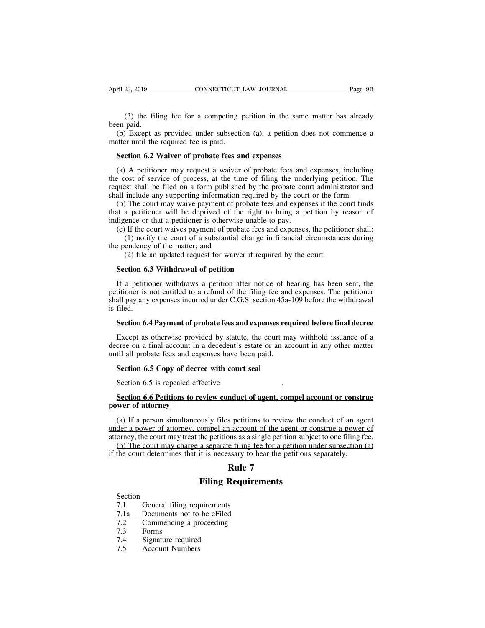(3) the filing fee for a competing petition in the same matter has already paid.<br>
Except as provided under subsection (a), a petition does not commence a April 23, 2019<br>
(3) the fili<br>
been paid.<br>
(b) Except as<br>
matter until the (3) the filing fee for a competing petition in the same matter has already<br>
(b) Except as provided under subsection (a), a petition does not commence a<br>
there until the required fee is paid.<br>
So there is not commence a<br>
So April 23, 2019<br>
CONNECTICUT<br>
(3) the filing fee for a competing 1<br>
been paid.<br>
(b) Except as provided under subsection<br>
matter until the required fee is paid.<br> **Section 6.2 Waiver of probate fees and Section 6.2 Waiver of** (3) the filing fee for a competing petition in the same<br>en paid.<br>(b) Except as provided under subsection (a), a petition do<br>atter until the required fee is paid.<br>**Section 6.2 Waiver of probate fees and expenses**<br>(a) A peti

(3) the filing fee for a competing petition in the same matter has already<br>en paid.<br>(b) Except as provided under subsection (a), a petition does not commence a<br>atter until the required fee is paid.<br>**Section 6.2 Waiver of** the cost of serviced under subsection (a), a petition does not commence a<br>term until the required fee is paid.<br>Section 6.2 Waiver of probate fees and expenses<br>(a) A petitioner may request a waiver of probate fees and expen (b) Except as provided under subsection (a), a petition does not commence a<br>matter until the required fee is paid.<br>**Section 6.2 Waiver of probate fees and expenses**<br>(a) A petitioner may request a waiver of probate fees an shall include any supporting information required of the right to bring a petition of the cost of service of process, at the time of filing the underlying petition. The request shall be filed on a form published by the pro Section 6.2 Waiver of probate fees and expenses<br>(a) A petitioner may request a waiver of probate fees and expenses, including<br>e cost of service of process, at the time of filing the underlying petition. The<br>quest shall be **Section 6.2 Waiver of probate fees and expenses**<br>(a) A petitioner may request a waiver of probate fees and expenses, including<br>the cost of service of process, at the time of filing the underlying petition. The<br>request sh (a) A petitioner may request a waiver of probate fees and the cost of service of process, at the time of filing the unde request shall be <u>filed</u> on a form published by the probate coushall include any supporting informati (a) *I* permoner may request a warver or probate rees and expenses, menange cost of service of process, at the time of filing the underlying petition. The quest shall be <u>filed</u> on a form published by the probate court ad

Example is the court and include any supporting information required by the probate court administrator and include any supporting information required by the court or the form.<br>The court may waive payment of probate fees the matter is the matter in the matter of the matter of the matter of the matter of the matter of the matter of the matter; and (2) file an updated request for waiver The court may waive payment of probate fees and expenses if the c<br>a petitioner will be deprived of the right to bring a petition by a<br>ence or that a petitioner is otherwise unable to pay.<br>If the court waives payment of pro

It a petitioner will be deprived of the right to<br>digence or that a petitioner is otherwise unable to<br>(c) If the court waives payment of probate fees an<br>(1) notify the court of a substantial change in<br>ependency of the matte

(c) If the court waives payment of probate fees and expenses, the petitioner shall:<br>
(1) notify the court of a substantial change in financial circumstances during<br>
e pendency of the matter; and<br>
(2) file an updated reque (1) notify the court of a substantial change in financial circumstances during<br>the pendency of the matter; and<br>(2) file an updated request for waiver if required by the court.<br>**Section 6.3 Withdrawal of petition**<br>If a pet the pendency of the matter; and<br>
(2) file an updated request for waiver if required by the court.<br> **Section 6.3 Withdrawal of petition**<br>
If a petitioner withdraws a petition after notice of hearing has been sent, the<br>
pet (2) file an updated request for waiver if required by the court.<br> **Section 6.3 Withdrawal of petition**<br>
If a petitioner withdraws a petition after notice of hearing has been sent, the<br>
petitioner is not entitled to a refu **Section 6.3 Withdrawal of petition**<br>If a petitioner withdraws a petition after notice of hearing has been sent, the<br>titioner is not entitled to a refund of the filing fee and expenses. The petitioner<br>all pay any expenses If a petitioner withdraws a petition after notice of hearing has been sent, the titioner is not entitled to a refund of the filing fee and expenses. The petitioner all pay any expenses incurred under C.G.S. section 45a-109 petitioner is not entitled to a refund of the filing fee and expenses. The petitioner shall pay any expenses incurred under C.G.S. section 45a-109 before the withdrawal is filed.<br>Section 6.4 Payment of probate fees and exp

shall pay any expenses incurred under C.G.S. section 45a-<br>is filed.<br>**Section 6.4 Payment of probate fees and expenses req**<br>Except as otherwise provided by statute, the court made<br>decree on a final account in a decedent's e **Section 6.4 Payment of probate fees and expenses**<br>Except as otherwise provided by statute, the court<br>cree on a final account in a decedent's estate or an<br>til all probate fees and expenses have been paid.<br>**Section 6.5 Copy** Except as otherwise provided by statute, the court may vertice on a final account in a decedent's estate or an accountil all probate fees and expenses have been paid.<br>Section 6.5 Copy of decree with court seal<br>Section 6.5 **Section 6.5 Copy of decree with court seal**<br>Section 6.5 Copy of decree with court seal<br>Section 6.5 Sepy of decree with court seal<br>Section 6.6 Petitions to review conduct of agent, compel account or construe<br>wer of attorne

# **power of a manufacture in a manufolic diverse in a manufolic Section 6.5 Copy of decree Section 6.5 is repealed effections to rever of attorney** (a) If a person simultaneous

Section 6.5 Copy of decree with court seal<br>Section 6.5 is repealed effective<br>Section 6.6 Petitions to review conduct of agent, compel account or construe<br>wer of attorney<br>(a) If a person simultaneously files petitions to re Section 6.5 is repealed effective<br>
Section 6.6 Petitions to review conduct of agent, compel account or construe<br>
power of attorney<br>
(a) If a person simultaneously files petitions to review the conduct of an agent<br>
under a Section 6.5 is repealed effective<br>Section 6.6 Petitions to review conduct of agent, compel account or construe<br>power of attorney<br>(a) If a person simultaneously files petitions to review the conduct of an agent<br>under a powe Section 6.6 Petitions to review conduct of agent, compel account or construe<br>wer of attorney<br>(a) If a person simultaneously files petitions to review the conduct of an agent<br>der a power of attorney, compel an account of th Section 6.6 Petitions to review conduct of agent, compel account or constraint power of attorney.<br>
(a) If a person simultaneously files petitions to review the conduct of an age under a power of attorney, compel an account **Rule 1 agent, comparently**<br> **Rule 7**<br> **Rule 7**<br> **Rule 7**<br> **Requirements** busly files petitions to review the compel an account of the agent or compel an account of the agent or competitions as a single petition subjection as separate filing fee for a petition unit is necessary to hear the petit

Filing Require<br>
The court determines that it is necessary to b<br> **Rule 7**<br>
Filing Require<br>
Section<br>
7.1 General filing requirements<br>
<u>7.1a Documents not to be eFiled</u><br>
7.2 Commencing a proceeding

Section

Section<br>
7.1 General filing<br>
7.1 Documents not<br>
7.2 Commencing a<br>
7.3 Forms<br>
7.4 Signature requi<br>
7.5 Account Numb Section<br>
7.1 General filing req<br>
7.1a Documents not to<br>
7.2 Commencing a pr<br>
7.3 Forms<br>
7.4 Signature required<br>
7.5 Account Numbers

Rule 7<br>
Rule 7<br>
Filing Requirem<br>
Section<br>
7.1 General filing requirements<br>
7.1a Documents not to be eFiled<br>
7.2 Commencing a proceeding<br>
7.3 Forms **Example 7<br>
Rule 7<br>
Section**<br>
7.1 General filing requirements<br>
<u>7.1a Documents not to be eFiled</u><br>
7.2 Commencing a proceeding<br>
7.3 Forms<br>
7.4 Signature required Final Section<br>
7.1 General filing requirements<br>
7.1 Documents not to be eFiled<br>
7.2 Commencing a proceeding<br>
7.3 Forms<br>
7.4 Signature required<br>
7.5 Account Numbers

- 
-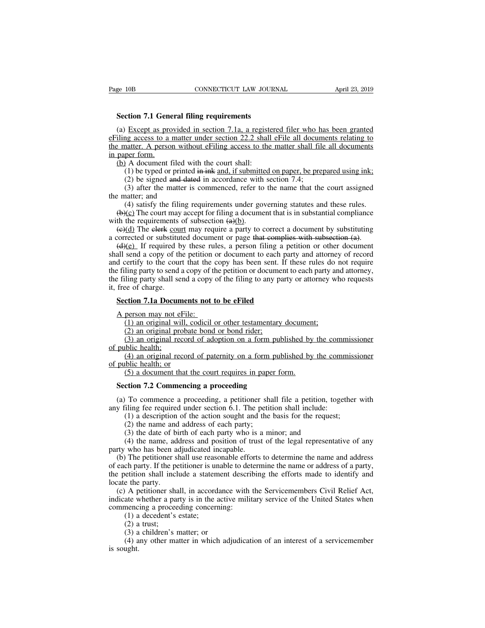**Section 7.1 General filing requirements**<br> **Section 7.1 General filing requirements**<br> **Section 7.1 a. a registere** (a) Except as provided in section 7.1a, a registered filer who has been granted<br>
(a) Except as provided in section 7.1a, a registered filer who has been granted<br>
iling access to a matter under section 22.2 shall eFile all example access to a matter under section 22.2 shall eFile all documents<br>
(a) Except as provided in section 7.1a, a registered filer who has been granted<br>
eFiling access to a matter under section 22.2 shall eFile all docume Fage 10B<br>
Section 7.1 General filing requirements<br>
(a) Except as provided in section 7.1a, a registered filer who has been granted<br>
eFiling access to a matter under section 22.2 shall eFile all documents relating to<br>
the m Section 7.1 Gene<br>
(a) Except as pro<br>
eFiling access to a 1<br>
the matter. A person<br>
in paper form.<br>
(b) A document f<br>
(1) be typed or Section 7.1 General filing requirements<br>
(a) Except as provided in section 7.1a, a registe<br>
iling access to a matter under section 22.2 shall<br>
e matter. A person without eFiling access to the<br>
paper form.<br>
(b) A document (1) except as provided in section 7.1a, a registered filer who has been granted and access to a matter under section 22.2 shall effile all documents relating to natter. A person without effiling access to the matter shall Except as provided in section 7.1a, a registered filer who had access to a matter under section 22.2 shall effile all docum atter. A person without effiling access to the matter shall file per form.<br>
[A document filed with Except as provided in section 7.1a, a registered filer who has been granted<br>ag access to a matter under section 22.2 shall eFile all documents relating to<br>natter. A person without eFiling access to the matter shall file a the matter. A person with<br>the matter. A person with<br>in paper form.<br>(b) A document filed w<br>(1) be typed or printed<br>(2) be signed and dat<br>(3) after the matter is<br>the matter; and<br>(4) satisfy the filing 1<br>(b)(c) The court may

(4) satisfy the filing requirements under governing statutes and the and documents<br>(1) be typed or printed in ink and, if submitted on paper, be prepared using ink;<br>(2) be signed and dated in accordance with section 7.4;<br> (b) A document filed with the court shall:<br>
(l) be typed or printed in ink and, if submitted on paper, be prepared using ink;<br>
(2) be signed and dated in accordance with section 7.4;<br>
(3) after the matter is commenced, re (b) A document filed with the court share.<br>
(1) be typed or printed in ink and, if submitted (2) be signed and dated in accordance with<br>
(3) after the matter is commenced, refer to<br>
the matter; and<br>
(4) satisfy the filing (1) oc typed of princed in ance, it substituted on paper, to prepared using find,<br>
(2) be signed and dated in accordance with section 7.4;<br>
(3) after the matter is commenced, refer to the name that the court assigned<br>  $e$ 

(2) oc signed and dated in accordance with section 7.4,<br>
(3) after the matter is commenced, refer to the name that the court assigned<br>
the matter; and<br>
(4) satisfy the filing requirements under governing statutes and thes (b) and the matter is commented, refer to the name that the court assigned<br>  $\epsilon$  matter; and<br>
(4) satisfy the filing requirements under governing statutes and these rules.<br>
(b)(c) The court may accept for filing a documen (4) satisfy the filing requirements under governing statutes and these rules.<br>
(b)(c) The court may accept for filing a document that is in substantial compliance<br>
with the requirements of subsection  $\left(\frac{a}{b}\right)$ .<br>
(e)(d (+) sansly the limit equiver the filing a document that is in substantial compliance<br>with the requirements of subsection  $\left(\frac{a}{b}\right)$ .<br>( $\left(\frac{c}{d}\right)$  The elerk court may require a party to correct a document by substitut the filing party of send a copy of the filing to any party or attorney who requests it, free of charge.<br>
Here  $\frac{d}{dt}$  and  $\frac{d}{dt}$  are period of the petition or page that complies with subsection (a).<br>
(d)(e) If requir with the requirements of subsection ( $\frac{df(t)}{dt}$ ).<br>
( $\frac{df(t)}{dt}$ ) The elerk court may require a party to correct a document by substituting<br>
a corrected or substituted document or page that complies with subsection (a).<br>  $\frac{f(x)}{f(x)}$  a corrected or substitut  $\frac{f(x)}{g(x)}$  if required b shall send a copy of th and certify to the cour the filing party to send a the filing party shall set it, free of charge.<br>Section 7.1a Docum (d)(e) If required by these rules, a person filing a peall send a copy of the petition or document to each pard d certify to the court that the copy has been sent. If the filing party to send a copy of the petition or docu Shall send a copy of the petition or document to each party and attorney of record<br>and certify to the court that the copy has been sent. If these rules do not require<br>the filing party to send a copy of the petition or docu ling party to send a copy of the petition or document to each party are ling party shall send a copy of the filing to any party or attorney with the original send a copy of the filing to any party or attorney with estament (2) ling party shall send a copy of the filing to any party shall send a copy of the filing to any party of charge.<br> **Condition 7.1a Documents not to be eFiled**<br>
person may not eFile:<br>
(1) an original will, codicil or othe

(3) an original record of paternity on a form published by the commissioner (4) an original will, codicil or other testamentary document;<br>(2) an original will, codicil or other testamentary document;<br>(2) an original probat (1) an original will, codicil or other testamentary documen<br>(2) an original probate bond or bond rider;<br>(3) an original record of adoption on a form published by<br>blic health;<br>(4) an original record of paternity on a form p (2) an original probate bond or bond rider;<br>
(3) an original record of adoption on a form pub<br>
public health;<br>
(4) an original record of paternity on a form pub<br>
public health; or<br>
(5) a document that the court requires in

**Section 7.1a Docum**<br>A person may not e<br>(1) an original wi<br>(2) an original pro<br>(3) an original resort public health;<br>(4) an original resort public health; or (1) an original will, codicil or other testamentary document;<br>(1) an original will, codicil or other testamentary document;<br>(2) an original probate bond or bond rider;<br>(3) an original record of adoption on a form published A person may not eFile:<br>
(1) an original will, co<br>
(2) an original probate<br>
(3) an original record<br>
of public health;<br>
(4) an original record<br>
of public health; or<br>
(5) a document that the<br>
Section 7.2 Commons) (4) an original record of paternity on a form published by the commissioner<br>public health; or<br>(5) a document that the court requires in paper form.<br>**Section 7.2 Commencing a proceeding**<br>(a) To commence a proceeding, a peti (4) an original record of paternity on a form published by the comm<br>of public health; or<br>(5) a document that the court requires in paper form.<br>**Section 7.2 Commencing a proceeding**<br>(a) To commence a proceeding, a petition

(5) a document that the court requires in paper form.<br> **ction 7.2 Commencing a proceeding**<br>
To commence a proceeding, a petitioner shall file a petition, together<br>
iling fee required under section 6.1. The petition shall i (5) a document that the court requires in pape<br>
ction 7.2 Commencing a proceeding<br>
To commence a proceeding, a petitioner sha<br>
iling fee required under section 6.1. The petit<br>
(1) a description of the action sought and th (3) the date of a proceeding<br>
3) To commence a proceeding, a petitioner shall file a petition, to<br>
3) To commence a proceeding, a petitioner shall file a petition, to<br>
3) in a description of the action sought and the basis

(4) the name and proceeding<br>
(4) To commence a proceeding, a petitioner shall file a petition, together with<br>
iling fee required under section 6.1. The petition shall include:<br>
(1) a description of the action sought and th

(a) To commence a proceeding, a petitioner<br>any filing fee required under section 6.1. The pe<br>(1) a description of the action sought and t<br>(2) the name and address of each party;<br>(3) the date of birth of each party who is (a) To commence a procecumg, a pethodic shall include:<br>
(1) a description of the action sought and the basis for the request;<br>
(2) the name and address of each party;<br>
(3) the date of birth of each party who is a minor; a (1) a description of the action of the petition shall include.<br>
(1) a description of the action sought and the basis for the request;<br>
(2) the name and address of each party,<br>
(3) the date of birth of each party who is a m (1) a description of the action solgin and the basis for the request,<br>
(2) the name and address of each party;<br>
(3) the date of birth of each party who is a minor; and<br>
(4) the name, address and position of trust of the l (2) the name and<br>
(3) the date of bi<br>
(4) the name, ad<br>
party who has been a<br>
(b) The petitioner s<br>
of each party. If the pe<br>
the petition shall incl<br>
locate the party.<br>
(c) A petitioner shall<br>
indicate whether a party. (3) the tate of binti of each party who is a filmot, and (4) the name, address and position of trust of the legal representative of any rty who has been adjudicated incapable.<br>
(b) The petitioner shall use reasonable effo ( $+$ ) the name, address and position of this of the legal representative of any<br>party who has been adjudicated incapable.<br>(b) The petitioner shall use reasonable efforts to determine the name and address<br>of each party. If party who has occh adjudicated incapable.<br>
(b) The petitioner shall use reasonable efform of each party. If the petitioner is unable to det<br>
the petition shall include a statement described<br>
locate the party.<br>
(c) A petiti The petitioner shall use reased<br>
ch party. If the petitioner is un<br>
etition shall include a statem<br>
e the party.<br>
A petitioner shall, in accord<br>
ate whether a party is in the a<br>
mencing a proceeding concerr<br>
(1) a decedent

en party. It the per-<br>etition shall incl<br>e the party.<br>A petitioner sha<br>ate whether a par<br>mencing a procee<br>(1) a decedent's<br>(2) a trust;<br>(3) a children's 1<br>(4) any other ma e the party.<br>
A petitioner shall, in accordance<br>
ate whether a party is in the active<br>
mencing a proceeding concerning:<br>
(1) a decedent's estate;<br>
(2) a trust;<br>
(3) a children's matter; or<br>
(4) any other matter in which ad (4) any other shall, in accordance with the Servicemembers Civil Relief Act, ate whether a party is in the active military service of the United States when mencing a proceeding concerning:<br>
(1) a decedent's estate;<br>
(2) a  $i$  indicate v<br>indicate v<br>commenc<br>(1) a<br>(2) a<br>(3) a<br>(4) a<br>is sought.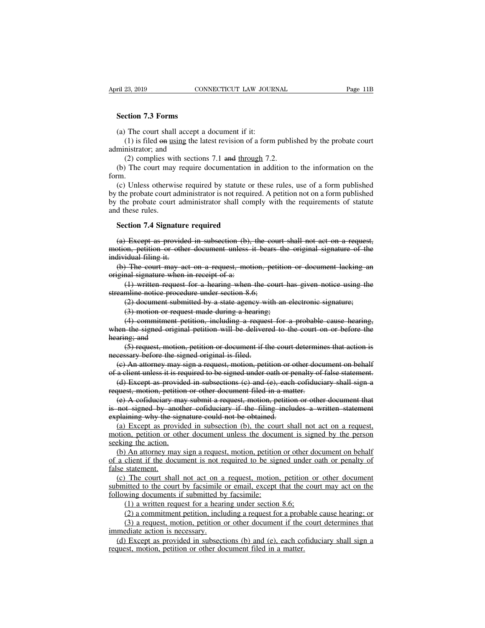**Section 7.3 Forms**<br> **Section 7.3 Forms**<br> **Section 7.3 Forms** 

(a) The court shall accept a document if it:<br>
(a) The court shall accept a document if it:<br>
(b) is filed on using the latest revision of a form<br>
ministrator; and (23, 2019 CONNECTICUT LAW JOURNAL Page 11B<br>
(1) **7.3 Forms**<br>
(1) is filed on using the latest revision of a form published by the probate court<br>
nistrator; and<br>
(2) complies with sections 7.1 and through 7.2. **Example 13 Section 7.3 Forms**<br>
(a) The court shall accept  $(1)$  is filed  $\Theta$  using the 1<br>
administrator; and<br>
(2) complies with sectio<br>
(b) The court may require (2) complies the court shall accept a document if it:<br>(1) is filed on using the latest revision of a form publis<br>inistrator; and<br>(2) complies with sections 7.1 and through 7.2.<br>(2) The court may require documentation in ad Section 7.3 Forms<br>
(a) The court shall accept a document if it:<br>
(1) is filed  $\Theta$  using the latest revision of a form published by the probate court<br>
ministrator; and<br>
(2) complies with sections 7.1 and <u>through</u> 7.2.<br>
(

form.

(a) The court shall accept a document if it:<br>
(1) is filed  $\Theta$ n using the latest revision of a form published by the probate court<br>
ministrator; and<br>
(2) complies with sections 7.1 and <u>through</u> 7.2.<br>
(b) The court may r (1) is filed  $\Theta$  using the latest revision of a form published by the probate court<br>administrator; and<br>(2) complies with sections 7.1 and <u>through</u> 7.2.<br>(b) The court may require documentation in addition to the informat administrator; and<br>
(2) complies with sections 7.1 and <u>through</u> 7.2.<br>
(b) The court may require documentation in addition to the information on the<br>
form.<br>
(c) Unless otherwise required by statute or these rules, use of a (2) complies with<br>
(b) The court may<br>
form.<br>
(c) Unless otherwi<br>
by the probate court a<br>
by the probate court<br>
and these rules.<br> **Section 7.4 Signat** (b) The court may require documentation in<br>
The Court may required by statute or the<br>
the probate court administrator is not required<br>
the probate court administrator shall complete<br>
d these rules.<br> **Section 7.4 Signature** (c) Unless otherwise required by statute or these rules, use of a form published<br>the probate court administrator is not required. A petition not on a form published<br>the probate court administrator shall comply with the re

by the probate court administrator is not required. A petition not on a form published<br>by the probate court administrator shall comply with the requirements of statute<br>and these rules.<br>**Section 7.4 Signature required**<br>(a) by the probate court adi<br>and these rules.<br>Section 7.4 Signature<br>(a) Except as provide<br>motion, petition or othe<br>individual filing it.<br>(b) The court may as<br>original signature when (a) Except as provided in subsection (b), the court shall not act on a request,<br>
(a) Except as provided in subsection (b), the court shall not act on a request,<br>
stion, petition or other document unless it bears the origin **Section 7.4 Signature required**<br>
(a) Except as provided in subsection (b),<br>
motion, petition or other document unless individual filing it.<br>
(b) The court may act on a request, motioniginal signature when in receipt of a Except as provided in subsection (b), the court shall not act on a request,<br>  $\frac{1}{2}$  written or other document unless it bears the original signature of the<br>
idual filing it.<br>
The court may act on a request, motion, pet (a) Except as provided in subsection (b), the councion, petition or other document unless it bears<br>individual filing it.<br>(b) The court may act on a request, motion, pet<br>original signature when in receipt of a:<br>(1) written on, petition or other document unless it bears the original signature of the<br>idual filing it.<br>The court may act on a request, motion, petition or document lacking an<br>nal signature when in receipt of a:<br>(1) written request

idual filing it.<br>
The court may act on a request, motion, petition<br>
and signature when in receipt of a:<br>
(1) written request for a hearing when the court h<br>
mline notice procedure under section 8.6;<br>
(2) document submitted (4) Commitment petition, including the court has given notice using an anal signature when in receipt of a:<br>
(1) written request for a hearing when the court has given notice using the miline notice procedure under section original signature when in receipt of a:<br>
(1) written request for a hearing when the court has given notice using the<br>
streamline notice procedure under section 8.6;<br>
(2) document submitted by a state agency with an elect (1) written request<br>streamline notice proces<br>(2) document subn<br>(3) motion or requ<br>(4) commitment p<br>when the signed origin<br>hearing; and<br>(5) request, motion<br>necessary before the sig mline notice procedure under section 8.6;<br>
(2) document submitted by a state agency with an electronic signature;<br>
(3) motion or request made during a hearing;<br>
(4) commitment petition, including a request for a probable c (2) document submitted by a state agency wi<br>
(3) motion or request made during a hearing<br>
(4) commitment petition, including a reques<br>
when the signed original petition will be deliver<br>
hearing; and<br>
(5) request, motion, (3) motion or request made during a hearing;<br>
(4) commitment petition, including a request for a probable cause hearing,<br>
een the signed original petition will be delivered to the court on or before the<br>
aring; and<br>
(5) r (4) commitment petition, including a request for a probable cause hearing,<br>when the signed original petition will be delivered to the court on or before the<br>hearing; and<br>(5) request, motion, petition or document if the cou (d) Except as provided in subsections (e) and the court on or before the daring; and<br>
(5) request, motion, petition or document if the court determines that action is<br>
cessary before the signed original is filed.<br>
(c) An a

Francessary before the signed original is filed.<br>
(5) request, motion, petition or document if the court determin<br>
necessary before the signed original is filed.<br>
(e) An attorney may sign a request, motion, petition or oth (5) request, motion, petition or document if the court determines that action is<br>cessary before the signed original is filed.<br>(c) An attorney may sign a request, motion, petition or other document on behalf<br>a client unles is not signed by another explained in statement of a client unless it is required to be signed under oath or penalty of false statement.<br>
(d) Except as provided in subsections (c) and (e), each cofiduciary shall sign a req (e) An attorney may sign a request, motion, petition or other document on behalf<br>of a client unless it is required to be signed under oath or penalty of false statement.<br>(d) Except as provided in subsections (c) and (e), e

a client unless it is required to be signed under oath or penalty of false statement.<br>(d) Except as provided in subsections (c) and (e), each cofiduciary shall sign a quest, motion, petition or other document filed in a ma (d) Except as provided in subsections (c) and (e), each cofiduciary shall sign a<br>request, motion, petition or other document filed in a matter.<br>(e) A cofiduciary may submit a request, motion, petition or other document th request, motion, petition<br>
(e) A cofiduciary may<br>
is not signed by another<br>
explaining why the sign<br>
(a) Except as provide<br>
motion, petition or othe<br>
seeking the action.<br>
(b) An attorney may s<br>
of a client if the docum (e) A cofiduciary may submit a request, motion, petition or other document that not signed by another cofiduciary if the filing includes a written statement plaining why the signature could not be obtained.<br>(a) Except as is not signed by another cofiduciary if the filing includes a written statement<br>explaining why the signature could not be obtained.<br>(a) Except as provided in subsection (b), the court shall not act on a request,<br>motion, pe explaining why the s<br>(a) Except as provention, petition or of<br>seeking the action.<br>(b) An attorney ma<br>of a client if the doc<br>false statement.<br>(c) The court shall<br>submitted to the court (a) Except as provided in subsection (b), the court shall not act on a request, of the court shall not act on a request, by the person eking the action.<br>(b) An attorney may sign a request, motion, petition or other docume

(1) An attorney may sign a request, motion, petition or other d<br>client if the document is not required to be signed under<br>statement.<br>The court shall not act on a request, motion, petition of<br>itted to the court by facsimile

motion, petition or other document unless the document is signed by the person<br>seeking the action.<br>(b) An attorney may sign a request, motion, petition or other document on behalf<br>of a client if the document is not require seeking the action.<br>
(b) An attorney may sign a request, motion, petition<br>
of a client if the document is not required to be sign<br>
false statement.<br>
(c) The court shall not act on a request, motion,<br>
submitted to the court client if the document is not required to be signed under oath or penalty of statement.<br>The court shall not act on a request, motion, petition or other document initted to the court by facsimile or email, except that the c Statement.<br>
The court shall not act on a request, motion, petition or other document<br>
itted to the court by facsimile or email, except that the court may act on the<br>
wing documents if submitted by facsimile:<br>
(1) a written (c) The court shall not act on a<br>submitted to the court by facsimile<br>following documents if submitted by<br>(1) a written request for a hear<br>(2) a commitment petition, inclu<br>(3) a request, motion, petition<br>immediate action is

b b b b court by facsimile or email, except that the court may act on the lowing documents if submitted by facsimile:<br>
(1) a written request for a hearing under section 8.6;<br>
(2) a commitment petition, including a request following documents if submitted by facsimile:<br>
(1) a written request for a hearing under section 8.6;<br>
(2) a commitment petition, including a request for a probable cause hearing; or<br>
(3) a request, motion, petition or ot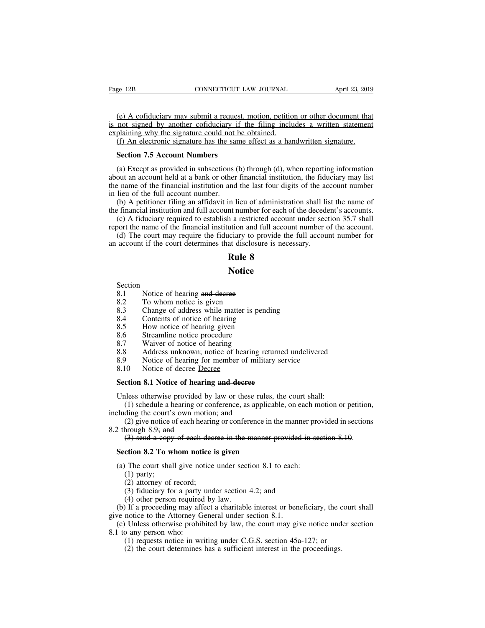(e) A cofiduciary may submit a request, motion, petition or other document that<br>that is a cofiduciary may submit a request, motion, petition or other document that<br>plaining why the signature could not be obtained. Fage 12B CONNECTICUT LAW JOURNAL April 23, 2019<br>
(e) A cofiduciary may submit a request, motion, petition or other document that<br>
is not signed by another cofiduciary if the filing includes a written statement<br>
explaining Page 12B CONNECTICUT LAW JOURNAL<br>
(e) A cofiduciary may submit a request, motion, petition<br>
is not signed by another cofiduciary if the filing inclu<br>
explaining why the signature could not be obtained.<br>
(f) An electronic s (e) A cofiduciary may submit a request, motion, petition or other document that<br>not signed by another cofiduciary if the filing includes a written statement<br>plaining why the signature could not be obtained.<br>(f) An electron (e) A cofiduciary may submit a request,<br>not signed by another cofiduciary if plaining why the signature could not be<br>(f) An electronic signature has the same<br>**Section 7.5 Account Numbers**<br>(a) Except as provided in subsecti

(e) A cofiduciary may submit a request, motion, petition or other document that<br>not signed by another cofiduciary if the filing includes a written statement<br>plaining why the signature could not be obtained.<br>(f) An electro is not signed by another cofiduciary if the filing includes a written statement explaining why the signature could not be obtained.<br>
(f) An electronic signature has the same effect as a handwritten signature.<br> **Section 7.** Explaining why the signature could not be obtained.<br>
(f) An electronic signature has the same effect as a handwritten signature.<br> **Section 7.5 Account Numbers**<br>
(a) Except as provided in subsections (b) through (d), when (f) An electronic signature has the sample Section 7.5 Account Numbers<br>(a) Except as provided in subsections (about an account held at a bank or other<br>the name of the financial institution and<br>in lieu of the full account Section 7.5 Account Numbers<br>(a) Except as provided in subsections (b) through (d), when reporting information<br>out an account held at a bank or other financial institution, the fiduciary may list<br>e name of the financial in **Section 7.5 Account Numbers**<br>(a) Except as provided in subsections (b) through (d), when reporting information<br>about an account held at a bank or other financial institution, the fiduciary may list<br>the name of the financ (a) Except as provided in subsections (b) through (d), when reporting information<br>out an account held at a bank or other financial institution, the fiduciary may list<br>e name of the financial institution and the last four (a) Except as provided in subsections (b) directed it), when reporting information<br>about an account held at a bank or other financial institution, the fiduciary may list<br>the name of the financial institution and the last (d) The court may require the fiduciary to provide the full account number<br>
(d) A petitioner filing an affidavit in lieu of administration shall list the name of<br>
(b) A petitioner filing an affidavit in lieu of administra

in lieu of the final matrix in lieu of the final account number.<br>
(b) A petitioner filing an affidavit in lieu of administration shall list<br>
the financial institution and full account number for each of the deceder<br>
(c) A In lieu of administration<br>in lieu of administration<br>the a restricted account<br>ution and full account<br>ciary to provide the state disclosure is necess<br>**Rule 8**<br>Notice

(a) The court may require the Huderlay to provide account if the court determines that disclosure<br> **Rule 8**<br>
Notice<br>
Section<br>
8.1 Notice of hearing and decree<br>
8.2 To whom notice is given<br>
8.3 Change of address while matte

# **Notice**

# Section<br>8.1

- 
- 
- **Rule 8**<br>**Rule 8**<br>**Rule 8**<br>**Rule 8**<br>**Rule 8**<br>**Rule 8**<br>**Rule 8**<br>**Rule 8**<br>**Rule 8**<br>**Rule 8**<br>**Rule 8**<br>**Rule 6**<br>**Rule 5**<br>**Rule is given**<br>**Rule 3**<br>**Change of address while matter is p<br><b>Rule 5**<br>**Rule 5**<br>**Rule 5**<br>**Change of addre Rule 8**<br> **Rule 8**<br> **Notice**<br> **Salude 2.3**<br> **Change of address while matter is pending<br>
<b>Salude 2.3**<br> **Change of address while matter is pending**<br> **Salude 2.4**<br> **Contents of notice of hearing**<br> **Salude 3.5**<br> **How notice of Notice**<br>
Section<br>
8.1 Notice of hearing and decree<br>
8.2 To whom notice is given<br>
8.3 Change of address while matter is pendi<br>
8.4 Contents of notice of hearing<br>
8.5 How notice of hearing given<br>
8.6 Streamline notice proce **Notice**<br>
Section<br>
8.1 Notice of hearing and decree<br>
8.2 To whom notice is given<br>
8.3 Change of address while matter is pend<br>
8.4 Contents of notice of hearing<br>
8.5 How notice of hearing given<br>
8.6 Streamline notice proced
- 
- 
- 
- 
- Section<br>
8.1 Notice of hearing and decree<br>
8.2 To whom notice is given<br>
8.3 Change of address while matter is per<br>
8.4 Contents of notice of hearing<br>
8.5 How notice of hearing given<br>
8.6 Streamline notice procedure<br>
8.7 Wa 8.1 Notice of hearing and decree<br>
8.2 To whom notice is given<br>
8.3 Change of address while matter is pene<br>
8.4 Contents of notice of hearing<br>
8.5 How notice of hearing given<br>
8.6 Streamline notice procedure<br>
8.7 Waiver of 8.2 To whom notice is given<br>8.3 Change of address while matter is pending<br>8.4 Contents of notice of hearing<br>8.5 How notice of hearing given<br>8.6 Streamline notice procedure<br>8.7 Waiver of notice of hearing<br>8.8 Address unknow 8.3 Change of address while matter is pending<br>
8.3 Change of address while matter is pending<br>
8.5 How notice of hearing given<br>
8.6 Streamline notice procedure<br>
8.7 Waiver of notice of hearing<br>
8.8 Address unknown; notice o 8.3 Change of address with matter is<br>
8.4 Contents of notice of hearing<br>
8.5 How notice of hearing given<br>
8.6 Streamline notice procedure<br>
8.7 Waiver of notice of hearing<br>
8.8 Address unknown; notice of hearing<br>
8.9 Notice 8.5 How notice of hearing given<br>
8.6 Streamline notice procedure<br>
8.7 Waiver of notice of hearing<br>
8.8 Address unknown; notice of hearing returned<br>
8.9 Notice of hearing for member of military ser<br>
8.10 <del>Notice of decree</del>
- 
- 

8.7 Waiver of notice of hearing<br>
8.8 Address unknown; notice of hearing returned undelivered<br>
8.9 Notice of hearing for member of military service<br>
8.10 Notice of decree Decree<br>
Section 8.1 Notice of hearing and decree<br>
Un (1) Schedule a hearing for member of military service<br>
(1) Notice of hearing for member of military service<br>
(1) Schedule a hearing or conference, as applicable, on each motion or petition,<br>
(1) schedule a hearing or confe

8.9 Notice of hearing for member of milita<br>8.10 Notice of decree Decree<br>Section 8.1 Notice of hearing and decree<br>Unless otherwise provided by law or these rule<br>(1) schedule a hearing or conference, as appli<br>including the (2) 10 10 10 10 Notice of decree Decree<br>
(2) contom **8.1** Notice of hearing and decree<br>
iless otherwise provided by law or these rules, the court shall:<br>
(1) schedule a hearing or conference, as applicable, on each motion **Section 8.1 Notice of hearin**<br>Unless otherwise provided by<br>(1) schedule a hearing or coincluding the court's own motio<br>(2) give notice of each hear<br>8.2 through 8.9; and<br>(3) send a copy of each de ction 8.1 Notice of hearing and decree<br>lless otherwise provided by law or these rules, the court shall:<br>(1) schedule a hearing or conference, as applicable, on each motion or petition<br>ding the court's own motion; <u>and</u><br>(2) Unless otherwise provided by law or these rules, t<br>
(1) schedule a hearing or conference, as applicable<br>
cluding the court's own motion; <u>and</u><br>
(2) give notice of each hearing or conference in the<br>
2 through 8.9; and<br>
(3) counting the court's own motion; and<br>
(2) give notice of each hearing or conference in the manner pro<br>
2 through 8.9; and<br>
(3) send a copy of each decree in the manner provided in section 8.2 To whom notice is given<br>
(a) (2) give notice c<br>hrough 8.9; and<br>(3) send a copy<br>**ction 8.2 To w**<br>The court shal<br>(1) party;<br>(2) attorney of :<br>(3) fiduciary fo find 8.9; and<br>
(3) send a copy of each deer<br>
ction 8.2 To whom notice i<br>
(1) party;<br>
(2) attorney of record;<br>
(3) fiduciary for a party und<br>
(4) other person required by

- 
- 

(3) send a copy of each decree in the manner provided in<br>
ction 8.2 To whom notice is given<br>
The court shall give notice under section 8.1 to each:<br>
(1) party;<br>
(2) attorney of record;<br>
(3) fiduciary for a party under sec (1) other with the court shall give notice is given<br>(1) party;<br>(2) attorney of record;<br>(3) fiduciary for a party under section<br>(4) other person required by law.<br>(4) other person required by law.<br>If a proceeding may affect Section 8.2 To whom notice is given<br>
(a) The court shall give notice under section 8.1 to each:<br>
(1) party;<br>
(2) attorney of record;<br>
(3) fiduciary for a party under section 4.2; and<br>
(4) other person required by law.<br>
(b (2) attorney of record,<br>
(3) fiduciary for a party under section 4.2; and<br>
(4) other person required by law.<br>
If a proceeding may affect a charitable interest or beneficiary, the cound<br>
notice to the Attorney General unde (3) Hulchary for a party under section 4.2, and<br>
(4) other person required by law.<br>
If a proceeding may affect a charitable interest or beneficiary, the c<br>
notice to the Attorney General under section 8.1.<br>
Unless otherwi

(a) The court shall give notice under section 8.1 to each:<br>
(1) party;<br>
(2) attorney of record;<br>
(3) fiduciary for a party under section 4.2; and<br>
(4) other person required by law.<br>
(b) If a proceeding may affect a charit (a) The court shall give holded under section 6.1 to each.<br>
(1) party;<br>
(2) attorney of record;<br>
(3) fiduciary for a party under section 4.2; and<br>
(4) other person required by law.<br>
(b) If a proceeding may affect a charit (1) party,<br>
(2) attorney of record;<br>
(3) fiduciary for a party<br>
(4) other person required<br>
(b) If a proceeding may aff<br>
give notice to the Attorney G<br>
(c) Unless otherwise prohil<br>
8.1 to any person who:<br>
(1) requests noti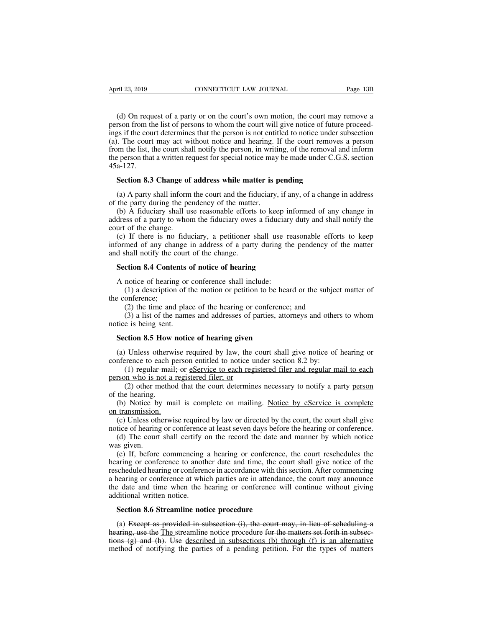(d) On request of a party or on the court's own motion, the court may remove a<br>
straight of a party or on the court's own motion, the court may remove a<br>
straight the court determines that the person is not entitled to not April 23, 2019 CONNECTICUT LAW JOURNAL Page 13B<br>
(d) On request of a party or on the court's own motion, the court may remove a<br>
person from the list of persons to whom the court will give notice of future proceed-<br>
ings i April 23, 2019 CONNECTICUT LAW JOURNAL Page 13B<br>
(d) On request of a party or on the court's own motion, the court may remove a<br>
person from the list of persons to whom the court will give notice of future proceed-<br>
ings i April 23, 2019 CONNECTICUT LAW JOURNAL Page 13B<br>
(d) On request of a party or on the court's own motion, the court may remove a<br>
person from the list of persons to whom the court will give notice of future proceed-<br>
ings i (d) On request of a party or on the court's own motion, the court may remove a person from the list of persons to whom the court will give notice of future proceedings if the court determines that the person is not entitle (d) On request of a party or on the court's own motion, the court may remove a<br>person from the list of persons to whom the court will give notice of future proceed-<br>ings if the court determines that the person is not enti 45a-127. rson from the list of persons to whom the court will give notice of futures is if the court determines that the person is not entitled to notice under i. The court may act without notice and hearing. If the court removem t (a) A party shall inform the court and the fiduciary, if the court removes a person<br>om the list, the court shall notify the person, in writing, of the removal and inform<br>e person that a written request for special notice from the list, the court shall notify the person, in writis<br>the person that a written request for special notice may<br> $45a-127$ .<br>**Section 8.3 Change of address while matter is**  $\mu$ <br>(a) A party shall inform the court and t

Exercise reason that a written request for special notice may be made under C.G.S. section a-127.<br>Section 8.3 Change of address while matter is pending<br>(a) A party shall inform the court and the fiduciary, if any, of a cha 45a-127.<br> **Section 8.3 Change of address while matter is pending**<br>
(a) A party shall inform the court and the fiduciary, if any, of a change in address<br>
of the party during the pendency of the matter.<br>
(b) A fiduciary sha **Section 8.3 Change of**<br>(a) A party shall inform<br>of the party during the pe<br>(b) A fiduciary shall un<br>address of a party to whoi<br>court of the change.<br>(c) If there is no fidu<br>informed of any change i

Section 8.5 Change of address while matter is pending<br>
(a) A party shall inform the court and the fiduciary, if any, of a change in address<br>
the party during the pendency of the matter.<br>
(b) A fiduciary shall use reasonab (a) A party shall inform the court and the fiduciary, if any, of a change in address of the party during the pendency of the matter.<br>
(b) A fiduciary shall use reasonable efforts to keep informed of any change in address (a) A party shall mornt the coard and the red of the party during the pendency of the matte<br>(b) A fiduciary shall use reasonable efforts<br>address of a party to whom the fiduciary owes<br>court of the change.<br>(c) If there is no (b) A fiduciary shall use reasonable efforts to keep in<br>dress of a party to whom the fiduciary owes a fiduciary<br>urt of the change.<br>(c) If there is no fiduciary, a petitioner shall use re<br>formed of any change in address of urt of the change.<br>
(c) If there is no fiduciary, a petitioner shall use reformed of any change in address of a party during th<br>
d shall notify the court of the change.<br> **Section 8.4 Contents of notice of hearing**<br>
A notic If there is no fiduciary, a petitioner shall use reasonable efforts to keep<br>med of any change in address of a party during the pendency of the matter<br>shall notify the court of the change.<br>**ction 8.4 Contents of notice of** informed of any chan<br>and shall notify the c<br>**Section 8.4 Conter**<br>A notice of hearing<br>(1) a description<br>the conference;<br>(2) the time and<br>(3) a list of the r

Shall notify the court of the change.<br> **ction 8.4 Contents of notice of hearing**<br>
notice of hearing or conference shall include:<br>
(1) a description of the motion or petition to be heard or the subject<br>
onference;<br>
(2) the (3) a contents of notice of hearing<br>
notice of hearing or conference shall include:<br>
(1) a description of the motion or petition to be heard or the subject matter of<br>
onference;<br>
(2) the time and place of the hearing or co Section 8.4 Contents of<br>A notice of hearing or<br>(1) a description of the<br>conference;<br>(2) the time and plac<br>(3) a list of the name<br>notice is being sent.<br>Section 8.5 How notic A notice of hearing or conference shall include:<br>
(1) a description of the motion or petition to be hear<br>
e conference;<br>
(2) the time and place of the hearing or conference;<br>
(3) a list of the names and addresses of partie

(2) the time and place of the hearing or conference; and<br>
(3) a list of the names and addresses of parties, attorneys and others to whom<br>
tice is being sent.<br> **Section 8.5 How notice of hearing given**<br>
(a) Unless otherwise (2) the time and place of the hearing or conference; and<br>
(3) a list of the names and addresses of parties, attorneys and other<br>
notice is being sent.<br> **Section 8.5 How notice of hearing given**<br>
(a) Unless otherwise requi notice is being sent.<br> **Section 8.5 How notice of hearing given**<br>
(a) Unless otherwise required by law, the conference to each person entitled to notice un<br>
(1) regular mail; or estruct to each regipperson who is not a reg

(3) a list of the names and addresses of parties, attorneys and others to whom<br>e is being sent.<br>**ction 8.5 How notice of hearing given**<br> $\cdot$  Unless otherwise required by law, the court shall give notice of hearing or<br>renc (2) other method that the court shall give notice of hearing or<br>
(1) otherwise required by law, the court shall give notice of hearing or<br>
(1) regular mail; or eService to each registered filer and regular mail to each<br>
on

Section 8.5 How<br>
(a) Unless otherw<br>
conference to each 1<br>
(1) regular main<br>
person who is not a<br>
(2) other method<br>
of the hearing.<br>
(b) Notice by mon transmission. (a) Unless otherwise required by law, the court shall give notice of hearing or inference to each person entitled to notice under section 8.2 by:<br>
(1) regular mail; or eService to each registered filer and regular mail to (a) Offices due was<br>
conference to each pe<br>
(1) regular mail;<br>
person who is not a re<br>
(2) other method<br>
of the hearing.<br>
(b) Notice by mail<br>
on transmission.<br>
(c) Unless otherwise<br>
notice of hearing or co (a) regular mail; or estable the control of the court of the court of the court of the court of the court determines necessary to notify a party person the hearing.<br>
(b) Notice by mail is complete on mailing. Notice by est

The person who is not a registered filer; or<br>person who is not a registered filer; or<br>(2) other method that the court determines necessary to notify a party person<br>of the hearing.<br>(b) Notice by mail is complete on mailing. (2) other method that the court determines necessary to notify a party person the hearing.<br>
(b) Notice by mail is complete on mailing. Notice by eService is complete transmission.<br>
(c) Unless otherwise required by law or (b) Notice by<br>on transmission.<br>(c) Notice by<br>on transmission.<br>(c) Unless other notice of hearing<br>(d) The court<br>was given.<br>(e) If, before hearing or confe

(b) Notice by mail is complete on mailing. <u>Notice by eService is complete</u><br>transmission.<br>(c) Unless otherwise required by law or directed by the court, the court shall give<br>tice of hearing or conference at least seven day (b) Totace by man is complete on maning. <u>Totace by coeffice is complete</u><br>on transmission.<br>(c) Unless otherwise required by law or directed by the court, the court shall give<br>notice of hearing or conference at least seven (c) Unless otherwise required by law or directed by the court, the court shall give notice of hearing or conference at least seven days before the hearing or conference.<br>
(d) The court shall certify on the record the date (c) omess otherwise required by taw of unceted by the court, the coart shall give<br>notice of hearing or conference at least seven days before the hearing or conference.<br>(d) The court shall certify on the record the date and the date and time when the hearing or conference, the court reschedules the hearing or conference was given.<br>
(e) If, before commencing a hearing or conference, the court reschedules the hearing or conference to another da (a) The court shart eetiny (was given.<br>
(e) If, before commencing<br>
hearing or conference to another<br>
rescheduled hearing or conference<br>
a hearing or conference at which<br>
the date and time when the h<br>
additional written not (e) If, before commencing a hearing or conference<br>aring or conference to another date and time, the co<br>scheduled hearing or conference in accordance with thi<br>nearing or conference at which parties are in attendar<br>e date an (a) Except as provided in subsection (i), the court may, in lieu of scheduling and time when the hearing or conference will continue without giving ditional written notice.<br>Section 8.6 Streamline notice procedure<br>(a) Excep

is a hearing or conference at which parties are in attendance, the court may announce<br>the date and time when the hearing or conference will continue without giving<br>additional written notice.<br>**Section 8.6 Streamline notice** the date and time when the hearing or conference will continue without giving<br>additional written notice.<br>Section 8.6 Streamline notice procedure<br>(a) Except as provided in subsection (i), the court may, in lieu of schedulin additional written notice.<br>
Section 8.6 Streamline notice procedure<br>
(a) Except as provided in subsection (i), the court may, in lieu of scheduling a<br>
hearing, use the The streamline notice procedure for the matters set fo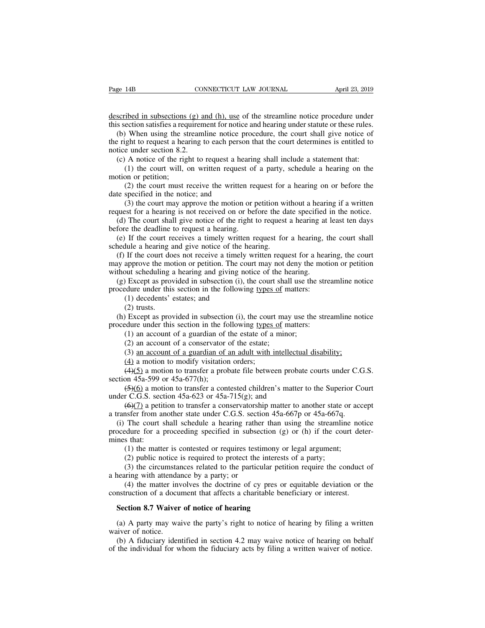Page 14B<br>
CONNECTICUT LAW JOURNAL<br>
described in subsections (g) and (h), use of the streamline notice procedure under<br>
this section satisfies a requirement for notice and hearing under statute or these rules.<br>
(b) When usi

the Page 14B<br>
CONNECTICUT LAW JOURNAL<br>
described in subsections (g) and (h), use of the streamline notice procedure under<br>
this section satisfies a requirement for notice and hearing under statute or these rules.<br>
(b) When (b) ge 14B<br>
(b) CONNECTICUT LAW JOURNAL<br>
Scribed in subsections (g) and (h), use of the streamline notice procedure under<br>
s section satisfies a requirement for notice and hearing under statute or these rules.<br>
(b) When us The right to request a hearing shall include a statement that:<br>
this section satisfies a requirement for notice and hearing under statute or these rules.<br>
(b) When using the streamline notice procedure, the court shall giv described in subsections (g) at<br>this section satisfies a requirem<br>(b) When using the streaml<br>the right to request a hearing t<br>notice under section 8.2.<br>(c) A notice of the right to<br>(1) the court will, on wr scribed in subsections (g) and (h), use of the streamline notice procedure under<br>s section satisfies a requirement for notice and hearing under statute or these rules.<br>(b) When using the streamline notice procedure, the co (1) the court must receive the written request for a hearing on or before the court shall give notice of when using the streamline notice and hearing under statute or these rules.<br>
When using the streamline notice procedur this section satisfies a request<br>(b) When using the st<br>the right to request a heal<br>notice under section 8.2.<br>(c) A notice of the rigi<br>(1) the court will, a<br>motion or petition;<br>(2) the court must r<br>date specified in the not (2) When using the streamline notice procedure, the court shall give notice of ight to request a hearing to each person that the court determines is entitled to e under section 8.2.<br>A notice of the right to request a heari the right to request a hearing to each person<br>notice under section 8.2.<br>(c) A notice of the right to request a hea<br>(1) the court will, on written request<br>motion or petition;<br>(2) the court must receive the written<br>date spe

e under section 8.2.<br>
A notice of the right to request a hearing shall include a statement that:<br>
(1) the court will, on written request of a party, schedule a hearing on the<br>
on or petition;<br>
(2) the court must receive th (c) A notice of the right to request a hearing shall include a statement that:<br>
(1) the court will, on written request of a party, schedule a hearing on the<br>
motion or petition;<br>
(2) the court must receive the written requ (1) the court will, on written request of a party, schedule a hearing on the otion or petition;<br>
(2) the court must receive the written request for a hearing on or before the repecified in the notice; and (3) the court ma motion or petition;<br>(2) the court must receive the written re<br>date specified in the notice; and<br>(3) the court may approve the motion or p<br>request for a hearing is not received on or bel<br>(d) The court shall give notice of t (2) the court must receive the written request for a hearing on or before the te specified in the notice; and (3) the court may approve the motion or petition without a hearing if a written quest for a hearing is not rece date specified in the notice; and<br>
(3) the court may approve the motion or petition wi<br>
request for a hearing is not received on or before the da<br>
(d) The court shall give notice of the right to request<br>
before the deadlin

(3) the court may approve the motion or petition without a hearing if a written quest for a hearing is not received on or before the date specified in the notice.<br>(d) The court shall give notice of the right to request a may approve the motion or before the date specified in the notice.<br>
(d) The court shall give notice of the right to request a hearing at least ten days<br>
before the deadline to request a hearing.<br>
(e) If the court receives (d) The court shall give notice of the right to request a hearing at before the deadline to request a hearing.<br>
(e) If the court receives a timely written request for a hearing, t schedule a hearing and give notice of the fore the deadline to request a hearing.<br>
(e) If the court receives a timely written request for a hearing, the court shall<br>
hedule a hearing and give notice of the hearing.<br>
(f) If the court does not receive a timely writt (e) If the court receives a timely written request for a hearing, the schedule a hearing and give notice of the hearing.<br>
(f) If the court does not receive a timely written request for a hearmay approve the motion or petit dule a hearing and give notice of the I<br>If the court does not receive a timely<br>approve the motion or petition. The court scheduling a hearing and giving n<br>I Except as provided in subsection (i),<br>clure under this section in If the court do<br>approve the mc<br>out scheduling :<br>) Except as prov<br>dure under this<br>(2) trusts.<br>) Except as prov<br>dure under this (a) approve the motion or petition. The court may not deny the motion or petition<br>thout scheduling a hearing and giving notice of the hearing.<br>(g) Except as provided in subsection (i), the court shall use the streamline no

without scheduling a hearing and giving notice of the hearing.<br>
(g) Except as provided in subsection (i), the court shall use the stre<br>
procedure under this section in the following <u>types of</u> matters:<br>
(1) decedents' est (1) Except as provided in subsection (i), the court shall use the edure under this section in the following types of matters:<br>(1) decedents' estates; and<br>(2) trusts.<br>(2) trusts.<br>However as provided in subsection (i), the

exercise under this section in the following types of  $n(1)$  decedents' estates; and  $(2)$  trusts.<br>
(2) trusts.<br>
(2) trusts.<br>
(2) trusts.<br>
(2) an account of a guardian of the estate of a minority of a conservator of the e (1) decedents' estates; and<br>
(2) trusts.<br>
(2) trusts.<br>
(2) an account of a guardian of the estate of a minor;<br>
(1) an account of a guardian of the estate of a minor;<br>
(2) an account of a conservator of the estate;<br>
(3) <u>a</u>

(2) trusts.<br>
(2) Except as provided in subsection (i), the court<br>
edure under this section in the following types<br>
(1) an account of a guardian of the estate of a<br>
(2) an account of a conservator of the estate;<br>
(3) <u>an a</u> (4) Except as provided in subsection (i), the court may use the streamline notice<br>edure under this section in the following types of matters:<br>(1) an account of a guardian of the estate;<br>(3) an account of a guardian of an procedure under this section in the fo<br>
(1) an account of a guardian of<br>
(2) an account of a conservator<br>
(3) <u>an account of a guardian of</u><br>
(4) a motion to modify visitation<br>
(4)(5) a motion to transfer a pro<br>
section 45

(1) an account of a guardian of the estate of a minor;<br>(2) an account of a conservator of the estate;<br>(3) <u>an account of a guardian of an adult with intellectual disability;</u><br>(4) a motion to modify visitation orders;<br>(4)( (2) an account of a conservator of the estate;<br>
(3) an account of a guardian of an adult with intellectu<br>
(4) a motion to modify visitation orders;<br>
(4)(5) a motion to transfer a probate file between proba<br>
section 45a-59 (3) an account of a guardian of an adult with intellectual disability;<br>(4) a motion to modify visitation orders;<br>(4)(5) a motion to transfer a probate file between probate courts under C.G.S.<br>on 45a-599 or 45a-677(h);<br>(5)

(4) a motion to modify visitation orders;<br>
(4)(5) a motion to transfer a probate file between probate courts under C.C<br>
section 45a-599 or 45a-677(h);<br>
(5)(6) a motion to transfer a contested children's matter to the Supe (4)(5) a motion to transfer a probate file between probate courts under C.G.S.<br>ction 45a-599 or 45a-677(h);<br>(5)(6) a motion to transfer a contested children's matter to the Superior Court<br>der C.G.S. section 45a-623 or 45a section 45a-599 or 45a-677(h);<br>  $(5)(6)$  a motion to transfer a contested children's matter to the Superior Court<br>
under C.G.S. section 45a-623 or 45a-715(g); and<br>  $(6)(7)$  a petition to transfer a conservatorship matter to  $\frac{5(6)}{0}$  a mot<br>under C.G.S. sect<br> $\frac{6(7)}{1}$  a petit<br>a transfer from a<br>i (i) The court s<br>procedure for a j<br>mines that:<br>(1) the matte<br>(2) public no r C.G.S. section 45a-623 or 45a-715(g); and<br>  $(6)(2)$  a petition to transfer a conservatorship matter to another state or accessfer from another state under C.G.S. section 45a-667p or 45a-667q.<br>
The court shall schedule a (6)( $\overline{2}$ ) a petition to transfer a conservatorship matter to another state usfer from another state under C.G.S. section 45a-667p or 45a-667q.<br>The court shall schedule a hearing rather than using the streamline for a nsfer from another state under C.G.S. section 45a-667p or 45a-667q.<br>The court shall schedule a hearing rather than using the streamline notice<br>edure for a proceeding specified in subsection (g) or (h) if the court deter-<br>s (i) The court shall schedule a hearing rathe<br>procedure for a proceeding specified in subset<br>mines that:<br>(1) the matter is contested or requires testi<br>(2) public notice is required to protect the<br>(3) the circumstances rela edure for a proceeding specified in subsection (g) or (h) if the court deter-<br>s that:<br>(1) the matter is contested or requires testimony or legal argument;<br>(2) public notice is required to protect the interests of a party;<br>

mines that:<br>
(1) the matter is contested or requires testimony or legal argument;<br>
(2) public notice is required to protect the interests of a party;<br>
(3) the circumstances related to the particular petition require the co (1) the matter is contested or requires testimoly of<br>
(2) public notice is required to protect the interest<br>
(3) the circumstances related to the particular peti<br>
nearing with attendance by a party; or<br>
(4) the matter invo

a hearing with attenda<br>
(4) the matter inv<br>
construction of a docu<br> **Section 8.7 Waiver**<br>
(a) A party may wa<br>
waiver of notice.<br>
(b) A fiduciary iden<br>
of the individual for w

(3) the circumstances related to the particular petition require the conduct of hearing with attendance by a party; or (4) the matter involves the doctrine of cy pres or equitable deviation or the nstruction of a document (4) the matter involves the doctrine of cy pres or equitable deviation or the instruction of a document that affects a charitable beneficiary or interest.<br>Section 8.7 Waiver of notice of hearing<br>(a) A party may waive the p

construction of a document that affects a charitable beneficiary or interest.<br> **Section 8.7 Waiver of notice of hearing**<br>
(a) A party may waive the party's right to notice of hearing by filing a written<br>
waiver of notice.<br>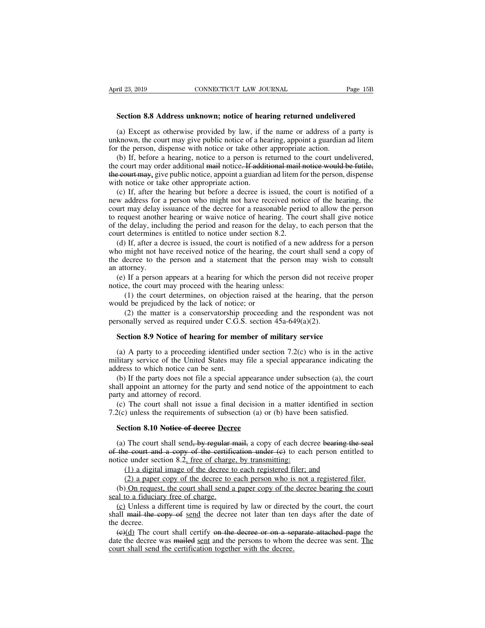**Section 8.8 Address unknown; notice of hearing returned undelivered** (a) Except as otherwise provided by law, if the name or address of a party is<br>
section 8.8 Address unknown; notice of hearing returned undelivered<br>
(a) Except as otherwise provided by law, if the name or address of a party Example 123, 2019<br> **Example 23, 2019** CONNECTICUT LAW JOURNAL Page 15B<br> **Section 8.8 Address unknown; notice of hearing returned undelivered**<br>
(a) Except as otherwise provided by law, if the name or address of a party is<br> **Section 8.8 Address unknown; notice of hearing returned undeliver**<br>(a) Except as otherwise provided by law, if the name or address of a<br>unknown, the court may give public notice of a hearing, appoint a guardian<br>for the pe

Section 8.8 Address unknown; notice of hearing returned undelivered<br>(a) Except as otherwise provided by law, if the name or address of a party is<br>known, the court may give public notice of a hearing, appoint a guardian ad Section 8.8 Address unknown; notice of hearing returned undelivered<br>
(a) Except as otherwise provided by law, if the name or address of a party is<br>
unknown, the court may give public notice of a hearing, appoint a guardian (a) Except as otherwise provided by law, if the name or address of a party is unknown, the court may give public notice of a hearing, appoint a guardian ad litem for the person, dispense with notice or take other appropri (a) Except as otherwise provided by law, if the name or address of a party is unknown, the court may give public notice of a hearing, appoint a guardian ad litem for the person, dispense with notice or take other appropri known, the court may give public notice of a hearing, appoint a guardian ad litem<br>r the person, dispense with notice or take other appropriate action.<br>(b) If, before a hearing, notice to a person is returned to the court u for the person, dispense with notice or take other appropriate action.<br>
(b) If, before a hearing, notice to a person is returned to the court undelivered,<br>
the court may order additional mail notice. If additional mail not

(b) If, before a hearing, notice to a person is returned to the court undelivered, the court may order additional mail notice. If additional mail notice would be futile, the court may, give public notice, appoint a guardi the court may order additional mail notice. If additional mail notice would be futile, the court may, give public notice, appoint a guardian ad litem for the person, dispense with notice or take other appropriate action.<br> The court may, give public notice, appoint a guardian ad litem for the person, dispense<br>with notice or take other appropriate action.<br>(c) If, after the hearing but before a decree is issued, the court is notified of a<br>new met court digital public proceed to the appropriate action.<br>
(c) If, after the hearing but before a decree is issued, the<br>
new address for a person who might not have received notic<br>
court may delay issuance of the decree (c) If, after the hearing but before a decree is issued, the court is notified of a w address for a person who might not have received notice of the hearing, the urt may delay issuance of the decree for a reasonable perio who might not have received indice of the hearing, the court may delay issuance of the decree for a reasonable period to allow the person to request another hearing or waive notice of hearing. The court shall give notice o the wave the decree for a reasonable period to allow the person to request another hearing or waive notice of hearing. The court shall give notice of the delay, including the period and reason for the delay, to each person

before the delay, included to request another<br>court determines<br>(d) If, after a d<br>who might not has<br>the decree to the<br>an attorney.<br>(e) If a person<br>notice, the court the delay, including the period and reason for the delay, to each person that the urt determines is entitled to notice under section 8.2.<br>
(d) If, after a decree is issued, the court is notified of a new address for a pers court determines is entitled to notice under section 8.2.<br>
(d) If, after a decree is issued, the court is notified of a new<br>
who might not have received notice of the hearing, the cour<br>
the decree to the person and a state If, after a decree is issued, the court is notified of a new address for a person<br>might not have received notice of the hearing, the court shall send a copy of<br>lecree to the person and a statement that the person may wish who might not have received notice of the hearing, the decree to the person and a statement that the an attorney.<br>
(e) If a person appears at a hearing for which the notice, the court may proceed with the hearing unles<br>
(1 (2) the matter is a conservatorship proceeding and the respondent was not the person appears at a hearing for which the person did not receive proper e, the court may proceed with the hearing unless:<br>(1) the court determi

an attorney.<br>
(e) If a person appears at a hearing for which the person did not recondice, the court may proceed with the hearing unless:<br>
(1) the court determines, on objection raised at the hearing, that<br>
would be prejud (c) If a person appears at a hearing for which are person and not receive proceed, the court may proceed with the hearing unless:<br>
(1) the court determines, on objection raised at the hearing, that the p<br>
uuld be prejudic

(1) the court determines, on objection raised at the hearing, that the person<br>vuld be prejudiced by the lack of notice; or<br>(2) the matter is a conservatorship proceeding and the respondent was not<br>rsonally served as requi would be prejudiced by the lack of notice; or<br>
(2) the matter is a conservatorship proceeding and the respondent was not<br>
personally served as required under C.G.S. section 45a-649(a)(2).<br> **Section 8.9 Notice of hearing f** (2) the matter is a conservatorship<br>personally served as required under C.G.S.<br>**Section 8.9 Notice of hearing for mer**<br>(a) A party to a proceeding identified u<br>military service of the United States may<br>address to which not (a) A party to a proceeding identified under section 45a-649(a)(2).<br> **Section 8.9 Notice of hearing for member of military service**<br>
(a) A party to a proceeding identified under section 7.2(c) who is in the active<br>
litary **Section 8.9 Notice of hearing for member of military service**<br>
(a) A party to a proceeding identified under section 7.2(c) who is in the active<br>
military service of the United States may file a special appearance indicat (a) A party to a proceeding ide<br>military service of the United Standaress to which notice can be ser<br>(b) If the party does not file a sp<br>shall appoint an attorney for the p<br>party and attorney of record.<br>(c) The court shal (a) A party to a proceeding identified under section 7.2(c) who is in the active<br>litary service of the United States may file a special appearance indicating the<br>dress to which notice can be sent.<br>(b) If the party does no

military service of the United States may file a special appearance indicating t address to which notice can be sent.<br>
(b) If the party does not file a special appearance under subsection (a), the coushall appoint an attor (b) If the party does not file a special appearance<br>
(b) If the party does not file a special appearance<br>
all appoint an attorney for the party and send no<br>
rty and attorney of record.<br>
(c) The court shall not issue a fina

(c) The court shall not issue a final decision in a matter identified in section<br>(c) The court shall not issue a final decision in a matter identified in section<br>(c) unless the requirements of subsection (a) or (b) have be party and attorney of record.<br>
(c) The court shall not issue a final decision in a matter identified in section 7.2(c) unless the requirements of subsection (a) or (b) have been satisfied.<br> **Section 8.10 Notice of decree** (c) The court shall not issue a final decision in a matter 1<br>7.2(c) unless the requirements of subsection (a) or (b) have be<br>**Section 8.10** Notice of decree Decree<br>(a) The court shall send<del>, by regular mail,</del> a copy of ea (1) a digital image of the decree to each person violent of the decree bearing the court shall send, by regular mail, a copy of each decree bearing the ecourt and a copy of the certification under (e) to each person entit **Section 8.10 Notice of decree Decree**<br>
(a) The court shall send, by regular mail, a copy of each decree bearing the seal<br>
of the court and a copy of the certification under (c) to each person entitled to<br>
notice under se (a) The court shall send, by regular mail, a copy of each decree bearing the seal the court and a copy of the certification under (e) to each person entitled to tice under section 8.2, free of charge, by transmitting:<br>
(1 (a) The court shall send, by regular in of the court and a copy of the certificantic under section 8.2, free of charge.<br>(1) a digital image of the decree to (2) a paper copy of the decree to (b) On request, the court shal

the court and a copy of the certification under (e) to each person entitled to<br>tice under section 8.2, <u>free of charge, by transmitting:</u><br>(1) a digital image of the decree to each registered filer; and<br>(2) a paper copy of notice under section 8.2, <u>free of charge, by transmitting:</u><br>
(1) a digital image of the decree to each registered filer; and<br>
(2) a paper copy of the decree to each person who is not a registered filer.<br>
(b) On request, seal to a fiduciary free of charge.<br>
(c) Unless a different time is required by law or directed by the court, the court<br>
shall mail the copy of send the decree not later than ten days after the date of<br>
the decree.<br>
(e)(d (2) a paper copy of the decree to each person who is not a registered filer.<br>
(b) On request, the court shall send a paper copy of the decree bearing the court<br>
al to a fiduciary free of charge.<br>
(c) Unless a different ti (b) On request, the court shall send a paper copy of the decree bearing the court seal to a fiduciary free of charge.<br>
(c) Unless a different time is required by law or directed by the court, the court shall mail the copy

seal to a fiduciary free of charge.<br>
(c) Unless a different time is required by law or directe shall mail the copy of send the decree not later than te the decree.<br>
(e)(d) The court shall certify on the decree or on a seq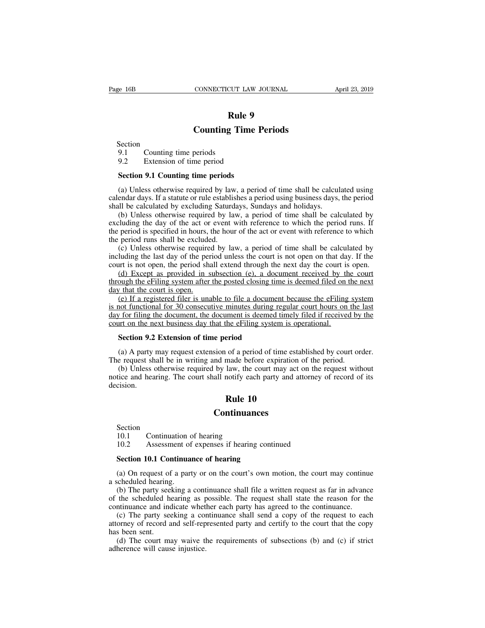# **CUT LAW JOURNAL<br><b>Rule 9**<br>**g Time Periods CONNECTICUT LAW JOURNAL**<br> **Rule 9**<br> **Counting Time Periods**<br>
periods

Section

**Example 19.1 Counting Ti**<br>
Section<br>
9.1 Counting time periods<br>
9.2 Extension of time period

# **Example 9<br>
Rule 9<br>
Counting Time 1**<br>
9.1 Counting time periods<br>
9.2 Extension of time period<br> **Section 9.1 Counting time periods**

**Counting Time I**<br>Section<br>9.1 Counting time periods<br>9.2 Extension of time period<br>Section 9.1 Counting time periods<br>(a) Unless otherwise required by law, a period (b) COLTET CONSTRIBUTE:<br>
1.1 Counting time periods<br>
(a) Unless otherwise required by law, a period of time shall be calculated using<br>
(a) Unless otherwise required by law, a period of time shall be calculated using<br>
endar Section<br>
9.1 Counting time periods<br>
9.2 Extension of time periods<br>
(a) Unless otherwise required by law, a period of time shall be calculated using<br>
calendar days. If a statute or rule establishes a period using business d 9.1 Counting time periods<br>9.2 Extension of time period<br>Section 9.1 Counting time periods<br>(a) Unless otherwise required by law, a period of time shall be calcul<br>calendar days. If a statute or rule establishes a period using

9.2 Extension of time period<br>
Section 9.1 Counting time periods<br>
(a) Unless otherwise required by law, a period of time shall be calculated using<br>
endar days. If a statute or rule establishes a period using business days, Section 9.1 Counting time periods<br>
(a) Unless otherwise required by law, a period of time shall be calculated using<br>
calendar days. If a statute or rule establishes a period using business days, the period<br>
shall be calcul **Section 9.1 Counting time periods**<br>(a) Unless otherwise required by law, a period of time shall be calculated using<br>calendar days. If a statute or rule establishes a period using business days, the period<br>shall be calcul (a) Unless otherwise required by law<br>calendar days. If a statute or rule establis<br>shall be calculated by excluding Saturd<br>(b) Unless otherwise required by lav<br>excluding the day of the act or event v<br>the period is specified (a) Oness otherwise required by law, a period of time shall be calculated using<br>endar days. If a statute or rule establishes a period using business days, the period<br>ill be calculated by excluding Saturdays, Sundays and ho including the calculated by excluding Saturdays, Sundays and holidays.<br>
(b) Unless otherwise required by law, a period of time shall be calculated by<br>
excluding the day of the act or event with reference to which the perio Shall be calculated by excluding balandays, balandays and hondays.<br>
(b) Unless otherwise required by law, a period of time shall be calculated by excluding the day of the act or event with reference to which the period is (d) Concess otherwise required by Taw, a period of time shall be calculated by cluding the day of the act or event with reference to which the period runs. If period is specified in hours, the hour of the act or event wit

the period is specified in hours, the hour of the act or event with reference to which the period runs shall be excluded.<br>
(c) Unless otherwise required by law, a period of time shall be calculated by including the last da the period is specified in hours, the hour of the act or event with reference to which<br>the period runs shall be excluded.<br>(c) Unless otherwise required by law, a period of time shall be calculated by<br>including the last day

(c) Unless otherwise required by law, a period of time shall be calculated by luding the last day of the period unless the court is not open on that day. If the urt is not open, the period shall extend through the next da (c) ones once was equited by taw, a period of the shall of clue and the court is not open, the period shall extend through the next day the court is open.<br>
(d) Except as provided in subsection (e), a document received by t merating the fast day of the period amess the coart is not open on that day. It the<br>court is not open, the period shall extend through the next day the court is open.<br>(d) Except as provided in subsection (e), a document re court is not open, the period shall extend through the next day the coart is<br>(d) Except as provided in subsection (e), a document received by the<br>through the eFiling system after the posted closing time is deemed filed on<br> ough the eFiling system after the posted closing time  $\chi$  that the court is open.<br>
(e) If a registered filer is unable to file a document of functional for 30 consecutive minutes during re<br>  $\chi$  for filing the document, (e) If a registered filer is unable to file a document because the eFiling system<br>not functional for 30 consecutive minutes during regular court hours on the last<br> $y$  for filing the document, the document is deemed timely is not functional for 30 consecutive minutes during regular court hours on the<br>day for filing the document, the document is deemed timely filed if received by<br>court on the next business day that the eFiling system is opera

(b) Unless otherwise required by the effiling system is operational.<br>Section 9.2 Extension of time period<br>(a) A party may request extension of a period of time established by court order.<br>e request shall be in writing and court on the next business day that the eFiling system is operational.<br>
Section 9.2 Extension of time period<br>
(a) A party may request extension of a period of time established by court order.<br>
The request shall be in writ decision. **eriod**<br>
of a period of time est<br>
made before expiration<br>
law, the court may act<br>
notify each party and a<br> **Rule 10**<br> **ntinuances** Exercision.<br> **10.1** Continuation of hearing<br>
10.2 Assessment of expenses if hearing

## **Continuances**

Section<br>10.1 Continuation of hearing

**10.2**<br> **10.1**<br> **10.1**<br> **10.2** Assessment of expenses if hearing continued<br> **10.2** Assessment of expenses if hearing continued<br> **Section 10.1 Continuance of hearing** 

**Continuances**<br>Section<br>10.1 Continuation of hearing<br>10.2 Assessment of expenses if hearing continuance of hearing<br>(a) On request of a party or on the court's own m (a) On request of a party or on the court's own motion, the court may continue<br>
(a) On request of a party or on the court's own motion, the court may continue<br>
(a) On request of a party or on the court's own motion, the co

Section<br>10.1 Continuation c<br>10.2 Assessment of<br>**Section 10.1 Continua**<br>(a) On request of a part<br>a scheduled hearing.<br>(b) The party seeking a<br>of the scheduled hearing (b) The party seeking a continuance shall file a written request as far in advance<br>
(a) On request of a party or on the court's own motion, the court may continue<br>
cheduled hearing.<br>
(b) The party seeking a continuance sha 10.2 Assessment of expenses if hearing continued<br> **Section 10.1 Continuance of hearing**<br>
(a) On request of a party or on the court's own motion, the court may continue<br>
a scheduled hearing.<br>
(b) The party seeking a continu Section 10.1 Continuance of hearing<br>
(a) On request of a party or on the court's own motion, the court may continu<br>
a scheduled hearing.<br>
(b) The party seeking a continuance shall file a written request as far in advanc<br>
o

Section 10.1 Continuance of hearing<br>
(a) On request of a party or on the court's own motion, the court may continue<br>
cheduled hearing.<br>
(b) The party seeking a continuance shall file a written request as far in advance<br>
th (a) On request of a party or on the court's own motion, the court may continue a scheduled hearing.<br>
(b) The party seeking a continuance shall file a written request as far in advance<br>
of the scheduled hearing as possible. (a) On request on<br>a scheduled hearing<br>(b) The party see<br>of the scheduled he<br>continuance and inc<br>(c) The party see<br>attorney of record a<br>has been sent.<br>(d) The court ma<br>adherence will caus (b) The party seeking a continuance shall file a written request as far in advance the scheduled hearing as possible. The request shall state the reason for the ntinuance and indicate whether each party has agreed to the c (b) The party seeking a control of the scheduled hearing as p continuance and indicate whet (c) The party seeking a control of record and self-rep has been sent. (d) The court may waive the adherence will cause injustice.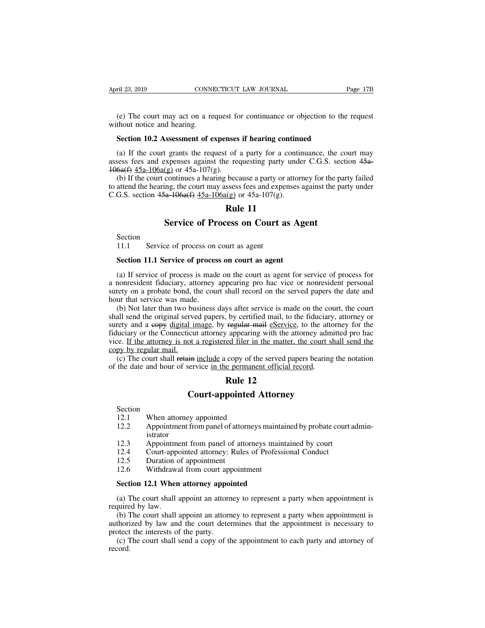(e) The court may act on a request for continuance or objection to the request<br>
(e) The court may act on a request for continuance or objection to the request<br>
Socian 10.2 Assessment of any same if begins a setting d April 23, 2019 CONNI<br>
(e) The court may act on a re<br>
without notice and hearing.<br>
Section 10.2 Assessment of e **Section 10.2 Assessment of expenses if hearing continuance** or objection to the thout notice and hearing.<br>**Section 10.2 Assessment of expenses if hearing continued**<br>(a) If the court grants the request of a party for a con

(e) The court may act on a request for continuance or objection to the request<br>thout notice and hearing.<br>**Section 10.2 Assessment of expenses if hearing continued**<br>(a) If the court grants the request of a party for a cont (e) The court may act on a request for continuance or objection to the request<br>without notice and hearing.<br>**Section 10.2 Assessment of expenses if hearing continued**<br>(a) If the court grants the request of a party for a co (e) The court may act on a request for without notice and hearing.<br> **Section 10.2 Assessment of expenses**<br>
(a) If the court grants the request of assess fees and expenses against the ret<br>  $\frac{106a(f)}{15a-106a(g)}$  or  $45a-10$ 

(a) If the court grants the request of a party for a continuance, the court may<br>
(a) If the court grants the request of a party for a continuance, the court may<br>
sess fees and expenses against the requesting party under C Section 10.2 Assessment of expenses if hearing continued<br>
(a) If the court grants the request of a party for a continuance, the court may<br>
assess fees and expenses against the requesting party under C.G.S. section 45a-<br> Section 10.2 Assessment of expenses if hearing continually<br>
(a) If the court grants the request of a party for a continual<br>
assess fees and expenses against the requesting party unde<br>  $\frac{106a(f)}{45a-106a(g)}$  or  $\frac{45a-107$ the set of a party for a continuate of a party for a continuate explores<br>
Rule 11<br> **Rule 11**<br> **Rule 11**<br> **Rule 11**<br> **Rule 11** Figures the request of a party for a commutance, the compresses against the requesting party under C.G.S. sect (g) or 45a-107(g).<br>
continues a hearing because a party or attorney for the pair and the court may assess fees G.S. section  $45a-106a(f)$   $45a-106a(g)$  or  $45a-107(g)$ <br> **Rule 11**<br> **Service of Process on Court** as<br>
Section 11.1 Service of process on court as agent<br>
Section 11.1 Service of process on court as agent

Section

**Rule 11**<br>**Section**<br>**Section**<br>**Section 11.1 Service of process on court as agent<br><b>Section 11.1 Service of process on court as agent**<br>(a) If service of process is made on the court as agent for s Section<br>
Section<br>
11.1 Service of process on court as agent<br>
Section 11.1 Service of process on court as agent<br>
(a) If service of process is made on the court as agent for service of process for<br>
nonresident fiduciary, att Section<br>11.1 Service of process on court as agent<br>**Section 11.1 Service of process on court as agent**<br>(a) If service of process is made on the court as agent for service of process for<br>a nonresident fiduciary, attorney app Section<br>
11.1 Service of process on court as agent<br>
section 11.1 Service of process on court as agent<br>
(a) If service of process is made on the court as agent for service of process for<br>
a nonresident fiduciary, attorney a 11.1 Service of process on court as agent<br> **Section 11.1 Service of process on court as agent**<br>
(a) If service of process is made on the court as agent for service of process for<br>
a nonresident fiduciary, attorney appeari Section 11.1 Service of process on court as agent<br>(a) If service of process is made on the court as agent for service of process for<br>nonresident fiduciary, attorney appearing pro hac vice or nonresident personal<br>rety on a

Section 11.1 Service of process on court as agent<br>
(a) If service of process is made on the court as agent for service of process for<br>
a nonresident fiduciary, attorney appearing pro hac vice or nonresident personal<br>
suret (a) If service of process is made on the court as agent for service of process for<br>a nonresident fiduciary, attorney appearing pro hac vice or nonresident personal<br>surety on a probate bond, the court shall record on the se (a) If service of process is made on the court as agent for service of process for<br>a nonresident fiduciary, attorney appearing pro hac vice or nonresident personal<br>surety on a probate bond, the court shall record on the se a noncestical riductary, attorney appearing pro nae vice or noncestical personal<br>surety on a probate bond, the court shall record on the served papers the date and<br>hour that service was made.<br>(b) Not later than two busines surely on a probact bond, thour that service was made<br>(b) Not later than two bushall send the original serve<br>surety and a eopy digital in<br>fiduciary or the Connecticu<br>vice. If the attorney is not<br>copy by regular mail.<br>(c) T (b) Not later than two business days after service is made on the court, the court<br>all send the original served papers, by certified mail, to the fiduciary, attorney or<br>rety and a copy digital image, by regular mail eservi (b) Not fact than two business days after service is made on the conshall send the original served papers, by certified mail, to the fiduciary surety and a eopy <u>digital image</u>, by regular mail esservice, to the attendiduc by certified mail, to the regular mail estands to the regular mail estands of the act of appearing with the att composite the matter, the composite of the served papper permanent official required **Rule 12** pointed Attorne **Court-**<br> **Court-**<br> **Court-**<br> **Court-**<br> **Court-**<br> **Court-appointed Attorney**<br> **Court-appointed Attorney**<br> **Court-appointed Attorney**<br> **Court-appointed Attorney**<br> **Court-appointed Attorney** 

Section<br>12.1

- 
- The date and hour of service in the permanent<br>the date and hour of service in the permanent<br>**Rule 12**<br>Court-appointed A<br>Section<br>12.1 When attorney appointed<br>12.2 Appointment from panel of attorneys<br>istrator **12.2 Court-appointed Attorney**<br>
12.1 **When attorney appointed**<br>
12.2 **Appointment from panel of attorneys maintained by probate court administrator**<br>
12.3 **Appointment from panel of attorneys maintained by court** istrator **Court-appointed Attorney**<br>
12.1 When attorney appointed<br>
12.2 Appointment from panel of attorneys maintained by probate court<br>
istrator<br>
12.3 Appointment from panel of attorneys maintained by court<br>
12.4 Court-appointed a **Example 12.1**<br>
12.1 When attorney appointed<br>
12.2 Appointment from panel of attorneys maintained by probate court<br>
istrator<br>
12.3 Appointment from panel of attorneys maintained by court<br>
12.4 Court-appointed attorney: Rul Section<br>
12.1 When attorney appointed<br>
12.2 Appointment from panel of attor<br>
istrator<br>
12.3 Appointment from panel of att<br>
12.4 Court-appointed attorney: Rule<br>
12.5 Duration of appointment<br>
12.6 Withdrawal from court appoi 12.1 When attorney appointed<br>
12.2 Appointment from panel of attorneys mainta<br>
istrator<br>
12.3 Appointment from panel of attorneys main<br>
12.4 Court-appointed attorney: Rules of Profess<br>
12.5 Duration of appointment<br>
12.6 Wi 12.2 Appointment from panel of attorneys maintain<br>
istrator<br>
12.3 Appointment from panel of attorneys maint.<br>
12.4 Court-appointed attorney: Rules of Professia<br>
12.5 Duration of appointment<br>
12.6 Withdrawal from court appo
- 
- 
- 
- 

(a) The court shall appoint an attorney in a party when appointment<br>
(a) The court-appointment<br>
12.5 Duration of appointment<br>
12.6 Withdrawal from court appointment<br> **Section 12.1 When attorney appointed**<br>
(a) The court sh

12.4 Court-apper<br>12.5 Duration c<br>12.6 Withdrawa<br>**Section 12.1 When**<br>(a) The court shall a<br>required by law.<br>(b) The court shall authorized by law and (b) The court shall appointment<br> **Section 12.1 When attorney appointed**<br>
(a) The court shall appoint an attorney to represent a party when appointment is<br>
quired by law.<br>
(b) The court shall appoint an attorney to represen 12.6 Withdrawal from court appointment<br> **Section 12.1 When attorney appointed**<br>
(a) The court shall appoint an attorney to represent a party when appointment is<br>
required by law.<br>
(b) The court shall appoint an attorney to **Section 12.1 When attorney appoi**<br>(a) The court shall appoint an attorney equired by law.<br>(b) The court shall appoint an attorney authorized by law and the court deter protect the interests of the party.<br>(c) The court sha Section 12.1 When attorney appointed<br>
(a) The court shall appoint an attorney to represent a party when appointment is<br>
(b) The court shall appoint an attorney to represent a party when appointment is<br>
thorized by law and

record.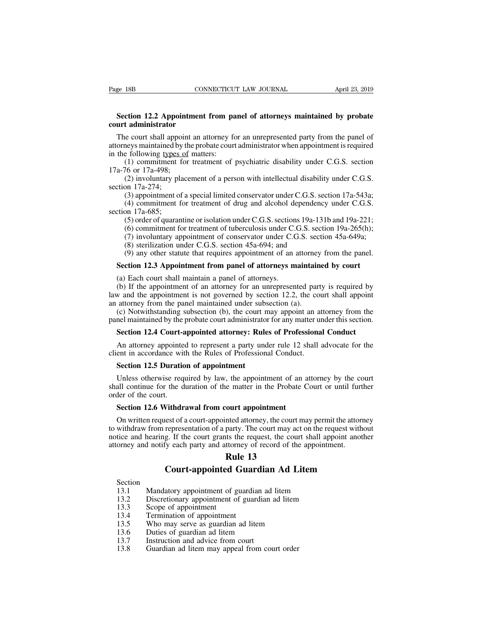# **Section 12.2 Appointment from panel of attorneys maintained by probate**<br> **Section 12.2 Appointment from panel of attorneys maintained by probate**<br>
The court shall appoint as etterney for an uncorresponded party from the p Page 18B CON<br> **court administrator**<br> **court administrator**<br>
The court shall appoint an atternate maintained by the problem

Section 12.2 Appointment from panel of attorneys maintained by probate<br>Section 12.2 Appointment from panel of attorneys maintained by probate<br>urt administrator<br>The court shall appoint an attorney for an unrepresented party Fage 18B<br> **EXECUTE CONNECTICUT LAW JOURNAL** April 23, 2019<br> **Section 12.2 Appointment from panel of attorneys maintained by probate**<br>
court administrator<br>
The court shall appoint an attorney for an unrepresented party from **Section 12.2 Appointment from pa**<br> **court administrator**<br>
The court shall appoint an attorney for<br>
attorneys maintained by the probate court<br>
in the following <u>types of</u> matters:<br>
(1) commitment for treatment of 1<br>
17a-76 orcession 12.2 Appointment from panel of attorneys maintained by probate<br>t administrator<br>e court shall appoint an attorney for an unrepresented party from the panel of<br>neys maintained by the probate court administrator whe **Section 12.2 Appointicular court administrator**<br>The court shall appoint<br>attorneys maintained by the<br>in the following types of<br>(1) commitment for<br>17a-76 or 17a-498;<br>(2) involuntary place<br>section 17a-274; **t administrator**<br>
is court shall appoint an attorney for an unrepresented party from the panel of<br>
neys maintained by the probate court administrator when appointment is required<br>
following types of matters:<br>
(1) commitme The court shall appo<br>attorneys maintained by<br>in the following types<br>(1) commitment 1<br>17a-76 or 17a-498;<br>(2) involuntary planetion 17a-274;<br>(3) appointment of<br>(4) commitment f (3) appointment of a special limited conservator under C.G.S. section 17a-543a;<br>
(1) commitment for treatment of psychiatric disability under C.G.S. section<br>
16 or 17a-498;<br>
(2) involuntary placement of a person with intel

(1) commitment 1<br>17a-76 or 17a-498;<br>(2) involuntary planet 1<br>section 17a-274;<br>(3) appointment of<br>(4) commitment fraction 17a-685;<br>(5) order of quaran<br>(6) commitment fraction

(4) commitment of a special limited conservator under C.G.S. section<br>(1) commitment for treatment of psychiatric disability under C.G.S. section<br>76 or 17a-498;<br>(2) involuntary placement of a person with intellectual disabi (1) communication tradinent of psychiatric disability under C.G.S. section 16 or 17a-498;<br>
(2) involuntary placement of a person with intellectual disability under C.G.S.<br>
on 17a-274;<br>
(3) appointment of a special limited (2) involuntary placement of a person with intellectual disability under C.G.S.<br>
on 17a-274;<br>
(3) appointment of a special limited conservator under C.G.S. section 17a-543a;<br>
(4) commitment for treatment of drug and alcoh (2) involutionary placement of a person with interlectual disability under C.G.S.<br>
on 17a-274;<br>
(3) appointment of a special limited conservator under C.G.S. section 17a-543a;<br>
(4) commitment for treatment of drug and alc (3) appointment of a special limited conservator under C.G.S. section 17a-685;<br>
(4) commitment for treatment of drug and alcohol dependence on 17a-685;<br>
(5) order of quarantine or isolation under C.G.S. sections 19a-13<br>
( (3) appointment of a special initial conservator under C.O.S. section 17a-545a, (4) commitment for treatment of drug and alcohol dependency under C.G.S. on 17a-685;<br>
(5) order of quarantine or isolation under C.G.S. secti

ction 17a-685;<br>
(5) order of quarantine or isolation under C.G.S. sections 19a-131b and 19a-221;<br>
(6) commitment for treatment of tuberculosis under C.G.S. section 19a-265(h);<br>
(7) involuntary appointment of conservator un

(b) Order of quarantine of isolation under C.O.S. section<br>
(6) commitment for treatment of tuberculosis under C.<br>
(7) involuntary appointment of conservator under C.O.<br>
(8) sterilization under C.O.S. section 45a-694; and<br> (b) Communical for distancent of discreteness and erections. Section 12a-205(ii),<br>
(7) involuntary appointment of conservator under C.G.S. section 45a-649a;<br>
(8) sterilization under C.G.S. section 45a-694; and<br>
(9) any ot (*i*) involuntally appointment of conservator under C.O.S. section 45a-644,<br>
(8) sterilization under C.G.S. section 45a-694; and<br>
(9) any other statute that requires appointment of an attorney from the panel.<br> **Section 12** (b) stemzation under C.G.S. section 45a-654, and<br>
(9) any other statute that requires appointment of an attorney<br> **Section 12.3 Appointment from panel of attorneys maintair**<br>
(a) Each court shall maintain a panel of attor (c) any other statute that requires appointment of an attorney from the panel.<br> **Section 12.3 Appointment from panel of attorneys maintained by court**<br>
(a) Each court shall maintain a panel of attorneys.<br>
(b) If the appoi Section 12.3 Appointment from panel of attorneys maintained by court<br>
(a) Each court shall maintain a panel of attorneys.<br>
(b) If the appointment of an attorney for an unrepresented party is required by<br>
law and the appoin (a) Each court shall maintain a panel of attorneys.<br>
(b) If the appointment of an attorney for an unrepresented party is required by<br>
w and the appointment is not governed by section 12.2, the court shall appoint<br>
attorney (b) It the appointment of an attorney for an untepresented party is required by  $w$  and the appointment is not governed by section 12.2, the court shall appoint attorney from the panel maintained under subsection (a).<br>(c)

raw and the appointment is not governed by section 12.2, the code an attorney from the panel maintained under subsection (a).<br>
(c) Notwithstanding subsection (b), the court may appoint an at panel maintained by the probate (c) Notwithstanding subsection (b), the court mel maintained by the probate court administrator<br>**Section 12.4 Court-appointed attorney: Rule**<br>An attorney appointed to represent a party und<br>ent in accordance with the Rules

Section 12.4 Court-appointed attorney: Rules of Professional Conduct<br>An attorney appointed to represent a party under rule 12 shall advocate for the<br>ent in accordance with the Rules of Professional Conduct.<br>Section 12.5 Du Section 12.4 Court-appointed attorney: Rules of Professional Conduct<br>An attorney appointed to represent a party under rule 12 shall advocate for the<br>client in accordance with the Rules of Professional Conduct.<br>Section 12.5 An attorney appointe<br>client in accordance wit<br>Section 12.5 Duratio<br>Unless otherwise requested<br>shall continue for the d<br>order of the court.<br>Section 12.6 Withdr ent in accordance with the Rules of Professional Conduct.<br> **Section 12.5 Duration of appointment**<br>
Unless otherwise required by law, the appointment of an at<br>
all continue for the duration of the matter in the Probate C<br>
d

Section 12.5 Duration of appointment<br>Unless otherwise required by law, the appointment of an attorney by the court<br>all continue for the duration of the matter in the Probate Court or until further<br>der of the court.<br>Section Unless otherwise required by law, the appointment of an attorney by the court<br>shall continue for the duration of the matter in the Probate Court or until further<br>order of the court.<br>**Section 12.6 Withdrawal from court appo** notice and hearing. If the court appointment<br>attorney by the court<br>order of the court.<br>**Section 12.6 Withdrawal from court appointment**<br>On written request of a court-appointed attorney, the court may permit the attorney<br>to From the court.<br>
Section 12.6 Withdrawal from court appointment<br>
On written request of a court-appointed attorney, the court may permit the attorney<br>
to withdraw from representation of a party. The court may act on the req Figure 11 the Frobate<br> **Rule 13**<br> **Rule 13**<br> **Rule 13**<br> **Rule 13**<br> **Rule 13**<br> **Rule 13 Court-appointment**<br> **Court-appointed attorney, the court may permit the attorney**<br> **Court-appointed attorney**, the court may act on the request without<br> **Guardian Ad Litem**<br> **Court-appointed Guardian Ad Litem**<br> **Court-app** ice and hearing. If the court grants the request, the court shall appoint<br>orney and notify each party and attorney of record of the appointment.<br> **Rule 13**<br> **Court-appointed Guardian Ad Litem**<br>
Section<br>
13.1 Mandatory appo orney and notify each party and attorney of record of the appointment.<br> **Rule 13**<br> **Court-appointed Guardian Ad Litem**<br>
Section<br>
13.1 Mandatory appointment of guardian ad litem<br>
13.2 Discretionary appointment of guardian a

- Section<br>13.1 Mandatory appointment of guardian ad litem
- **Court-appointed Guardian Ad Litem**<br>
Section<br>
13.1 Mandatory appointment of guardian ad litem<br>
13.2 Discretionary appointment of guardian ad litem<br>
13.3 Scope of appointment<br>
13.4 Termination of appointment<br>
13.5 Who may s
- 
- **13.3**<br>Court-appointed<br>13.1 Mandatory appointment of g<br>13.2 Discretionary appointment c<br>13.3 Scope of appointment<br>13.4 Termination of appointment<br>13.5 Who may serve as guardian
- **13.4** Court-appointed Guar<br>
13.1 Mandatory appointment of guardia<br>
13.2 Discretionary appointment of guar<br>
13.3 Scope of appointment<br>
13.4 Termination of appointment<br>
13.5 Who may serve as guardian ad litem<br>
13.6 Duties o
- 
- 
- Section<br>
13.1 Mandatory appointment of guardian ad litem<br>
13.2 Discretionary appointment of guardian ad lite<br>
13.3 Scope of appointment<br>
13.4 Termination of appointment<br>
13.5 Who may serve as guardian ad litem<br>
13.6 Duties 13.1 Mandatory appointment of guardian ad<br>
13.2 Discretionary appointment of guardian a<br>
13.3 Scope of appointment<br>
13.4 Termination of appointment<br>
13.5 Who may serve as guardian ad litem<br>
13.6 Duties of guardian ad litem 13.1 Manuadory appointment or guardian ad litem<br>
13.2 Discretionary appointment of guardian ad litem<br>
13.3 Scope of appointment<br>
13.5 Who may serve as guardian ad litem<br>
13.6 Duties of guardian ad litem<br>
13.7 Instruction a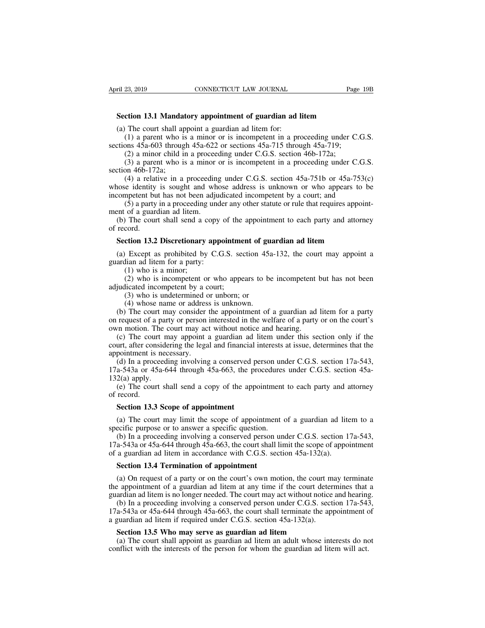# **EXECTIAN SECTION CONNECTICUT LAW JOURNAL**<br> **Section 13.1 Mandatory appointment of guardian ad litem**<br>
(a) The court shall appoint a guardian ad litem for:<br>
(b) a percept who is a minor or is incompatent in a proceeding un

(a) The court shall appoint a guardian ad lead of the court shall appoint a guardian ad litem for:<br>
(a) The court shall appoint a guardian ad litem for:<br>
(b) a parent who is a minor or is incompetent in a proxitions 45a-60 (23, 2019 CONNECTICUT LAW JOURNAL Page 19B<br>
(23, 2019 CONNECTICUT LAW JOURNAL Page 19B<br>
(21) a **parent** who is a minor or is incompetent in a proceeding under C.G.S.<br>
(21) a parent who is a minor or is incompetent in a pro Section 13.1 Mandatory appointment of guardian ad litem<br>
(a) The court shall appoint a guardian ad litem for:<br>
(b) a parent who is a minor or is incompetent in a proceeding under C.<br>
sections 45a-603 through 45a-622 or sec

**ction 13.1 Mandatory appointment of guardian ad litem**<br>
The court shall appoint a guardian ad litem for:<br>
(1) a parent who is a minor or is incompetent in a proceeding under C<br>
ons  $45a-603$  through  $45a-622$  or sections **ction 13.1 Mandatory appointment of guardian ad litem**<br>
The court shall appoint a guardian ad litem for:<br>
(1) a parent who is a minor or is incompetent in a proceeding under C.G.S.<br>
ons 45a-603 through 45a-622 or section

**Section 13.1 Mandat**<br>
(a) The court shall ap<br>
(1) a parent who is<br>
sections  $45a-603$  throug<br>
(2) a minor child in<br>
(3) a parent who is<br>
section  $46b-172a$ ;<br>
(4) a relative in a<br>
whose identity is sougle The court shall appoint a guardian ad litem for:<br>
(1) a parent who is a minor or is incompetent in a proceeding under C.G.S.<br>
ons 45a-603 through 45a-622 or sections 45a-715 through 45a-719;<br>
(2) a minor child in a proceed (a) The court shall appoint a guardiant ad inclinion.<br>
(1) a parent who is a minor or is incompetent in a proceeding under C.G.S.<br>
sections 45a-603 through 45a-622 or sections 45a-715 through 45a-719;<br>
(2) a minor child i (1) a parent who is a minor of is incompetent in a proceeding under C.O.S.<br>sections 45a-603 through 45a-622 or sections 45a-715 through 45a-719;<br>(2) a minor child in a proceeding under C.G.S. section 46b-172a;<br>(3) a paren (2) a minor child in a proceeding under C.G.S. section 46b-172a;<br>
(3) a parent who is a minor or is incompetent in a proceeding under C.G.S.<br>
on 46b-172a;<br>
(4) a relative in a proceeding under C.G.S. section 45a-751b or 4 (2) a minor clind in a procee<br>
(3) a parent who is a minor<br>
section 46b-172a;<br>
(4) a relative in a proceedin<br>
whose identity is sought and wh<br>
incompetent but has not been adju<br>
(5) a party in a proceeding une<br>
ment of a (b) a parch who is a minor of is incompetent in a proceeding under C.G.S.<br>
(d) a relative in a proceeding under C.G.S. section 45a-751b or 45a-753(c)<br>
nose identity is sought and whose address is unknown or who appears to (4) a relat<br>
(4) a relat<br>
whose identity<br>
incompetent bu<br>
(5) a party<br>
ment of a guard<br>
(b) The cour<br>
of record.<br> **Section 13.2** is sought and whose address is unknown or who appears to be competent but has not been adjudicated incompetent by a court; and (5) a party in a proceeding under any other statute or rule that requires appointment of a guar

(5) a party in a proceeding under any other statute or rule that requires appoint-<br>ent of a guardian ad litem.<br>(b) The court shall send a copy of the appointment to each party and attorney<br>record.<br>**Section 13.2 Discretion** ment of a guardian ad litem.<br>
(b) The court shall send a copy<br>
of record.<br> **Section 13.2 Discretionary apporanticle in the Section 13.2 Discretionary apporanticle**<br>
(a) Except as prohibited by C.G guardian ad litem for a (1) The court shall send a cord.<br> **(1)** The court shall send a cord.<br> **(1)** Except as prohibited by<br>
lian ad litem for a party:<br>
(1) who is a minor;<br>
(2) who is incompetent of<br>
licated incompetent by a

(2) contrains and a copy of the appointment to each party and attorney<br>
cord.<br>
(2) except as prohibited by C.G.S. section 45a-132, the court may appoint a<br>
lian ad litem for a party:<br>
(1) who is a minor;<br>
(2) who is incom **Section 13.2 Discretionary appointme**<br>
(a) Except as prohibited by C.G.S. see<br>
guardian ad litem for a party:<br>
(1) who is a minor;<br>
(2) who is incompetent or who appe<br>
adjudicated incompetent by a court;<br>
(3) who is unde **ction 13.2 Discretionary appointment of guality Except as prohibited by C.G.S. section 45a dian ad litem for a party:**<br>(1) who is a minor; (2) who is incompetent or who appears to be licated incompetent by a court; (3) w

Except as prohibited by C.G.S. section 45*i* dian ad litem for a party:<br>(1) who is a minor;<br>(2) who is incompetent or who appears to be<br>licated incompetent by a court;<br>(3) who is undetermined or unborn; or<br>(4) whose name o (a) Except as promoted by C.O.S. section 45a-152, the court may appoint a<br>ardian ad litem for a party:<br>(1) who is a minor;<br>(2) who is incompetent or who appears to be incompetent but has not been<br>judicated incompetent by (1) who is a minor;<br>
(2) who is incompetent or who appears to be incompetent but has not been<br>
adjudicated incompetent by a court;<br>
(3) who is undetermined or unborn; or<br>
(4) whose name or address is unknown.<br>
(b) The cour (1) who is a fillinot,<br>
(2) who is incompetent or who appears to be incompetent adjudicated incompetent by a court;<br>
(3) who is undetermined or unborn; or<br>
(4) whose name or address is unknown.<br>
(b) The court may consider

(z) who is incompetent of who appears to be incompetent but has not been<br>judicated incompetent by a court;<br>(3) who is undetermined or unborn; or<br>(4) whose name or address is unknown.<br>(b) The court may consider the appoint (3) who is undetermined or unborn; or<br>
(4) whose name or address is unknown.<br>
(b) The court may consider the appointment of a guardian ad litem for a party<br>
on request of a party or person interested in the welfare of a p (4) whose name or addres<br>
(4) whose name or addres<br>
(b) The court may consider<br>
on request of a party or person<br>
own motion. The court may ac<br>
(c) The court may appoint<br>
scourt, after considering the lega<br>
appointment is (a) Whose hand of address is unknown.<br>
(b) The court may consider the appointment of a guardian ad litem for a party<br>
request of a party or person interested in the welfare of a party or on the court's<br> *n* motion. The co (b) The court hay consider the appointment of a guardian ad fitem for a party<br>on request of a party or person interested in the welfare of a party or on the court's<br>own motion. The court may act without notice and hearing on request or a part<br>own motion. The c<br>(c) The court m<br>court, after conside<br>appointment is nec<br>(d) In a proceeding<br>17a-543a or 45a-6<br>132(a) apply.<br>(e) The court sh<br>of record. (c) The court may act winduct notice and nearing.<br>
(c) The court may appoint a guardian ad litem under this section only if the<br>
urt, after considering the legal and financial interests at issue, determines that the<br>
point

(c) The Court<br>court, after com-<br>appointment is<br>(d) In a proce-<br> $17a-543a$  or  $45$ <br> $132(a)$  apply.<br>(e) The cour-<br>of record.<br>**Section 13.3** pointment is necessary.<br>
(d) In a proceeding involving a conserved p<br>
a-543a or 45a-644 through 45a-663, the pro<br>
2(a) apply.<br>
(e) The court shall send a copy of the appoint<br> **Section 13.3 Scope of appointment**<br>
(a) The co (a) In a proceeding involving a conserved person under C.G.S. section 17a-543, a-543a or 45a-644 through 45a-663, the procedures under C.G.S. section 45a-2(a) apply.<br>
(e) The court shall send a copy of the appointment to

17a-5-3a or 43a-644 modgle 43a-663, the procedures<br>
132(a) apply.<br>
(e) The court shall send a copy of the appointment<br>
of record.<br> **Section 13.3 Scope of appointment**<br>
(a) The court may limit the scope of appointment c<br>
s (e) The court shall send a copy of the appointment to each party and attorney<br>record.<br>**Section 13.3 Scope of appointment**<br>(a) The court may limit the scope of appointment of a guardian ad litem to a<br>ecific purpose or to a 17 a.543a or 45a-644 through 45a-663, the court shall limit the scope of appointment (a) The court may limit the scope of appointment of a guardian ad litem to a specific purpose or to answer a specific question.<br>
(b) In **Section 13.3 Scope of appointment**<br>
(a) The court may limit the scope of appointment of a guardian ad lite<br>
specific purpose or to answer a specific question.<br>
(b) In a proceeding involving a conserved person under C.G.S **Section 13.5 Scope of appointment**<br>
(a) The court may limit the scope of appointment<br>
ecific purpose or to answer a specific question.<br>
(b) In a proceeding involving a conserved person u<br>
a-543a or 45a-644 through 45a-663

(a) The court may mint the scope of appointment of a guardian ad fitem to a<br>ecific purpose or to answer a specific question.<br>(b) In a proceeding involving a conserved person under C.G.S. section 17a-543,<br>a-543a or 45a-644 specific purpose of to answer a specific question.<br>
(b) In a proceeding involving a conserved person under C.G.S. section 17a-543,<br>
17a-543a or 45a-644 through 45a-663, the court shall limit the scope of appointment<br>
of a (b) In a proceeding involving a conserved person under C.O.S. section 17a-5-7-3, 17a-543a or 45a-644 through 45a-663, the court shall limit the scope of appointment of a guardian ad litem in accordance with C.G.S. section (a) On request of a party or on the court shall minit the scope of appointment a guardian ad litem in accordance with C.G.S. section 45a-132(a).<br> **Section 13.4 Termination of appointment**<br>
(a) On request of a party or on **Section 13.4 Termination of appointment**<br>
(a) On request of a party or on the court's own motion, the court may terminate<br>
the appointment of a guardian ad litem at any time if the court determines that a<br>
guardian ad li **Section 13.4 Termination of appointment**<br>
(a) On request of a party or on the court's own motion, the court may terminate<br>
the appointment of a guardian ad litem at any time if the court determines that a<br>
guardian ad li (a) On request of a party or on the court's own motion, the court may the appointment of a guardian ad litem at any time if the court determin ardian ad litem is no longer needed. The court may act without notice and (b) I

e appointment of a guardian ad litem at any time if the court determines that a ardian ad litem is no longer needed. The court may act without notice and hearing.<br>(b) In a proceeding involving a conserved person under C.G. guardian ad litem is no longer needed. The court may act without notice and hearing<br>(b) In a proceeding involving a conserved person under C.G.S. section 17a-542<br>17a-543a or 45a-644 through 45a-663, the court shall termina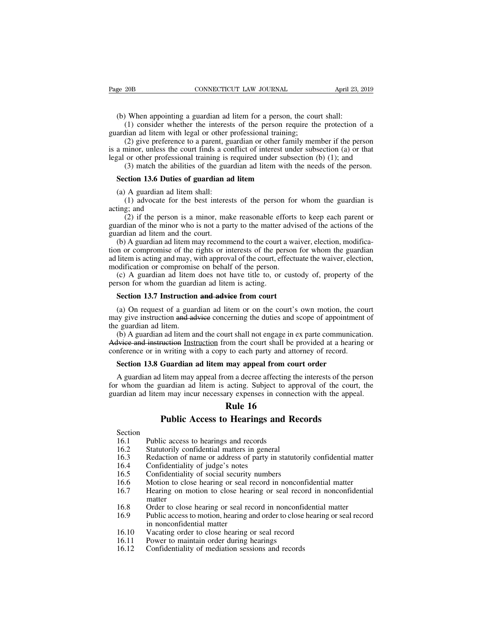(b) When appointing a guardian ad litem for a person, the court shall:<br>
(b) When appointing a guardian ad litem for a person, the court shall:<br>
(1) consider whether the interests of the person require the protection c<br>
ard (2018) CONNECTICUT LAW JOURNAL April 23, 2019<br>
(1) CONNECTICUT LAW JOURNAL April 23, 2019<br>
(1) consider whether the interests of the person require the protection of a<br>
dian ad litem with legal or other professional traini

Page 20B CONNECTICUT LAW JOURNAL<br>(b) When appointing a guardian ad litem for a person, the cou<br>(1) consider whether the interests of the person require th<br>guardian ad litem with legal or other professional training;<br>(2) gi (2) give preference to a parent, guardian or other family member if the person, the court shall:<br>
(1) consider whether the interests of the person, the court shall:<br>
(1) consider whether the interests of the person requir (b) When appointing a guardian ad litem for a person, the court shall:<br>
(1) consider whether the interests of the person require the protection of a<br>
guardian ad litem with legal or other professional training;<br>
(2) give (b) When appointing a guardian ad litem for a person, the court shall:<br>
(1) consider whether the interests of the person require the protection of a<br>
guardian ad litem with legal or other professional training;<br>
(2) give When appointing a guardian ad litem for a person, the court shall:<br>(1) consider whether the interests of the person require the protection of a<br>lian ad litem with legal or other professional training;<br>(2) give preference (1) consider whether the interests of the person require t<br>ardian ad litem with legal or other professional training;<br>(2) give preference to a parent, guardian or other family me<br>a minor, unless the court finds a conflict (2) give preference to a parent, guardian ad litem shall are professional training is a collear professional training is (3) match the abilities of the guardian ad Section 13.6 Duties of guardian ad (a) A guardian ad lite (2) give presence to triangular of our distribution (a) or that<br>minor, unless the court finds a conflict of interest under subsection (a) or that<br>or other professional training is required under subsection (b) (1); and<br>(3

degrad or other profession<br>(3) match the abi<br>**Section 13.6 Duties**<br>(a) A guardian ad li<br>(1) advocate for<br>acting; and<br>(2) if the person<br>guardian of the minor (3) match the abilities of the guardian ad litem with the needs of the person.<br> **ction 13.6 Duties of guardian ad litem**<br>
A guardian ad litem shall:<br>
(1) advocate for the best interests of the person for whom the guardian **Solution 13.6 Duties of the guardian ad litem**<br>(a) A guardian ad litem shall:<br>(1) advocate for the best interests of the person for whom the guardian is<br>acting; and<br>(2) if the person is a minor, make reasonable efforts t **Section 13.6 Duties of guardian a**<br>(a) A guardian ad litem shall:<br>(1) advocate for the best interes<br>acting; and<br>(2) if the person is a minor, mal<br>guardian of the minor who is not a pa<br>guardian ad litem and the court.<br>(b)

(a) A guardian ad litem shall:<br>
(1) advocate for the best interests of the person for whom the guardian is<br>
ting; and<br>
(2) if the person is a minor, make reasonable efforts to keep each parent or<br>
ardian of the minor who (a) A guardian ad fitch share.<br>
(1) advocate for the best interests of the person for whom the guardian is<br>
acting; and<br>
(2) if the person is a minor, make reasonable efforts to keep each parent or<br>
guardian of the minor (1) advocate for the best interests of the person for whom the guardian is<br>acting; and<br>(2) if the person is a minor, make reasonable efforts to keep each parent or<br>guardian of the minor who is not a party to the matter adv (2) if the person is a minor, make reasonable efforts guardian of the minor who is not a party to the matter advi guardian ad litem and the court.<br>(b) A guardian ad litem may recommend to the court a wa tion or compromise (z) If the person is a filmot, make teasonable criots to keep each part of a<br>ardian of the minor who is not a party to the matter advised of the actions of the<br>ardian ad litem and the court.<br>(b) A guardian ad litem may re guardian of the fillino who is not a party to the matter a<br>guardian ad litem and the court.<br>(b) A guardian ad litem may recommend to the court a<br>tion or compromise of the rights or interests of the pers<br>ad litem is acting (b) A guardian ad litem may recommend to the court a wai<br>in or compromise of the rights or interests of the person i<br>litem is acting and may, with approval of the court, effectual<br>odification or compromise on behalf of the

Item is acting and may, with approval of the court, effectuate the waiver, election, odification or compromise on behalf of the person.<br>(c) A guardian ad litem does not have title to, or custody of, property of the rson fo and means a during and may, while approvant of an exact, encedate the warver, encession,<br>modification or compromise on behalf of the person.<br>(c) A guardian ad litem does not have title to, or custody of, property of the<br>pe (c) A guardian ad litem<br>person for whom the guard<br>**Section 13.7 Instruction**<br>(a) On request of a guar<br>may give instruction and ad<br>the guardian ad litem.<br>(b) A guardian ad litem and Advice and instruction Institution (b) A guardian ad litem and litem is acting.<br> **Section 13.7 Instruction and advice from court**<br>
(a) On request of a guardian ad litem or on the court's own motion, the court<br>
ay give instruction and advice concerning the d **Section 13.7 Instruction and advice from court**<br>
(a) On request of a guardian ad litem or on the court's own motion, the court<br>
may give instruction and advice concerning the duties and scope of appointment of<br>
the guard **Section 13.7 Instruction and advice from court**<br>(a) On request of a guardian ad litem or on the court's own motion, the comay give instruction and advice concerning the duties and scope of appointment<br>the guardian ad lite (a) On request of a guardian ad litem or on the court's own motion, the oray give instruction and advice concerning the duties and scope of appointme e guardian ad litem.<br>
(b) A guardian ad litem and the court shall not en

A guardian ad litem may appeal from court shall be provided at a hearing or equation ad litem and the court shall not engage in ex parte communication.<br>
(b) A guardian ad litem and the court shall be provided at a hearing (b) A guardian ad litem and the court shall not engage in ex parte communication.<br>Advice and instruction Instruction from the court shall be provided at a hearing or<br>conference or in writing with a copy to each party and Advice and instruction Instruction from the court shall be provided at a hearing or conference or in writing with a copy to each party and attorney of record.<br> **Section 13.8 Guardian ad litem may appeal from court order**<br> the state from the court shall be p<br>
y to each party and atto<br>
y to each party and atto<br>
may appeal from cou<br>
om a decree affecting th<br>
acting. Subject to app<br>
wy expenses in connect<br> **Rule 16**<br> **Pearings and Re** Furting with a copy to each party and attorney of record.<br> **Guardian ad litem may appeal from court order**<br>
litem may appeal from a decree affecting the interests of the puardian ad litem is acting. Subject to approval of The means of the may incur accuracy expenses in conne and item may incur necessary expenses in conne<br> **16.1** Public Access to Hearings and R<br>
Section<br>
16.1 Public access to hearings and records<br>
16.2 Statutorily confidenti

Section

**16.4** Public Access to Hearings and<br>16.1 Public access to hearings and records<br>16.2 Statutorily confidential matters in general<br>16.3 Redaction of name or address of party in<br>16.4 Confidentiality of judge's notes<br>16.5 Conf

The anti-<br>
16.2 Statutorily confidences in the Section<br>
16.1 Public access to hearings and records<br>
16.2 Statutorily confidential matters in general<br>
16.3 Redaction of name or address of party in statuto<br>
16.4 Confidential **16.3 Rule 16**<br>**Rublic Access to Hearings and Records**<br>16.1 Public access to hearings and records<br>16.2 Statutorily confidential matters in general<br>16.3 Redaction of name or address of party in statutorily confidential ma

- 
- 
- **Public Access to Hearings and Reco**<br>Section<br>16.1 Public access to hearings and records<br>16.2 Statutorily confidential matters in general<br>16.3 Redaction of name or address of party in statutorily<br>16.4 Confidentiality of jud Section<br>
16.1 Public access to hearings and records<br>
16.2 Statutorily confidential matters in general<br>
16.3 Redaction of name or address of party in statutorily confidential matter<br>
16.4 Confidentiality of judge's notes<br>
1 16.1 Public access to hearings and records<br>
16.2 Statutorily confidential matters in general<br>
16.3 Redaction of name or address of party in statutorily confidential matter<br>
16.4 Confidentiality of judge's notes<br>
16.5 Confi matter
- 
- 16.3 Balandony confidential matters in general<br>
16.3 Redaction of name or address of party in statutorily confidential matter<br>
16.5 Confidentiality of social security numbers<br>
16.6 Motion to close hearing or seal record in 16.9 Redaction of name of address of party in statutority confidential matter<br>
16.4 Confidentiality of judge's notes<br>
16.5 Confidentiality of social security numbers<br>
16.6 Motion to close hearing or seal record in nonconfi Confidentiality of judge s notes<br>Confidentiality of social security<br>Motion to close hearing or seal if<br>Hearing on motion to close hea<br>matter<br>Order to close hearing or seal re<br>Public access to motion, hearing a<br>in nonconfid 16.5 Confidentially of social security funnotis<br>
16.6 Motion to close hearing or seal record in nonconfidential<br>
16.7 Hearing on motion to close hearing or seal record in no<br>
20.8 Order to close hearing or seal record in n 16.7 Hearing on motion to close hearing or seal record in nonconf<br>
16.7 Hearing on motion to close hearing or seal record<br>
16.8 Order to close hearing or seal record in nonconfi<br>
16.9 Public access to motion, hearing and o 16.7 The matter<br>
16.8 Order to close hearing or seal record in nonconfidential<br>
16.9 Public access to motion, hearing and order to close<br>
in nonconfidential matter<br>
16.10 Vacating order to close hearing or seal record<br>
16.
- 
- 
-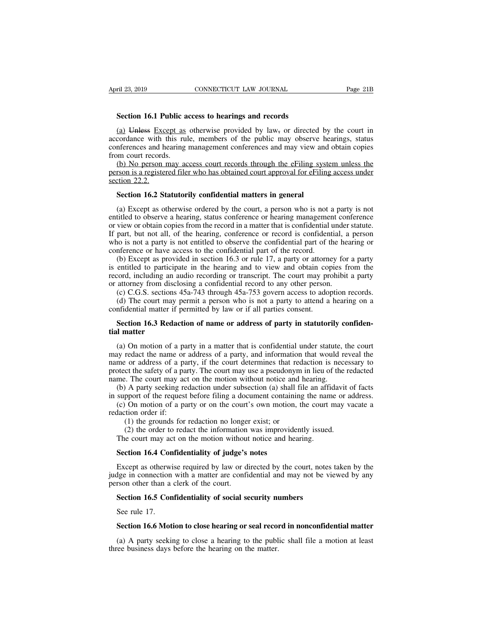**Section 16.1 Public access to hearings and records**<br> **Section 16.1 Public access to hearings and records**<br> **Section 16.1 Public access to hearings and records**<br> **Section 16.1 Public access to hearings and records**<br> **Secti** (a) Unless Except as otherwise provided by law, or directed by the court in the Except as otherwise provided by law, or directed by the court in cordance with this rule, members of the public may observe hearings, status i April 23, 2019 CONNECTICUT LAW JOURNAL Page 21B<br> **Section 16.1 Public access to hearings and records**<br>
(a) Unless Except as otherwise provided by law<sub>7</sub> or directed by the court in<br>
accordance with this rule, members of th CONNECTICUT LAW JOURNAL Fage 2TD<br>
Section 16.1 Public access to hearings and records<br>
(a) Unless Except as otherwise provided by law<sub>7</sub> or directed by the court in<br>
accordance with this rule, members of the public may obse **Section 16.1 Public a**<br>(a) Unless Except as<br>accordance with this rul<br>conferences and hearing<br>from court records.<br>(b) No person may ac<br>person is a registered file Section 16.1 Public access to hearings and records<br>(a) Unless Except as otherwise provided by law<sub>7</sub> or directed by the court in<br>cordance with this rule, members of the public may observe hearings, status<br>nferences and he **Section 16.1 Public access to hearings and records**<br>
(a) Unless Except as otherwise provided by law, or directed by the court in<br>
accordance with this rule, members of the public may observe hearings, status<br>
conferences (a) Unless Excess<br>accordance with the conferences and her<br>from court records<br>(b) No person in<br>person is a register<br>section 22.2.<br>**Section 16.2 St** accordance with this rule, members of the public may observe hearings, status conferences and hearing management conferences and may view and obtain copies from court records.<br>
(b) No person may access court records throug

(b) No person may access court records through the eFiling system unless the<br>rson is a registered filer who has obtained court approval for eFiling access under<br>ction 22.2.<br>**Section 16.2 Statutorily confidential matters in** (b) No person may access court records through the eFiling system unless the person is a registered filer who has obtained court approval for eFiling access under section 22.2.<br>Section 16.2 Statutorily confidential matters person is a registered filer who has obtained court approval for eFiling access under<br>section 22.2.<br>**Section 16.2 Statutorily confidential matters in general**<br>(a) Except as otherwise ordered by the court, a person who is n Section 22.2.<br>
Section 16.2 Statutorily confidential matters in general<br>
(a) Except as otherwise ordered by the court, a person who is not a party is not<br>
entitled to observe a hearing, status conference or hearing managem **Section 16.2 Statutorily confidential matters in general**<br>
(a) Except as otherwise ordered by the court, a person who is not a party is not<br>
entitled to observe a hearing, status conference or hearing management conferen **Section 16.2 Statutorily confidential matters in general**<br>(a) Except as otherwise ordered by the court, a person who is not a<br>entitled to observe a hearing, status conference or hearing management<br>or view or obtain copie (a) Except as otherwise ordered by the court, a person who is not a party is not titled to observe a hearing, status conference or hearing management conference view or obtain copies from the record in a matter that is con (a) Except as otherwise ordered by the court, a person who is not a party is not entitled to observe a hearing, status conference or hearing management conference or view or obtain copies from the record in a matter that entitica to observe a nearing, status conficience of nearing management conficience<br>or view or obtain copies from the record in a matter that is confidential under statute.<br>If part, but not all, of the hearing, conference

or view or obtain copies from the record in a matter that is confidential under<br>If part, but not all, of the hearing, conference or record is confidential, a<br>who is not a party is not entitled to observe the confidential p part, but not an, or the hearing, connectice of record is connuential, a person<br>to is not a party is not entitled to observe the confidential part of the hearing or<br>nference or have access to the confidential part of the r to is not a party is not entitied to observe the confidential part of the nearing of inference or have access to the confidential part of the record.<br>(b) Except as provided in section 16.3 or rule 17, a party or attorney (b) Except as provided in section 16.3 or rule 17, a party or attornation is entitled to participate in the hearing and to view and obtain correcord, including an audio recording or transcript. The court may prove attorney entitled to participate in the hearing and to view and obtain copies from the cord, including an audio recording or transcript. The court may prohibit a party attorney from disclosing a confidential record to any other per

record, including an<br>or attorney from disc<br>(c) C.G.S. sections<br>(d) The court may<br>confidential matter if<br>**Section 16.3 Reda<br>tial matter**<br>(a) On motion of a

(c) C.G.S. sections 45a-743 through 45a-753 govern access to adoption records.<br>
(d) The court may permit a person who is not a party to attend a hearing on a mfidential matter if permitted by law or if all parties consent (d) The court may permit a person who is not a party to attend a hearing on a confidential matter if permitted by law or if all parties consent.<br> **Section 16.3 Redaction of name or address of party in statutorily confiden** confidential matter if permitted by law or if all parties consent.<br> **Section 16.3 Redaction of name or address of party in statutorily confidential matter**<br>
(a) On motion of a party in a matter that is confidential under s **Section 16.3 Redaction of name or address of party in statutorily confidential matter<br>tial matter<br>(a) On motion of a party in a matter that is confidential under statute, the court<br>may redact the name or address of a par Section 16.3 Redaction of name or address of party in statutorily c** tial matter<br>
(a) On motion of a party in a matter that is confidential under statute,<br>
may redact the name or address of a party, and information that (a) On motion of a party in a matter that is confidential under statute, the court<br>y redact the name or address of a party, and information that would reveal the<br>me or address of a party, if the court determines that redac (a) On motion of a party in a matter that is confidential under statute, the court may redact the name or address of a party, and information that would reveal the name or address of a party, if the court determines that r (a) On motion of a party in a matter that is connucted in the statute, the court<br>be divergenced the name or address of a party, and information that would reveal the<br>me or address of a party, if the court determines that may redact the name or<br>name or address of a pa<br>protect the safety of a pa<br>name. The court may ac<br>(b) A party seeking re<br>in support of the request<br>(c) On motion of a pa<br>redaction order if:<br>(1) the grounds for<br>(2) the order (1) the safety of a party, it all court determines that ided<br>
ct the safety of a party. The court may use a pseudonym<br>
i. The court may act on the motion without notice and I<br>
A party seeking redaction under subsection (a)

(2) the court may act on the motion without notice and hearing.<br>
(2) A party seeking redaction under subsection (a) shall file an affidavit of pport of the request before filing a document containing the name or a On motio The court may act on the model may act on the motion (a) shall file an affit support of the request before filing a document containing the name (c) On motion of a party or on the court's own motion, the court is action o support of the request before filing a document contain<br>(c) On motion of a party or on the court's own motion<br>laction order if:<br>(1) the grounds for redaction no longer exist; or<br>(2) the order to redact the information was

daction order if:<br>
(1) the grounds for redaction no longer exist; or<br>
(2) the order to redact the information was improvidently issued.<br>
The court may act on the motion without notice and hearing.<br> **Section 16.4 Confidenti** (1) the grounds for redaction no longer exist; or<br>
(2) the order to redact the information was improvidently issued.<br>
The court may act on the motion without notice and hearing.<br> **Section 16.4 Confidentiality of judge's n** (2) the order to redact the information<br>The court may act on the motion without<br>**Section 16.4 Confidentiality of judge's**<br>Except as otherwise required by law or d<br>judge in connection with a matter are confi<br>person other th Free coart may act on the motion whilout holted and hearing.<br>**Section 16.4 Confidentiality of judge's notes**<br>Except as otherwise required by law or directed by the court, notes<br>dge in connection with a matter are confident Except as otherwide<br>Except as otherwide<br>in connection<br>section 16.5 Con<br>See rule 17.<br>Section 16.6 Mot Except as officient wise required by faw of directed by the court, holes taken by the dige in connection with a matter are confidential and may not be viewed by any rson other than a clerk of the court.<br>**Section 16.5 Confi** 

(a) A party seeking to close a hearing or seal record in nonconfidential matter<br>(a) A party seeking to close a hearing or seal record in nonconfidential matter<br>(a) A party seeking to close a hearing to the public shall fil Section 16.5 Confidentiality of social security nu<br>See rule 17.<br>Section 16.6 Motion to close hearing or seal recon<br>(a) A party seeking to close a hearing to the publ<br>three business days before the hearing on the matter.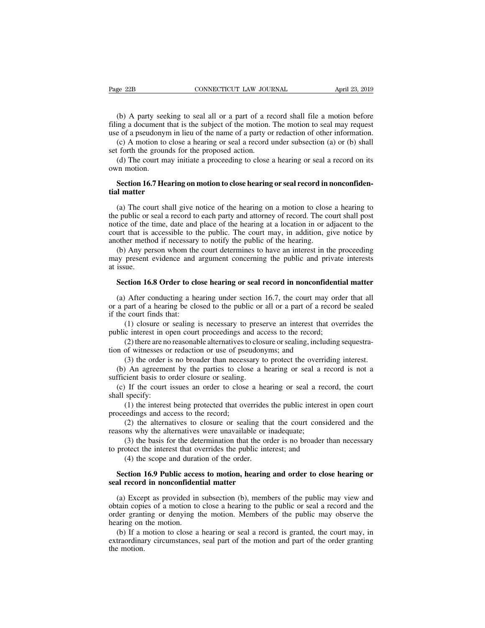(b) A party seeking to seal all or a part of a record shall file a motion before<br>ting a document that is the subject of the motion. The motion to seal may request<br>e of a pseudonym in lieu of the name of a party or redactio Fage 22B CONNECTICUT LAW JOURNAL April 23, 2019<br>(b) A party seeking to seal all or a part of a record shall file a motion before<br>filing a document that is the subject of the motion. The motion to seal may request<br>use of a Page 22B CONNECTICUT LAW JOURNAL April 23, 2019<br>
(b) A party seeking to seal all or a part of a record shall file a motion before<br>
filing a document that is the subject of the motion. The motion to seal may request<br>
use of (b) A party seeking to seal all or a part of a record shall file a motion before<br>
(b) A party seeking to seal all or a part of a record shall file a motion before<br>
ing a document that is the subject of the motion. The moti (b) A party seeking to seal all or a part of a refiling a document that is the subject of the motion.<br>use of a pseudonym in lieu of the name of a party or<br>(c) A motion to close a hearing or seal a record v<br>set forth the gr (b) A party seeking to seal all or a part of a record shall file a motion before ing a document that is the subject of the motion. The motion to seal may request e of a pseudonym in lieu of the name of a party or redactio (b) A party see<br>filing a document<br>use of a pseudony<br>(c) A motion to<br>set forth the grour<br>(d) The court m<br>own motion.<br>**Section 16.7 He** 

If a document that is the stolpect of the motion. The motion to sear may request<br>e of a pseudonym in lieu of the name of a party or redaction of other information.<br>(c) A motion to close a hearing or seal a record under sub **the COV and Section**<br> **the COV A motion to cld**<br> **tial matter**<br> **tial matter**<br> **tial matter**<br> **tial matter**<br> **tial matter** 

(d) The court may initiate a proceeding to close a hearing or seal a record on its<br>
(d) The court may initiate a proceeding to close a hearing or seal a record on its<br> **Section 16.7 Hearing on motion to close hearing or se** (d) The court may initiate a proceeding to close a hearing or seal a record on its<br>own motion.<br>**Section 16.7 Hearing on motion to close hearing or seal record in nonconfidential matter**<br>(a) The court shall give notice of t own motion.<br>
Section 16.7 Hearing on motion to close hearing or seal record in nonconfidential<br>
matter<br>
(a) The court shall give notice of the hearing on a motion to close a hearing to<br>
the public or seal a record to each **Section 16.7 Hearing on motion to close hearing or seal record in nonconfidential matter**<br>
(a) The court shall give notice of the hearing on a motion to close a hearing to<br>
the public or seal a record to each party and at **Section 16./ Hearing on motion to close nearing or seal record in tial matter**<br>(a) The court shall give notice of the hearing on a motion to close<br>the public or seal a record to each party and attorney of record. The co<br>n (a) The court shall give notice of the hearing on a motion to close a hearing to e public or seal a record to each party and attorney of record. The court shall post tice of the time, date and place of the hearing at a lo (a) The court shall give notice of the hearing on a motion to close a hearing to the public or seal a record to each party and attorney of record. The court shall post notice of the time, date and place of the hearing at a the public or state the public or state of the scourt that is another method (b) Any per may present at issue.<br>Section 16.

the of the time, date and place of the hearing at a location in of adjacent to the urt that is accessible to the public. The court may, in addition, give notice by other method if necessary to notify the public of the hear other method if necessary to notify the public of the hearing.<br>
(b) Any person whom the court determines to have an interest in the proceeding<br>
signe, the vidence and argument concerning the public and private interests<br>
i

(b) Any person whom the court determines to have an interest in the proceeding may present evidence and argument concerning the public and private interests at issue.<br>Section 16.8 Order to close hearing or seal record in may present evidence and a<br>at issue.<br>Section 16.8 Order to clo<br>(a) After conducting a he<br>or a part of a hearing be clo<br>if the court finds that:<br>(1) closure or sealing i<br>public interest in open court (1) closure or sealing or seal record in nonconfidential matter<br>
After conducting a hearing under section 16.7, the court may order that all<br>
part of a hearing be closed to the public or all or a part of a record be seale **Section 16.8 Order to close hearing or seal record in nonconfidenti**<br>(a) After conducting a hearing under section 16.7, the court may ord<br>or a part of a hearing be closed to the public or all or a part of a record<br>if the (2) After conducting a hearing under section 16.7, the court may order that all part of a hearing be closed to the public or all or a part of a record be sealed  $\epsilon$  court finds that:<br>(1) closure or sealing is necessary t (a) After conducting a hearing under section 16.7, the court may<br>or a part of a hearing be closed to the public or all or a part of a rec<br>if the court finds that:<br>(1) closure or sealing is necessary to preserve an interes part of a hearing be closed to the public or all or a part of a record be sealed<br>  $\cdot$  court finds that:<br>
(1) closure or sealing is necessary to preserve an interest that overrides the<br>
c interest in open court proceedings

the court finds that:<br>
(1) closure or sealing is necessary to preserve an interest that overrides the<br>
blic interest in open court proceedings and access to the record;<br>
(2) there are no reasonable alternatives to closure (1) closure or sealing is necessary to prese public interest in open court proceedings and ac (2) there are no reasonable alternatives to close tion of witnesses or redaction or use of pseudon (3) the order is no broader

(2) there are no<br>tion of witnesses or<br>(3) the order is<br>(b) An agreement<br>sufficient basis to c<br>(c) If the court is<br>hall specify:<br>(1) the interest<br>proceedings and ac (3) the order is no broader than necess<br>
(b) An agreement by the parties to clos<br>
sufficient basis to order closure or sealing.<br>
(c) If the court issues an order to close<br>
shall specify:<br>
(1) the interest being protected

blic interest in open court proceedings and access to the record;<br>
(2) there are no reasonable alternatives to closure or sealing, including sequestra-<br>
n of witnesses or redaction or use of pseudonyms; and<br>
(3) the order (3) the order is no broader than necessary to protect the overriding interest.<br>
(3) the order is no broader than necessary to protect the overriding interest.<br>
) An agreement by the parties to close a hearing or seal a rec (2) An agreement by the parties to close a hearing or seal a record is not a cient basis to order closure or sealing.<br>
If the court issues an order to close a hearing or seal a record, the court specify:<br>
(1) the interest If the court issues an order to close a hearing or seal a record, the court<br>specify:<br>(1) the interest being protected that overrides the public interest in open court<br>eedings and access to the record;<br>(2) the alternatives

(1) the interest being protected that overrides<br>eedings and access to the record;<br>(2) the alternatives to closure or sealing the<br>ns why the alternatives were unavailable or i<br>(3) the basis for the determination that the o

sufficient basis to order closure or sealing.<br>
(c) If the court issues an order to close a hearing or seal a re<br>
shall specify:<br>
(1) the interest being protected that overrides the public interes<br>
proceedings and access to

shall specify:<br>
(1) the interest being protected that overrides the public interest in<br>
proceedings and access to the record;<br>
(2) the alternatives to closure or sealing that the court conside<br>
reasons why the alternatives (2) the alternatives to closure or sealing that the court considered and the assons why the alternatives were unavailable or inadequate;<br>
(3) the basis for the determination that the order is no broader than necessary prot reasons why the alternatives to closure of scaling the<br>reasons why the alternatives were unavailable or<br>(3) the basis for the determination that the order<br>(4) the scope and duration of the order.<br>**Section 16.9 Public acce** 

(3) the basis for the determination that the order is no broader than hecessary<br>protect the interest that overrides the public interest; and<br>(4) the scope and duration of the order.<br>**Section 16.9 Public access to motion,** (4) the scope and duration of the order.<br> **Section 16.9 Public access to motion, hearing and order to close hearing or**<br> **seal record in nonconfidential matter**<br>
(a) Except as provided in subsection (b), members of the pub (4) the scope and duration of the order.<br> **Section 16.9 Public access to motion, hearing and order to close hearing or**<br> **seal record in nonconfidential matter**<br>
(a) Except as provided in subsection (b), members of the pu **Section 16.9 Public acces**<br>**seal record in nonconfiden**<br>(a) Except as provided in<br>obtain copies of a motion to<br>order granting or denying t<br>hearing on the motion.<br>(b) If a motion to close a<br>extraordinary circumstances, (a) Except as provided in subsection (b), members of the public may view and tain copies of a motion to close a hearing to the public or seal a record and the der granting or denying the motion. Members of the public may o (a) Except as provided in subsection (b), members of the public may view and obtain copies of a motion to close a hearing to the public or seal a record and the order granting or denying the motion. Members of the public m (a) Excep<br>obtain copid<br>order grant<br>hearing on<br>(b) If a r<br>extraordina<br>the motion.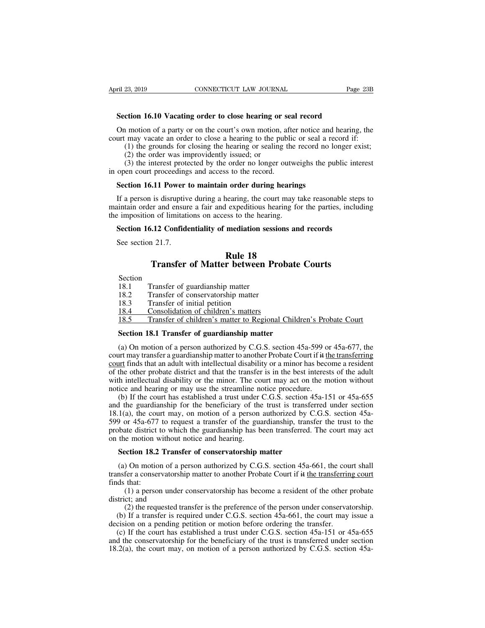**FREE 23, 2019 CONNECTICUT LAW JOURNAL** Page<br> **Section 16.10 Vacating order to close hearing or seal record**<br>
On motion of a party or on the court's own motion, after notice and hearing, THE 23, 2019 CONNECTICUT LAW JOURNAL Page 23B<br> **Section 16.10 Vacating order to close hearing or seal record**<br>
On motion of a party or on the court's own motion, after notice and hearing, the<br>
urt may vacate an order to cl CONNECTICUT LAW JOURNAL Page 23B<br> **Section 16.10 Vacating order to close hearing or seal record**<br>
On motion of a party or on the court's own motion, after notice and hearing, the<br>
court may vacate an order to close a heari (23, 2019)<br>
(23, 2019)<br>
(23, 2019)<br>
(1) **16.10** Vacating order to close hearing or seal record<br>
(1) motion of a party or on the court's own motion, after notice and hearing, the<br>
(1) the grounds for closing the hearing or ction 16.10 Vacating order to close hearing or<br>a motion of a party or on the court's own motion, a<br>may vacate an order to close a hearing to the pu<br>(1) the grounds for closing the hearing or sealing<br>(2) the order was impro (3) the interest protected by the record and hearing or seal record<br>(4) the interest protocol a hearing to the public or seal a record if:<br>(1) the grounds for closing the hearing to the public or seal a record if:<br>(1) the Section 16.10 Vacating order to close hearing or sea<br>
On motion of a party or on the court's own motion, aft<br>
court may vacate an order to close a hearing to the public<br>
(1) the grounds for closing the hearing or sealing t On motion of a party or on the court's own motion, after notice and<br>urt may vacate an order to close a hearing to the public or seal a re<br>(1) the grounds for closing the hearing or sealing the record no 1<br>(2) the order was

(1) the grounds for closing the hearing or sealing the record no longer exist;<br>
(2) the order was improvidently issued; or<br>
(3) the interest protected by the order no longer outweighs the public interest<br>
open court proce (2) the order was improvidently issued; or<br>
(3) the interest protected by the order no longer outweighs the public interest<br>
in open court proceedings and access to the record.<br> **Section 16.11 Power to maintain order duri** (3) the interest protected by the order no longer outwe<br>in open court proceedings and access to the record.<br>**Section 16.11 Power to maintain order during hearing**<br>If a person is disruptive during a hearing, the court may Section 16.11 Power to maintain order during hearings<br>
If a person is disruptive during a hearing, the court may take reasonable step<br>
initialin order and ensure a fair and expeditious hearing for the parties, inclue<br>
impo Section 10.11 Power<br>If a person is disruptive<br>intain order and ensure<br>imposition of limitatified<br>See section 21.7.<br>Transfor Forder during nearing<br>
nearing, the court may the<br>
lexpeditious hearing for<br>
sess to the hearing.<br> **Rule 18**<br> **Rule 18**<br> **Rule 18** is disruptive during a hearing, the court may take reasonable steps<br>
in and ensure a fair and expeditious hearing for the parties, includin<br>
in of limitations on access to the hearing.<br> **Transfer of Matter between Probate** 

|                                                                                                                                                                                                                                                                          | Rule 18<br><b>Transfer of Matter between Probate Courts</b>               |
|--------------------------------------------------------------------------------------------------------------------------------------------------------------------------------------------------------------------------------------------------------------------------|---------------------------------------------------------------------------|
| Section                                                                                                                                                                                                                                                                  |                                                                           |
| 18.1                                                                                                                                                                                                                                                                     | Transfer of guardianship matter                                           |
| 18.2                                                                                                                                                                                                                                                                     | Transfer of conservatorship matter                                        |
| 18.3                                                                                                                                                                                                                                                                     | Transfer of initial petition                                              |
| <u>18.4</u>                                                                                                                                                                                                                                                              | Consolidation of children's matters                                       |
| 18.5                                                                                                                                                                                                                                                                     | <u>Transfer of children's matter to Regional Children's Probate Court</u> |
| Section 18.1 Transfer of guardianship matter                                                                                                                                                                                                                             |                                                                           |
| (a) On motion of a person authorized by C.G.S. section 45a-599 or 45a-677, the<br>urt may transfer a guardianship matter to another Probate Court if it the transferring<br><u>urt</u> finds that an adult with intellectual disability or a minor has become a resident |                                                                           |

18.3 Transfer of initial petition<br>
18.4 Consolidation of children's matters<br>
18.5 Transfer of children's matter to Regional Children's Probate Court<br> **Section 18.1 Transfer of guardianship matter**<br>
(a) On motion of a pers 18.4 Consolidation of children's matters<br>18.5 Transfer of children's matter to Regional Children's Probate Court<br>**Section 18.1 Transfer of guardianship matter**<br>(a) On motion of a person authorized by C.G.S. section 45a-59 **18.5** Transfer of children's matter to Regional Children's Probate Court<br> **Section 18.1 Transfer of guardianship matter**<br>
(a) On motion of a person authorized by C.G.S. section 45a-599 or 45a-677, the<br>
court may transfer Section 18.1 Transfer of guardianship matter<br>
(a) On motion of a person authorized by C.G.S. section 45a-599 or 45a-677, the<br>
court may transfer a guardianship matter to another Probate Court if it the transferring<br>
court **Section 18.1 Transfer of guardianship matter**<br>(a) On motion of a person authorized by C.G.S. section 45a-599 or<br>court may transfer a guardianship matter to another Probate Court if it the<br>court finds that an adult with i (a) On motion of a person authorized by C.G.S. section 45a-599 or 45a-677, the urt may transfer a guardianship matter to another Probate Court if it the transferring unt finds that an adult with intellectual disability or (a) Of motion of a person authorized by C.O.S. section  $45a-599$  of  $45a-077$ , the court may transfer a guardianship matter to another Probate Court if it the transferring court finds that an adult with intellectual disab

Court may transfer a guardianship matter to another Frobate Court in  $\#$  the manistering court finds that an adult with intellectual disability or a minor has become a resident of the other probate district and that the **EXECUTE THE SURVE CONTE THE CONTEXT CONTEXT** of the other probate district and that the transfer is in the best interests of the adult with intellectual disability or the minor. The court may act on the motion without no or the other probate district and that the transfer is in the best interests of the addit<br>with intellectual disability or the minor. The court may act on the motion without<br>notice and hearing or may use the streamline noti with interaction usability of the filmot. The condition<br>notice and hearing or may use the streamline no<br>(b) If the court has established a trust under  $\alpha$ <br>and the guardianship for the beneficiary of the<br>18.1(a), the cour (b) If the court has established a trust under C.G.S. section 4<br>1 the guardianship for the beneficiary of the trust is transfe<br>1(a), the court may, on motion of a person authorized by C<br> $\theta$  or 45a-677 to request a transf 1(a), the court may, on motion of a person authorized by C.G.S. section 45a-<br>
a) or 45a-677 to request a transfer of the guardianship, transfer the trust to the bate district to which the guardianship has been transferred 599 or 45a-677 to request a transfer of the guardianship, transfer the trust to the probate district to which the guardianship has been transferred. The court may act on the motion without notice and hearing.<br> **Section 18** 

probate district t<br>on the motion w<br>**Section 18.2**<br>(a) On motion<br>transfer a conser<br>finds that:<br>(1) a persor<br>district; and (1) a person under conservatorship matter<br>
(1) a person authorized by C.G.S. section 45a-661, the court shall<br>
fer a conservatorship matter to another Probate Court if it the transferring court<br>
that:<br>
(1) a person under c **Section 18.2 Trans**<br>(a) On motion of a p<br>transfer a conservatorsh<br>finds that:<br>(1) a person under<br>district; and<br>(2) the requested to<br>(b) If a transfer is re ection 18.2 Transfer of conservatorship matter<br>
(2) On motion of a person authorized by C.G.S. section 45a-661, the court shall<br>
fer a conservatorship matter to another Probate Court if it the transferring court<br>
(1) a per (a) On motion of a person authorized by C.G.S. section 45a-661, the court shall insfer a conservatorship matter to another Probate Court if it the transferring court ds that:<br>
(1) a person under conservatorship has become (a) On motion or a person authorized by C.O.3. section 45a-001, the court<br>transfer a conservatorship matter to another Probate Court if it the transferring<br>finds that:<br>(1) a person under conservatorship has become a resid

(c) If the court has established a trust under C.G.S. section 45a-151 or 45a-655 d the conservatorship for the beneficiary of the trust is transferial and cision on a pending petition or motion before ordering the transfe and the conservatorship has become a resident of the other probate district; and (2) the requested transfer is the preference of the person under conservatorship.<br>
(b) If a transfer is required under C.G.S. section 45a-66 (1) a person under conservatorship has become a resident of the other probate<br>district; and<br>(2) the requested transfer is the preference of the person under conservatorship.<br>(b) If a transfer is required under C.G.S. sect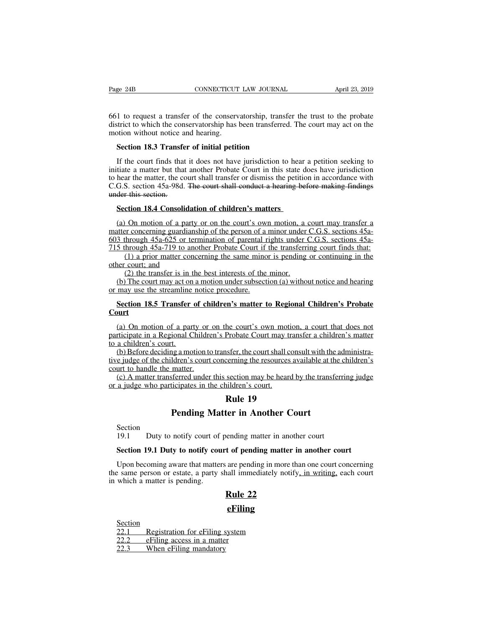Fage 24B CONNECTICUT LAW JOURNAL April 23, 2019<br>661 to request a transfer of the conservatorship, transfer the trust to the probate<br>district to which the conservatorship has been transferred. The court may act on the<br>motio Page 24B CONNECTICUT LAW JOURNAL April 23, 2019<br>661 to request a transfer of the conservatorship, transfer the trust to the probate<br>district to which the conservatorship has been transferred. The court may act on the<br>motio Page 24B CONNECTICUT<br>661 to request a transfer of the conservedistrict to which the conservatorship has<br>motion without notice and hearing.<br>**Section 18.3 Transfer of initial petit** EXTENT LAW JOURNAL<br>
1 to request a transfer of the conservatorship, transferred<br>
strict to which the conservatorship has been transferred<br>
obtion without notice and hearing.<br> **Section 18.3 Transfer of initial petition**<br>
If

1 to request a transfer of the conservatorship, transfer the trust to the probate strict to which the conservatorship has been transferred. The court may act on the botion without notice and hearing.<br>Section 18.3 Transfer 661 to request a transfer of the conservatorship, transfer the trust to the probate district to which the conservatorship has been transferred. The court may act on the motion without notice and hearing.<br> **Section 18.3 Tra** district to which the conservatorship has been transferred. The court may act on the<br>motion without notice and hearing.<br>**Section 18.3 Transfer of initial petition**<br>If the court finds that it does not have jurisdiction to h motion without notice and hearing.<br>
Section 18.3 Transfer of initial petition<br>
If the court finds that it does not have jurisdiction to hear a petition seeking to<br>
initiate a matter but that another Probate Court in this s Section 18.3 Transfer<br>If the court finds that<br>initiate a matter but that<br>to hear the matter, the cc<br>C.G.S. section 45a-98d.<br>under this section.<br>Section 18.4 Consoli If the court finds that it does not have jurisdiction to hear tiate a matter but that another Probate Court in this state do hear the matter, the court shall transfer or dismiss the petition G.S. section 45a-98d. The court tiate a matter but that another Probate Court in this state does have jurisdiction<br>hear the matter, the court shall transfer or dismiss the petition in accordance with<br>G.S. section 45a-98d. <del>The court shall conduct a heari</del>

to hear the matter, the court shall transfer or dismiss the petition in accordance with<br>C.G.S. section 45a-98d. <del>The court shall conduct a hearing before making findings<br>under this section.<br>Section 18.4 Consolidation of ch</del> C.G.S. section 45a-98d. The court shall conduct a hearing before making findings<br>under this section.<br>Section 18.4 Consolidation of children's matters<br>(a) On motion of a party or on the court's own motion, a court may trans 9115 under this section.<br> **Section 18.4 Consolidation of children's matters**<br>
(a) On motion of a party or on the court's own motion, a court may transfer a<br>
matter concerning guardianship of the person of a minor under C.G (1) a priori and the same minority of the security of the court's own motion, a court may transfer a per concerning guardianship of the person of a minor under C.G.S. sections 45a-<br>through 45a-625 or termination of parenta Section 18.4 Consolidat<br>
(a) On motion of a party<br>
matter concerning guardian<br>
603 through 45a-625 or ter<br>
715 through 45a-719 to an<br>
(1) a prior matter concerned<br>
(2) the transfer is in the (b) The court may act on On motion of a party or on the court's own motion, a<br>er concerning guardianship of the person of a minor under<br>through  $45a-625$  or termination of parental rights under<br>through  $45a-719$  to another Probate Court if the tr (a) Oh motion of a party of on the court s own motion, a court may transfer a<br>titer concerning guardianship of the person of a minor under C.G.S. sections 45a-<br>3 through 45a-625 or termination of parental rights under C.G. 603 through 45a-625 or termination of parental rights under C.G.S. sections 45a-715 through 45a-719 to another Probate Court if the transferring court finds that:<br>
(1) a prior matter concerning the same minor is pending o

**S** through 45a-719 to another Probate Court if the transferring court finds that:<br>
(1) a prior matter concerning the same minor is pending or continuing in the<br>
ler court; and<br>
(2) the transfer is in the best interests of

# **Court**

(2) the transfer is in the best interests of the minor.<br>
(b) The court may act on a motion under subsection (a) without notice and hearing<br>
may use the streamline notice procedure.<br> **Section 18.5 Transfer of children's ma** (b) The court may act on a motion under subsection (a) without notice and hearing<br>or may use the streamline notice procedure.<br>**Section 18.5 Transfer of children's matter to Regional Children's Probate**<br>**Court**<br>(a) On moti or may use the streamline<br> **Section 18.5 Transfer**<br> **Court**<br>
(a) On motion of a par<br>
participate in a Regional C<br>
to a children's court.<br>
(b) Before deciding a motive judge of the children's Section 18.5 Transfer of children's matter to Regional Children's Probate<br>Court<br>(a) On motion of a party or on the court's own motion, a court that does not<br>participate in a Regional Children's Probate Court may transfer Court<br>
(a) On motion of a party or<br>
participate in a Regional Childre<br>
to a children's court.<br>
(b) Before deciding a motion to<br>
tive judge of the children's court<br>
court to handle the matter.<br>
(c) A matter transferred unde (a) On motion of a party or on the court's own motion, a court that does not<br>tricipate in a Regional Children's Probate Court may transfer a children's matter<br>a children's court.<br>(b) Before deciding a motion to transfer,

(a) On motion of a party or on the court's own motion, a court that does not participate in a Regional Children's Probate Court may transfer a children's matter to a children's court.<br>
(b) Before deciding a motion to tran participate in a Regional Children's Probate Court may to<br>participate in a Regional Children's Probate Court may to<br>a children's court.<br>(b) Before deciding a motion to transfer, the court shall c<br>tive judge of the children Probate Court may tran<br>
nsfer, the court shall cons<br>
serning the resources av<br>
section may be heard b<br>
section may be heard b<br>
ildren's court.<br> **Rule 19**<br> **ter in Another Court Pending Matter in Another Court Shall consult with the a**<br>
<u>Idren's court concerning the resources available at the</u><br>
<u>matter.</u><br>
<u>Secred</u> under this section may be heard by the transfer<br>
icipates in the children's court.<br>

19.1 matter and states and section into your court.<br>
21.1 Duty to notify court of pending matter in another court<br>
19.1 Duty to notify court of pending matter in another court<br>
19.1 Duty to notify court of pending matter i

Section<br>19.1 Duty to notify court of pending matter in another court

**Section**<br>**Section**<br>**Section**<br>**Duty to notify court of pending matter in another court**<br>**Section 19.1 Duty to notify court of pending matter in another court**<br>**Upon becoming aware that matters are pending in more than one Pending Matter in Another Court**<br>
19.1 Duty to notify court of pending matter in another court<br> **Section 19.1 Duty to notify court of pending matter in another court**<br>
Upon becoming aware that matters are pending in more Section<br>19.1 Duty to notify court of pending matter in another court<br>Section 19.1 Duty to notify court of pending matter in another court<br>Upon becoming aware that matters are pending in more than one court concerning<br>the s Section<br>19.1 Duty to notify court of<br>**Section 19.1 Duty to notify cou**<br>Upon becoming aware that matter<br>the same person or estate, a party<br>in which a matter is pending. reading matter in anoth<br> **t of pending matter in**<br> **Rule 22**<br> **Rule 22**<br> **Rule 22**<br> **Rule 22** Example 1986 of estate, a party share innocentately hours,<br>which a matter is pending.<br>Example 22<br>Example 22.1 Registration for eFiling system<br>22.2 eFiling access in a matter<br>22.3 When eFiling mandatory

## **eFiling**

Section<br>22.1 Registration for eFiling system **2**<br> **22.1**<br> **22.2**<br> **22.2**<br> **22.3**<br> **22.3**<br> **22.3**<br> **22.3**<br> **22.3**<br> **22.3**<br> **22.3**<br> **22.3**<br> **22.3**<br> **22.3**<br> **22.4**<br> **22.4**<br> **22.4**<br> **22.4**<br> **22.4**<br> **22.4**<br> **22.4**<br> **22.4**<br> **22.4**<br> **22.4** Section<br>
22.1 Registration for eFiling s<br>
22.2 eFiling access in a matte<br>
22.3 When eFiling mandatory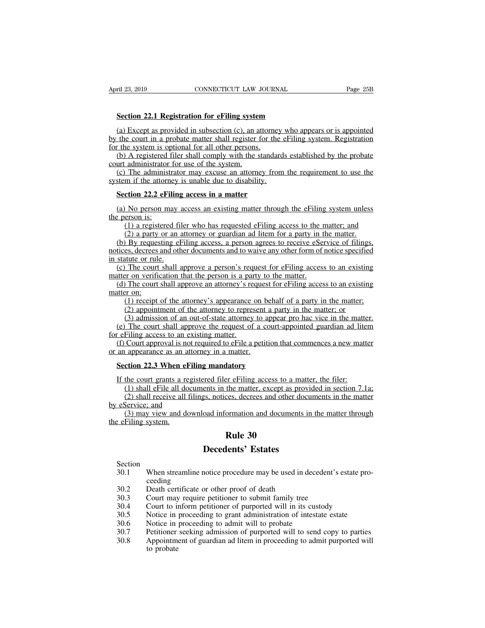**Section 22.1 Registration for eFiling system** (a) Except as provided in subsection (c), an attorney who appears or is appointed<br>
(a) Except as provided in subsection (c), an attorney who appears or is appointed<br>
the court in a probate matter shall register for the eFi by the court in a probate matter shall register of the eFiling system<br>
(a) Except as provided in subsection (c), an attorney who appears or is appointed<br>
by the court in a probate matter shall register for the eFiling syst Section 22.1 Registration for eFiling system<br>
(a) Except as provided in subsection (c), an attorne<br>
by the court in a probate matter shall register for the<br>
for the system is optional for all other persons.<br>
(b) A register Section 22.1 Registration for eFiling system<br>
(a) Except as provided in subsection (c), an attorney who appears or is appointed<br>
the court in a probate matter shall register for the eFiling system. Registration<br>
(b) A regi **Section 22.1 Registration for eFiling syste**<br>(a) Except as provided in subsection (c), an a<br>by the court in a probate matter shall register to<br>for the system is optional for all other persons.<br>(b) A registered filer shall Section 22.1 Registration for effiling system<br>
(a) Except as provided in subsection (c), an attorney who appears or is appointed<br>
the court in a probate matter shall register for the eFiling system. Registration<br>
(b) A reg (a) Except as provided in subsection (c), an attorney<br>by the court in a probate matter shall register for the of<br>for the system is optional for all other persons.<br>(b) A registered filer shall comply with the standard<br>court

the court in a probate matter shall register for the system is optional for all other persons.<br>
(b) A registered filer shall comply with the standar urt administrator for use of the system.<br>
(c) The administrator may excus (b) A registered filer shall comply with the standards established by the probate<br>urt administrator for use of the system.<br>(c) The administrator may excuse an attorney from the requirement to use the<br>stem if the attorney

court administrator<br>
(c) The administs<br>
system if the attorne<br> **Section 22.2 eFil**<br>
(a) No person mathements<br>
(b) a registered<br>
(c) a party or a (1) The administrator may excuse an attorney from the requirement to use the<br>
m if the attorney is unable due to disability.<br>
ction 22.2 eFiling access in a matter<br>
No person may access an existing matter through the eFili

(2) a party or an able due to disability.<br>
(2) a person may access in a matter<br>
(1) a registered filer who has requested eFiling access to the matter; and<br>
(2) a party or an attorney or guardian ad litem for a party in the Section 22.2 eFiling access in a matter<br>
(a) No person may access an existing matter through the eFiling system unless<br>
eperson is:<br>
(1) a registered filer who has requested eFiling access to the matter; and<br>
(2) a party **Section 22.2 eFiling access in a matter**<br>
(a) No person may access an existing matter through the eFiling system unless<br>
the person is:<br>
(1) a registered filer who has requested eFiling access to the matter; and<br>
(2) a p (a) No person may a<br>the person is:<br>(1) a registered fil<br>(2) a party or an a<br>(b) By requesting el<br>notices, decrees and oth<br>in statute or rule.<br>(c) The court shall a<br>matter on verification 1 (a) No person may access an existing matter unodgen the error ing system unless<br>
2 person is:<br>
(1) a registered filer who has requested eFiling access to the matter; and<br>
(2) a party or an attorney or guardian ad litem fo (1) a registered filer who has requested eFiling access to the r (2) a party or an attorney or guardian ad litem for a party in t (b) By requesting eFiling access, a person agrees to receive eSerotices, decrees and other (2) a party or an attorney or guardian ad litem for a party in the matter.<br>
(b) By requesting eFiling access, a person agrees to receive eService of filings,<br>
tices, decrees and other documents and to waive any other form (b) By reques<br>
notices, decrees a<br>
in statute or rule<br>
(c) The court<br>
matter on verific<br>
(d) The court s<br>
(2) appoint (1) received a person agrees to receive estimate or mings, es, decrees and other documents and to waive any other form of notice specified tutte or rule.<br>The court shall approve a person's request for eFiling access to an

The court shall approve a person's request for eFiling access to an existin<br>atute or rule.<br>The court shall approve a person's request for eFiling access to an existin<br>ar on verification that the person is a party to the ma The court shall approve a person's request for eFiling access to an existing<br>er on verification that the person is a party to the matter.<br>The court shall approve an attorney's request for eFiling access to an existing<br>er o (e) The court shall approve a person's request for error and existing<br>the represention that the person is a party to the matter.<br>(d) The court shall approve an attorney's request for eFiling access to an existing<br>atter on (d) The court shall approve an attorney's rematter on:<br>
(1) receipt of the attorney's appearance<br>
(2) appointment of the attorney to repres<br>
(3) admission of an out-of-state attorney<br>
(e) The court shall approve the reques (f) The court shall approve an attorney's request for or mig access to an extisting<br>there on:<br>(1) receipt of the attorney's appearance on behalf of a party in the matter;<br>(2) appointment of the attorney to represent a par (1) receipt of the attorney's appearance on b<br>
(2) appointment of the attorney to represent<br>
(3) admission of an out-of-state attorney to a<br>
(e) The court shall approve the request of a cordination<br>
for eFiling access to (2) appointment of the attorney to represent a pa<br>
(3) admission of an out-of-state attorney to appear<br>
(e) The court shall approve the request of a court-<br>
refiling access to an existing matter.<br>
(f) Court approval is not

(e) The court shall approve the request of a court-appointed guardian ad litem<br>for eFiling access to an existing matter.<br>(f) Court approval is not required to eFile a petition that commences a new matter<br>or an appearance

Filing access to an existing matter.<br>
Court approval is not required to eFile a petition that commences a new matter<br>
appearance as an attorney in a matter.<br> **Court grants a registered filer eFiling access to a matter, th** Court approval is not required to eFile a petition that commences a new matter<br>
appearance as an attorney in a matter.<br> **ction 22.3 When eFiling mandatory**<br>
the court grants a registered filer eFiling access to a matter, t or an appearance as an attom<br>
Section 22.3 When eFili<br>
If the court grants a regis<br>
(1) shall eFile all docum<br>
(2) shall receive all filin<br>
by eService; and<br>
(3) may view and down<br>
the eFiling system. (1) shall effer effling mandatory<br>
the court grants a registered filer effling access to a matter, the filer:<br>
(1) shall effile all documents in the matter, except as provided in section 7.1a;<br>
(2) shall receive all filing Section 22.3 When elf<br>If the court grants a re<br>(1) shall eFile all do<br>(2) shall receive all<br>by eService; and<br>(3) may view and d<br>the eFiling system. **Rule 30**<br>
The matter, except as p<br>
the matter, except as p<br>
ces, decrees and other domination and document<br> **Rule 30**<br> **Rule 30**<br> **Rule 30 December 12 and 12 and 12 and 12 and 13 and 13 and 13 and 14 and 15 and 16 and 16 and 16 and 16 and 16 and 16 and 16 and 16 and 16 and 16 and 16 and 16 and 16 and 16 and 16 and 16 and 16 and 16 and 16 and 16 and 16 and 16** 

## Section

- 30.1 When streamline notice procedure may be used in decedent's estate pro-<br>30.1 When streamline notice procedure may be used in decedent's estate pro-<br>30.2 Death certificate or other proof of death ceeding **Example 30**<br> **Decedents' Estates**<br>
Section<br>
30.1 When streamline notice procedure may be used in de<br>
ceeding<br>
30.2 Death certificate or other proof of death<br>
30.3 Court may require petitioner to submit family tree<br>
30.4 C **120.3**<br> **130.1 Extractly Section**<br>
30.1 **When streamline notice procedure may be used in decedent's<br>
ceeding<br>
30.2 Death certificate or other proof of death<br>
30.3 Court may require petitioner to submit family tree<br>
30.4 Section**<br>30.1 When streamline notice procedure may be used in decedent's estate pro<br>ceeding<br>30.2 Death certificate or other proof of death<br>30.3 Court may require petitioner to submit family tree<br>30.4 Court to inform petit Section<br>
30.1 When streamline notice procedure may be used in decedent's estate pro-<br>
ceeding<br>
30.2 Death certificate or other proof of death<br>
30.3 Court may require petitioner to submit family tree<br>
30.4 Court to inform p 30.1 When streamline notice procedure may be used in deced<br>ceeding<br>30.2 Death certificate or other proof of death<br>30.3 Court may require petitioner to submit family tree<br>30.4 Court to inform petitioner of purported will in
- 
- 
- 
- 
- 
- 
- From the complete procedure may be used in accessor.<br>
20.3 Death certificate or other proof of death<br>
30.3 Court may require petitioner to submit family tree<br>
30.4 Court to inform petitioner of purported will in its custod 30.2 Death certificate or other proof of death<br>30.3 Court may require petitioner to submit family tree<br>30.4 Court to inform petitioner of purported will in its custody<br>30.5 Notice in proceeding to grant administration of i Death certificate or other proof of death<br>Court may require petitioner to submit family tree<br>Court to inform petitioner of purported will in its custody<br>Notice in proceeding to grant administration of intestate estate<br>Noti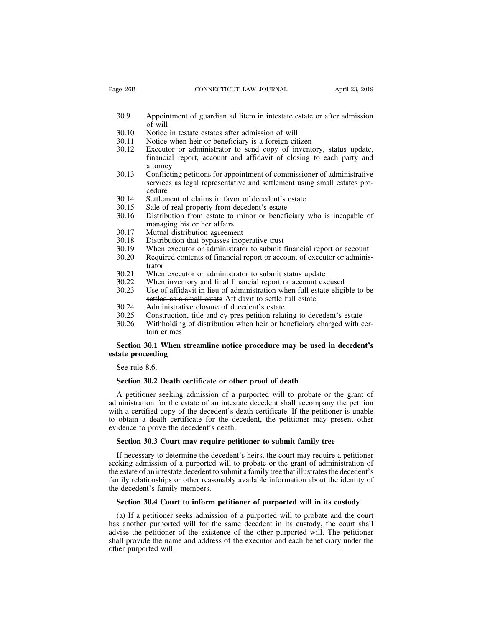- 30.9 CONNECTICUT LAW JOURNAL April 23, 2019<br>30.9 Appointment of guardian ad litem in intestate estate or after admission<br>30.10 Notice in testate estates after admission of will Appointment<br>of will<br>Notice in tes<br>Notice when EXEMBED SURVEY CONNECTICUT LAW JOURNAL<br>
30.9 Appointment of guardian ad litem in intestate estate of<br>
30.10 Notice in testate estates after admission of will<br>
30.11 Notice when heir or beneficiary is a foreign citizen<br>
30.
- 
- 
- EXEM EXECUTE SOME CONNECTICUT LAW JOURNAL<br>
30.9 Appointment of guardian ad litem in intestate estate or after ac<br>
30.10 Notice in testate estates after admission of will<br>
30.11 Notice when heir or beneficiary is a foreign 30.9 Appointment of guardian ad litem in intestate estate or after admission<br>30.10 Notice in testate estates after admission of will<br>30.11 Notice when heir or beneficiary is a foreign citizen<br>30.12 Executor or administrato Appointment of guardian ad litem in intestate estate or after admission<br>of will<br>Notice in testate estates after admission of will<br>Notice when heir or beneficiary is a foreign citizen<br>Executor or administrator to send copy attorney<br>Conflicting petitions for appointment of commissioner of administrative
- 30.3 Appointment of guardian ad inclinion in messare estate of anciental admission<br>of will<br>30.10 Notice in testate estates after admission of will<br>30.11 Notice when heir or beneficiary is a foreign citizen<br>30.12 Executor o Service in testate estates after admission of will<br>Notice when heir or beneficiary is a foreign citizen<br>Executor or administrator to send copy of inventory, status update,<br>financial report, account and affidavit of closing cedure<br>Settlement of claims in favor of decedent's estate 30.12 Executor or administrator to send copy of inventory, sta<br>
financial report, account and affidavit of closing to each<br>
attorney<br>
30.13 Conflicting petitions for appointment of commissioner of adr<br>
services as legal re 30.12 Execution of administration to schild copy of invention<br>financial report, account and affidavit of closing to<br>attorney<br>30.13 Conflicting petitions for appointment of commissioner<br>services as legal representative and 30.13 Conflicting petitions for appointment of commissioner of administrative<br>services as legal representative and settlement using small estates pro-<br>cedure<br>30.14 Settlement of claims in favor of decedent's estate<br>30.15 S Example Conflicting petitions for appointmen<br>services as legal representative and<br>cedure<br>Settlement of claims in favor of dec<br>Sale of real property from decedent<br>Distribution from estate to minor c<br>managing his or her affa 30.13 Connecting peritions for appointment<br>services as legal representative and<br>cedure<br>30.15 Sale of real property from decedent'<br>30.16 Distribution from estate to minor of<br>managing his or her affairs<br>30.17 Mutual distribu
- 
- 
- services as legal representative and settlement us<br>cedure<br>30.14 Settlement of claims in favor of decedent's estate<br>30.15 Sale of real property from decedent's estate<br>30.16 Distribution from estate to minor or beneficiary<br>m 30.14 Settlement of claims in favor of decedent's estate<br>
30.15 Sale of real property from decedent's estate<br>
30.16 Distribution from estate to minor or beneficiary who is incapable of<br>
managing his or her affairs<br>
30.17 M 30.15 Sale of real property from decedent's estate<br>30.15 Sale of real property from decedent's estate<br>30.16 Distribution from estate to minor or beneficiary who is incapable of<br>managing his or her affairs<br>30.17 Mutual dist
- 
- 
- 
- 30.10 Bistribution from estate to film of deficiting who is incapact<br>managing his or her affairs<br>30.17 Mutual distribution agreement<br>30.18 Distribution that bypasses inoperative trust<br>30.19 When executor or administrator t
- trator<br>When executor or administrator to submit status update
- 
- 30.17 Mutual distribution agreement<br>
30.18 Distribution that bypasses inoperative trust<br>
30.19 When executor or administrator to submit financial report or account<br>
30.20 Required contents of financial report or account of 30.17 Widual distribution agreement<br>
30.18 Distribution that bypasses inoperative trust<br>
30.19 When executor or administrator to submit financial report or account<br>
30.20 Required contents of financial report or account of Distribution that by passes inoperative trust<br>
When executor or administrator to submit financial report or a<br>
Required contents of financial report or account of executor or a<br>
trator<br>
When executor or administrator to su 30.20 Required contents of financial report or account of executor<br>30.21 When executor or administrator to submit status upd<br>30.22 When inventory and final financial report or account<br>30.23 Use of affidavit in lieu of admi 30.20 Required collens of mialicial report of account of executor of administrator<br>30.21 When executor or administrator to submit status update<br>30.22 When inventory and final financial report or account excused<br>30.23 Use o 30.21 When executor or administrator to submit status update<br>30.22 When inventory and final financial report or account excused<br>30.23 Use of affidavit in lieu of administration when full estate eligible to be<br>settled as a When inventory and<br>When inventory and<br>Use of affidavit in 1<br>settled as a small es<br>Administrative closs<br>Construction, title a<br>Withholding of disti<br>tain crimes<br>90.1 When streamli 30.23 Use of affidavit in lieu of administration when full estate eligible to be settled as a small estate Affidavit to settle full estate<br>30.24 Administrative closure of decedent's estate<br>30.25 Construction, title and cy
- 
- 
- 30.25 Construce<br>30.26 Withhold<br>tain crim<br>Seetion 30.1 Whe<br>tate proceeding<br>See rule 8.6.<br>Section 30.2 Deat

# settled as a small<br>30.24 Administrative clo<br>30.25 Construction, title<br>30.26 Withholding of di<br>tain crimes<br>**Section 30.1 When strean**<br>estate proceeding<br>See rule 8.6. So.26 Withholding of distribution when heir or beneficiary charge<br> **Section 30.1 When streamline notice procedure may be used in**<br> **See rule 8.6.**<br> **Section 30.2 Death certificate or other proof of death**<br>
A petitioner see

Section 30.1 When streamline notice procedure may be used in decedent's<br>state proceeding<br>See rule 8.6.<br>Section 30.2 Death certificate or other proof of death<br>A petitioner seeking admission of a purported will to probate or Section 50.1 When streamline notice procedure may be used in decedent s<br>estate proceeding<br>See rule 8.6.<br>Section 30.2 Death certificate or other proof of death<br>A petitioner seeking admission of a purported will to probate o See rule 8.6.<br>Section 30.2 Death certificate or other proof of death<br>A petitioner seeking admission of a purported will to probate or the grant of<br>administration for the estate of an intestate decedent shall accompany the See rule 8.6.<br>
Section 30.2 Death certificate or other proof of death<br>
A petitioner seeking admission of a purported will to probate or the grant of<br>
administration for the estate of an intestate decedent shall accompany t Section 30.2 Death certificate or other p<br>A petitioner seeking admission of a purpe<br>administration for the estate of an intestate d<br>with a eertified copy of the decedent's death<br>to obtain a death certificate for the decede A petitioner seeking admission of a purported will to probate or the grant<br>ministration for the estate of an intestate decedent shall accompany the petitio<br>th a certified copy of the decedent's death certificate. If the pe ministration for the estate of an intestate decedent shall accompany the petition<br>th a eertified copy of the decedent's death certificate. If the petitioner is unable<br>obtain a death certificate for the decedent, the petiti

with a eertified copy of the decedent's death certificate. If the petitioner is unable<br>to obtain a death certificate for the decedent, the petitioner may present other<br>evidence to prove the decedent's death.<br>**Section 30.3** to obtain a death certificate for the decedent, the petitioner may present other evidence to prove the decedent's death.<br> **Section 30.3 Court may require petitioner to submit family tree** If necessary to determine the dece evidence to prove the decedent's death.<br> **Section 30.3 Court may require petitioner to submit family tree**<br>
If necessary to determine the decedent's heirs, the court may require a petitioner<br>
seeking admission of a purport Section 30.3 Court may require probability of the deceders seeking admission of a purported will the estate of an intestate decedent to subfamily relationships or other reasonable decedent's family members.<br>Section 30.4 Co If necessary to determine the decedent's heirs, the court may require a petitioner<br>
Eximple a method will to probate or the grant of administration of<br>
e estate of an intestate decedent to submit a family tree that illustr exting admission of a purported will to probate or the grant of administration of<br>e estate of an intestate decedent to submit a family tree that illustrates the decedent's<br>mily relationships or other reasonably available i

the estate of an intestate decedent to submit a family tree that illustrates the decedent's family relationships or other reasonably available information about the identity of the decedent's family members.<br> **Section 30.4** family relationships or other reasonably available information about the identity of<br>the decedent's family members.<br>**Section 30.4 Court to inform petitioner of purported will in its custody**<br>(a) If a petitioner seeks admis the decedent's family members.<br> **Section 30.4 Court to inform petitioner of purported will in its custody**<br>
(a) If a petitioner seeks admission of a purported will to probate and the court<br>
has another purported will for t **Section 30.4 Com**<br>
(a) If a petitioner<br>
has another purported<br>
advise the petitioner<br>
shall provide the nan<br>
other purported will.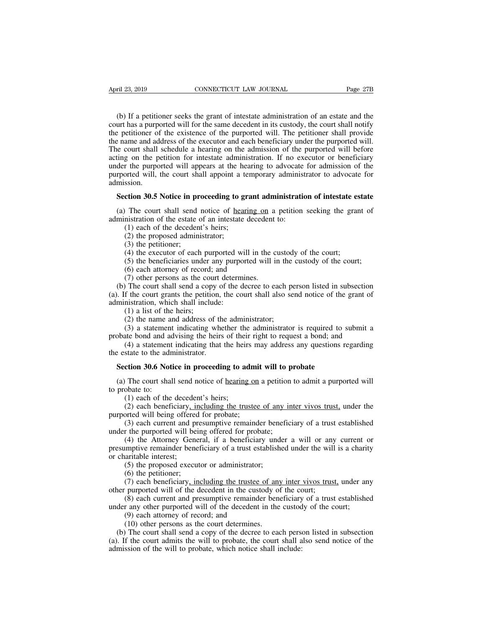(b) If a petitioner seeks the grant of intestate administration of an estate and the urt has a purported will for the same decedent in its custody, the court shall notify be petitioner of the existence of the purported wil content and solutions above that the same decedent in its custody, the court has a purported will for the same decedent in its custody, the court shall notify the petitioner of the existence of the purported will. The peti April 23, 2019 CONNECTICUT LAW JOURNAL Page 27B<br>
(b) If a petitioner seeks the grant of intestate administration of an estate and the<br>
court has a purported will for the same decedent in its custody, the court shall notify The name and address of the executor and each beneficiary of the executor of the executor has a purported will for the same decedent in its custody, the court shall notify the petitioner of the existence of the purported w (b) If a petitioner seeks the grant of intestate administration of an estate and the court has a purported will for the same decedent in its custody, the court shall notify the petitioner of the existence of the purported (b) If a petitioner seeks the grant of intestate administration of an estate and the court has a purported will for the same decedent in its custody, the court shall notify the petitioner of the existence of the purported (b) If a petitioner seeks the grant of intestate administration of an estate and the court has a purported will for the same decedent in its custody, the court shall notify the petitioner of the existence of the purported (b) If a pertificant secks the grant of intestate administration of an estate and the court has a purported will for the same decedent in its custody, the court shall notify the petitioner of the existence of the purporte admission. Example 20.13 and and address of the executor and each beneficiary under the purported will.<br>
He court shall schedule a hearing on the admission of the purported will before<br>
ting on the petition for intestate administrati ting on the petition for intestate administration. If no executor or beneficiary<br>der the purported will appears at the hearing to advocate for admission of the<br>rported will, the court shall appoint a temporary administrato under the purported will appears at the hearing to advocate<br>purported will, the court shall appoint a temporary administ<br>admission.<br>**Section 30.5 Notice in proceeding to grant administratio**<br>(a) The court shall send notice orted will, the court shall appoint a te<br>ssion.<br>**ction 30.5 Notice in proceeding to gr**<br>The court shall send notice of <u>hearinistration</u> of the estate of an intestate (1) each of the decedent's heirs;<br>(2) the proposed admi

Sion.<br> **Comptet administrator and SOLE Administration of the state of an intestate**<br>
(1) each of the decedent's heirs;<br>
(2) the proposed administrator;<br>
(3) the petitioner;<br>
(4) the executor of each purported w. **ction 30.5 Notice in pr**<br>(1) The court shall send<br>inistration of the estate  $(1)$  each of the deceden<br>(2) the proposed admini<br>(3) the petitioner;<br>(4) the executor of each<br>(5) the beneficiaries une (4) the executor of each purported will in the custody of the court (6) each attention of the estate of an intestate decedent to:<br>(1) each of the estate of an intestate decedent to:<br>(1) each of the decedent's heirs;<br>(2) th (5) The court shall send notice of <u>hearing on</u> a petition seeking the grant of mistration of the estate of an intestate decedent to:<br>
(1) each of the decedent's heirs;<br>
(2) the proposed administrator;<br>
(3) the petitioner; The court shan schd holice of  $\frac{\text{learning}}{\text{test}}$ <br>
instration of the estate of an intestate deced<br>
(1) each of the decedent's heirs;<br>
(2) the proposed administrator;<br>
(3) the petitioner;<br>
(4) the executor of each purported wil

(1) each of the estate of an intestate decedent<br>
(1) each of the decedent's heirs;<br>
(2) the proposed administrator;<br>
(3) the petitioner;<br>
(4) the executor of each purported will in the c<br>
(5) the beneficiaries under any p (b) Cach of the decedent shalls,<br>
(c) the proposed administrator;<br>
(3) the petitioner;<br>
(4) the executor of each purported will in the custody of the court;<br>
(5) the beneficiaries under any purported will in the custody o (3) the periposed administrator,<br>
(3) the petitioner;<br>
(4) the executor of each purported will in the custody of the court;<br>
(5) the beneficiaries under any purported will in the custody of the court;<br>
(6) each attorney o (4) the executor of each purported w<br>
(5) the beneficiaries under any purpo<br>
(6) each attorney of record; and<br>
(7) other persons as the court determ<br>
(b) The court shall send a copy of the d<br>
(a). If the court grants the (5) the beneficiaries under  $(6)$  cach put<br>(6) each attorney of record;<br>(7) other persons as the couplement of the court shall send a cop<br>f the court grants the petitic<br>inistration, which shall inclu<br>(1) a list of the hei (3) the benche<br>also that any purported with in the (6) each attorney of record; and<br>(7) other persons as the court determines.<br>The court shall send a copy of the decree to each per<br>f the court grants the petition, the cou (7) other persons as the court determines.<br>
(7) other persons as the court determines.<br>
The court shall send a copy of the decree to each person listed in subsection<br>
of the court grants the petition, the court shall also (b) Once persons as the court determines.<br>
(b) The court shall send a copy of the decree to each person listed in subsection<br>
(a). If the court grants the petition, the court shall also send notice of the grant of<br>
admini The court shall schedule at every of the decree to claim person issical in subsection<br>f the court grants the petition, the court shall also send notice of the grant of<br>instration, which shall include:<br>(1) a list of the he

(a). It also contribute to the administration, which shall include:<br>
(1) a list of the heirs;<br>
(2) the name and address of the<br>
(3) a statement indicating whe<br>
probate bond and advising the heirs<br>
(4) a statement indicati (1) a list of the heirs;<br>
(2) the name and address of the administrator;<br>
(3) a statement indicating whether the administrator is required to so<br>
boate bond and advising the heirs of their right to request a bond; and<br>
(4 (3) a statement indicating whether the administrator is required to submit a obate bond and advising the heirs of their right to request a bond; and (4) a statement indicating that the heirs may address any questions rega probate bond and a<br>
(4) a statement<br>
the estate to the adr<br> **Section 30.6 Not**<br>
(a) The court sha<br>
to probate to:<br>
(1) each of the<br>
(2) each benef (4) a statement indicating that the heir<br>state to the administrator.<br>**ction 30.6 Notice in proceeding to ac**<br> $\overline{ }$  The court shall send notice of <u>hearing</u><br>obate to:<br>(1) each of the decedent's heirs;<br>(2) each beneficiar

State to the administrator.<br> **Common 30.6 Notice in proceeding to admit will to probate**<br>
The court shall send notice of <u>hearing on</u> a petition to admit a purported will<br>
obate to:<br>
(1) each of the decedent's heirs;<br>
(2)

**Section 30.6 Notice in proceeding to admi**<br>(a) The court shall send notice of <u>hearing on</u><br>to probate to:<br>(1) each of the decedent's heirs;<br>(2) each beneficiary<u>, including the trustee</u><br>purported will being offered for pr (3) each current and proceeding to admit will to probate<br>
(3) each court shall send notice of <u>hearing on</u> a petition to admit a purported will<br>
(1) each of the decedent's heirs;<br>
(2) each beneficiary, including the truste

(a) The court shall send notice of <u>hearing on</u> a petition<br>to probate to:<br>(1) each of the decedent's heirs;<br>(2) each beneficiary<u>, including the trustee of any in</u><br>purported will being offered for probate;<br>(3) each curren (1) each of the decedent's heirs;<br>(2) each beneficiary, including the trustee of any inter vivos trust, under the<br>orted will being offered for probate;<br>(3) each current and presumptive remainder beneficiary of a trust esta (1) each of the decedent's heirs;<br>
(2) each beneficiary, including the trustee of any inter vivos trust, under the<br>
purported will being offered for probate;<br>
(3) each current and presumptive remainder beneficiary of a tr (1) each of the uccede (2) each beneficiary, if purported will being offered (3) each current and punder the purported will be (4) the Attorney Genpresumptive remainder benor charitable interest; (5) the proposed exect (6 (2) each beneficiary, including the trustee of any inter vivos trust, under the purported will being offered for probate;<br>
(3) each current and presumptive remainder beneficiary of a trust established under the purported (3) each current and pre<br>
(3) each current and pre<br>
(4) the Attorney Gener<br>
(4) the Attorney Gener<br>
imptive remainder benef<br>
arritable interest;<br>
(5) the proposed execut<br>
(6) the petitioner;<br>
(7) each beneficiary, in-<br>
pu (3) each current and presumptive remainder beneficiary of a trust established<br>
(4) the Attorney General, if a beneficiary under a will or any current or<br>
umptive remainder beneficiary of a trust established under the will (4) the Attorney General, if a beneficiary under a will or any<br>presumptive remainder beneficiary of a trust established under the will<br>or charitable interest;<br>(5) the proposed executor or administrator;<br>(6) the petitioner; (4) the Tatolicy Scheral, it a beneficiary under a will be any current of implive remainder beneficiary of a trust established under the will is a charity aritable interest;<br>(5) the proposed executor or administrator;<br>(6)

or charitable interest;<br>
(5) the proposed executor or administrator;<br>
(6) the peritioner;<br>
(7) each beneficiary<u>, including the trustee of any inter vivos trust</u>, under an<br>
other purported will of the decedent in the custo (5) the proposed executor or administrator;<br>(6) the proposed executor or administrator;<br>(7) each beneficiary, including the trustee<br>purported will of the decedent in the cust<br>(8) each current and presumptive remainde<br>r an

(6) the peritioner;<br>
(6) the petitioner;<br>
(7) each beneficiary, including the trustee of any<br>
purported will of the decedent in the custody of<br>
(8) each current and presumptive remainder ben<br>
r any other purported will of (7) each beneficiary, including the trustee of any inter vivos trust, under any<br>er purported will of the decedent in the custody of the court;<br>(8) each current and presumptive remainder beneficiary of a trust established<br> (b) cach ocherricany<u>, including the tasket</u> of any line vivos trust, there any other purported will of the decedent in the custody of the court;<br>
(8) each current and presumptive remainder beneficiary of a trust establis (8) each current and presumptive remainder beneficiary<br>under any other purported will of the decedent in the custod<br>(9) each attorney of record; and<br>(10) other persons as the court determines.<br>(b) The court shall send a co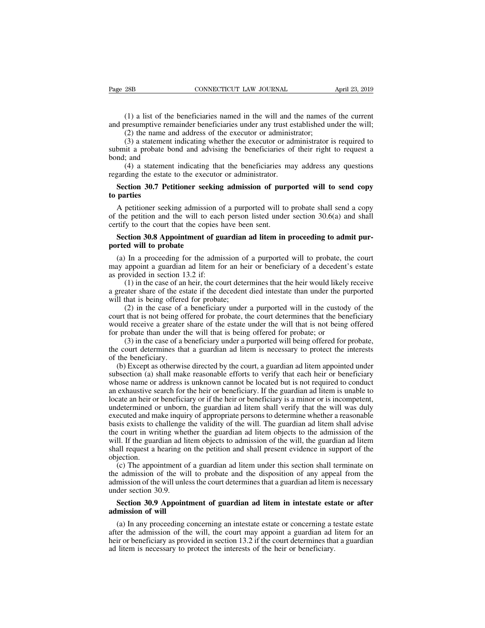(1) a list of the beneficiaries named in the will and the names of the current<br>(1) a list of the beneficiaries named in the will and the names of the current<br>presumptive remainder beneficiaries under any trust established Page 28B CONNECTICUT LAW JOURNAL April 23, 2019<br>
(1) a list of the beneficiaries named in the will and the names of the current<br>
and presumptive remainder beneficiaries under any trust established under the will;<br>
(2) the (1) a list of the beneficiaries named in the will and the names of<br>
(1) a list of the beneficiaries named in the will and the names of<br>
resumptive remainder beneficiaries under any trust established un<br>
(2) the name and ad

(1) a list of the beneficiaries named in the will and the names of the current<br>(1) a list of the beneficiaries named in the will and the names of the current<br>presumptive remainder beneficiaries under any trust established (1) a list of the beneficiaries named in the will and the names of the current<br>and presumptive remainder beneficiaries under any trust established under the will;<br>(2) the name and address of the executor or administrator; (1) a list of the<br>and presumptive rem.<br>(2) the name and<br>(3) a statement i<br>submit a probate bor<br>bond; and<br>(4) a statement<br>regarding the estate t (1) a list of the beneficiaries named in the will and the names of the current<br>resumptive remainder beneficiaries under any trust established under the will;<br>(2) the name and address of the executor or administrator;<br>(3) (1) a list of the benchedness handce in the will and<br>and presumptive remainder beneficiaries under any trust es<br>(2) the name and address of the executor or administ<br>(3) a statement indicating whether the executor or adm<br>su (2) the name and address of the executor or administrator;<br>
(3) a statement indicating whether the executor or administrator is required to<br>
bmit a probate bond and advising the beneficiaries of their right to request a<br>
n (3) a statement<br>submit a probate  $\theta$ <br>bond; and<br>(4) a statement<br>regarding the estate<br>**Section 30.7 Pe**<br>**to parties**<br>A petitioner see

A petitioner seeking admission of a purported will to send a copy<br>the petitioner seeking admission of purported will to send copy<br>parties<br>A petitioner seeking admission of a purported will to send copy<br>the petitioner seek (4) a statement indicating that the beneficiaries may address any questions<br>regarding the estate to the executor or administrator.<br>**Section 30.7 Petitioner seeking admission of purported will to send copy**<br>**to parties**<br>A ( $\rightarrow$ ) a statement indicating that the concretenties in<br>regarding the estate to the executor or administrator.<br>**Section 30.7 Petitioner seeking admission of purp**<br>to parties<br>A petitioner seeking admission of a purported w **Section 30.7 Petitioner seeking admission of purported will to send copy parties**<br>A petitioner seeking admission of a purported will to probate shall send a copy<br>the petition and the will to each person listed under secti **to parties**<br>
A petitioner seeking admission<br>
of the petition and the will to ea<br>
certify to the court that the copie<br> **Section 30.8 Appointment of**<br> **ported will to probate**<br>
(a) In a proceeding for the admay enneint a gu A petitioner seeking admission of a purported will to probate shall send a copy<br>the petition and the will to each person listed under section  $30.6(a)$  and shall<br>trify to the court that the copies have been sent.<br>**Section** 

may appoint a guardian ad litem in proceeding to admit pur-<br>ported will to each person listed under section 30.6(a) and shall<br>certify to the court that the copies have been sent.<br>**Section 30.8 Appointment of guardian ad l** or the pention and the win to each<br>certify to the court that the copies h<br>**Section 30.8 Appointment of gual ported will to probate**<br>(a) In a proceeding for the admis<br>may appoint a guardian ad litem for<br>as provided in secti (1) in the court data the copies have been sent.<br> **Court do an heir court of guardian ad litem in proceeding to admit pur-**<br>
In a proceeding for the admission of a purported will to probate, the court<br>
appoint a guardian **Section 30.8 Appointment of guardian ad litem in proceeding to admit pur-**<br>ported will to probate<br>(a) In a proceeding for the admission of a purported will to probate, the court<br>may appoint a guardian ad litem for an hei ported will to probate<br>
(a) In a proceeding for the admission of<br>
may appoint a guardian ad litem for an hei<br>
as provided in section 13.2 if:<br>
(1) in the case of an heir, the court deter<br>
a greater share of the estate if t

In a proceeding for the admission of a purported will to probate, the court appoint a guardian ad litem for an heir or beneficiary of a decedent's estate ovided in section 13.2 if:<br>(1) in the case of an heir, the court det (a) In a proceeding for the admission of a purported will to probate, the court may appoint a guardian ad litem for an heir or beneficiary of a decedent's estate as provided in section 13.2 if:<br>
(1) in the case of an heir may appoint a guardian ad inclif for all net of beinchclary of a decedent is estate<br>as provided in section 13.2 if:<br>(1) in the case of an heir, the court determines that the heir would likely receive<br>a greater share of the (1) in the case of an heir, the court determines that the heir would likely a greater share of the estate if the decedent died intestate than under the pu will that is being offered for probate; (2) in the case of a benef (1) in the case of an heir, the court determines that the field would inkery receive<br>ater share of the estate if the decedent died intestate than under the purported<br>that is being offered for probate;<br>(2) in the case of a a greater share of the estate if the decedent died intestate than under the purported<br>will that is being offered for probate;<br>(2) in the case of a beneficiary under a purported will in the custody of the<br>court that is not with that is being offered<br>
(2) in the case of a<br>
court that is not being of<br>
would receive a greater<br>
for probate than under t<br>
(3) in the case of a l<br>
the court determines that<br>
of the beneficiary.<br>
(b) Except as otherw (z) in the case of a beneficiary under a purported with in the custody of the urt that is not being offered for probate, the court determines that the beneficiary vuld receive a greater share of the estate under the will

becount that is not being offered for probate, the court determines that the benefictary would receive a greater share of the estate under the will that is not being offered for probate, or (3) in the case of a beneficiary would receive a greater sinate or the estate under the will that is not delig orieted<br>for probate than under the will that is being offered for probate; or<br>(3) in the case of a beneficiary under a purported will being offe (3) in the case of a beneficiary under a purported will being offered for probate, or (3) in the case of a beneficiary under a purported will being offered for probate, the court determines that a guardian ad litem is nece (b) in the case of a beneficiary under a purported with being offered tof probate, the court determines that a guardian ad litem is necessary to protect the interests of the beneficiary.<br>
(b) Except as otherwise directed In the beneficiary.<br>
(b) Except as otherwise directed by the court, a guardian ad litem appointed under<br>
subsection (a) shall make reasonable efforts to verify that each heir or beneficiary<br>
whose name or address is unknow (b) Except as otherwise directed by the court, a guardian ad litem appointed under subsection (a) shall make reasonable efforts to verify that each heir or beneficiary whose name or address is unknown cannot be located but (b) Except as officially stated by the court, a guardian ad internappointed under<br>subsection (a) shall make reasonable efforts to verify that each heir or beneficiary<br>whose name or address is unknown cannot be located but subsection (a) shart make reasonable enorts to vertry that each fiert of ocherriciary<br>whose name or address is unknown cannot be located but is not required to conduct<br>an exhaustive search for the heir or beneficiary. If t whose hank of address is dinknown cannot oc located out is not required to conduct<br>an exhaustive search for the heir or beneficiary. If the guardian ad litem is unable to<br>locate an heir or beneficiary or if the heir or ben an exhausuve search for the heir of beneficiary. If the guardian ad fitem is unable to locate an heir or beneficiary or if the heir or beneficiary is a minor or is incompetent, undetermined or unborn, the guardian ad litem objection.<br>(c) The appointment of a guardian ad litem under this section shall terminate on determined of unborn, the guardian ad litem share vertry that the win was dury<br>ecuted and make inquiry of appropriate persons to determine whether a reasonable<br>sis exists to challenge the validity of the will. The guardian Executed and make metally of appropriate persons to determine whether a reasonable basis exists to challenge the validity of the will. The guardian ad litem shall advise the court in writing whether the guardian ad litem o basis carsts to chancing the vantury of the will. The guardian ad litem shall advise<br>the court in writing whether the guardian ad litem objects to the admission of the<br>will. If the guardian ad litem objects to admission of

met court in writing with<br>will. If the guardian ad li<br>shall request a hearing o<br>objection.<br>(c) The appointment of<br>the admission of the will unle<br>under section 30.9.<br>Section 30.9 Appoint all request a hearing on the petition and shall present evidence in support of the<br>jection.<br>(c) The appointment of a guardian ad litem under this section shall terminate on<br>examission of the will to probate and the disposi **bijection.**<br>
(c) The appointment c<br>
the admission of the will unle<br>
admission of the will unle<br>
under section 30.9.<br> **Section 30.9 Appoin<br>
admission of will**<br>
(a) In any proceeding<br>
after the admission of the (c) The appointment of a guardian ad mem under unis section small terminate on<br>
a admission of the will to probate and the disposition of any appeal from the<br>
mission of the will unless the court determines that a guardia

admission of the will unless the court determines that a guardian ad litem is necessary<br>under section 30.9.<br>**Section 30.9 Appointment of guardian ad litem in intestate estate or after**<br>**admission of will**<br>(a) In any procee definition 30.9.<br> **Section 30.9 Appointment of guardian ad litem in intestate estate or after**<br> **admission of will**<br>
(a) In any proceeding concerning an intestate estate or concerning a testate estate<br>
after the admission Section 30.9. Section 30.9.<br>Section 30.9 Appointment of guardian ad litem in intestate esta<br>admission of will<br>(a) In any proceeding concerning an intestate estate or concerning a t<br>after the admission of the will, the cour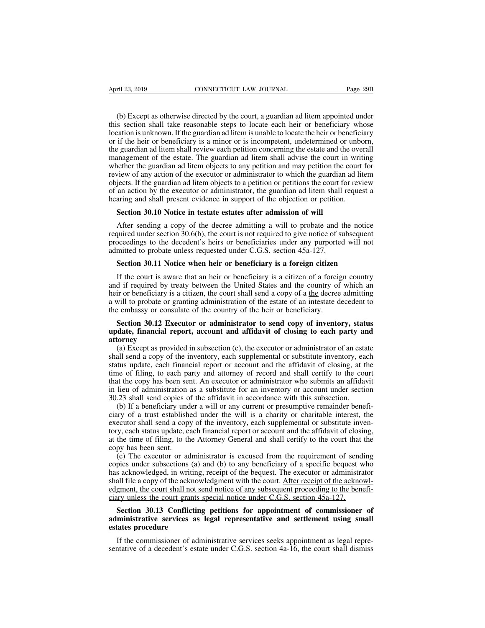(b) Except as otherwise directed by the court, a guardian ad litem appointed under<br>s section shall take reasonable steps to locate each heir or beneficiary whose<br>cation is unknown. If the guardian ad litem is unable to loc the section shall take reasonable steps to locate each heir or beneficiary whose<br>this section shall take reasonable steps to locate each heir or beneficiary whose<br>location is unknown. If the guardian ad litem is unable to April 23, 2019 CONNECTICUT LAW JOURNAL Page 29B<br>
(b) Except as otherwise directed by the court, a guardian ad litem appointed under<br>
this section shall take reasonable steps to locate each heir or beneficiary whose<br>
locati April 23, 2019 CONNECTICUT LAW JOURNAL Page 29B<br>
(b) Except as otherwise directed by the court, a guardian ad litem appointed under<br>
this section shall take reasonable steps to locate each heir or beneficiary whose<br>
locati (b) Except as otherwise directed by the court, a guardian ad litem appointed under this section shall take reasonable steps to locate each heir or beneficiary whose location is unknown. If the guardian ad litem is unable t (b) Except as otherwise directed by the court, a guardian ad litem appointed under this section shall take reasonable steps to locate each heir or beneficiary whose location is unknown. If the guardian ad litem is unable t (b) Except as otherwise directed by the court, a guardian ad litem appointed under this section shall take reasonable steps to locate each heir or beneficiary whose location is unknown. If the guardian ad litem is unable t (b) Except as otherwise directed by the court, a guardian ad internappointed under<br>this section shall take reasonable steps to locate each heir or beneficiary whose<br>location is unknown. If the guardian ad litem is unable t Insis section shall take reasonable steps to locate each hell of ochiencially whose<br>location is unknown. If the guardian ad litem is unable to locate the heir or beneficiary<br>or if the heir or beneficiary is a minor or is i ocation is unknown. It the guardian ad intent is unable to locate the helt of ocherriciary<br>or if the heir or beneficiary is a minor or is incompetent, undetermined or unborn,<br>the guardian ad litem shall review each petitio or it the field of benchedary is a minor or is incompetent, undetermined or under<br>the guardian ad litem shall review each petition concerning the estate and the over<br>management of the estate. The guardian ad litem shall ad anagement of the estate. The guardian ad litem shall advise the court in each efference the guardian ad litem objects to any petition and may petition the view of any action of the executor or administrator to which the gu below of any action of the executor or administrator to which the guardian ad litem<br>jects. If the guardian ad litem objects to a petition or petitions the court for review<br>an action by the executor or administrator, the g

required under section 30.10 Notice in the executor of metals and litem shall request a hearing and shall present evidence in support of the objection or petition.<br>Section 30.10 Notice in testate estates after admission of by the executor or administrator, the guardian ad litem shall request a hearing and shall present evidence in support of the objection or petition.<br> **Section 30.10 Notice in testate estates after admission of will**<br>
After be a mix and shall present evidence in support of the objection or petition<br>Section 30.10 Notice in testate estates after admission of will<br>After sending a copy of the decree admitting a will to probate and t<br>required unde **Section 30.10 Notice in testate estates after admission of will**<br>After sending a copy of the decree admitting a will to probate and the notice<br>quired under section 30.6(b), the court is not required to give notice of subs After sending a copy of the decree admitting a will to probate and the notice<br>quired under section 30.6(b), the court is not required to give notice of subsequent<br>occedings to the decedent's heirs or beneficiaries under a

required under section 30.6(b), the court is not required to give notice of subsequent proceedings to the decedent's heirs or beneficiaries under any purported will not admitted to probate unless requested under C.G.S. se proceedings to the decedent's heirs or beneficiaries under any purported will not admitted to probate unless requested under C.G.S. section 45a-127.<br>Section 30.11 Notice when heir or beneficiary is a foreign citizen If th admitted to probate unless requested under C.G.S. section 45a-127.<br> **Section 30.11 Notice when heir or beneficiary is a foreign citizen**<br>
If the court is aware that an heir or beneficiary is a citizen of a foreign country<br> Section 30.11 Notice when heir or beneficiary is a foreign citizen<br>If the court is aware that an heir or beneficiary is a citizen of a foreign<br>and if required by treaty between the United States and the country of<br>heir or **Section 30.11 Toxice when helt of beneficiary is a foreign cluzer.**<br>If the court is aware that an heir or beneficiary is a citizen of a foreign country<br>d if required by treaty between the United States and the country of If the court is aware that an heir or beneficiary is a citizen of a foreign country<br>and if required by treaty between the United States and the country of which an<br>heir or beneficiary is a citizen, the court shall send a c

# **attorney**

ir or beneficiary is a citizen, the court shall send  $a$  copy of  $a$  the decree admitting will to probate or granting administration of the estate of an intestate decedent to  $e$  embassy or consulate of the country of the a will to probate or granting administration of the estate of an intestate decedent to<br>the embassy or consulate of the country of the heir or beneficiary.<br>**Section 30.12 Executor or administrator to send copy of inventory,** the embassy or consulate of the country of the heir or beneficiary.<br> **Section 30.12 Executor or administrator to send copy of inventory, status**<br> **update, financial report, account and affidavit of closing to each party an** Section 30.12 Executor or administrator to send copy of inventory, status update, financial report, account and affidavit of closing to each party and attorney (a) Except as provided in subsection (c), the executor or admi section 30.12 Exection or administrator to sent copy or inventory, states<br>update, financial report, account and affidavit of closing to each party and<br>attorney<br>(a) Except as provided in subsection (c), the executor or admi in a subsection (a) Except as provided in subsection (c), the executor or administrator of an estate shall send a copy of the inventory, each supplemental or substitute inventory, each status update, each financial report (a) Except as provided in subsection (c), the executor or administrator of an esta<br>shall send a copy of the inventory, each supplemental or substitute inventory, eac<br>status update, each financial report or account and the (a) Except as provided in subsection (c), the executor of administrator of an estate all send a copy of the inventory, each supplemental or substitute inventory, each thus update, each financial report or account and the shall send a copy of the inventory, each supplemental or substitute inventory, each<br>status update, each financial report or account and the affidavit of closing, at the<br>time of filing, to each party and attorney of record

status update, each manieral report of account and the armawn of closing, at the time of filing, to each party and attorney of record and shall certify to the court that the copy has been sent. An executor or administrator that the copy has been sent. An executor or administrator who submits an affidavit<br>in lieu of administration as a substitute for an inventory or account under section<br>30.23 shall send copies of the affidavit in accordance at the time of a solid state. An execution of administration who submits an aritoavition in lieu of administration as a substitute for an inventory or account under section 30.23 shall send copies of the affidavit in accor m hed of administration<br>30.23 shall send copies of<br>the sented of a trust establish<br>executor shall send a cop<br>tory, each status update, e<br>at the time of filing, to the<br>copy has been sent.<br>(c) The executor or ac<br>copies under (b) If a beneficiary under a will or any current or presumptive remainder benefi-<br>ty of a trust established under the will is a charity or charitable interest, the<br>ecutor shall send a copy of the inventory, each supplement (b) If a beneficiary under a wifi of any current of presumptive remainder beneficiary of a trust established under the will is a charity or charitable interest, the executor shall send a copy of the inventory, each supple

executor shall send a copy of the inventory, each supplemental or substitute inventory, each status update, each financial report or account and the affidavit of closing, at the time of filing, to the Attorney General and Executor shall schular a copy of the inventory, each supplemental or substitute inven-<br>tory, each status update, each financial report or account and the affidavit of closing,<br>at the time of filing, to the Attorney General edgment, the court shall not send notice of any subsequent procedure of sending<br>copies under subsections (a) and (b) to any beneficiary of a specific bequest who<br>has acknowledged, in writing, receipt of the bequest. The ex at the time of fining, to the Attorney General and share eclity to the court that<br>copy has been sent.<br>(c) The executor or administrator is excused from the requirement of send<br>copies under subsections (a) and (b) to any be (c) The executor or administrator is excused from the requirement of sending<br>pies under subsections (a) and (b) to any beneficiary of a specific bequest who<br>s acknowledged, in writing, receipt of the bequest. The executor copies under subsections (a) and (b) to any beneficiary of a specific bequest who<br>has acknowledged, in writing, receipt of the bequest. The executor or administrator<br>shall file a copy of the acknowledgment with the court. has acknowledged, in writing<br>shall file a copy of the ackno-<br>edgment, the court shall not sciary unless the court grants<br>Section 30.13 Confliction<br>administrative services as<br>estates procedure<br>If the commissioner of adminis

# If the commissioner of administrative of any subsequent proceeding to the benefi-<br>In the court shall not send notice of any subsequent proceeding to the benefi-<br>In the court grants special notice under C.G.S. section 45a-1 Example of a decedent and settlement of commissioner of administrative services as legal representative and settlement using small estates procedure<br>If the commissioner of administrative services were and settlement using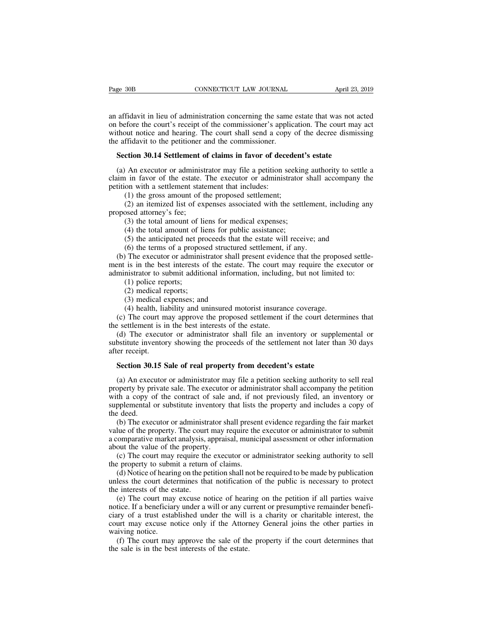Page 30B<br>
CONNECTICUT LAW JOURNAL<br>
an affidavit in lieu of administration concerning the same estate that was not acted<br>
on before the court's receipt of the commissioner's application. The court may act<br>
without notice an Page 30B CONNECTICUT LAW JOURNAL April 23, 2019<br>an affidavit in lieu of administration concerning the same estate that was not acted<br>on before the court's receipt of the commissioner's application. The court may act<br>withou Page 30B CONNECTICUT LAW JOURNAL April 23, 2019<br>an affidavit in lieu of administration concerning the same estate that was not acted<br>on before the court's receipt of the commissioner's application. The court may act<br>withou The age 308<br>CONNECTICUT LAW JOURNAL<br>an affidavit in lieu of administration concerning the same<br>on before the court's receipt of the commissioner's applic<br>without notice and hearing. The court shall send a copy<br>the affidavi affidavit in lieu of administration concerning the same estate that was not accept before the court's receipt of the commissioner's application. The court may thout notice and hearing. The court shall send a copy of the de affidavit in lieu of administration concerning the same estate that was not acted<br>before the court's receipt of the commissioner's application. The court may act<br>thout notice and hearing. The court shall send a copy of the on before the court's receipt of the commissioner's application. The court may act<br>without notice and hearing. The court shall send a copy of the decree dismissing<br>the affidavit to the petitioner and the commissioner.<br>**Sec** 

without notice and hearing. The court shall send a copy<br>the affidavit to the petitioner and the commissioner.<br>**Section 30.14 Settlement of claims in favor of dece**<br>(a) An executor or administrator may file a petition so<br>cl ffidavit to the petitioner and the commissioner.<br> **ction 30.14 Settlement of claims in favor of deceden**<br>
An executor or administrator may file a petition seeki<br>
1 in favor of the estate. The executor or administrator<br>
on (2) an itemized list of claims in favor of decedent's estate<br>
An executor or administrator may file a petition seeking authority to settle a<br>
in favor of the estate. The executor or administrator shall accompany the<br>
on wi **Section 30.14 Setuement 6**<br>(a) An executor or administ<br>claim in favor of the estate.<br>petition with a settlement state<br>(1) the gross amount of ti<br>(2) an itemized list of exproposed attorney's fee;<br>(3) the total amount of (4) An executor or administrator may file a petition seeking<br>
i in favor of the estate. The executor or administrator is<br>
on with a settlement statement that includes:<br>
(1) the gross amount of the proposed settlement;<br>
(2) (4) in favor of the estate. The executor or administrator<br>on with a settlement statement that includes:<br>(1) the gross amount of the proposed settlement;<br>(2) an itemized list of expenses associated with the settl<br>osed attor

(1) the gross amount of the proposed settlement;<br>
(2) an itemized list of expenses associated with the settlement, including a<br>
seed attorney's fee;<br>
(3) the total amount of liens for medical expenses;<br>
(4) the total amoun (1) the gross amount of the proposed settlement;<br>
(2) an itemized list of expenses associated with the settlement<br>
seed attorney's fee;<br>
(3) the total amount of liens for medical expenses;<br>
(4) the total amount of liens f

(2) an itemized list of expenses associated with the settlement, including any<br>oposed attorney's fee;<br>(3) the total amount of liens for medical expenses;<br>(4) the total amount of liens for public assistance;<br>(5) the antici proposed attorney's fee;<br>
(3) the total amount of liens for medical expenses;<br>
(4) the total amount of liens for public assistance;<br>
(5) the anticipated net proceeds that the estate will receive; and<br>
(6) the terms of a pr (3) the total amount of liens for medical expenses;<br>
(4) the total amount of liens for public assistance;<br>
(5) the anticipated net proceeds that the estate will receive; and<br>
(6) the terms of a proposed structured settleme (4) the total amount of 1<br>(5) the anticipated net p<br>(6) the terms of a propor<br>The executor or admini<br>is in the best interests<br>mistrator to submit addit<br>(1) police reports;<br>(2) medical reports;<br>(3) medical expenses; an (5) the anticipated net pro<br>(6) the terms of a propose<br>The executor or administ<br>is in the best interests of<br>nistrator to submit additio<br>(1) police reports;<br>(2) medical reports;<br>(3) medical expenses; and<br>(4) health, liabil (6) the terms of a proposed structure<br>
(6) the terms of a proposed structure<br>
is in the best interests of the estate.<br>
instrator to submit additional informa<br>
(1) police reports;<br>
(2) medical reports;<br>
(3) medical expense (4) The executor or administrator shall present evidence that the propos<br>is in the best interests of the estate. The court may require the ex-<br>mistrator to submit additional information, including, but not limited<br>(1) poli (e) The court may require the executor or<br>ministrator to submit additional information, including, but not limited to:<br>(1) police reports;<br>(2) medical reports;<br>(3) medical expenses; and<br>(4) health, liability and uninsured

administrator to submit additional information, includin<br>
(1) police reports;<br>
(2) medical reports;<br>
(3) medical expenses; and<br>
(4) health, liability and uninsured motorist insurane<br>
(c) The court may approve the proposed (1) police reports;<br>
(2) medical reports;<br>
(3) medical expenses; and<br>
(4) health, liability and uninsured motorist insurance coverage.<br>
(c) The court may approve the proposed settlement if the court determines that<br>  $\epsilon$  (2) medical reports;<br>
(3) medical expenses; and<br>
(4) health, liability and uninsured motorist insurance coverage.<br>
(c) The court may approve the proposed settlement if the court determines that<br>
the settlement is in the b (3) medical e<br>
(4) health, lia<br>
(c) The court m<br>
the settlement is is<br>
(d) The execute<br>
substitute inventor<br>
after receipt.<br>
Section 30.15 S (4) health, hability and uninsured motorist insurance coverage.<br>
(c) The court may approve the proposed settlement if the court determ<br>
e settlement is in the best interests of the estate.<br>
(d) The executor or administrato

Execution is in the best interests of the estate.<br>
(d) The executor or administrator shall file an inventory or supplemental or<br>
bstitute inventory showing the proceeds of the settlement not later than 30 days<br>
er receipt. (d) The executor or administrator shall file an inventory or supplemental or substitute inventory showing the proceeds of the settlement not later than 30 days after receipt.<br> **Section 30.15 Sale of real property from dece** substitute inventory showing the proceeds of the settlement not later than 30 days<br>after receipt.<br>Section 30.15 Sale of real property from decedent's estate<br>(a) An executor or administrator may file a petition seeking auth supplemental or substitute inventory substitute inventory substitute inventory of the contract of sale and, if not previously filed, an inventory or supplemental or substitute inventory that lists the property and includes **Section 30.1**<br>(a) An execu<br>property by pri<br>with a copy o<br>supplemental c<br>the deed.<br>(b) The execualue of the pro Section 30.15 Sale of real property from decedent's estate<br>
(a) An executor or administrator may file a petition seeking authority to sell real<br>
operty by private sale. The executor or administrator shall accompany the pe (a) An executor or administrator may file a petition seeking authority to sell real property by private sale. The executor or administrator shall accompany the petition with a copy of the contract of sale and, if not previ (a) An executor or administrator may file a pethon seeking admonty to sen real property by private sale. The executor or administrator shall accompany the petition with a copy of the contract of sale and, if not previously

property by private sate. The executor<br>with a copy of the contract of sale<br>supplemental or substitute inventory<br>the deed.<br>(b) The executor or administrator s<br>value of the property. The court may ra<br>a comparative market ana (c) The court may require the executor or administrator seeking authority to seller executor or administrator shall present evidence regarding the fair market lue of the property. The court may require the executor or adm the deed.<br>
(b) The executor or administrator shall present value of the property. The court may require the a comparative market analysis, appraisal, munic about the value of the property.<br>
(c) The court may require the ex (b) The executor or administrator shall present evidence regarding the fair market<br>lue of the property. The court may require the executor or administrator to submit<br>comparative market analysis, appraisal, municipal asses value of the property. The court may require the executor or administrator to submit<br>a comparative market analysis, appraisal, municipal assessment or other information<br>about the value of the property.<br>(c) The court may re

For the property: The court may require that<br>a comparative market analysis, a<br>hout the value of the property<br>(c) The court may require the<br>the property to submit a return<br>(d) Notice of hearing on the pe<br>unless the court d

out the value of the property.<br>
(c) The court may require the executor or administrator seeking authority to sell<br>
e property to submit a return of claims.<br>
(d) Notice of hearing on the petition shall not be required to be (c) The court may require the executor or administrator seeking authority to sell<br>the property to submit a return of claims.<br>(d) Notice of hearing on the petition shall not be required to be made by publication<br>unless the (c) The coalid may require the excelabor of dammissimor seeking admorty to set<br>the property to submit a return of claims.<br>(d) Notice of hearing on the petition shall not be required to be made by publication<br>unless the cou (d) Notice of hearing on the petition shall not be required to be made by publication unless the court determines that notification of the public is necessary to protect the interests of the estate.<br>
(e) The court may exc (a) Note of health<br>unless the court dete<br>the interests of the est<br>(e) The court may<br>notice. If a benefician<br>ciary of a trust estal<br>court may excuse no<br>waiving notice.<br>(f) The court may<br>the sale is in the bes For the court may excuse notice of hearing on the petition if all parties waive tice. If a beneficiary under a will or any current or presumptive remainder beneficiary of a trust established under the will is a charity or the sale is the best interests of the best interests.<br>
(e) The court may excuse notice of hearinotice. If a beneficiary under a will or any cu<br>
ciary of a trust established under the will<br>
court may excuse notice only if t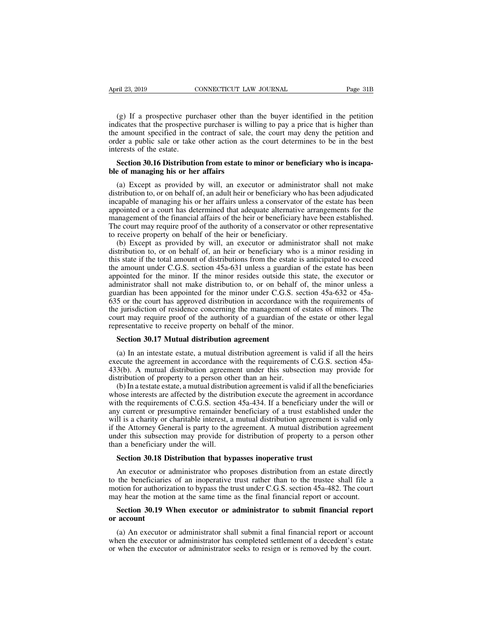(g) If a prospective purchaser other than the buyer identified in the petition<br>licates that the prospective purchaser is willing to pay a price that is higher than<br>e amount specified in the contract of sale, the court may April 23, 2019 CONNECTICUT LAW JOURNAL Page 31B<br>
(g) If a prospective purchaser other than the buyer identified in the petition<br>
indicates that the prospective purchaser is willing to pay a price that is higher than<br>
the a April 23, 2019 CONNECTICUT LAW JOURNAL Page 31B<br>
(g) If a prospective purchaser other than the buyer identified in the petition<br>
indicates that the prospective purchaser is willing to pay a price that is higher than<br>
the a April 23, 2019 CONNECTICUT LAW JOURNAL Page 31B<br>
(g) If a prospective purchaser other than the buyer identified in the petition<br>
indicates that the prospective purchaser is willing to pay a price that is higher than<br>
the a (g) If a prospective purindicates that the prospective<br>the amount specified in the<br>order a public sale or take<br>interests of the estate.<br>**Section 30.16 Distribution** (g) If a prospective purchaser other than the buyer identified in the petition indicates that the prospective purchaser is willing to pay a price that is higher than the amount specified in the contract of sale, the court (g) If a prospective purchaser other than<br>indicates that the prospective purchaser is wi<br>the amount specified in the contract of sale,<br>order a public sale or take other action as t<br>interests of the estate.<br>**Section 30.16 D** Exercise amount specified in the contract of sale, the court may deny the petition and<br>der a public sale or take other action as the court determines to be in the best<br>erests of the estate.<br>**Section 30.16 Distribution from** 

order a public sale or take other action as the court determines to be in the best<br>interests of the estate.<br>**Section 30.16 Distribution from estate to minor or beneficiary who is incapa-**<br>**ble of managing his or her affair** interests of the estate.<br> **Section 30.16 Distribution from estate to minor or beneficiary who is incapa-**<br> **ble of managing his or her affairs**<br>
(a) Except as provided by will, an executor or administrator shall not make<br> Section 30.16 Distribution from estate to minor or beneficiary who is incapa-<br>ble of managing his or her affairs<br>(a) Except as provided by will, an executor or administrator shall not make<br>distribution to, or on behalf of, Section 30.16 Distribution from estate to minor or beneficiary who is incapa-<br>ble of managing his or her affairs<br>(a) Except as provided by will, an executor or administrator shall not make<br>distribution to, or on behalf of, ble of managing his or her affairs<br>
(a) Except as provided by will, an executor or administrator shall not make<br>
distribution to, or on behalf of, an adult heir or beneficiary who has been adjudicated<br>
incapable of managin (a) Except as provided by will, an executor or administ<br>distribution to, or on behalf of, an adult heir or beneficiary who<br>incapable of managing his or her affairs unless a conservator<br>appointed or a court has determined t (a) Except as provided by will, an executor or administrator shall not make<br>tribution to, or on behalf of, an adult heir or beneficiary who has been adjudicated<br>capable of managing his or her affairs unless a conservator o distribution to, or on behalf of, an addit heli or beneficiary who has been adjudicated<br>incapable of managing his or her affairs unless a conservator of the estate has been<br>appointed or a court has determined that adequate

meapaore of managing ins of her attants unless a conservator of the estate has occh<br>appointed or a court has determined that adequate alternative arrangements for the<br>management of the financial affairs of the heir or bene appointed or a court has determined that adequate anternative arrangements for the management of the financial affairs of the heir or beneficiary have been established. The court may require proof of the authority of a con management of the minorial arians of the net of oentertedary have ocen established.<br>The court may require proof of the authority of a conservator or other representative<br>to receive property on behalf of the heir or benefi The court may require proof of the authority of a conservator of other representative<br>to receive property on behalf of the heir or beneficiary.<br>(b) Except as provided by will, an executor or administrator shall not make<br>d (b) Except as provided by will, an executor or administrator shall not make distribution to, or on behalf of, an heir or beneficiary who is a minor residing in this state if the total amount of distributions from the estat (b) Except as provided by win, an execution of administrator share in to make<br>distribution to, or on behalf of, an heir or beneficiary who is a minor residing in<br>this state if the total amount of distributions from the es distribution to, or on octrain of, an incrited of ocherricially who is a filmot residing in<br>this state if the total amount of distributions from the estate is anticipated to exceed<br>the amount under C.G.S. section 45a-631 u the amount under C.G.S. section 45a-631 unless a guardian of the estate has been<br>appointed for the minor. If the minor resides outside this state, the executor or<br>administrator shall not make distribution to, or on behalf incommutative to receive Theorem and appointed for the minor. If the minor resides outside this stand administrator shall not make distribution to, or on behalf of, guardian has been appointed for the minor under C.G.S. se ministrator shall not make distribution to, or on behal<br>ardian has been appointed for the minor under C.G.S.<br>5 or the court has approved distribution in accordance<br>e jurisdiction of residence concerning the management<br>urt 5 or the court has approved distribution in accordance with the requirements of<br>e jurisdiction of residence concerning the management of estates of minors. The<br>urt may require proof of the authority of a guardian of the e

the jurisdiction of residence concerning the management of estates of minors. The<br>court may require proof of the authority of a guardian of the estate or other legal<br>representative to receive property on behalf of the mino Fraction and provides a guardian of the estate or other legal<br>representative to receive property on behalf of the minor.<br>**Section 30.17 Mutual distribution agreement**<br>(a) In an intestate estate, a mutual distribution agree representative to receive property on behalf of the minor.<br> **Section 30.17 Mutual distribution agreement**<br>
(a) In an intestate estate, a mutual distribution agreement<br>
execute the agreement in accordance with the requireme Section 30.17 Mutual distribution agreement<br>
(a) In an intestate estate, a mutual distribution agreement is valid if all the heirs<br>
ecute the agreement in accordance with the requirements of C.G.S. section 45a-<br>
3(b). A m

Section 30.17 Mutual distribution agreement<br>
(a) In an intestate estate, a mutual distribution agreement is valid if all the heirs<br>
execute the agreement in accordance with the requirements of C.G.S. section 45a-<br>
433(b). (a) In an intestate estate, a mutual distribution agreement is valid if all the heirs execute the agreement in accordance with the requirements of C.G.S. section 45a-433(b). A mutual distribution agreement under this subs (a) In an increase estate, a middle distribution agreement is valid if an the hensexecute the agreement in accordance with the requirements of C.G.S. section 45a-433(b). A mutual distribution agreement under this subsecti A charity or charitable interest, a mutual distribution agreement is valid if all the beneficiaries whose interests are affected by the distribution agreement is valid if all the beneficiaries whose interests are affected  $433(0)$ . A mutual distribution agreement under this subsection may provide for distribution of property to a person other than an heir.<br>
(b) In a testate estate, a mutual distribution agreement is valid if all the benefi unstribution of property to a person other than an hen.<br>
(b) In a testate estate, a mutual distribution agreement is valid if all the beneficiaries<br>
whose interests are affected by the distribution execute the agreement in (b) In a testate estate, a mutual distribution<br>whose interests are affected by the distribution<br>with the requirements of C.G.S. section<br>any current or presumptive remainder<br>will is a charity or charitable interest, a<br>if th th the requirements of C.G.S. section 45a-434. If a beneficiary under<br>y current or presumptive remainder beneficiary of a trust establishe<br>Il is a charity or charitable interest, a mutual distribution agreement i<br>the Attor Il is a charity or charitable interest, a mutual distribution agreement is valid only<br>the Attorney General is party to the agreement. A mutual distribution agreement<br>der this subsection may provide for distribution of prop

if the Attorney General is party to the agreement. A mutual distribution agreement<br>under this subsection may provide for distribution of property to a person other<br>than a beneficiary under the will.<br>**Section 30.18 Distribu** under this subsection may provide for distribution of property to a person other<br>than a beneficiary under the will.<br>**Section 30.18 Distribution that bypasses inoperative trust**<br>An executor or administrator who proposes dis than a beneficiary under the will.<br> **Section 30.18 Distribution that bypasses inoperative trust**<br>
An executor or administrator who proposes distribution from an estate directly<br>
to the beneficiaries of an inoperative trust **Section 30.18 Distribution that bypasses inoperative trust**<br>An executor or administrator who proposes distribution from an estate directly<br>the beneficiaries of an inoperative trust rather than to the trustee shall file a<br> An executor or<br>
to the beneficiarie<br>
motion for authoriz<br>
may hear the motion<br>
Section 30.19 V<br>
or account<br>
(a) An executor the beneficiaries of an inoperative trust rather than to the trustee shall file a<br>btion for authorization to bypass the trust under C.G.S. section 45a-482. The court<br>ay hear the motion at the same time as the final financi

motion for authorization to bypass the trust under C.G.S. section 45a-482. The court<br>may hear the motion at the same time as the final financial report or account.<br>**Section 30.19 When executor or administrator to submit fi** may hear the motion at the same time as the final financial report or account.<br>Section 30.19 When executor or administrator to submit financial report<br>or account<br>(a) An executor or administrator shall submit a final financ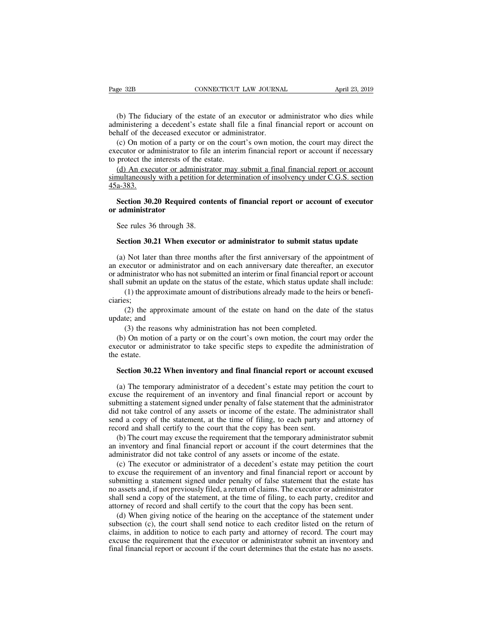(b) The fiduciary of the estate of an executor or administrator who dies while<br>ministering a decedent's estate shall file a final financial report or account on<br>half of the deceased executor or administrator. Page 32B CONNECTICUT LAW JOURNAL April 23, 2019<br>
(b) The fiduciary of the estate of an executor or administrator who dies while<br>
administering a decedent's estate shall file a final financial report or account on<br>
behalf o Page 32B<br>
CONNECTICUT LAW JOURNA<br>
(b) The fiduciary of the estate of an executor or administering a decedent's estate shall file a final fin<br>
behalf of the deceased executor or administrator.<br>
(c) On motion of a party or o

(b) The fiduciary of the estate of an executor or administrator who dies while<br>
ministering a decedent's estate shall file a final financial report or account on<br>
half of the deceased executor or administrator.<br>
(c) On mot (b) The fiduciary of the estate of an executor or administrator who dies while administering a decedent's estate shall file a final financial report or account on behalf of the deceased executor or administrator.<br>
(c) On (b) The fiduciary of the estate of an e<br>administering a decedent's estate shall fi<br>behalf of the deceased executor or admin<br>(c) On motion of a party or on the cour<br>executor or administrator to file an interir<br>to protect th (b) The fiduciary of the estate of an executor or administrator who dies while ministering a decedent's estate shall file a final financial report or account on half of the deceased executor or administrator.<br>(c) On motio administering a decedent's estate shall file a final financial report or account on<br>behalf of the deceased executor or administrator.<br>(c) On motion of a party or on the court's own motion, the court may direct the<br>executor

45a-383. (c) On motion of a party of on the court s own motion, the court may direct the<br>ecutor or administrator to file an interim financial report or account if necessary<br>protect the interests of the estate.<br>(d) An executor or ad Execution of administrator to<br>to protect the interests of the<br><u>(d) An executor or administration</u><br>simultaneously with a petitic<br>45a-383.<br>**Section 30.20 Required**<br>or administrator<br>See rules 36 through 38. (a) An executor or administration<br>multaneously with a petition for<br>a-383.<br>Section 30.20 Required cont<br>administrator<br>See rules 36 through 38.<br>Section 30.21 When executor

# **Section 30.20 Required contents of financial report or account of executor administrator**<br>See rules 36 through 38.<br>**Section 30.21 When executor or administrator to submit status update**<br>(a) Not later than three months aft

Section 30.20 Required contents of financial report or account of executor<br>administrator<br>See rules 36 through 38.<br>Section 30.21 When executor or administrator to submit status update<br>(a) Not later than three months after t or administrator<br>See rules 36 through 38.<br>Section 30.21 When executor or administrator to submit status update<br>(a) Not later than three months after the first anniversary of the appointment of<br>an executor or administrator See rules 36 through 38.<br>
Section 30.21 When executor or administrator to submit status update<br>
(a) Not later than three months after the first anniversary of the appointment of<br>
an executor or administrator and on each an See rules 30 through 38.<br>Section 30.21 When executor or administrator to submit status update<br>(a) Not later than three months after the first anniversary of the appointment of<br>an executor or administrator and on each anniv (1) the approximate amount of the estate on hand on the date of the status appointment of eccutor or administrator and on each anniversary date thereafter, an executor ministrator who has not submitted an interim or final (2) the approximate amount of the estate on hand on the date of the extendence of ministrator who has not submitted an interim or final financial report or account submit an update on the status of the estate, which status an executor or administrator who has<br>shall submit an update<br>(1) the approximat<br>ciaries;<br>(2) the approxima<br>update; and<br>(3) the reasons wl ministrator who has not submitted an interim or final financial reposeubmit an update on the status of the estate, which status update s(1) the approximate amount of distributions already made to the heiss;<br>(2) the approxi

ciaries;

all submit an update on the status of the estate, which status update shall include:<br>
(1) the approximate amount of distributions already made to the heirs or benefi-<br>
iries;<br>
(2) the approximate amount of the estate on ha (1) the approximate amount of distributions already made to the heirs or beneficiaries;<br>
(2) the approximate amount of the estate on hand on the date of the status<br>
update; and<br>
(3) the reasons why administration has not ciaries;<br>(2) the app<br>update; and<br>(3) the rea<br>(b) On motio<br>executor or adr<br>the estate.<br>**Section 30.2** date; and<br>
(3) the reasons why administration has not been completed.<br>
(b) On motion of a party or on the court's own motion, the court may order the<br>
ecutor or administrator to take specific steps to expedite the administ

(b) On motion of a party or on the court's own motion, the court may order the ecutor or administrator to take specific steps to expedite the administration of  $e$  estate.<br>Section 30.22 When inventory and final financial (b) On motion of a party or on the court's own motion, the court may order the executor or administrator to take specific steps to expedite the administration of the estate.<br> **Section 30.22 When inventory and final financi** executor or administrator to take specific steps to expedite the administration of<br>the estate.<br>Section 30.22 When inventory and final financial report or account excused<br>(a) The temporary administrator of a decedent's esta did not take control of any same inventory and final financial report or account excused<br>
(a) The temporary administrator of a decedent's estate may petition the court to<br>
excuse the requirement of an inventory and final f Section 30.22 When inventory and final financial report or account excused<br>(a) The temporary administrator of a decedent's estate may petition the court to<br>excuse the requirement of an inventory and final financial report Section 50.22 When inventory and final financial report or acco<br>(a) The temporary administrator of a decedent's estate may petition<br>excuse the requirement of an inventory and final financial report or<br>submitting a statemen (a) The temporary administrator of a decedent's estate may petition the court to cuse the requirement of an inventory and final financial report or account by bmitting a statement signed under penalty of false statement th excuse the requirement of an inventory and final financial report or account by<br>submitting a statement signed under penalty of false statement that the administrator<br>did not take control of any assets or income of the esta submitting a statement signed under penalty of false statement that the administered did not take control of any assets or income of the estate. The administrator send a copy of the statement, at the time of filing, to eac I not take control of any assets or income of the estate. The administrator shall<br>nd a copy of the statement, at the time of filing, to each party and attorney of<br>cord and shall certify to the court that the copy has been

send a copy of the statement, at the time of filing, to each party and attorney of<br>record and shall certify to the court that the copy has been sent.<br>(b) The court may excuse the requirement that the temporary administrato record and shall certify to the court that the copy has been sent.<br>
(b) The court may excuse the requirement that the temporary administrator submit<br>
an inventory and final financial report or account if the court determin (b) The court may excuse the requirement that the temporary administrator submit<br>an inventory and final financial report or account if the court determines that the<br>administrator did not take control of any assets or incom an inventory and final financial report or account if the court determines that the administrator did not take control of any assets or income of the estate.<br>
(c) The executor or administrator of a decedent's estate may pe administrator did not take control of any assets or income of the estate.<br>
(c) The executor or administrator of a decedent's estate may petition the court<br>
to excuse the requirement of an inventory and final financial repo (c) The executor or administrator of a decedent's estate may petition the court excuse the requirement of an inventory and final financial report or account by bmitting a statement signed under penalty of false statement t to excuse the requirement of an inventory and final financial report or account by submitting a statement signed under penalty of false statement that the estate has no assets and, if not previously filed, a return of clai

submitting a statement signed under penalty of false statement that the estate has<br>no assets and, if not previously filed, a return of claims. The executor or administrator<br>shall send a copy of the statement, at the time o all shows are all that the requirement that the time of claims. The executor or administrator shall send a copy of the statement, at the time of filing, to each party, creditor and attorney of record and shall certify to t fill find a copy of the statement, at the time of filing, to each party, creditor and attorney of record and shall certify to the court that the copy has been sent.<br>
(d) When giving notice of the hearing on the acceptance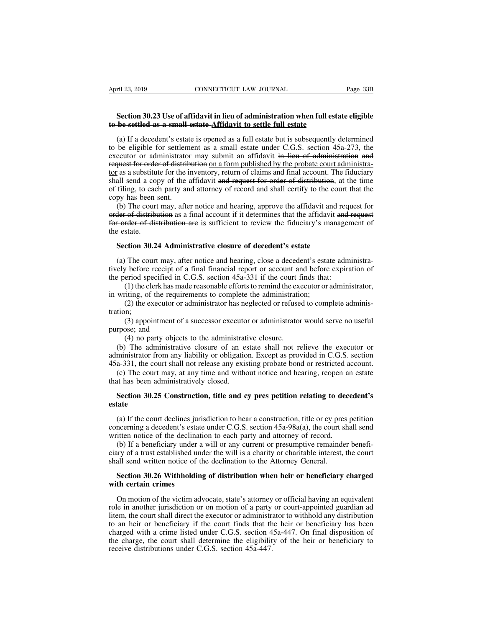# **FREE 338**<br>
Section 30.23 Use of affidavit in lieu of administration when full estate eligible<br>
be settled as a small estate Affidavit to settle full estate **to be settled as a small estate Affidavit in lieu of administration when full estate**<br> **to be settled as a small estate Affidavit to settle full estate**<br>
(a) If a decedent's estate is opened as a full estate but is subseq

(a) If a decedent's estate is opened as a full estate but is subsequently determined<br>(a) If a decedent's estate is opened as a full estate but is subsequently determined<br>be eligible for settlement as a small estate under C Section 30.23 Use of affidavit in lieu of administration when full estate eligible<br>to be settled as a small estate Affidavit to settle full estate<br>(a) If a decedent's estate is opened as a full estate but is subsequently Section 30.23 Use of affidavit in lieu of administration when full estate eligible<br>to be settled as a small estate Affidavit to settle full estate<br>(a) If a decedent's estate is opened as a full estate but is subsequently d **Section 30.23 Use of affidavit in lieu of administration when full estate eligible to be settled as a small estate-Affidavit to settle full estate (a) If a decedent's estate is opened as a full estate but is subsequently** Section 30.23 Use of all about in the inventory and administration when full estate engine<br>to be settled as a small estate  $\Delta$ ffidavit to settle full estate<br>(a) If a decedent's estate is opened as a full estate but is su **to be settled as a small estate-Affidavit to settle full estate**<br>(a) If a decedent's estate is opened as a full estate but is subsequently determined<br>to be eligible for settlement as a small estate under C.G.S. section 45 (a) If a decedent's estate is opened as a full estate but is subsequently determined<br>to be eligible for settlement as a small estate under C.G.S. section  $45a-273$ , the<br>executor or administrator may submit an affidavit in (a) If a decedent s estate<br>to be eligible for settlem<br>executor or administrator<br>request for order of district<br>tor as a substitute for the i<br>shall send a copy of the is<br>of filing, to each party an<br>copy has been sent.<br>(b) Th be engible to settement as a small estate anter C.O.B. section 45a 275, the ecutor or administrator may submit an affidavit in lieu of administration and quest for order of distribution on a form published by the probate request for order of distribution on a form published by the probate court administra-<br>tor as a substitute for the inventory, return of claims and final account. The fiduciary<br>shall send a copy of the affidavit and request for a substitute for the inventory, return of claims and final account. The fiduciary<br>shall send a copy of the affidavit and request for order of distribution, at the time<br>of filing, to each party and attorney of record a

**Example 18 a** substituted<br>shall send a cop<br>of filing, to eac<br>copy has been s<br>(b) The court<br>order of distribution<br>for order of distribution<br>the estate.<br>**Section 30.2** filing, to each party and attorney of record and shall certify to the coupy has been sent.<br>(b) The court may, after notice and hearing, approve the affidavit and refer of distribution as a final account if it determines th (b) The court may, after notice and hearing, approve the affidavit and request for<br>der of distribution as a final account if it determines that the affidavit and request<br>corder of distribution are is sufficient to review order of distribution as a final account if it determines that the affidavit and request<br>for order of distribution are is sufficient to review the fiduciary's management of<br>the estate.<br>Section 30.24 Administrative closure

for order of distribution are is sufficient to review the fiduciary's manager<br>the estate.<br>Section 30.24 Administrative closure of decedent's estate<br>(a) The court may, after notice and hearing, close a decedent's estate adm state.<br>
ction 30.24 Administrative closure of decedent's estate<br>
The court may, after notice and hearing, close a decedent's estate administra-<br>
pefore receipt of a final financial report or account and before expiration o **Section 30.24 Administrative closure of decedent's estate**<br>(a) The court may, after notice and hearing, close a decedent's estat<br>tively before receipt of a final financial report or account and before<br>the period specified The court may, after notice and hearing, close a decedent's estate administra-<br>  $v$  before receipt of a final financial report or account and before expiration of<br>
eriod specified in C.G.S. section 45a-331 if the court fi v before receipt of a final financial report or account and before expiration of eriod specified in C.G.S. section 45a-331 if the court finds that:<br>(1) the clerk has made reasonable efforts to remind the executor or admin

the period specified in (1) the clerk has may<br>in writing, of the require<br>(2) the executor or a<br>tration; (3) appointment of<br>purpose; and (4) no party object:<br>(b) The administrative

tration;

(1) the clerk has made reasonable efforts to remind the exerting, of the requirements to complete the administratio<br>(2) the executor or administrator has neglected or refuse<br>in;<br>(3) appointment of a successor executor or writing, of the requirements to complete the administration;<br>
(2) the executor or administrator has neglected or refused to complete adminis-<br>
tion;<br>
(3) appointment of a successor executor or administrator would serve no (2) the executor or administrator has neglected or refused to complete administration;<br>
(3) appointment of a successor executor or administrator would serve no useful<br>
purpose; and<br>
(4) no party objects to the administrat 45331, the court may, at any time and without notice and hearing, reopen an estate that has been administratively closed.<br>
45331, the court shall not release any existing probate bond or restricted account.<br>
45a-331, the c (3) appointment of a successor executor or administrator would serve no useful<br>rpose; and<br>(4) no party objects to the administrative closure.<br>(b) The administrative closure of an estate shall not relieve the executor or<br>m purpose; and<br>
(4) no party objects to the administrat<br>
(b) The administrative closure of an est<br>
administrator from any liability or obligatio<br>
45a-331, the court shall not release any exis<br>
(c) The court may, at any time (4) no party objects to the administrative closure.<br>
(b) The administrative closure of an estate shall not relieve the executor or<br>
ministrator from any liability or obligation. Except as provided in C.G.S. section<br>
a-331,

# **estate**

a-331, the court shall not release any existing probate bond or restricted account.<br>(c) The court may, at any time and without notice and hearing, reopen an estate<br>at has been administratively closed.<br>**Section 30.25 Constr** (c) The court may, at any time and without notice and hearing, reopen an estate<br>that has been administratively closed.<br>Section 30.25 Construction, title and cy pres petition relating to decedent's<br>estate<br>(a) If the court that has been administratively closed.<br> **Section 30.25 Construction, title and cy pres petition relating to decerate**<br>
(a) If the court declines jurisdiction to hear a construction, title or cy pres p<br>
concerning a deceden

Section 30.25 Construction, title and cy pres petition relating to decedent's<br>tate<br>(a) If the court declines jurisdiction to hear a construction, title or cy pres petition<br>ncerning a decedent's estate under C.G.S. section section 50.25 Construction, the and cy pres petition relating to decedent's<br>estate<br>(a) If the court declines jurisdiction to hear a construction, title or cy pres petition<br>concerning a decedent's estate under C.G.S. secti (a) If the court declines jurisdiction to hear a construction, title or cy preconcerning a decedent's estate under C.G.S. section  $45a-98a(a)$ , the court s written notice of the declination to each party and attorney of re (a) If the court declines jurisdiction to hear a construction, title or cy pres petition nocerning a decedent's estate under C.G.S. section 45a-98a(a), the court shall send itten notice of the declination to each party and written notice of the declination to each party and attorney of record.<br>
(b) If a beneficiary under a will or any current or presumptive remainder beneficiary of a trust established under the will is a charity or charitabl

(b) If a beneficiary under a will or any current or presumptive remainder benefi-<br>try of a trust established under the will is a charity or charitable interest, the court<br>all send written notice of the declination to the A ciary of a trust established under the will is a charity or charitable interest, the court<br>shall send written notice of the declination to the Attorney General.<br>**Section 30.26 Withholding of distribution when heir or benef** shall send written notice of the declination to the Attorney General.<br> **Section 30.26 Withholding of distribution when heir or beneficiary charged**<br>
with certain crimes<br>
On motion of the victim advocate, state's attorney o Section 30.26 Withholding of distribution when heir or beneficiary charged<br>with certain crimes<br>On motion of the victim advocate, state's attorney or official having an equivalent<br>role in another jurisdiction or on motion o **Section 30.26 Withholding of distribution when heir or beneficiary charged** with certain crimes<br>
On motion of the victim advocate, state's attorney or official having an equivalent<br>
role in another jurisdiction or on mot With certain crimes<br>On motion of the victim advocate, state's attorney or official having an equivalent<br>role in another jurisdiction or on motion of a party or court-appointed guardian ad<br>litem, the court shall direct the On motion of the victim advocate, state's attorney<br>role in another jurisdiction or on motion of a party<br>litem, the court shall direct the executor or administr-<br>to an heir or beneficiary if the court finds that the<br>charged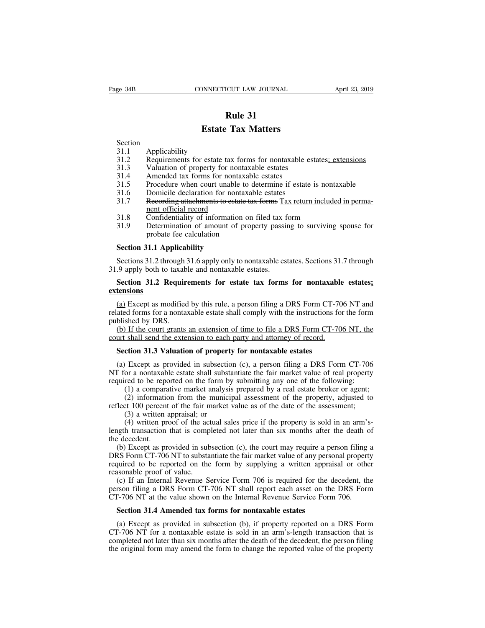# **Rule 31<br><b>Rule 31**<br>**Rule 31**<br>**Tax Matters EXECTICUT LAW JOURNAL**<br> **Extate Tax Matters**

Section

- **31.1**<br>**31.1**<br>**23.2** Requirements for estate tax forms for nontaxable estates<u>; extensions</u><br>31.3 Valuation of property for nontaxable estates<br>31.4 Amended tax forms for nontaxable estates **Estate Tax Matters**<br>
Section<br>
31.1 Applicability<br>
31.2 Requirements for estate tax forms for nontaxable est<br>
31.3 Valuation of property for nontaxable estates<br>
31.4 Amended tax forms for nontaxable estates<br>
31.5 Procedure **Estate Tax Matters**<br>
Section<br>
31.1 Applicability<br>
31.2 Requirements for estate tax forms for nontaxable est<br>
31.3 Valuation of property for nontaxable estates<br>
31.4 Amended tax forms for nontaxable estates<br>
31.5 Procedure
- **Estate**<br>
Section<br>
31.1 Applicability<br>
31.2 Requirements for estate<br>
31.3 Valuation of property fo
- 
- 
- 
- **Estate Tax Matters**<br>
Section<br>
31.1 Applicability<br>
31.2 Requirements for estate tax forms for nontaxable estates<u>; extensions</u><br>
31.3 Valuation of property for nontaxable estates<br>
31.4 Amended tax forms for nontaxable estat Section<br>
31.1 Applicability<br>
31.2 Requirements for estate tax forms for nontaxable est<br>
31.3 Valuation of property for nontaxable estates<br>
31.4 Amended tax forms for nontaxable estates<br>
31.5 Procedure when court unable to 31.1 Applicability<br>
31.2 Requirements for estate tax forms for nontaxable estates<u>; extensions</u><br>
31.3 Valuation of property for nontaxable estates<br>
31.3 Procedure when court unable to determine if estate is nontaxable<br>
31. Requirements for estate tax fo<br>Valuation of property for nont<br>Amended tax forms for nontax<br>Procedure when court unable i<br>Domicile declaration for nonta<br>Recording attachments to estate<br>nent official record<br>Confidentiality o 31.2 Requirements for estate tax forms for nontaxable estates, extensioned 31.3 Valuation of property for nontaxable estates<br>31.3 Procedure when court unable to determine if estate is nontaxable<br>31.6 Domicile declaration f 31.9 Valuation of property for homaxable estates<br>
31.4 Amended tax forms for nontaxable estates<br>
31.5 Procedure when court unable to determine if estate is nontaxable<br>
31.6 Domicile declaration for nontaxable estates<br>
31.7 Amended tax forms for nontaxabre<br>Procedure when court unable to d<br>Domicile declaration for nontaxabre<br>Recording attachments to estate tay<br>nent official record<br>Confidentiality of information on<br>Determination of amount of pr 31.6 Domicile declaration for non<br>
31.7 Recording attachments to esta<br>
<u>ment official record</u><br>
31.8 Confidentiality of informatio<br>
31.9 Determination of amount of<br>
probate fee calculation<br> **Section 31.1 Applicability**<br>
Sec
- 
- 

ment official record<br>
31.8 Confidentiality of information on filed tax form<br>
31.9 Determination of amount of property passing to surviving spouse for<br>
probate fee calculation<br>
Section 31.1 Applicability<br>
Sections 31.2 thro 31.8 Confidentiality of information on filed tax f<br>31.9 Determination of amount of property passin<br>probate fee calculation<br>Section 31.1 Applicability<br>Sections 31.2 through 31.6 apply only to nontaxable est<br>31.9 apply both 31.9 Determination of amount of property passing to surviving spouse for<br>probate fee calculation<br>Section 31.1 Applicability<br>Section 31.2 through 31.6 apply only to nontaxable estates. Sections 31.7 through<br>9 apply both to

# **extensions**

Section 31.1 Applicability<br>
Sections 31.2 through 31.6 apply only to nontaxable estates. Sections 31.7 through<br>
9 apply both to taxable and nontaxable estates.<br>
Section 31.2 Requirements for estate tax forms for nontaxable Sections 31.2 through 31.6 apply only to nontaxable estates. Sections 31.7 through 31.9 apply both to taxable and nontaxable estates.<br> **Section 31.2 Requirements for estate tax forms for nontaxable estates;**<br> **Section 31.2** 31.9 apply both to taxab<br>Section 31.2 Requir<br>extensions<br>(a) Except as modified<br>related forms for a nonta<br>published by DRS.<br>(b) If the court grants<br>court shall send the exte (a) Except as modified by this rule, a person filing a DRS Form CT-706 NT and  $\frac{1}{2}$  Except as modified by this rule, a person filing a DRS Form CT-706 NT and ated forms for a nontaxable estate shall comply with the in Section 31.2 Requirements for estate tax forms for nontaxable extensions<br>
(a) Except as modified by this rule, a person filing a DRS Form CT-70<br>
related forms for a nontaxable estate shall comply with the instructions for<br> **Section**<br> **SECTE 12.5 SECT 2016** (**a**) Except as modified by this rule, a person filing a DRS Form CT-7 ated forms for a nontaxable estate shall comply with the instructions for blished by DRS.<br> **(b)** If the court grants

(a) Except as provided in subsection (c), a person filing a DRS Form CT-706 NT, the unt shall send the extension of time to file a DRS Form CT-706 NT, the unt shall send the extension to each party and attorney of record.<br> published by DRS.<br>
(b) If the court grants an extension of time to file a DRS Form CT-706 NT, the<br>
court shall send the extension to each party and attorney of record.<br> **Section 31.3 Valuation of property for nontaxable es** (b) If the court grants an extension of time to file a DRS Form CT-706 NT, the court shall send the extension to each party and attorney of record.<br> **Section 31.3 Valuation of property for nontaxable estates**<br>
(a) Except a (1) a comparative market value as of the date of the assessment;<br>(2) a comparation of property for nontaxable estates<br>(1) Except as provided in subsection (c), a person filing a DRS Form CT-706<br>or a nontaxable estate shall (2) information from the municipal assessment of the assessment;<br>
(3) a written approach of the fair municipal assessment of the following:<br>
(1) a comparative market analysis prepared by a real estate broker or agent;<br>
(2) **Section 31.3 Valuation of property for nontaxable estates**<br>
(a) Except as provided in subsection (c), a person filing a DRS Form CT-706<br>
NT for a nontaxable estate shall substantiate the fair market value of real propert Except as provided in subsection<br>or a nontaxable estate shall subst<br>red to be reported on the form by<br>(1) a comparative market analysi<br>(2) information from the munici<br>ct 100 percent of the fair market<br>(3) a written apprais

Except as provided in subsection (c), a person rimg a DKS Form C1-700<br>or a nontaxable estate shall substantiate the fair market value of real property<br>red to be reported on the form by submitting any one of the following: length transaction that is completed not later than six months after the decedent.<br>
(b) Except as provided in subsection (c), the court may require a property, adjusted to reflect 100 percent of the fair market value as o required to be reported (1) a compara<br>
(2) informatic<br>
reflect 100 percent<br>
(3) a written a<br>
(4) written properties<br>
the decedent.<br>
(b) Except as properties

(b) a comparative market analysis prepared by a real estate broker or agent,<br>
(2) information from the municipal assessment of the property, adjusted to<br>
dect 100 percent of the fair market value as of the date of the ass (2) information from the maintepar assessment of the property, adjusted to reflect 100 percent of the fair market value as of the date of the assessment;<br>
(3) a written proport of the actual sales price if the property is reflect 100 percent of the fail market value as of the date of the assessment,<br>
(3) a written proof of the actual sales price if the property is sold in an arm's-<br>
length transaction that is completed not later than six mo (3) a written appraisat, or<br>
(4) written proof of the act<br>
length transaction that is comp<br>
the decedent.<br>
(b) Except as provided in sub<br>
DRS Form CT-706 NT to substa<br>
required to be reported on the<br>
reasonable proof of va (a) whiteh poor of the actual sates price if the property is sold in an all sample transaction that is completed not later than six months after the death of e decedent.<br>
(b) Except as provided in subsection (c), the cour the decedent.<br>
(b) Except as provided in subsection (c), the court may require a person filing a<br>
DRS Form CT-706 NT to substantiate the fair market value of any personal property<br>
required to be reported on the form by su (b) Except as provided in subsection (c), the court may require a person filing DRS Form CT-706 NT to substantiate the fair market value of any personal propert required to be reported on the form by supplying a written ap

RS Form CT-706 NT to substantiate the fair market value of any person quired to be reported on the form by supplying a written appraisonable proof of value.<br>
(c) If an Internal Revenue Service Form 706 is required for the

Sonable proof of value.<br>
(c) If an Internal Revenue Service Form 706 is required for the decedent, the<br>
rson filing a DRS Form CT-706 NT shall report each asset on the DRS Form<br>
T-706 NT at the value shown on the Internal (c) If an Internal Revenue Service Form 706 is required for the decedent, the person filing a DRS Form CT-706 NT shall report each asset on the DRS Form CT-706 NT at the value shown on the Internal Revenue Service Form 70 person filing a DRS Form CT-706 NT shall report each asset on the DRS Form CT-706 NT at the value shown on the Internal Revenue Service Form 706.<br>Section 31.4 Amended tax forms for nontaxable estates<br>(a) Except as provided CT-706 NT at the value shown on the Internal Revenue Service Form 706.<br> **Section 31.4 Amended tax forms for nontaxable estates**<br>
(a) Except as provided in subsection (b), if property reported on a DRS Form<br>
CT-706 NT for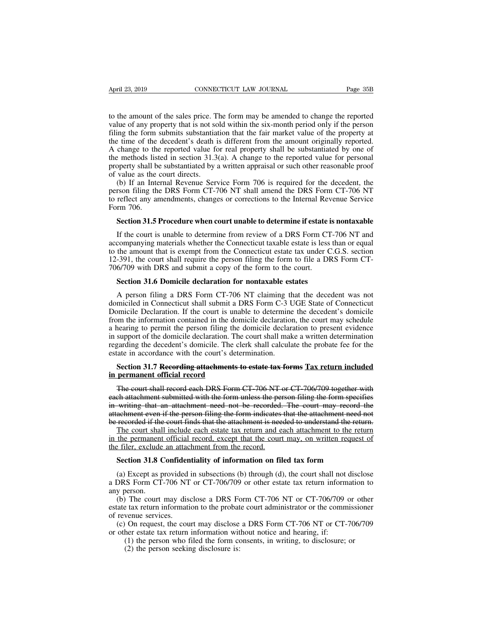April 23, 2019 CONNECTICUT LAW JOURNAL Page 35B<br>to the amount of the sales price. The form may be amended to change the reported<br>value of any property that is not sold within the six-month period only if the person<br>filing value of any property that is not sold within the six-month period only if the person<br>to the amount of the sales price. The form may be amended to change the reported<br>value of any property that is not sold within the six-m Filiph 23, 2019 **CONNECTICUT LAW JOURNAL** Page 35B<br>to the amount of the sales price. The form may be amended to change the reported<br>value of any property that is not sold within the six-month period only if the person<br>fili April 23, 2019 CONNECTICUT LAW JOURNAL Page 35B<br>to the amount of the sales price. The form may be amended to change the reported<br>value of any property that is not sold within the six-month period only if the person<br>filing The real property that is not sold within the six-month period of ange the reported value of any property that is not sold within the six-month period only if the person filing the form submits substantiation that the fair to the amount of the sales price. The form may be amended to change the reported value of any property that is not sold within the six-month period only if the person<br>filing the form submits substantiation that the fair ma to the amount of the sales price. The form may be amended to change the reported value of any property that is not sold within the six-month period only if the person filing the form submits substantiation that the fair ma of the amount of the sates price. The value of any property that is not so filing the form submits substantiate the time of the decedent's death is A change to the reported value for the methods listed in section 31.3 prop (b) If an Internal Revenue Service Form 706 is required for the decedent, the resonance of the decedent's death is different from the amount originally reported. Change to the reported value for real property shall be subs ming the form submits substantiation that the fan market value of the property at<br>the time of the decedent's death is different from the amount originally reported.<br>A change to the reported value for real property shall be the methods listed in section 31.3(a). A change to the reported value for real property shall be substantiated by one of the methods listed in section 31.3(a). A change to the reported value for personal property shall be

A change to the<br>the methods list<br>property shall be<br>of value as the of<br>(b) If an Inte<br>person filing the<br>to reflect any ar<br>Form 706.<br>**Section 31.5** betty shall be substantiated by a written appraisal or such other reasonable proof<br>value as the court directs.<br>(b) If an Internal Revenue Service Form 706 is required for the decedent, the<br>rson filing the DRS Form CT-706 N (b) If an Internal Revenue Service Form 706 is required for the decedent, the rson filing the DRS Form CT-706 NT shall amend the DRS Form CT-706 NT reflect any amendments, changes or corrections to the Internal Revenue Ser

person filing the DRS Form CT-706 NT shall amend the DRS Form CT-706 NT<br>to reflect any amendments, changes or corrections to the Internal Revenue Service<br>Form 706.<br>**Section 31.5 Procedure when court unable to determine if** to reflect any amendments, changes or corrections to the Internal Revenue Service<br>Form 706.<br>Section 31.5 Procedure when court unable to determine if estate is nontaxable<br>If the court is unable to determine from review of a Form 706.<br> **Section 31.5 Procedure when court unable to determine if estate is nontaxable**<br>
If the court is unable to determine from review of a DRS Form CT-706 NT and<br>
accompanying materials whether the Connecticut taxabl **Section 31.5 Procedure when court unable to determine if estate** If the court is unable to determine from review of a DRS Form C1 accompanying materials whether the Connecticut taxable estate is less to the amount that is If the court is unable to determine from review of a DRS Form CT-<br>
Section 31.6 Domicile also whether the Connecticut taxable estate is less the<br>
the amount that is exempt from the Connecticut estate tax under C.<br>
1991, th companying materials whether the Connecticut taxable estate is less than or equal<br>the amount that is exempt from the Connecticut estate tax under C.G.S. section<br>-391, the court shall require the person filing the form to f

to the amount that is exempt from the Connecticut estate tax under C.G.S. section 12-391, the court shall require the person filing the form to file a DRS Form CT-706/709 with DRS and submit a copy of the form to the court 12-391, the court shall require the person filing the form to file a DRS Form CT-<br>706/709 with DRS and submit a copy of the form to the court.<br>**Section 31.6 Domicile declaration for nontaxable estates**<br>A person filing a DR 706/709 with DRS and submit a copy of the form to the court.<br> **Section 31.6 Domicile declaration for nontaxable estates**<br>
A person filing a DRS Form CT-706 NT claiming that the decedent was not<br>
domiciled in Connecticut sh Section 31.6 Domicile declaration for nontaxable estates<br>A person filing a DRS Form CT-706 NT claiming that the decedent was not<br>domiciled in Connecticut shall submit a DRS Form C-3 UGE State of Connecticut<br>Domicile Declar Section 31.6 Domicile declaration for nontaxable estates<br>A person filing a DRS Form CT-706 NT claiming that the decedent was not<br>domiciled in Connecticut shall submit a DRS Form C-3 UGE State of Connecticut<br>Domicile Declar A person filing a DRS Form CT-706 NT claiming that the decedent was not<br>domiciled in Connecticut shall submit a DRS Form C-3 UGE State of Connecticut<br>Domicile Declaration. If the court is unable to determine the decedent's A person filling a DK3 Form CT-700 IVT claiming the domiciled in Connecticut shall submit a DRS Form C-3 U<br>Domicile Declaration. If the court is unable to determine<br>from the information contained in the domicile declaratio positive method is the court is unable to determine the decedent's domicile<br>the information contained in the domicile declaration, the court may schedule<br>nearing to permit the person filing the domicile declaration to pres from the information contained in the dom<br>a hearing to permit the person filing the c<br>in support of the domicile declaration. The<br>regarding the decedent's domicile. The cle<br>estate in accordance with the court's deter<br>**Sect** support of the domicile declaration. The court shall make a written determination<br>garding the decedent's domicile. The clerk shall calculate the probate fee for the<br>tate in accordance with the court's determination.<br>**Secti** 

regarding the decedent's domicile. The clerk shall calculate the probate fee for the estate in accordance with the court's determination.<br> **Section 31.7 Recording attachments to estate tax forms Tax return included**<br> **in p** in accordance with the court's determination.<br> **Section 31.7 Recording attachments to estate tax forms Tax return included**<br> **in permanent official record**<br>
The court shall record each DRS Form CT-706 NT or CT-706/709 toge Section 31.7 Recording attachments to estate tax forms Tax return included<br>in permanent official record<br>The court shall record each DRS Form CT-706 NT or CT-706/709 together with<br>each attachment submitted with the form unl Section 31.7 Recording attachments to estate tax forms Tax return included<br>in permanent official record<br>The court shall record each DRS Form CT-706 NT or CT-706/709 together with<br>each attachment submitted with the form unl permanent official record<br>The court shall record each DRS Form CT-706 NT or CT-706/709 together with<br>ch attachment submitted with the form unless the person filing the form specifies<br>writing that an attachment need not be The court shall record each DRS Form CT 706 NT or CT 706/709 together with<br>each attachment submitted with the form unless the person filing the form specifies<br>in writing that an attachment need not be recorded. The court m The coart shan record each DKS I of the CI-700 IVT<br>each attachment submitted with the form unless the per<br>in writing that an attachment need not be recorded.<br>attachment even if the person filing the form indicates<br>be recor

writing that an attachment need not be recorded. The court may record the achment even if the person filing the form indicates that the attachment need not recorded if the court finds that the attachment is needed to under recorded if the court finds that the attachment is needed to understand the return.<br>The court shall include each estate tax return and each attachment to the return<br>the permanent official record, except that the court may, The court shall include each estate tax return and each attachment to the return<br>in the permanent official record, except that the court may, on written request of<br>the filer, exclude an attachment from the record.<br>**Section** 

in the permanent<br>the filer, exclude<br>**Section 31.8 (**<br>(a) Except as p<br>a DRS Form CT<br>any person.<br>(b) The court<br>estate tax return i

(b) The court may disclose a DRS Form CT-706 NT or CT-706/709 or other exercise a provided in subsections (b) through (d), the court shall not disclose DRS Form CT-706 NT or CT-706/709 or other estate tax return informatio Section 31.8 Confidentiality of information on filed tax form<br>
(a) Except as provided in subsections (b) through (d), the court shall not disclose<br>
a DRS Form CT-706 NT or CT-706/709 or other estate tax return information Section 31.8 Confiden<br>
(a) Except as provided<br>
a DRS Form CT-706 NT<br>
any person.<br>
(b) The court may disestate tax return information<br>
of revenue services.<br>
(c) On request, the court of the restate tax return (a) Except as provided in subsections (b) through (d), the court shall not disclose<br>DRS Form CT-706 NT or CT-706/709 or other estate tax return information to<br>y person.<br>(b) The court may disclose a DRS Form CT-706 NT or C (a) Except as provided in subsections (b) unough (d), the court shart not<br>a DRS Form CT-706 NT or CT-706/709 or other estate tax return inform<br>any person.<br>(b) The court may disclose a DRS Form CT-706 NT or CT-706/709<br>esta (1) the person seeking disclosure is:<br>
(2) the person of the form CT-706/709 of other cancel the form.<br>
The court may disclose a DRS Form CT-706/709 or other extate tax return information to the probate court administrator (2) The court may disclose a DRS F<br>
e tax return information to the probat<br>
venue services.<br>
On request, the court may disclose<br>
her estate tax return information wit<br>
(1) the person who filed the form co<br>
(2) the person s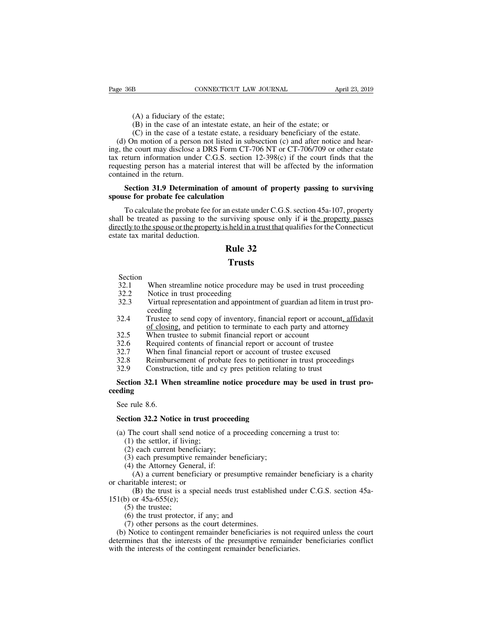- 
- Page 36B CONNECTICUT LAW JOURNAL April 23, 1<br>
(A) a fiduciary of the estate;<br>
(B) in the case of an intestate estate, an heir of the estate; or<br>
(C) in the case of a testate estate, a residuary beneficiary of the estate.
	-

(A) a fiduciary of the estate;<br>
(B) in the case of an intestate estate, an heir of the estate; or<br>
(C) in the case of a testate estate, a residuary beneficiary of the estate<br>
on motion of a person not listed in subsection (A) a fiduciary of the estate;<br>
(B) in the case of an intestate estate, an heir of the estate; or<br>
(C) in the case of a testate estate, a residuary beneficiary of the estate.<br>
(C) in the case of a testate estate, a residua (d) a fiduciary of the estate;<br>
(d) a fiduciary of the estate;<br>
(d) in the case of an intestate estate, an heir of the estate; or<br>
(c) in the case of a testate estate, a residuary beneficiary of the estate.<br>
(d) On motion (A) a fiduciary of the estate;<br>
(B) in the case of an intestate estate, an heir of the estate; or<br>
(C) in the case of a testate estate, a residuary beneficiary of the estate.<br>
(d) On motion of a person not listed in subsec (A) a fiduciary of the estate;<br>
(B) in the case of an intestate estate, an heir of the estate; or<br>
(C) in the case of a testate estate, a residuary beneficiary of the estate.<br>
(d) On motion of a person not listed in subse (A) a fiduciary of the estate;<br>
(B) in the case of an intestate estate, an heir of the estate; or<br>
(C) in the case of a testate estate, a residuary beneficiary of the estate.<br>
(d) On motion of a person not listed in subse (A) a holder of the case of an<br>
(B) in the case of an<br>
(C) in the case of a te<br>
(d) On motion of a person<br>
ing, the court may disclose a<br>
tax return information under<br>
requesting person has a mate<br>
contained in the return. (C) in the case of a testate estate, a residuary beneficiary of the estate.<br>
1) On motion of a person not listed in subsection (c) and after notice and hear-<br>
the court may disclose a DRS Form CT-706 NT or CT-706/709 or o (d) On motion of a person not listed in subsecting, the court may disclose a DRS Form CT-706 tax return information under C.G.S. section 12 requesting person has a material interest that w contained in the return.<br>**Section** eturn information under C.G.S. section 12-398(c) if the court finds that the<br>esting person has a material interest that will be affected by the information<br>ined in the return.<br>**Section 31.9 Determination of amount of prope** 

requesting person has a material interest that will be affected by the information<br>contained in the return.<br>**Section 31.9 Determination of amount of property passing to surviving**<br>**spouse for probate fee calculation**<br>To ca contained in the return.<br>
Section 31.9 Determination of amount of property passing to surviving<br>
spouse for probate fee calculation<br>
To calculate the probate fee for an estate under C.G.S. section 45a-107, property<br>
shall Section 31.9 Determination<br>spouse for probate fee calculation.<br>To calculate the probate fee for<br>shall be treated as passing to the<br>directly to the spouse or the propert<br>estate tax marital deduction. **f** amount of property<br>in estate under C.G.S. se<br>inviving spouse only if<br>sheld in a trust that qual:<br>**Rule 32**<br>**Trusts** 32.1 When streamline notice procedure may be used in trust proceeding<br>32.1 When streamline notice procedure may be used in trust proceeding<br>32.2 Notice in trust proceeding<br>32.3 Virtual representation and appointment of gua

## **Trusts**

- Section<br>32.1 When streamline notice procedure may be used in trust proceeding
- 
- **22**<br> **22**<br> **22**<br> **22**<br> **32.1**<br> **23.2**<br>
Notice in trust proceeding<br> **32.3**<br>
Virtual representation and appointmen<br>
ceeding **32.1**<br>**Trusts**<br>**Section**<br>**32.1** When streamline notice procedure may be used in trust proceeding<br>**32.2** Notice in trust proceeding<br>**32.3** Virtual representation and appointment of guardian ad litem in trust pro-<br>ceeding<br> ceeding<br>Trustee to send copy of inventory, financial report or account, affidavit
- **Section**<br>
32.1 When streamline notice procedure may be used in trust proceeding<br>
32.2 Notice in trust proceeding<br>
32.3 Virtual representation and appointment of guardian ad litem in trust pro-<br>
ceeding<br>
32.4 Trustee to se When streamline notice procedure may be used in trust proceeding<br>Notice in trust proceeding<br>Virtual representation and appointment of guardian ad litem in trust pro-<br>ceeding<br>Trustee to send copy of inventory, financial rep 32.1 When streamline notice procedure may be used in trust<br>32.2 Notice in trust proceeding<br>32.3 Virtual representation and appointment of guardian ad lite<br>ceeding<br>32.4 Trustee to send copy of inventory, financial report or 32.1 When steamline holice procedure may be used in thust procedure<br>32.2 Notice in trust proceeding<br>32.3 Virtual representation and appointment of guardian ad litem in trust pro<br>ceeding<br>32.4 Trustee to send copy of invento 32.3 Virtual representation and appointment of guardian ad litem in trust proceeding<br>32.4 Trustee to send copy of inventory, financial report or account, affidate<br>32.5 When trustee to submit financial report or account<br>32. 32.3 White representation and appointment of guardian ad inclinit trust pro-<br>32.3 Trustee to send copy of inventory, financial report or account<u>, affidavit</u><br>32.5 When trustee to submit financial report or account<br>32.6 Req 32.4 Trustee to send copy of inventory, financial report or account<br>of closing, and petition to terminate to each party and attorn<br>32.5 When trustee to submit financial report or account<br>32.6 Required contents of financial
- 
- 
- 
- 
- 

# of closing, and petition to terminate to each party and attorney<br>
32.5 When trustee to submit financial report or account<br>
32.6 Required contents of financial report or account of trustee<br>
32.7 When final financial report **ceeding** 32.7 When fir<br>
32.8 Reimburs<br>
32.9 Construc<br> **Section 32.1 When See rule 8.6.**<br> **Section 32.2 Notical** S2.6 Remiousement of probate lees to pentione<br> **Section 32.1 When streamline notice procedure is<br>
Section 32.1 When streamline notice procedure is<br>
Section 32.2 Notice in trust proceeding<br>
(a) The court shall send notice o** Section 32.1 When streamline notice procedure may be used in trust<br>eding<br>See rule 8.6.<br>Section 32.2 Notice in trust proceeding<br>(a) The court shall send notice of a proceeding concerning a trust to:<br>(1) the settlor, if livi (1) the settlem set and the settlem<br>
(1) the settlor, if living;<br>
(1) the settlor, if living;<br>
(2) each current beneficiary;<br>
(3) each presumptive remaind

- e rule 8.6.<br>
ction 32.2 Notice in trust proceed<br>
The court shall send notice of a p<br>
(1) the settlor, if living;<br>
(2) each current beneficiary;<br>
(3) each presumptive remainder be<br>
(4) the Attorney General, if: e rule 8.6.<br> **ction 32.2 Notice in trust proceeding**<br>
The court shall send notice of a proceeding conce<br>
(1) the settlor, if living;<br>
(2) each current beneficiary;<br>
(3) each presumptive remainder beneficiary;<br>
(4) the Atto
	-
	-
	-
	-

**ction 32.2 Notice in trust proceed**<br>(1) the court shall send notice of a p<br>(1) the settlor, if living;<br>(2) each current beneficiary;<br>(3) each presumptive remainder be<br>(4) the Attorney General, if:<br>(A) a current beneficiar (A) a current beneficiary or presumptive remainder beneficiary;<br>
(A) a current beneficiary;<br>
(A) a current beneficiary;<br>
(A) a current beneficiary is a charity or presumptive remainder beneficiary is a charity<br>
(A) a curr

# (a) The court shall send notio<br>
(1) the settlor, if living;<br>
(2) each current beneficiar<br>
(3) each presumptive rema<br>
(4) the Attorney General, i<br>
(A) a current beneficiary<br>
or charitable interest; or<br>
(B) the trust is a s (B) the settlor, if living;<br>
(B) the settlor, if living;<br>
(B) each current beneficiary;<br>
(B) each presumptive remainder beneficiary;<br>
(A) a current beneficiary or presumptive remainder beneficiary is a charity<br>
(A) a curre (1) the settor, it it will<br>
(2) each current benefit<br>
(3) each presumptive r<br>
(4) the Attorney Gener<br>
(A) a current benefit<br>
or charitable interest; or<br>
(B) the trust is a spe<br>
151(b) or 45a-655(e);<br>
(5) the trustee;<br>
(6) (3) each current between<br>
(3) each presumptive<br>
(4) the Attorney Gen<br>
(A) a current bene<br>
arritable interest; or<br>
(B) the trust is a s<br>
(5) or 45a-655(e);<br>
(5) the truste;<br>
(6) the trust protecto<br>
(7) other persons as (3) cach presumptive remainder benefielary,<br>
(4) the Attorney General, if:<br>
(A) a current beneficiary or presumptive rearitable interest; or<br>
(B) the trust is a special needs trust estable<br>
(6) or 45a-655(e);<br>
(5) the tru

- 
- 

(4) the Attorney General, in:<br>
(A) a current beneficiary or presumptive rem<br>
aritable interest; or<br>
(B) the trust is a special needs trust establis<br>
(b) or 45a-655(e);<br>
(5) the trustes;<br>
(6) the trust protector, if any; a (A) a current beneficiary of presumptive remainder beneficiary is a charity<br>charitable interest; or<br>(B) the trust is a special needs trust established under C.G.S. section 45a-<br>1(b) or 45a-655(e);<br>(5) the trustee;<br>(6) the (B) the trust is a special needs trust established under C.G.S. section 45a-<br>151(b) or 45a-655(e);<br>(5) the trustee;<br>(6) the trust protector, if any; and<br>(7) other persons as the court determines.<br>(b) Notice to contingent (b) the thist is a special necess thist established and<br>151(b) or 45a-655(e);<br>(5) the trustee;<br>(6) the trust protector, if any; and<br>(7) other persons as the court determines.<br>(b) Notice to contingent remainder beneficiari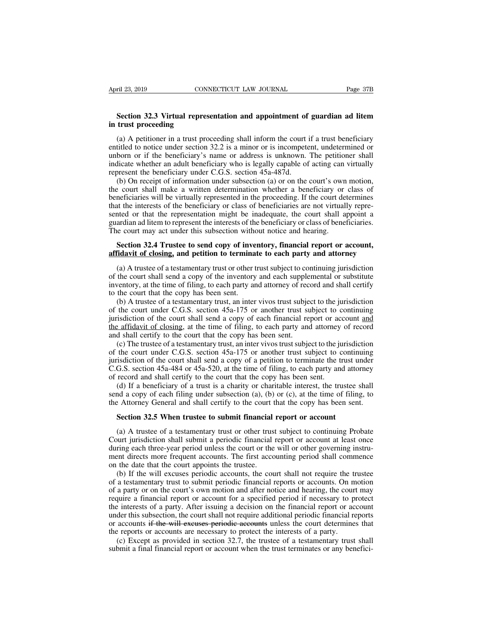# **EXECTIVE SECTION CONNECTICUT LAW JOURNAL** Page 37B<br> **Section 32.3 Virtual representation and appointment of guardian ad litem**<br> **EXECTION 12.3 Virtual representation and appointment of guardian ad litem in trust proceeding**<br> **in trust proceeding**<br> **in trust proceeding**<br> **in A petitioner in a trust proceeding**

(a) A petitioner in a trust proceeding shall inform the court if a trust beneficiary<br>(a) A petitioner in a trust proceeding shall inform the court if a trust beneficiary<br>titled to notice under section 32.2 is a minor or is EXECTE THE SURVEY CONVECTIVE THE SURVEY THE SURVEY THE SURVEY THE SECTION SECTION THAN SUCH SECTION IN A DETERMINED SECTION IN THE SECTION (a) A petitioner in a trust proceeding shall inform the court if a trust beneficia **Section 32.3 Virtual representation and appointment of guardian ad litem** in trust proceeding<br>in trust proceeding<br>(a) A petitioner in a trust proceeding shall inform the court if a trust beneficiary<br>entitled to notice un **Section 32.3 Virtual representation and appointment of guardian ad litem**<br>in trust proceeding<br>(a) A petitioner in a trust proceeding shall inform the court if a trust beneficiary<br>entitled to notice under section 32.2 is **Section 32.3 Virtual representation and appointment of**<br>in trust proceeding<br>(a) A petitioner in a trust proceeding shall inform the court intitled to notice under section 32.2 is a minor or is incompete<br>unborn or if the trust proceeding<br>
(a) A petitioner in a trust proceeding shall inform the court if a trust beneficiary<br>
titled to notice under section 32.2 is a minor or is incompetent, undetermined or<br>
born or if the beneficiary's name (a) A petitioner in a trust proceeding shall inform the court if a trust beneficiary<br>entitled to notice under section 32.2 is a minor or is incompetent, undetermined or<br>unborn or if the beneficiary's name or address is un

(a) A pethological in a this proceeding shall momin the court if a this denertially entitled to notice under section 32.2 is a minor or is incompetent, undetermined or unborn or if the beneficiary's name or address is unk that the interests of the beneficiary or date interests of the beneficiary or class of beneficiary who is legally capable of acting can virtually represent the beneficiary under C.G.S. section  $45a-487d$ .<br>
(b) On receipt indicate whether an adult beneficiary who is legally capable of acting can virtually represent the beneficiary under C.G.S. section 45a-487d.<br>
(b) On receipt of information under subsection (a) or on the court's own motion mateate whether an addit benchemary who is tegany eapable of acting can virtually<br>represent the beneficiary under C.G.S. section 45a-487d.<br>(b) On receipt of information under subsection (a) or on the court's own motion,<br>th (b) On receipt of information under subsection (a) or on the court's own<br>the court shall make a written determination whether a beneficiary or<br>beneficiaries will be virtually represented in the proceeding. If the court de<br> Exercise court shall make a written determination whether a beneficiary or class of ineficiaries will be virtually represented in the proceeding. If the court determines at the interests of the beneficiary or class of bene beneficiaries will be virtually represented in the proceeding. If the court determines<br>that the interests of the beneficiary or class of beneficiaries are not virtually repre-<br>sented or that the representation might be ina

inted or that the representation might be inadequate, the court shall appoint a ardian ad litem to represent the interests of the beneficiary or class of beneficiaries.<br>
se court may act under this subsection without notic guardian ad litem to represent the interests of the beneficiary or class of beneficiaries.<br>The court may act under this subsection without notice and hearing.<br>**Section 32.4 Trustee to send copy of inventory, financial repo** The court may act under this subsection without notice and hearing.<br> **Section 32.4 Trustee to send copy of inventory, financial report or account,**<br> **affidavit of closing, and petition to terminate to each party and attorn Section 32.4 Trustee to send copy of inve**<br>**affidavit of closing, and petition to termina**<br>(a) A trustee of a testamentary trust or other t<br>of the court shall send a copy of the inventory<br>inventory, at the time of filing, Section 32.4 Trustee to send copy of inventory, financial report or account,<br>fidavit of closing, and petition to terminate to each party and attorney<br>(a) A trustee of a testamentary trust or other trust subject to continu

and a court of the court shall send a copy of the inventory and attorney<br>(a) A trustee of a testamentary trust or other trust subject to continuing jurisdiction<br>of the court shall send a copy of the inventory and each sup (a) A trustee of a testamentary trust or other trust subject to continuing jurisdiction of the court shall send a copy of the inventory and each supplemental or substitute inventory, at the time of filing, to each party a (a) Translet of a testamentally disk of other disk slopect to continuing jurisdiction<br>of the court shall send a copy of the inventory and each supplemental or substitute<br>inventory, at the time of filing, to each party and and shall certify and shall certify of the inventory and each supplies<br>inventory, at the time of filing, to each party and attorney of rec-<br>to the court that the copy has been sent.<br>(b) A trustee of a testamentary trust, (b) A trustee of a testamentary trust, an inter vivos trust subject to the jurisdiction the court under C.G.S. section 45a-175 or another trust subject to continuing isdiction of the court shall send a copy of each financ (b) A trustee of a testamentary trust, an inter vivos trust subject to the jurisdiction of the court under C.G.S. section  $45a-175$  or another trust subject to continuing jurisdiction of the court shall send a copy of eac

(b) A disket of a testamentary trust, an inter vivos trast storject to the jurisdiction of the court under C.G.S. section 45a-175 or another trust subject to continuing jurisdiction of the court shall send a copy of each or the coard under exonstracted with 45a-484 or 45a-484 or 45a-175 or another trast stationed to communing the affidavit of closing, at the time of filing, to each party and attorney of record and shall certify to the cour jurisdiction of the court shall send a copy of each financial report or account <u>and</u><br>the affidavit of closing, at the time of filing, to each party and attorney of record<br>and shall certify to the court that the copy has b (d) If a beneficiary of a trust is a charity or charitable interest, the trustee of a testamentary trust, an inter vivos trust subject to the jurisdiction the court under C.G.S. section 45a-175 or another trust subject to send by the contract which is the time of the initial contribution of the court under C.G.S. section 45a-175 or another trust subject to continuing jurisdiction of the court shall send a copy of a petition to terminate th (c) The trastee of a testamentary trast, an inter vivos trast structure of the court under C.G.S. section 45a-175 or another trust subject to continuing jurisdiction of the court shall send a copy of a petition to termina

Tradiction of the court shall send a copy of a petition to terminate the trust u<br>G.S. section 45a-484 or 45a-520, at the time of filing, to each party and atto<br>record and shall certify to the court that the copy has been s

record and shall certify to the court that the copy has been sent.<br>
(d) If a beneficiary of a trust is a charity or charitable interest, the trustee shall<br>
nd a copy of each filing under subsection (a), (b) or (c), at the (d) If a beneficiary of a trust is a charity or charitable interest, the trustee shall send a copy of each filing under subsection (a), (b) or (c), at the time of filing, to the Attorney General and shall certify to the c send a copy of each filing under subsection (a), (b) or (c), at the time of filing, to the Attorney General and shall certify to the court that the copy has been sent.<br> **Section 32.5 When trustee to submit financial report** the Attorney General and shall certify to the court that the copy has been sent.<br> **Section 32.5 When trustee to submit financial report or account**<br>
(a) A trustee of a testamentary trust or other trust subject to continuin **Section 32.5 When trustee to submit financial**<br>(a) A trustee of a testamentary trust or other trus<br>Court jurisdiction shall submit a periodic financial<br>during each three-year period unless the court or the<br>ment directs mo Section 32.5 When trustee to submit financial report or account<br>(a) A trustee of a testamentary trust or other trust subject to continuing Probate<br>urt jurisdiction shall submit a periodic financial report or account at lea (a) A trustee of a testamentary trust or other trust subject to continuing Probate<br>Court jurisdiction shall submit a periodic financial report or account at least once<br>during each three-year period unless the court or the

(a) A trastee or a testamentary trust or other trast stocket to continuing rrotate Court jurisdiction shall submit a periodic financial report or account at least once during each three-year period unless the court or the Court jurisdiction shall submit a periodic infinite-tal report or account at least once<br>during each three-year period unless the court or the will or other governing instru-<br>ment directs more frequent accounts. The first a during caen ince-year period amess the court of the win of other governing instrument directs more frequent accounts. The first accounting period shall commence on the date that the court appoints the trustee.<br>
(b) If the ment directs informed increases. The first accounting period shall commence on the date that the court appoints the trustee.<br>
(b) If the will excuses periodic accounts, the court shall not require the trustee of a testamen (b) If the will excuses periodic accounts, the court shall not require the trustee of a testamentary trust to submit periodic financial reports or accounts. On motion of a party or on the court's own motion and after noti (b) If the will excluses periodic accounts, the court shall not require the dividend of a testamentary trust to submit periodic financial reports or accounts. On m of a party or on the court's own motion and after notice a testamentary trust to stable protote infinite the rotice and hearing, the court may<br>a party or on the court's own motion and after notice and hearing, the court may<br>quire a financial report or account for a specified per submit a final financial report or account for a specified period if necessary to protect<br>the interests of a party. After issuing a decision on the financial report or account<br>under this subsection, the court shall not req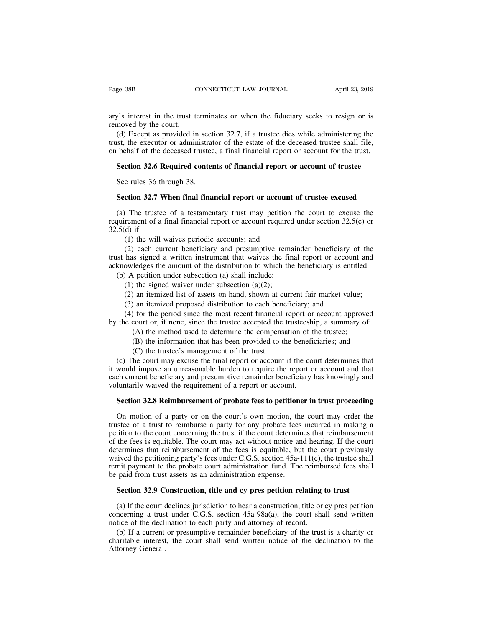Page 38B<br>
CONNECTICUT LAW JOURNAL<br>
CONNECTICUT LAW JOURNAL<br>
ary's interest in the trust terminates or when the fiduciary seeks to resign or is<br>
removed by the court.<br>
(d) Except as provided in section 32.7, if a trustee di Page 38B CONNECTICUT LAW JOURNAL April 23, 2019<br>ary's interest in the trust terminates or when the fiduciary seeks to resign or is<br>removed by the court.<br>(d) Except as provided in section 32.7, if a trustee dies while admin

(d) Except as provided in section 32.7, if a trustee dies while administering the section 32.7, if a trustee dies while administering the section 32.7, if a trustee dies while administering the section of administrator of The executor or administrator of the estate of the deceased trustee shall file,<br>and the executor or administrator of the estate of the deceased trustee shall file,<br>on behalf of the deceased trustee, a final financial repor ary's interest in the trust terminates or when the fiduciary seeks to resign or is<br>removed by the court.<br>(d) Except as provided in section 32.7, if a trustee dies while administering the<br>trust, the executor or administrato y's interest in the trust terminates or when the fiduciary seeks to resign or is moved by the court.<br>
(d) Except as provided in section 32.7, if a trustee dies while administering the st, the executor or administrator of t See rules 36 through 38.<br>See rules 32.6 Required contents 32.6 Required content<br>See rules 36 through 38.<br>Section 32.7 When final final Integrals, the executor or administrator of the estate of the deceased trustee shall file, behalf of the deceased trustee, a final financial report or account for the trust.<br> **Section 32.6 Required contents of financial re** 

Section 32.6 Required contents of financial report or account of trustee<br>See rules 36 through 38.<br>Section 32.7 When final financial report or account of trustee excused<br>(a) The trustee of a testamentary trust may petition **Section 32.6 Required contents of financial report or account of trustee**<br>See rules 36 through 38.<br>**Section 32.7 When final financial report or account of trustee excused**<br>(a) The trustee of a testamentary trust may peti See rules 36 t<br>
Section 32.7<br>
(a) The truste<br>
requirement of a<br>
32.5(d) if:<br>
(1) the will<br>
(2) each cu (1) the will wave final financial report or account<br>(1) The trustee of a testamentary trust may petition<br>rement of a final financial report or account required<br>(1) if:<br>(1) the will waives periodic accounts; and<br>(2) each cu

**ction 32.7 When final financial report or account of trustee excused**<br>The trustee of a testamentary trust may petition the court to excuse the<br>rement of a final financial report or account required under section  $32.5(c)$ (a) The trustee of a testamentary trust may petition the court to excuse the requirement of a final financial report or account required under section 32.5(c) or 32.5(d) if:<br>
(1) the will waives periodic accounts; and<br>
(2 (a) The trustee of a testamentary trust may petition the court to excuse the requirement of a final financial report or account required under section 32.5(c) or 32.5(d) if:<br>
(1) the will waives periodic accounts; and<br>
(2 quirement of a final financial report or account required<br>.5(d) if:<br>(1) the will waives periodic accounts; and<br>(2) each current beneficiary and presumptive rema<br>st has signed a written instrument that waives the fin<br>knowl (1) the will waives periodic accounts; and<br>
(2) each current beneficiary and presumptive rems<br>
has signed a written instrument that waives the fir<br>
bowledges the amount of the distribution to which the<br>
(1) A petition und (1) the will waives periodic accounts; and<br>
(2) each current beneficiary and presumptive remainder beneficiary of the<br>
has signed a written instrument that waives the final report or account and<br>
owledges the amount of th (2) each current beneficiary and presumptive remainder beneficiary of has signed a written instrument that waives the final report or account owledges the amount of the distribution to which the beneficiary is entitled an mas signed a written instrument that waives the rinal report or account and<br>owledges the amount of the distribution to which the beneficiary is entitled.<br>(1) A petition under subsection (a) shall include:<br>(1) the signed w

acknowleages the amount or the distribution to which the beneficiary is entitled.<br>
(b) A petition under subsection (a) shall include:<br>
(1) the signed waiver under subsection (a)(2);<br>
(2) an itemized list of assets on hand, (A) the signed waiver under subsection (a) shall include:<br>
(a) the signed waiver under subsection (a)(2);<br>
(a) an itemized list of assets on hand, shown at current fair market value;<br>
(a) an itemized proposed distribution (B) the signed waver under subsection (a)(2);<br>
an itemized list of assets on hand, shown at current fair market value;<br>
(a) an itemized proposed distribution to each beneficiary; and<br>
(b) for the period since the most rec

(a) an itemized list of assets on hand, shown at cumum and and teminated proposed distribution to each bend for the period since the most recent financial court or, if none, since the trustee accepted the (A) the method us (3) an itemized proposed distribution to each beneficiary; and<br>
(4) for the period since the most recent financial report or account approved<br>
the court or, if none, since the trustee accepted the trusteeship, a summary o (4) for the period since the most recent financial report or account approved<br>by the court or, if none, since the trustee accepted the trusteeship, a summary of:<br>(A) the method used to determine the compensation of the tr by the court or, if none, since the trustee accepted the trusteeship, a summary of:<br>
(A) the method used to determine the compensation of the trustee;<br>
(B) the information that has been provided to the beneficiaries; and<br> (A) the method used to determine the compensation of t<br>
(B) the information that has been provided to the benefic<br>
(C) the trustee's management of the trust.<br>
(c) The court may excuse the final report or account if the cou (b) the internation that has been provided to the bencheraries, and<br>
(c) the trustee's management of the trust.<br>
(c) The court may excuse the final report or account if the court determines that<br>
would impose an unreasonab (c) The court may excuse the final report or account if the court determines that<br>would impose an unreasonable burden to require the report or account and that<br>ch current beneficiary and presumptive remainder beneficiary h

It would impose an unreasonable burden to require the report or account and that<br>each current beneficiary and presumptive remainder beneficiary has knowingly and<br>voluntarily waived the requirement of a report or account.<br> each current beneficiary and presumptive remainder beneficiary has knowingly and<br>voluntarily waived the requirement of a report or account.<br>**Section 32.8 Reimbursement of probate fees to petitioner in trust proceeding**<br>On voluntarily waived the requirement of a report or account.<br> **Section 32.8 Reimbursement of probate fees to petitioner in trust proceeding**<br>
On motion of a party or on the court's own motion, the court may order the<br>
truste **Section 32.8 Reimbursement of probate fees to petitioner in trust proceeding**<br>On motion of a party or on the court's own motion, the court may order the<br>trustee of a trust to reimburse a party for any probate fees incurr Section 32.8 Reimbursement of probate lees to petitioner in trust proceeding<br>On motion of a party or on the court's own motion, the court may order the<br>trustee of a trust to reimburse a party for any probate fees incurred On motion of a party or on the court's own motion, the court may order the trustee of a trust to reimburse a party for any probate fees incurred in making a petition to the court concerning the trust if the court determine On motion of a party of on the court's own motion, the<br>trustee of a trust to reimburse a party for any probate fees<br>petition to the court concerning the trust if the court determin<br>of the fees is equitable. The court may a tition to the court concerning the trust if the court determines that reimbursement<br>the fees is equitable. The court may act without notice and hearing. If the court<br>termines that reimbursement of the fees is equitable, bu termines that reimbursement of the fees is equitable, but the court previously<br>ived the petitioning party's fees under C.G.S. section 45a-111(c), the trustee shall<br>mit payment to the probate court administration fund. The

waved the petitioning party's tees under C.G.S. section 45a-111(c), the trustee shall<br>remit payment to the probate court administration fund. The reimbursed fees shall<br>be paid from trust assets as an administration expens remit payment to the probate court administration tund. The reimbuble paid from trust assets as an administration expense.<br> **Section 32.9 Construction, title and cy pres petition relating t**<br>
(a) If the court declines juri paid from trust assets as an administration expense.<br>Section 32.9 Construction, title and cy pres petition relating to trust<br>(a) If the court declines jurisdiction to hear a construction, title or cy pres petition<br>neerning **Section 32.9 Construction, title and cy pres petition relating to trust**<br>(a) If the court declines jurisdiction to hear a construction, title or cy pres petition<br>concerning a trust under C.G.S. section  $45a-98a(a)$ , the c (a) If the court concerning a trus<br>concerning a trus<br>notice of the decli<br>(b) If a current<br>charitable interest<br>Attorney General.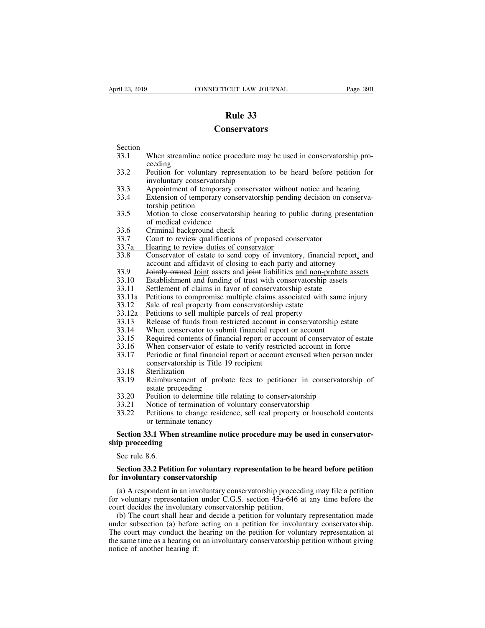### **Conservators**

- Section<br>33.1 When streamline notice procedure may be used in conservatorship pro-**233**<br> **233**<br> **23.1**<br>
When streamline notice procedure may be used in conservatorship pro-<br>
ceeding<br>
Petition for voluntary representation to be heard before petition for ceeding
- 33.1 **Example 33**<br>
Section<br>
33.1 When streamline notice procedure may be used in conservatorship pro-<br>
33.2 Petition for voluntary representation to be heard before petition for<br>
involuntary conservatorship<br>
33.3 Appointme **Conservators**<br>
When streamline notice procedure may<br>
ceeding<br>
Petition for voluntary representation<br>
involuntary conservatorship<br>
Appointment of temporary conservatorship<br>
Extension of temporary conservatorship Section<br>
33.1 When streamline notice procedure may be used in conservatorship pro-<br>
ceeding<br>
33.2 Petition for voluntary representation to be heard before petition for<br>
involuntary conservatorship<br>
33.3 Appointment of temp Section<br>33.1 When streamline notice procedure may be used in conservatorship pro-<br>ceeding<br>33.2 Petition for voluntary representation to be heard before petition for<br>involuntary conservatorship<br>33.3 Appointment of temporary When streamline notice pr<br>ceeding<br>Petition for voluntary rep<br>involuntary conservatorshi<br>Appointment of temporary<br>Extension of temporary co<br>torship petition<br>Motion to close conservat<br>of medical evidence 33.1 When steamline holice poccular may be used in conservatorship proceeding<br>33.2 Petition for voluntary representation to be heard before petition for<br>involuntary conservatorship<br>33.3 Appointment of temporary conservator Petition for voluntary represe<br>involuntary conservatorship<br>Appointment of temporary conservatorship<br>Extension of temporary conservatorship<br>petition<br>Motion to close conservatorship<br>of medical evidence<br>Criminal background ch
- 
- Franco in a conservatorship<br>involuntary conservatorship<br>33.3 Appointment of temporary conservatorship<br>53.4 Extension of temporary conservatorship<br>torship petition<br>33.5 Motion to close conservatorship hearin<br>6 medical evide 33.3 Appointment of temporary conservator without notice and headled S3.4 Extension of temporary conservatorship pending decision on c torship petition<br>33.5 Motion to close conservatorship hearing to public during presof m
- 
- 
- 
- 
- Extension of temporary conservatorship pendin<br>33.4 Extension of temporary conservatorship pendin<br>torship petition<br>33.5 Motion to close conservatorship hearing to pure<br>of medical evidence<br>33.7 Court to review qualifications Extension of emporary conservatorship penamg decision of conservatorship<br>33.5 Motion to close conservatorship hearing to public during presentation<br>33.6 Criminal background check<br>33.7 Court to review qualifications of prop Motion to close conservatorship hearing to public during presentation<br>of medical evidence<br>Criminal background check<br>Court to review qualifications of proposed conservator<br>Hearing to review duties of conservator<br>Conservator 33.3 Motion to close conservatorship hearing to public during presentation<br>of medical evidence<br>33.6 Criminal background check<br>33.7 Court to review qualifications of proposed conservator<br>33.7 Elearing to review duties of co 33.6 Criminal background check<br>33.7 Court to review qualifications of proposed conservator<br>33.7 Exering to review duties of conservator<br>33.8 Conservator of estate to send copy of inventory, financial report, and<br>account <u>a</u> 33.7 Court to review qualifications of proposed conservator<br>
33.7 Court to review qualifications of proposed conservator<br>
33.8 Conservator of estate to send copy of inventory, financial repor<br>
account <u>and affidavit of clo</u> 33.7<br>
23.7 Hearing to review duties of conservator<br>
33.7 Hearing to review duties of conservator<br>
33.8 Conservator of estate to send copy of inventory, financial report, and<br>
account <u>and affidavit of closing</u> to each part 33.12 Sale of real multiple parcels of real property<br>
33.8 Conservator of estate to send copy of inventory, financial<br>
account <u>and affidavit of closing</u> to each party and attorney<br>
33.9 <del>Jointly owned</del> <u>Joint</u> assets and 33.33 Conservator of estate to sell copy of inventory, mialical account and affidavit of closing to each party and attorney 33.9 For Form and funding of trust with conservatorship as 33.11 Settlement of claims in favor of
- 
- 33.10 **Establishment and funding of trust with conservatorship asset**<br>33.10 Establishment and funding of trust with conservatorship asset<br>33.11 Settlement of claims in favor of conservatorship estate<br>33.12 Sale of real pro
- 
- 
- 
- 
- 
- 
- 33.9 **For Funds and Solution Colombia** and Solution and Solution and Solution and Funds for the funding of trust with conservatorship assets 33.11 Settlement of claims in favor of conservatorship estate<br>33.11 Settlement of
- 
- 33.11 Settlement of claims in favor of conservatorship assess<br>33.11 Settlement of claims in favor of conservatorship estate<br>33.12 Sale of real property from conservatorship estate<br>33.12 Sale of real property from conservat 33.11 Settlement of claims in favor of conservatorship estate<br>33.11 Petitions to compromise multiple claims associated with same injury<br>33.12 Sale of real property from conservatorship estate<br>33.13 Release of funds from re 33.12 Sale of real property from conservatorship estated what same injury<br>33.12 Sale of real property from conservatorship estate<br>33.13 Release of funds from restricted account in conservatorship estate<br>33.14 When conserva Sale of lear property from conservatorship<br>Petitions to sell multiple parcels of real pr<br>Release of funds from restricted account is<br>When conservator to submit financial report<br>Required contents of financial report or acco 33.13 Release of funds from<br>33.13 Release of funds from<br>33.14 When conservator to st<br>33.15 Required contents of fii<br>33.16 When conservator of e<br>33.17 Periodic or final finance<br>conservatorship is Title<br>33.18 Sterilization<br>3 When conservator to submit<br>Required contents of financia<br>When conservator of estate 1<br>Periodic or final financial rep<br>conservatorship is Title 19 r<br>Sterilization<br>Reimbursement of probate<br>estate proceeding<br>Petition to deter 33.15 Required collections of mialteral report of account of conservator of 33.16 When conservator of estate to verify restricted account in force<br>33.17 Periodic or final financial report or account excused when persor<br>con 33.17 When conservator of estate to verify restricted account in fort<br>33.17 Periodic or final financial report or account excused when pers<br>conservatorship is Title 19 recipient<br>33.19 Reimbursement of probate fees to petit
- 
- 33.13 Reiease of funds from essure account in conservatorship estate<br>33.14 When conservator to submit financial report or account<br>33.15 Required contents of financial report or account of conservator of estate<br>33.16 When c 33.17 Periodic or final manchal report of account excused when person under<br>
33.18 Sterilization<br>
33.19 Reimbursement of probate fees to petitioner in conservatorship<br>
33.20 Petition to determine title relating to conserva Sterilization<br>
Reimbursement of probate fee<br>
estate proceeding<br>
Petition to determine title relatiin<br>
Notice of termination of volunti<br>
Petitions to change residence, s<br>
or terminate tenancy<br>
3.1 When streamline notice pro 33.19 Reimbursement of probate fees to petitioner in conservatorship of<br>estate proceeding<br>33.20 Petition to determine title relating to conservatorship<br>33.21 Notice of termination of voluntary conservatorship<br>33.22 Petitio
- 
- 
- 33.21 Notice of<br>33.21 Notice of<br>33.22 Petitions<br>or termin<br>Section 33.1 Whe<br>p proceeding<br>See rule 8.6.<br>Section 33.2 Petit

estate proceedin<br>33.20 Petition to deter<br>33.21 Notice of termin<br>33.22 Petitions to char<br>or terminate ten<br>**Section 33.1 When strea**<br>**ship proceeding**<br>See rule 8.6. 33.22 Petitions to change residence, sell real property or household contents<br>or terminate tenancy<br>**Section 33.1 When streamline notice procedure may be used in conservator-**<br>ip proceeding<br>See rule 8.6.<br>**Section 33.2 Petit** or terminate tenancy<br> **Section 33.1 When streamline notice proceding**<br>
See rule 8.6.<br> **Section 33.2 Petition for voluntary repress<br>
for involuntary conservatorship**<br>
(a) A respondent in an involuntary conservatorship

Section 33.1 When streamline notice procedure may be used in conservator-<br>ip proceeding<br>See rule 8.6.<br>Section 33.2 Petition for voluntary representation to be heard before petition<br>r involuntary conservatorship<br>(a) A respo **Ship proceeding**<br>See rule 8.6.<br>**Section 33.2 Petition for voluntary representation to be heard before petition**<br>for involuntary conservatorship<br>(a) A respondent in an involuntary conservatorship proceeding may file a pet See rule 8.6.<br>
Section 33.2 Petition for voluntary representation to be<br>
for involuntary conservatorship<br>
(a) A respondent in an involuntary conservatorship proceed<br>
for voluntary representation under C.G.S. section 45a-64

Section 33.2 Petition for voluntary representation to be heard before petition<br>r involuntary conservatorship<br>(a) A respondent in an involuntary conservatorship proceeding may file a petition<br>r voluntary representation und **Section 33.2 Petition for voluntary representation to be heard before petition**<br>for involuntary conservatorship<br>(a) A respondent in an involuntary conservatorship proceeding may file a petition<br>for voluntary representati for involuntary conservatorship<br>
(a) A respondent in an involuntary conservatorship proceeding may file a petition<br>
for voluntary representation under C.G.S. section 45a-646 at any time before the<br>
court decides the invol (a) A respondent in an involuntary conservatorship proceeding may file a petition<br>for voluntary representation under C.G.S. section  $45a-646$  at any time before the<br>court decides the involuntary conservatorship petition.<br> (a) A responsion in an invertion<br>for voluntary representation<br>court decides the involuntar<br>(b) The court shall hear a<br>under subsection (a) before<br>The court may conduct the<br>the same time as a hearing or<br>notice of another he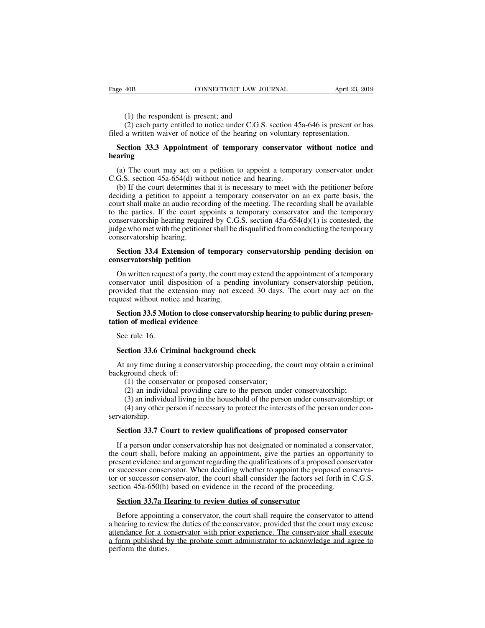(1) the respondent is present; and<br>(2) each party entitled to notice under C.G.S.<br>a written waiver of notice of the hearing on (2) the respondent is present; and<br>
(2) each party entitled to notice under C.G.S. section 45a-646 is present or has<br>
a written waiver of notice of the hearing on voluntary representation. Fage 40B CONNECTICUT LAW JOURNAL April 23, 20<br>
(1) the respondent is present; and<br>
(2) each party entitled to notice under C.G.S. section 45a-646 is present or h<br>
filed a written waiver of notice of the hearing on voluntar (1) the respondent is present; and<br>
(2) each party entitled to notice under C.G.S. section 45a-646 is present or has<br>
ed a written waiver of notice of the hearing on voluntary representation.<br> **Section 33.3 Appointment of** (1) the respondent is present; and<br>
(2) each party entitled to notice under C.G.S. section 45a-646 is present or has<br>
ed a written waiver of notice of the hearing on voluntary representation.<br> **Section 33.3 Appointment of** 

### **hearing**

(2) each party entitled to notice under C.G.S. section 45<br>filed a written waiver of notice of the hearing on voluntary<br>**Section 33.3 Appointment of temporary conservator**<br>**hearing**<br>(a) The court may act on a petition to a ed a written waiver of notice of the hearing on voluntary representation.<br> **Section 33.3 Appointment of temporary conservator without notice and**<br> **aring**<br>
(a) The court may act on a petition to appoint a temporary conserv **Section 33.3 Appointment of temporary conservator without notice and hearing**<br>(a) The court may act on a petition to appoint a temporary conservator under C.G.S. section 45a-654(d) without notice and hearing.<br>(b) If the Section 35.5 Appointment of temporary conservator without notice and<br>hearing<br>(a) The court may act on a petition to appoint a temporary conservator under<br>C.G.S. section 45a-654(d) without notice and hearing.<br>(b) If the co hearing<br>
(a) The court may act on a petition to appoint a temporary conservator under<br>
C.G.S. section 45a-654(d) without notice and hearing.<br>
(b) If the court determines that it is necessary to meet with the petitioner be (a) The court may act on a petition to appoint a temporary conservator under C.G.S. section 45a-654(d) without notice and hearing.<br>
(b) If the court determines that it is necessary to meet with the petitioner before decid C.G.S. section 45a-654(d) without notice and hearing.<br>C.G.S. section 45a-654(d) without notice and hearing.<br>(b) If the court determines that it is necessary to meet with the petitioner before<br>deciding a petition to appoin (b) If the court determines (b) If the court determines (deciding a petition to appoint<br>court shall make an audio record to the parties. If the court appoint<br>conservatorship hearing requiring judge who met with the petiti ciding a petition to appoint a temporary conservator on an ex parte basis, the<br>urt shall make an audio recording of the meeting. The recording shall be available<br>the parties. If the court appoints a temporary conservator a court shall make an audio recording of<br>to the parties. If the court appoints<br>conservatorship hearing required by C<br>judge who met with the petitioner shall<br>conservatorship hearing.<br>**Section 33.4 Extension of tempoir<br>conserv** mservatorship hearing required by C.G.S. section  $45a-654(d)(1)$  is contested, the dge who met with the petitioner shall be disqualified from conducting the temporary mservatorship hearing.<br>Section 33.4 Extension of tempora

judge who met with the petitioner shall be disqualified from conducting the temporary<br>conservatorship hearing.<br>**Section 33.4 Extension of temporary conservatorship pending decision on**<br>**conservatorship petition**<br>On written conservatorship hearing.<br> **Section 33.4 Extension of temporary conservatorship pending decision on**<br> **Conservatorship petition**<br>
On written request of a party, the court may extend the appointment of a temporary<br>
conservat Section 33.4 Extension of temporar<br>conservatorship petition<br>On written request of a party, the court r<br>conservator until disposition of a pend<br>provided that the extension may not ex-<br>request without notice and hearing.<br>Sec **Section 33.5 Motion**<br> **Section** 3.5 **Motion** to close conservatorship conservatorship petition, by ided that the extension may not exceed 30 days. The court may act on the quest without notice and hearing.<br> **Section 33.5** On written request of a party, the cours<br>conservator until disposition of a perovided that the extension may not<br>request without notice and hearing.<br>**Section 33.5 Motion to close conservation of medical evidence**<br>See rule mervator until divided that the explored that the explored vertical explored See rule 16.<br>See rule 16.<br>See rule 16.<br>Section 33.6 Crip

# Figures without notice and hearing.<br> **Section 33.5 Motion to close conservatorship hearing that is section 33.6 Motion to close conservatorship hearing that is seen that is seen that is seen that any time during a conserva**

Section 33.5 Motion to close conservatorship hearing to public during presention of medical evidence<br>See rule 16.<br>Section 33.6 Criminal background check<br>At any time during a conservatorship proceeding, the court may obtain **tation of medical evidence**<br>See rule 16.<br>**Section 33.6 Criminal b**<br>At any time during a cons<br>background check of:<br>(1) the conservator or  $(2)$  an individual provi e rule 16.<br>
ction 33.6 Criminal background check<br>
any time during a conservatorship proceeding, the<br>
ground check of:<br>
(1) the conservator or proposed conservator;<br>
(2) an individual providing care to the person und<br>
(3) a

(2) an individual background check<br>
any time during a conservatorship proceeding, the court may obtain a crimin<br>
ground check of:<br>
(1) the conservator or proposed conservator;<br>
(2) an individual providing care to the perso (3) an individual background check<br>any time during a conservatorship proceeding, the court may obtain a criminal<br>ground check of:<br>(1) the conservator or proposed conservator;<br>(2) an individual providing care to the person (4) any time during a conservatorship proceeding, the court may obtain a criminal<br>ground check of:<br>(1) the conservator or proposed conservator;<br>(2) an individual providing care to the person under conservatorship;<br>(3) an i servatorship. **Section 33.7 Court to review qualifications of proposed conservatorship;**<br>
(2) an individual providing care to the person under conservatorship; (3) an individual living in the household of the person under conservatorshi

(2) an individual providing care to the person under conservatorship;<br>
(3) an individual living in the household of the person under conservatorship; or<br>
(4) any other person if necessary to protect the interests of the p (3) an individual living in the household of the person under conservatorship; or<br>
(4) any other person if necessary to protect the interests of the person under con-<br>
servatorship.<br> **Section 33.7 Court to review qualific** (4) any other person if necessary to protect the interests of the person under conservatorship.<br>Section 33.7 Court to review qualifications of proposed conservator<br>If a person under conservatorship has not designated or n servatorship.<br>
Section 33.7 Court to review qualifications of proposed conservator<br>
If a person under conservatorship has not designated or nominated a conservator,<br>
the court shall, before making an appointment, give the Section 33.7 Court to review qualifications of proposed conservator<br>If a person under conservatorship has not designated or nominated a conservator,<br>the court shall, before making an appointment, give the parties an opport Section 35.7 Court to review qualifications of proposed conservator<br>If a person under conservatorship has not designated or nominated a conse<br>the court shall, before making an appointment, give the parties an opportu<br>prese If a person under conservatorship has not designated or nominated a<br>
E court shall, before making an appointment, give the parties an o<br>
seent evidence and argument regarding the qualifications of a propose<br>
successor cons before and argument regarding the qualifications of a proposed conservator<br>successor conservator. When deciding whether to appoint the proposed conserva-<br>or successor conservator, the court shall consider the factors set f

or successor conservator. When deciding whether to appoint the proposed conserva-<br>tor or successor conservator, the court shall consider the factors set forth in C.G.S.<br>section 45a-650(h) based on evidence in the record of tor or successor conservator, the court shall consider the factors set forth in C.G.S.<br>section 45a-650(h) based on evidence in the record of the proceeding.<br>**Section 33.7a Hearing to review duties of conservator**<br>Before ap section 45a-650(h) based on evidence in the record of the proceeding.<br> **Section 33.7a Hearing to review duties of conservator**<br>
Before appointing a conservator, the court shall require the conservator to attend<br>
a hearing Section 33.7a Hearing to review duties of conservator<br>Before appointing a conservator, the court shall require the conservator to attend<br>a hearing to review the duties of the conservator, provided that the court may excuse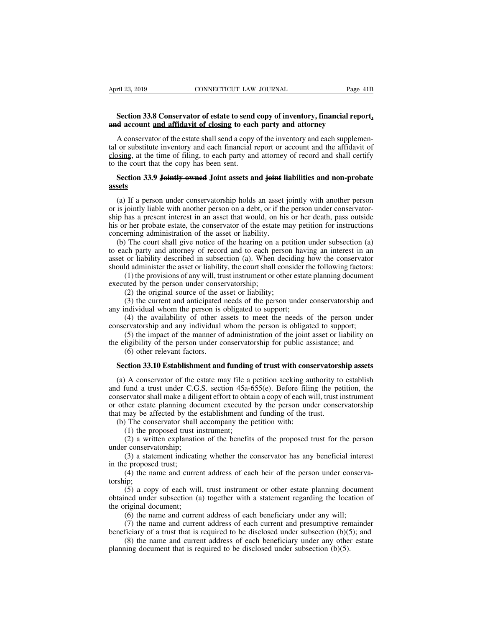# **EXECTIVE CONSECTICUT LAW JOURNAL** Page 41B<br> **Section 33.8 Conservator of estate to send copy of inventory, financial report,**<br> **A** account and affidavit of closing to each party and attorney **April 23, 2019 CONNECTICUT LAW JOURNAL** Page<br> **and account and affidavit of closing to each party and attorney**<br> **A conservator of the estate shall send a copy of the inventory and each supplem**

Fil 23, 2019 CONNECTICUT LAW JOURNAL Page 41B<br> **Section 33.8 Conservator of estate to send copy of inventory, financial report,**<br> **A account and affidavit of closing to each party and attorney**<br>
A conservator of the estate Section 33.8 Conservator of estate to send copy of inventory, financial report,<br>and account and affidavit of closing to each party and attorney<br>A conservator of the estate shall send a copy of the inventory and each supple Section 33.8 Conservator of estate to send copy of inventory, financial report,<br>and account <u>and affidavit of closing</u> to each party and attorney<br>A conservator of the estate shall send a copy of the inventory and each supp Section 33.8 Conservator of estate to send<br>and account <u>and affidavit of closing</u> to eacl<br>A conservator of the estate shall send a copy<br>tal or substitute inventory and each financial r<br>closing, at the time of filing, to ea **Section 33.9 Jointly owned Joint assets and joint liabilities and non-probate**<br> **Section 33.9 Jointly owned Joint assets and joint liabilities and non-probate** or substitute inventory and each financial report or account and the affidavit of osing, at the time of filing, to each party and attorney of record and shall certify the court that the copy has been sent.<br>Section 33.9 Joi

### **assets**

closing, at the time of filing, to each party and attorney of record and shall certify<br>to the court that the copy has been sent.<br>**Section 33.9 Jointly owned Joint assets and joint liabilities and non-probate**<br>**assets**<br>(a) ship has a present interest in an asset said joint interest in an ann-probate assets<br>
(a) If a person under conservatorship holds an asset jointly with another person<br>
or is jointly liable with another person on a debt, or **Section 33.9 Jointly owned Joint assets and joint liabilities and non-probate assets**<br>
(a) If a person under conservatorship holds an asset jointly with another person<br>
or is jointly liable with another person on a debt, Section 33.9 Jointly owned Joint assets and joint liassets<br>assets<br>(a) If a person under conservatorship holds an asset j<br>or is jointly liable with another person on a debt, or if the<br>ship has a present interest in an asset Sets<br>
(a) If a person under conservatorship holds an asset jointly with another person<br>
is jointly liable with another person on a debt, or if the person under conservator-<br>
ip has a present interest in an asset that would (a) If a person under conservatorship holds an asset jointly with another person<br>or is jointly liable with another person on a debt, or if the person under conservator-<br>ship has a present interest in an asset that would, o (a) If a person under conservatorship holds an asset jointly with another person<br>or is jointly liable with another person on a debt, or if the person under conservator-<br>ship has a present interest in an asset that would, o

or is jointly habite with another person on a debt, or if the person under conservator-<br>ship has a present interest in an asset that would, on his or her death, pass outside<br>his or her probate estate, the conservator of th has a present interest in an asset that would, on ins of her death, pass outside r her probate estate, the conservator of the estate may petition for instructions erning administration of the asset or liability.<br>The court the person of the asset or liability.<br>
(b) The court shall give notice of the hearing on a<br>
to each party and attorney of record and to each pe<br>
asset or liability described in subsection (a). When<br>
should administer the The court shall give notice of the hearing on a petich party and attorney of record and to each person or liability described in subsection (a). When decided administer the asset or liability, the court shall consi (1) the The coard shall give holded of the healing of a pertion dineer subsection (a) ch party and attorney of record and to each person having an interest in an or liability described in subsection (a). When deciding how the con any and attently of record and to call person haviasset or liability described in subsection (a). When deciding is should administer the asset or liability, the court shall consider to (1) the provisions of any will, trust

(4) the person is obligated to support;<br>
(5) the investor of the manner of the court shall consider the following factors:<br>
(1) the provisions of any will, trust instrument or other estate planning document<br>
(2) the origi (1) the provisions of any will, trust instrument or other estate planning document<br>executed by the person under conservatorship;<br>(2) the original source of the asset or liability;<br>(3) the current and anticipated needs of t

(1) the provisions of any wint, and instantion of other estate praising document<br>ted by the person under conservatorship;<br>(2) the original source of the asset or liability;<br>(3) the current and anticipated needs of the per (2) the original source of the asset or liability;<br>
(3) the current and anticipated needs of the person under conservatorship and<br>
any individual whom the person is obligated to support;<br>
(4) the availability of other ass (3) the original solute of the data<br>
(3) the current and anticipated<br>
ndividual whom the person is (4) the availability of other a<br>
revatorship and any individual<br>
(5) the impact of the manner of<br>
ligibility of the person **Section 33.10 Establishment and funding of trust with conservatorship assets**<br>
(a) A conservator of the manner of administration of the joint asset or liability on<br> **Section 33.10 Establishment and funding of trust with c** 

mervatorship and any individual whom the person is obligated to support;<br>
(5) the impact of the manner of administration of the joint asset or liability on<br>
e eligibility of the person under conservatorship for public assi (5) the impact of the manner of administration of the joint asset or liability on<br>the eligibility of the person under conservatorship for public assistance; and<br>(6) other relevant factors.<br>**Section 33.10 Establishment and** the eligibility of the person under conservatorship for public assistance; and (6) other relevant factors.<br>Section 33.10 Establishment and funding of trust with conservatorship assets (a) A conservator of the estate may fi (6) other relevant factors.<br> **Section 33.10 Establishment and funding of trust with conservatorship assets**<br>
(a) A conservator of the estate may file a petition seeking authority to establish<br>
and fund a trust under C.G.S **Section 33.10 Establishment and funding of trust with conservators**<br>(a) A conservator of the estate may file a petition seeking authority to<br>and fund a trust under C.G.S. section 45a-655(e). Before filing the pe<br>conserva Section 33.10 Establishment and funding of trust with cons<br>(a) A conservator of the estate may file a petition seeking au<br>d fund a trust under C.G.S. section 45a-655(e). Before filin<br>mservator shall make a diligent effort A conservator of the estate may file a<br>fund a trust under C.G.S. section 45a-t-<br>ervator shall make a diligent effort to obta<br>her estate planning document executed<br>may be affected by the establishment an<br>The conservator sha The conservator of the estate may the a periodic seeking atationty to establish<br>fund a trust under C.G.S. section 45a-655(e). Before filing the petition, the<br>ervator shall make a diligent effort to obtain a copy of each w and rand a dast dimeter C.O.<br>
conservator shall make a diligor<br>
or other estate planning doc<br>
that may be affected by the<br>
(b) The conservator shall<br>
(1) the proposed trust ir<br>
(2) a written explanatio<br>
under conservators Fractional manning document executed by the person under conservatorship<br>her estate planning document executed by the person under conservatorship<br>may be affected by the establishment and funding of the trust.<br>(1) the prop

of our one praining to<br>that may be affected by the<br>(b) The conservator shall<br>(1) the proposed trust<br>(2) a written explanati<br>under conservatorship;<br>(3) a statement indicat<br>in the proposed trust;<br>(4) the name and curre<br>torsh (1) the proposed trust instrument;<br>
(1) the proposed trust instrument;<br>
(2) a written explanation of the benefits of the proposed trust for the person<br>
r conservatorship;<br>
(3) a statement indicating whether the conservato

torship;

(2) a written explanation of the benefits of the proposed trust for the person r conservatorship;<br>
(3) a statement indicating whether the conservator has any beneficial interest<br>
e proposed trust;<br>
(4) the name and curren and the proposed and to the person under conservatorship;<br>
(3) a statement indicating whether the conservator has any beneficial interest<br>
in the proposed trust;<br>
(4) the name and current address of each heir of the perso (3) a statement indicatin<br>in the proposed trust;<br>(4) the name and currer<br>torship;<br>(5) a copy of each will<br>obtained under subsection (a<br>the original document;<br>(6) the name and currer<br>(7) the name and currer (3) a statement indicating whether the conservator has any beneficial interest<br>in the proposed trust;<br>(4) the name and current address of each heir of the person under conserva-<br>torship;<br>(5) a copy of each will, trust ins (4) the name and current address of each heir of the person under conserva-<br>ip;<br>(5) a copy of each will, trust instrument or other estate planning document<br>ned under subsection (a) together with a statement regarding the torship;<br>
(5) a copy of each will, trust instrument or other estate planning document<br>
obtained under subsection (a) together with a statement regarding the location of<br>
the original document;<br>
(6) the name and current ad (5) a copy of each will, trust instrument or other estate planning document<br>ned under subsection (a) together with a statement regarding the location of<br>riginal document;<br>(6) the name and current address of each beneficia botained under subsection (a) together with a statement regarding the locate original document;<br>
(6) the name and current address of each beneficiary under any will;<br>
(7) the name and current address of each current and p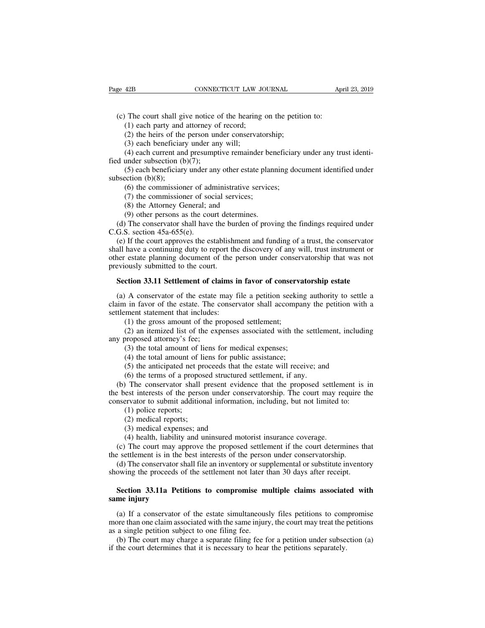(c) The court shall give notice of the hearing on the petition to:<br>
(c) The court shall give notice of the hearing on the petition to:<br>
(2) the heirs of the person under conservatorship; (2) the court shall give notice of the hearing on the petitity (1) each party and attorney of record;<br>
(2) the heirs of the person under conservatorship;<br>
(3) each beneficiary under any will;<br>
(4) each current and presumpt

(1) 42B<br>
CONNECTICUT LAW JO<br>
(1) each party and attorney of record;<br>
(2) the heirs of the person under conservato<br>
(3) each beneficiary under any will;

42B **CONNECTICUT LAW .**<br>
The court shall give notice of the hearing<br>
(1) each party and attorney of record;<br>
(2) the heirs of the person under conserva<br>
(3) each beneficiary under any will;<br>
(4) each current and presumpti The court shall give notice of the hearing on the petition to:<br>
(1) each party and attorney of record;<br>
(2) the heirs of the person under conservatorship;<br>
(3) each beneficiary under any will;<br>
(4) each current and presum

(c) The court shall give notice o<br>
(1) each party and attorney of<br>
(2) the heirs of the person une<br>
(3) each beneficiary under any<br>
(4) each current and presumpt<br>
fied under subsection (b)(7);<br>
(5) each beneficiary under The court shall give notice of the hearing on the petition to:<br>
(1) each party and attorney of record;<br>
(2) the heirs of the person under conservatorship;<br>
(3) each beneficiary under any will;<br>
(4) each current and presum (1) each party and<br>
(2) the heirs of the<br>
(3) each beneficiar<br>
(4) each current and<br>
fied under subsection (b)<br>
(5) each beneficiary<br>
subsection (b)(8);<br>
(6) the commission<br>
(7) the commission (2) the heirs of the person under conservatorship;<br>
(3) each beneficiary under any will;<br>
(4) each current and presumptive remainder beneficiary<br>
under subsection (b)(7);<br>
(5) each beneficiary under any other estate plann (3) each beneficiary under any will;<br>(4) each current and presumptive remainder be<br>under subsection (b)(7);<br>(5) each beneficiary under any other estate plar<br>ection (b)(8);<br>(6) the commissioner of administrative service<br>(7 (4) each current and presumptive remaind<br>under subsection (b)(7);<br>(5) each beneficiary under any other estate<br>ection (b)(8);<br>(6) the commissioner of administrative s<br>(7) the commissioner of social services;<br>(8) the Attorn under subsection (b)(7);<br>(5) each beneficiary under any other estate plant<br>ection (b)(8);<br>(6) the commissioner of administrative services<br>(7) the commissioner of social services;<br>(8) the Attorney General; and<br>(9) other pe (5) each beneficiary under any other estate planning document identified under<br>bsection (b)(8);<br>(6) the commissioner of administrative services;<br>(7) the commissioner of social services;<br>(8) the Attorney General; and<br>(9) o

subsection (b)(8);<br>
(6) the commissioner of ad<br>
(7) the commissioner of so<br>
(8) the Attorney General; a<br>
(9) other persons as the coud<br>
(d) The conservator shall have<br>
C.G.S. section  $45a-655(e)$ .<br>
(e) If the court approve

(6) the commissioner of administrative services;<br>
(7) the commissioner of social services;<br>
(8) the Attorney General; and<br>
(9) other persons as the court determines.<br>
(d) The conservator shall have the burden of proving t (7) the commissioner of social services;<br>
(8) the Attorney General; and<br>
(9) other persons as the court determines.<br>
(d) The conservator shall have the burden of proving the findings required under<br>
C.G.S. section 45a-655 (8) the Attorney General; and<br>
(9) other persons as the court determines.<br>
(d) The conservator shall have the burden of proving the findings required under<br>
C.G.S. section 45a-655(e).<br>
(e) If the court approves the establ (9) other persons as the court dete<br>
(d) The conservator shall have the bu<br>
C.G.S. section  $45a-655(e)$ .<br>
(e) If the court approves the establish<br>
shall have a continuing duty to report the<br>
other estate planning document (a) The conservator shall have the burden of proving the findings required under G.S. section 45a-655(e).<br>
(e) If the court approves the establishment and funding of a trust, the conservator<br>
all have a continuing duty to (e) If the court approves the establishment and funding of a trust, the conservator all have a continuing duty to report the discovery of any will, trust instrument or ner estate planning document of the person under conse

shall have a continuing duty to report the discovery of any will, trust instrument or<br>other estate planning document of the person under conservatorship that was not<br>previously submitted to the court.<br>**Section 33.11 Settle** other estate planning document of the p<br>previously submitted to the court.<br>**Section 33.11 Settlement of claims i**<br>(a) A conservator of the estate may f<br>claim in favor of the estate. The conser<br>settlement statement that inc ously submitted to the court.<br> **ction 33.11 Settlement of claims in favor of conservaluation**<br>
A conservator of the estate may file a petition seekin<br>
in favor of the estate. The conservator shall accompare<br>
ment statement (2) an itemized list of the estate may file a petition seeking authority to settle a in favor of the estate. The conservator shall accompany the petition with a ment statement that includes:<br>(1) the gross amount of the pro (a) A conservator of the estate<br>claim in favor of the estate. The c<br>settlement statement that includes:<br>(1) the gross amount of the p<br>(2) an itemized list of the exp<br>any proposed attorney's fee;<br>(3) the total amount of lie (4) A conservator of the estate may file a petition seeking<br>
1 in favor of the estate. The conservator shall accompany<br>
1 in favor of the estate. The conservator shall accompany<br>
1 (1) the gross amount of the proposed sett 1 in favor of the estate. The conservator shall accomparement statement that includes:<br>
(1) the gross amount of the proposed settlement;<br>
(2) an itemized list of the expenses associated with the<br>
proposed attorney's fee;<br>

ment statement that includes:<br>
(1) the gross amount of the proposed settlement;<br>
(2) an itemized list of the expenses associated with the settlement, includi<br>
proposed attorney's fee;<br>
(3) the total amount of liens for med

(1) the gross amount of the proposed settlement;<br>(2) an itemized list of the expenses associated with the settler<br>proposed attorney's fee;<br>(3) the total amount of liens for medical expenses;<br>(4) the total amount of liens (2) an itemized list of the expenses associated with the settlement, including<br>y proposed attorney's fee;<br>(3) the total amount of liens for medical expenses;<br>(4) the total amount of liens for public assistance;<br>(5) the an any proposed attorney's fee;<br>
(3) the total amount of liens for medical expenses;<br>
(4) the total amount of liens for public assistance;<br>
(5) the anticipated net proceeds that the estate will receive; and<br>
(6) the terms of (3) the total amount of liens for medical expenses;<br>
(4) the total amount of liens for public assistance;<br>
(5) the anticipated net proceeds that the estate will receive; and<br>
(6) the terms of a proposed structured settlem (4) the total amount of 1<br>(5) the anticipated net p<br>(6) the terms of a propor<br>The conservator shall<br>est interests of the persent interests of the persent<br>ervator to submit addition<br>(1) police reports;<br>(2) medical reports; (5) the anticipated net pro<br>
(6) the terms of a propose<br>
) The conservator shall p<br>
est interests of the person<br>
ervator to submit additions<br>
(1) police reports;<br>
(2) medical reports;<br>
(3) medical expenses; and<br>
(4) healt (6) the terms of a proposed structure<br>(6) The conservator shall present evid<br>eest interests of the person under con<br>ervator to submit additional informati<br>(1) police reports;<br>(2) medical reports;<br>(3) medical expenses; and<br> (4) The conservator shall present evidence that the proposed settlem<br>est interests of the person under conservatorship. The court may re<br>ervator to submit additional information, including, but not limited to<br>(1) police re (e) the person under conservatorship. The court may require the<br>nservator to submit additional information, including, but not limited to:<br>(1) police reports;<br>(2) medical reports;<br>(3) medical expenses; and<br>(4) health, liab

the settlement is in the settlement is in the settlement interests of the settlement is in the best interests of the person under conservatorship.<br>
(a) The court may approve the proposed settlement if the court determines (1) police reports;<br>
(2) medical reports;<br>
(3) medical expenses; and<br>
(4) health, liability and uninsured motorist insurance coverage.<br>
(c) The court may approve the proposed settlement if the court determines that<br>
settl (2) medical reports;<br>
(3) medical expenses; and<br>
(4) health, liability and uninsured motorist insurance coverage.<br>
(c) The court may approve the proposed settlement if the court determines than<br>
the settlement is in the b (4) health, liability and uninsured motorist insurance coverage.<br>
(c) The court may approve the proposed settlement if the court determines that<br>
a settlement is in the best interests of the person under conservatorship.<br> (c) The court may ap<br>the settlement is in the<br>(d) The conservator showing the proceeds of<br>**Section 33.11a Peti**<br>**same injury**<br>(a) If a conservator of

(d) The conservator shall file an inventory or supplemental or substitute inventory<br>owing the proceeds of the settlement not later than 30 days after receipt.<br>**Section 33.11a Petitions to compromise multiple claims associ** more than one claim associated with same injury<br>
(a) If a conservator of the estate simultaneously files petitions to compromise<br>
smore injury<br>
(a) If a conservator of the estate simultaneously files petitions to compromi Section 33.11a Petitions to compromise m<br>same injury<br>(a) If a conservator of the estate simultaneous<br>more than one claim associated with the same injury<br>as a single petition subject to one filing fee.<br>(b) The court may cha Section 33.11a Petitions to compromise multiple claims associated with<br>me injury<br>(a) If a conservator of the estate simultaneously files petitions to compromise<br>ore than one claim associated with the same injury, the court same injury<br>
(a) If a conservator of the estate simultaneously files petitions to com<br>
more than one claim associated with the same injury, the court may treat the j<br>
as a single petition subject to one filing fee.<br>
(b) Th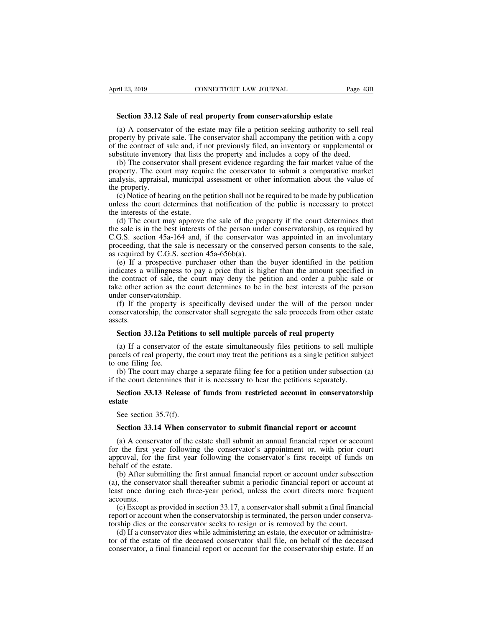**Section 33.12 Sale of real property from conservatorship estate**<br>
(a) A conservator of the estate may file a petition seeking authority to sell reports by print to a set The conservator shall accomment the action with a s (a) A conservator of the estate may file a petition seeking authority to sell real<br>perty by private sale. The conservator shall accompany the petition with a copy<br>the contract of sale and, if not previously filed, an inven Page 43B<br> **Section 33.12 Sale of real property from conservatorship estate**<br>
(a) A conservator of the estate may file a petition seeking authority to sell real<br>
property by private sale. The conservator shall accompany the Social Mapril 23, 2019<br>
Section 33.12 Sale of real property from conservatorship estate<br>
(a) A conservator of the estate may file a petition seeking authority to sell real<br>
property by private sale. The conservator shall a Section 33.12 Sale of real property from conservatorship estate<br>
(a) A conservator of the estate may file a petition seeking authority to sell re<br>
property by private sale. The conservator shall accompany the petition with Section 33.12 Sale of real property from conservatorship estate<br>(a) A conservator of the estate may file a petition seeking authority to sell real<br>operty by private sale. The conservator shall accompany the petition with a

**Section 33.12 Sale of real property from conservatorship estate**<br>(a) A conservator of the estate may file a petition seeking authority to sell real<br>property by private sale. The conservator shall accompany the petition w (a) A conservator of the estate may file a petition seeking authority to sell real<br>property by private sale. The conservator shall accompany the petition with a copy<br>of the contract of sale and, if not previously filed, an (a) A conservation<br>property by private of the contract of the contract of the substitute inventor<br>(b) The conserved property. The countains approach the property.<br>(c) Notice of heat unless the court d (b) perty by private sate. The conservator sharm accompany the petition with a copy the contract of sale and, if not previously filed, an inventory or supplemental or bstitute inventory that lists the property and includes of the contract of sale and, it not previously fried, an inventory of supplemental of substitute inventory that lists the property and includes a copy of the deed.<br>
(b) The conservator shall present evidence regarding the Substitute inventory that first at<br>
(b) The conservator shall pre<br>
property. The court may requin<br>
analysis, appraisal, municipal a<br>
the property.<br>
(c) Notice of hearing on the pe<br>
unless the court determines that<br>
the int (d) The conservator shall present evidence regarding the ran market value of the opperty. The court may require the conservator to submit a comparative market alysis, appraisal, municipal assessment or other information a

property. The contrinsipal assessment or other information about the value of<br>the property.<br>(c) Notice of hearing on the petition shall not be required to be made by publication<br>unless the court determines that notificatio anaysis, appraisar, municipal assessment of outer information about the value of<br>the property.<br>(c) Notice of hearing on the petition shall not be required to be made by publication<br>unless the court determines that notifica (c) Notice of hearing on the petition shall not be required to be made by publication unless the court determines that notification of the public is necessary to protect the interests of the estate.<br>
(d) The court may app (c) Notice of heating of the pertition start not be<br>unless the court determines that notification of<br>the interests of the estate.<br>(d) The court may approve the sale of the pr<br>the sale is in the best interests of the perso extract the extreme intertuning that intertuning that interests of the estate.<br>
(d) The court may approve the sale of the property if the court determines that<br>
exale is in the best interests of the person under conservato independent in the state.<br>
(d) The court may approve the sale of the property if the court determines that<br>
the sale is in the best interests of the person under conservatorship, as required by<br>
C.G.S. section 45a-164 and

(a) The court may approve the sale of the property if the contractementes that the sale is in the best interests of the person under conservatorship, as required by C.G.S. section 45a-164 and, if the conservator was appoi the sate is in the best interests of the person under conservatorship, as required by C.G.S. section 45a-164 and, if the conservator was appointed in an involuntary proceeding, that the sale is necessary or the conserved p  $e$ . (3.3. section  $+3a-10+$  and proceeding, that the sale is a sequired by C.G.S. sectio<br>(e) If a prospective purce indicates a willingness to p<br>the contract of sale, the co<br>take other action as the counder conservatorsh (f) If the property is specifically devised under the will of the person of the restant, required by C.G.S. section 45a-656b(a).<br>
(e) If a prospective purchaser other than the buyer identified in the petition dicates a wil conservatorship, the conservator shall segregate the sale proceeds from other estates.<br>
Section 33.129 Positions to sell multiple persons of real proceeds from other action as the court may deny the petition and order a p **Section 33.12a Petitions to sell multiple parcels of real property**<br> **Section 33.12a Petitions to sell multiple parcels of the person under servatorship.**<br> **Section 33.12a Petitions to sell multiple parcels of real proper** 

assets.

der conservatorship.<br>
(f) If the property is specifically devised under the will of the person under<br>
nservatorship, the conservator shall segregate the sale proceeds from other estate<br>
sets.<br> **Section 33.12a Petitions to** (f) If the property is specifically devised under the will of the person under<br>conservatorship, the conservator shall segregate the sale proceeds from other estate<br>assets.<br>**Section 33.12a Petitions to sell multiple parcel** conservatorship, the conservatorship, the conservatorship, the conservator<br>assets.<br>(a) If a conservator parcels of real property<br>to one filing fee.<br>(b) The court may c if the court determines (b) The court may charge a separate filing fee for a property<br>(a) If a conservator of the estate simultaneously files petitions to sell multiple<br>reels of real property, the court may treat the petitions as a single petitio Section 33.12a Petitions to sell multiple parcels of real property<br>
(a) If a conservator of the estate simultaneously files petitions to sell multip<br>
parcels of real property, the court may treat the petitions as a single (a) If a conservator of the estate simultaneously files petitions to sell multiple reels of real property, the court may treat the petitions as a single petition subject one filing fee.<br>
(b) The court may charge a separat

Free section 35.7(f).<br>
See section 33.13 Release of<br>
Section 33.13 Release of<br>
See section 35.7(f).<br>
Section 33.14 When con

## **estate** (b) The court may charge a separate filing fee for a petition under subsection (a) the court determines that it is necessary to hear the petitions separately.<br> **Section 33.13 Release of funds from restricted account in co**

Section 33.13 Release of funds from restricted account in conservatorship<br>state<br>See section 35.7(f).<br>Section 33.14 When conservator to submit financial report or account<br>(a) A conservator of the estate shall submit an ann Section 35.15 Release of funds from restricted account in conservatorship<br>estate<br>See section 35.7(f).<br>Section 33.14 When conservator to submit financial report or account<br>(a) A conservator of the estate shall submit an an **See section 35.7(f).**<br> **Section 33.14 When conservator to submit financial report or account**<br>
(a) A conservator of the estate shall submit an annual financial report or account<br>
for the first year following the conservat See section 35.7(f).<br> **Section 33.14 When c**<br>
(a) A conservator of the<br>
for the first year follow<br>
approval, for the first ye<br>
behalf of the estate.<br>
(b) After submitting the<br>
(a), the conservator shall Section 33.14 When conservator to submit financial report or account<br>(a) A conservator of the estate shall submit an annual financial report or account<br>r the first year following the conservator's appointment or, with pri Section 33.14 When conservator to submit financial report or account<br>(a) A conservator of the estate shall submit an annual financial report or account<br>for the first year following the conservator's appointment or, with pr (a) A conservator of the estate shall submit an annual financial report or account<br>for the first year following the conservator's appointment or, with prior court<br>approval, for the first year following the conservator's fi

accounts.<br>(c) Except as provided in section 33.17, a conservator shall submit a final financial (a) the first year following the conservator's appointment of, while provided proval, for the first year following the conservator's first receipt of funds on half of the estate.<br>
(b) After submitting the first annual fina deprival, for the first year following the conservator's first feelipt of funds on<br>behalf of the estate.<br>(b) After submitting the first annual financial report or account under subsection<br>(a), the conservator shall thereaf (b) After submitting the first annual financial report or account under subsectival, (a), the conservator shall thereafter submit a periodic financial report or account least once during each three-year period, unless the (d) Arter submitting the first annuar financial report of account under subsection, the conservator shall thereafter submit a periodic financial report or account at as to mee during each three-year period, unless the cour

(a), the conservator shall filecated submit a periodic mantelar report of account at least once during each three-year period, unless the court directs more frequent accounts.<br>
(c) Except as provided in section 33.17, a c decounts.<br>
(c) Except as provided in section 33.17, a conservator shall submit a final financial<br>
report or account when the conservatorship is terminated, the person under conserva-<br>
torship dies or the conservator seeks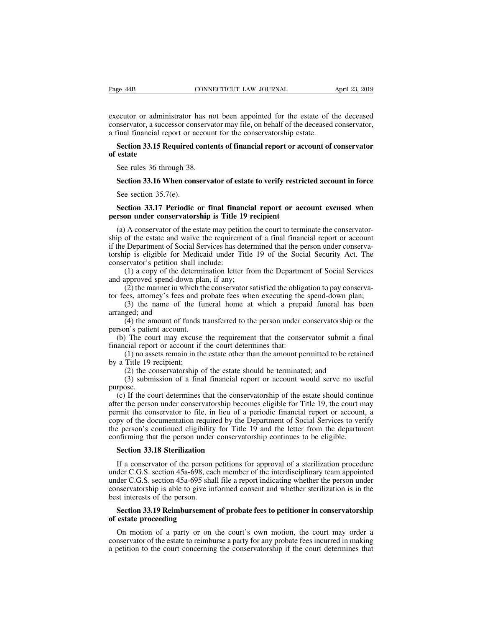Page 44B<br>
CONNECTICUT LAW JOURNAL<br>
executor or administrator has not been appointed for the estate of the deceased<br>
conservator, a successor conservator may file, on behalf of the deceased conservator,<br>
a final financial r Page 44B<br>
consecretive transference conservator conservator may file, on behalf of the estate of the deceased<br>
conservator, a successor conservator may file, on behalf of the deceased conservator,<br>
a final financial report Page 44B<br>
cONNECTICUT LAW JOURNAL<br>
executor or administrator has not been appointed for the estate of t<br>
conservator, a successor conservator may file, on behalf of the deceased<br>
a final financial report or account for the EXECTICUT LAW JOURNAL April 23, 2019<br>
Secutor or administrator has not been appointed for the estate of the deceased<br>
nservator, a successor conservator may file, on behalf of the deceased conservator,<br>
Financial report or executor or admin<br>conservator, a succ<br>a final financial re<br>**Section 33.15 Re**<br>**Section 33.15 Re**<br>See rules 36 three Secutor or administrator has net<br>network a successor conservational financial report or account<br>Secution 33.15 Required contenents<br>state<br>See rules 36 through 38.<br>Section 33.16 When conserva

# meervator, a successor conservator may file, on behalf of the deceased conservator,<br>
final financial report or account for the conservatorship estate.<br> **Section 33.15 Required contents of financial report or account of con** Section 33.15 Required c<br>estate<br>See rules 36 through 38.<br>Section 33.16 When cons<br>See section 35.7(e).<br>Section 33.17 Periodic

# **See rules 36 through 38.**<br> **Section 33.16 When conservator of estate to verify restricted account in force**<br>
See section 35.7(e).<br> **Section 33.17 Periodic or final financial report or account excused when**<br> **Section 33.17** See rules 36 through 38.<br> **Section 33.16 When conservator of estate to verify restri**<br>
See section 35.7(e).<br> **Section 33.17 Periodic or final financial report or ac**<br> **person under conservatorship is Title 19 recipient**<br>
(

Section 33.16 When conservator of estate to verify restricted account in force<br>See section 35.7(e).<br>Section 33.17 Periodic or final financial report or account excused when<br>rson under conservatorship is Title 19 recipient<br> Section 35.16 When conservator of estate to verify restricted account in force<br>See section 35.7(e).<br>Section 33.17 Periodic or final financial report or account excused when<br>person under conservatorship is Title 19 recipie See section 35.7(e).<br>
Section 33.17 Periodic or final financial report or account excused when<br>
person under conservatorship is Title 19 recipient<br>
(a) A conservator of the estate may petition the court to terminate the c Section 33.17 Periodic or final financial report or account excused when<br>person under conservatorship is Title 19 recipient<br>(a) A conservator of the estate may petition the court to terminate the conservator-<br>ship of the **Section 33.17 Periodic or final finar person under conservatorship is Title 1**<br>(a) A conservator of the estate may petitiship of the estate and waive the requirem<br>if the Department of Social Services has de<br>torship is eli (1) a conservatorship is Title 19 recipient<br>
(A conservator of the estate may petition the court to terminate the conservator-<br>
of the estate and waive the requirement of a final financial report or account<br>
Department of (a) A conservator of the estate may petition ship of the estate and waive the requirement if the Department of Social Services has detern torship is eligible for Medicaid under Title conservator's petition shall include:<br>( A conservator of the estate may petrion the contribute the conservator-<br>of the estate and waive the requirement of a final financial report or account<br>Department of Social Services has determined that the person under cons sinp of the estate and wave the requirement of a final inflancial report of account<br>if the Department of Social Services has determined that the person under conserva-<br>torship is eligible for Medicaid under Title 19 of the Expansion of social services has determined that the person under conserva-<br>ip is eligible for Medicaid under Title 19 of the Social Security Act. The<br>rvator's petition shall include:<br>(1) a copy of the determination letter

conservator's petition shows<br>conservator's petition shows (1) a copy of the de and approved spend-dow<br>(2) the manner in wh<br>tor fees, attorney's fees (3) the name of the arranged; and<br>(4) the amount of function is patient Tryator s petrition shan include.<br>
(1) a copy of the determination letter from the Department of Social Services<br>
approved spend-down plan, if any;<br>
(2) the manner in which the conservator satisfied the obligation to pay c (a) the manner in which the conservator satisfied the obligation to pay conserva-<br>
(b) the manner in which the conservator satisfied the obligation to pay conserva-<br>
(3) the name of the funeral home at which a prepaid fune (3) the name of the funeral home at which a prepaid funeral has been ged; and (4) the amount of funds transferred to the person under conservatorship or the m's patient account.<br>
The court may excuse the requirement that (4) the amount of funds transferred to the person under conservatorship or  $m$ 's patient account.<br>The court may excuse the requirement that the conservator submit a f<br>cial report or account if the court determines that:<br>(1

(1) a copy of the determined<br>and approved spend-down plan<br>(2) the manner in which the<br>tor fees, attorney's fees and pi<br>(3) the name of the fun<br>arranged; and<br>(4) the amount of funds to<br>person's patient account.<br>(b) The cour (2) the manner in which the conservator satisfied the onight<br>tor fees, attorney's fees and probate fees when executing the<br>(3) the name of the funeral home at which a prepare<br>arranged; and<br>(4) the amount of funds transfer For the Tarranged; and<br>
(4) the amount of funds<br>
person's patient account.<br>
(b) The court may excuse<br>
financial report or account if<br>
(1) no assets remain in th<br>
by a Title 19 recipient;<br>
(2) the conservatorship (3) submi (4) the amount of funts transferred to the person under conservatorship of the<br>m's patient account.<br>The court may excuse the requirement that the conservator submit a final<br>cial report or account if the court determines t

purpose.

(b) The court may excuse the requirement that the conservator shomm a mian ancial report or account if the court determines that:<br>
(1) no assets remain in the estate other than the amount permitted to be retained<br>
a Title and the person of account in the contribution that.<br>
(1) no assets remain in the estate other than the amount permitted to be retained<br>
by a Title 19 recipient;<br>
(2) the conservatorship of the estate should be terminated; by a Title 19 recipient;<br>
(2) the conservatorship of the estate should be terminated; and<br>
(3) submission of a final financial report or account would serve no useful<br>
purpose.<br>
(c) If the court determines that the conserv by a Thic 19 technomic,<br>
(2) the conservatorship of the estate should be terminated; and<br>
(3) submission of a final financial report or account would serve no useful<br>
purpose.<br>
(c) If the court determines that the conserva (2) the conservatorship of the estate should be defininated, and<br>
(3) submission of a final financial report or account would serve no useful<br>
purpose.<br>
(c) If the court determines that the conservatorship of the estate s (3) subfirming that the conservatorship of decount would serve not asset purpose.<br>
(c) If the court determines that the conservatorship of the estate should continuate<br>
after the person under conservatorship becomes eligib (c) If the court determines that the conserver the person under conservatorship becoment<br>the conservator to file, in lieu of a<br>py of the documentation required by the<br>e person's continued eligibility for Title<br>nfirming tha Figure 1.1 The conservator to file, in lieu of a periodic financial report or account, a<br>py of the documentation required by the Department of Social Services to verify<br>e person's continued eligibility for Title 19 and the

copy of the documentation required by the Department of Social Services to verify<br>the person's continued eligibility for Title 19 and the letter from the department<br>confirming that the person under conservatorship continue the person's continued eligibility for Title 19 and the letter from the department<br>confirming that the person under conservatorship continues to be eligible.<br>**Section 33.18 Sterilization**<br>If a conservator of the person pet confirming that the person under conservatorship continues to be eligible.<br> **Section 33.18 Sterilization**<br>
If a conservator of the person petitions for approval of a sterilization procedure<br>
under C.G.S. section 45a-698, e Section 33.18 Sterilization<br>If a conservator of the person<br>under C.G.S. section 45a-698, ead<br>under C.G.S. section 45a-695 sha<br>conservatorship is able to give in<br>best interests of the person.<br>Section 33.19 Reimbursement<br>of If a conservator of the person petitions for approval of a sterilization procedure<br>der C.G.S. section 45a-698, each member of the interdisciplinary team appointed<br>der C.G.S. section 45a-695 shall file a report indicating w If a conservator of the person<br>under C.G.S. section 45a-698, ea<br>under C.G.S. section 45a-695 sha<br>conservatorship is able to give in<br>best interests of the person.<br>**Section 33.19 Reimbursemen**<br>of estate proceeding<br>On motion der C.G.S. section 45a-695 shall file a report indicating whether the person under<br>mservatorship is able to give informed consent and whether sterilization is in the<br>st interests of the person.<br>**Section 33.19 Reimbursement** 

conservatorship is able to give informed consent and whether sterilization is in the best interests of the person.<br> **Section 33.19 Reimbursement of probate fees to petitioner in conservatorship**<br> **of estate proceeding**<br>
On best interests of the person.<br> **Section 33.19 Reimbursement of probate fees to petitioner in conservatorship**<br>
of **estate proceeding**<br>
On motion of a party or on the court's own motion, the court may order a<br>
conservator o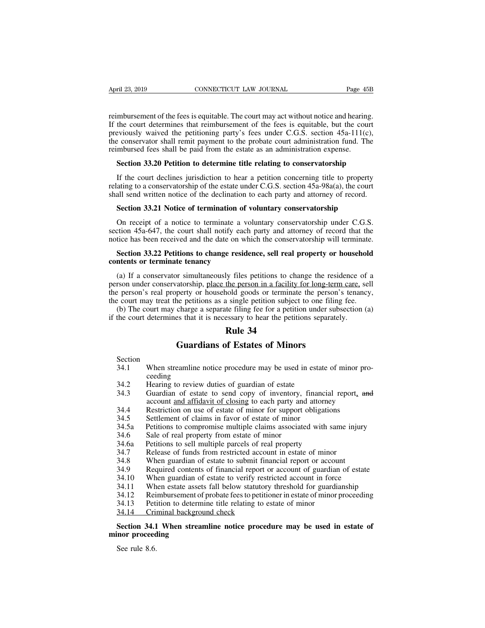April 23, 2019 CONNECTICUT LAW JOURNAL Page 45B<br>reimbursement of the fees is equitable. The court may act without notice and hearing.<br>If the court determines that reimbursement of the fees is equitable, but the court<br>previ April 23, 2019 CONNECTICUT LAW JOURNAL Page 45B<br>
reimbursement of the fees is equitable. The court may act without notice and hearing.<br>
If the court determines that reimbursement of the fees is equitable, but the court<br>
pr April 23, 2019 CONNECTICUT LAW JOURNAL Page 45B<br>reimbursement of the fees is equitable. The court may act without notice and hearing.<br>If the court determines that reimbursement of the fees is equitable, but the court<br>previ April 23, 2019 CONNECTICUT LAW JOURNAL Page 45B<br>reimbursement of the fees is equitable. The court may act without notice and hearing.<br>If the court determines that reimbursement of the fees is equitable, but the court<br>previ reimbursement of the fees is equitable. The court may act without notice and hearing<br>If the court determines that reimbursement of the fees is equitable, but the cour<br>previously waived the petitioning party's fees under C. mbursement of the fees is equitable. The court may act without notice and hearing.<br>the court determines that reimbursement of the fees is equitable, but the court<br>eviously waived the petitioning party's fees under C.G.S. s the court determines that reimbursement of the fees is equitable, but the court<br>eviously waived the petitioning party's fees under C.G.S. section 45a-111(c),<br>e conservator shall remit payment to the probate court administr previously waived the petitioning party's fees under C.G.S. section 45a-111(c),<br>the conservator shall remit payment to the probate court administration fund. The<br>reimbursed fees shall be paid from the estate as an administ

is the conservator shall remit payment to the probate court administration fund. The reimbursed fees shall be paid from the estate as an administration expense.<br> **Section 33.20 Petition to determine title relating to conse Section 33.20 Petition to determine title relating to conservatorship**<br>If the court declines jurisdiction to hear a petition concerning title to property<br>ating to a conservatorship of the estate under C.G.S. section 45a-9

If the court declines jurisdiction to hear a petition concerning title to property<br>ating to a conservatorship of the estate under C.G.S. section 45a-98a(a), the court<br>all send written notice of the declination to each part If the court declines jurisdiction to hear a petition concerning title to property<br>relating to a conservatorship of the estate under C.G.S. section 45a-98a(a), the court<br>shall send written notice of the declination to each relating to a conservatorship of the estate under C.G.S. section 45a-98a(a), the court<br>shall send written notice of the declination to each party and attorney of record.<br>**Section 33.21 Notice of termination of voluntary co Section 33.21 Notice of the decimation to cach party and attorney of record.**<br>**Section 33.21 Notice of termination of voluntary conservatorship under C.G.S.**<br>ction 45a-647, the court shall notify each party and attorney o **compared 33.21 Notice of termination of voluntary conservatorship**<br>
On receipt of a notice to terminate a voluntary conservatorship under C.G.S.<br>
section 45a-647, the court shall notify each party and attorney of record t

On receipt of a notice to terminate a voluntary conservatorship under C.G.S.<br>
ction 45a-647, the court shall notify each party and attorney of record that the<br>
tice has been received and the date on which the conservatorsh section 45a-647, the court shall notify each party and attorney of record that the notice has been received and the date on which the conservatorship will terminate.<br> **Section 33.22 Petitions to change residence, sell real** notice has been received and the date on which the conservatorship will terminate.<br> **Section 33.22 Petitions to change residence, sell real property or household**<br> **contents or terminate tenancy**<br>
(a) If a conservator simu Section 33.22 Petitions to change residence, sell real property or household<br>contents or terminate tenancy<br>(a) If a conservator simultaneously files petitions to change the residence of a<br>person under conservatorship, plac Section 33.22 Petitions to change residence, sell real property or household<br>ntents or terminate tenancy<br>(a) If a conservator simultaneously files petitions to change the residence of a<br>rson under conservatorship, place t **CONTERT CONTERT CONTERT:** (a) If a conservator simultaneously files petitions to change the residence of person under conservatorship, place the person in a facility for long-term care, separate person's real property or ly files petitions to cha<br>the person in a facility<br>hold goods or terminate<br>a single petition subject<br>te filing fee for a petitie<br>essary to hear the petiti<br>**Rule 34**<br>of Estates of Minon or simultaneously files petitions to change the rest<br>atorship, place the person in a facility for long-terr<br>perty or household goods or terminate the person<br>ne petitions as a single petition subject to one filin<br>charge a s

Section

- 34.2 Hearing to review duties of guardian of estate of minor proceeding<br>34.2 Hearing to review duties of guardians of Estate of Minors<br>34.2 Hearing to review duties of guardian of estate ceeding<br>Hearing to review duties of guardian of estate **144**<br> **144**<br> **144**<br> **14.1**<br> **14.1**<br> **14.2**<br> **14.2**<br> **14.3**<br> **14.3**<br> **14.3**<br> **14.3**<br> **14.3**<br> **14.3**<br> **14.4**<br> **14.4**<br> **14.4**<br> **14.4**<br> **14.4**<br> **14.4**<br> **14.4**<br> **14.4**<br> **14.4**<br> **14.4**<br> **14.4**<br> **14.4**<br> **14.4**<br> **14.4**<br> **14.4**<br> Section<br>
34.1 When streamline notice procedure may be used in estate of minor pro<br>
ceeding<br>
34.2 Hearing to review duties of guardian of estate<br>
34.3 Guardian of estate to send copy of inventory, financial report, are<br>
acc 34.1 When streamline notice procedure may be used in estate<br>ceeding<br>34.2 Hearing to review duties of guardian of estate<br>34.3 Guardian of estate to send copy of inventory, finance<br>account and affidavit of closing to each pa
- 
- **Guardians of Estates of Minors**<br>
Section<br>
34.1 When streamline notice procedure may be used in estate of minor pro-<br>
ceeding<br>
34.2 Hearing to review duties of guardian of estate<br>
34.3 Guardian of estate to send copy of in **Guardians of Estates of Minors**<br>When streamline notice procedure may be used in estate of minor pro-<br>ceeding<br>Hearing to review duties of guardian of estate<br>Guardian of estate to send copy of inventory, financial report, a 34.1 When steamline hotte procedure may be used in estate of initial report<br>ceeding<br>34.2 Hearing to review duties of guardian of estate<br>34.3 Guardian of estate to send copy of inventory, financial report, and<br>account <u>and </u> 34.2 Hearing to review duties of guardian of estate<br>34.3 Guardian of estate to send copy of inventory,<br>account <u>and affidavit of closing</u> to each party and<br>34.4 Restriction on use of estate of minor for support<br>34.5 Settle 34.3<br>
34.3 Guardian of estate to send copy of inventory, financial<br>
account and affidavit of closing to each party and attorney<br>
34.4 Restriction on use of estate of minor for support obligation.<br>
34.5 Settlement of claims 34.3 Statement of estate of solid copy of myency, mathed report,<br>account <u>and affidavit of closing</u> to each party and attorney<br>Restriction on use of estate of minor for support obligations<br>34.5 Settlement of claims in favo
- 
- 
- 34.4 Restriction on use of estate of minor for support obligations<br>34.5 Settlement of claims in favor of estate of minor<br>34.5 Petitions to compromise multiple claims associated with same injury<br>34.6 Sale of real property f 34.5 Settlement of claims in favor of estate of minor<br>34.5 Settlement of claims in favor of estate of minor<br>34.6 Petitions to compromise multiple claims associated with same injury<br>34.6 Sale of real property from estate of
- 
- 
- 
- 
- 34.7 Release of funds from restricted account in estate of minor<br>34.3 When guardian of estate to submit financial report or accou<br>34.9 Required contents of financial report or account of guardiar<br>34.10 When guardian of est
- 
- 
- 34.5a Petitions to compromise multiple claims associated with same injury<br>34.5a Petitions to compromise multiple claims associated with same injury<br>34.6a Petitions to sell multiple parcels of real property<br>34.7 Release of 34.6 Sale of real property from estate of minor<br>34.6 Sale of real property from estate of minor<br>34.6 Petitions to sell multiple parcels of real property<br>34.7 Release of funds from restricted account in estate of minor<br>34.8 34.6a Petitions to sell multiple parcels of real property<br>
34.6 Petitions to sell multiple parcels of real property<br>
34.7 Release of funds from restricted account in estate of minor<br>
34.8 When guardian of estate to submit
- 
- 

## 34.8 When guardian of estate to submit fina<br>34.9 Required contents of financial report of<br>34.10 When guardian of estate to verify rest<br>34.11 When estate assets fall below statutory<br>34.12 Reimbursement of probate fees to pe **Section 34.1 When streamline notice procedure may be used in estate of**<br> **Section 34.11** When estate assets fall below statutory threshold for guardianship<br>
34.12 Reimbursement of probate fees to petitioner in estate of m 34.10 When guardian of<br>34.11 When estate assets<br>34.12 Reimbursement of<br>34.13 Petition to determi<br>34.14 Criminal backgrou<br>**Section 34.1 When stream**<br>**minor proceeding**<br>See rule 8.6. 34.12 Rei<br>
34.13 Peti<br>
<u>34.14 Cri</u><br> **Section 34.1**<br> **Section 34.1**<br>
See rule 8.6.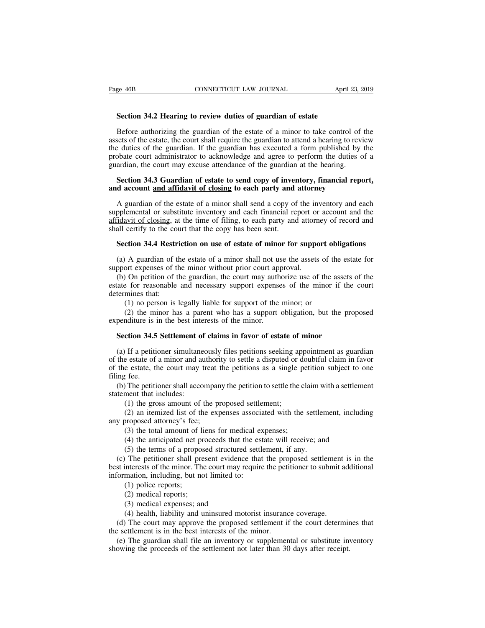EXTERT SECTION SECTION CONNECTICUT LAW JOURNAL April<br> **Section 34.2 Hearing to review duties of guardian of estate**<br>
Before authorizing the guardian of the estate of a minor to take control Section 34.2 Hearing to review duties of guardian of estate<br>Before authorizing the guardian of the estate of a minor to take control of the<br>sets of the estate, the court shall require the guardian to attend a hearing to re Fage 46B **CONNECTICUT LAW JOURNAL** April 23, 2019<br> **Section 34.2 Hearing to review duties of guardian of estate**<br>
Before authorizing the guardian of the estate of a minor to take control of the<br>
assets of the estate, the c Section 34.2 Hearing to review duties of guardian of estate<br>Before authorizing the guardian of the estate of a minor to take control of the<br>assets of the estate, the court shall require the guardian to attend a hearing to **Section 34.2 Hearing to review duties of guardian of estate**<br>Before authorizing the guardian of the estate of a minor to take control of the<br>assets of the estate, the court shall require the guardian to attend a hearing Section 34.2 Hearing to review duties of guardian of estate<br>Before authorizing the guardian of the estate of a minor to take control of<br>assets of the estate, the court shall require the guardian to attend a hearing to revi Before authorizing the guardian of the estate of a minor to take control of the sets of the estate, the court shall require the guardian to attend a hearing to review  $e$  duties of the guardian. If the guardian has execute Before authorizing the guardian of the estate of a minor to take control of assets of the estate, the court shall require the guardian to attend a hearing to reverthe duties of the guardian. If the guardian has executed a

Exercise of the guardian. If the guardian has executed a form published by the obate court administrator to acknowledge and agree to perform the duties of a ardian, the court may excuse attendance of the guardian at the he probate court administrator to acknowledge and agree to perform the duties of a guardian, the court may excuse attendance of the guardian at the hearing.<br> **Section 34.3 Guardian of estate to send copy of inventory, financi** guardian, the court may excuse attendance of the guardian at the hearing.<br> **Section 34.3 Guardian of estate to send copy of inventory, financial report,**<br> **A guardian of the estate of a minor shall send a copy of the inven** Section 34.3 Guardian of estate to send copy of inventory, financial report, and account and affidavit of closing to each party and attorney<br>A guardian of the estate of a minor shall send a copy of the inventory and each s **Example 18 account and affidavit of closing to each party and attorney**<br>A guardian of the estate of a minor shall send a copy of the inventory and each<br>pplemental or substitute inventory and each financial report or accou A guardian of the estate of a minor shall send a copy of the inventory and each<br>pplemental or substitute inventory and each financial report or account and the<br>idavit of closing, at the time of filing, to each party and at supplemental or substitute inventory and each financial report or affidavit of closing, at the time of filing, to each party and attorn shall certify to the court that the copy has been sent.<br>Section 34.4 Restriction on us

The guardian of closing, at the time of filing, to each party and attorney of record and all certify to the court that the copy has been sent.<br> **Section 34.4 Restriction on use of estate of minor for support obligations**<br> **Section 34.4 Restriction on use of estate of minor for support obligations**<br>
(a) A guardian of the estate of a minor shall not use the assets of the estate for<br>
support expenses of the minor without prior court approval. **Section 34.4 Restri**<br>(a) A guardian of the<br>support expenses of the<br>(b) On petition of the<br>state for reasonable<br>determines that:<br>(1) no person is 1<br>(2) the minor ha (A) A guardian of the estate of a minor shall not use the assets of the port expenses of the minor without prior court approval.<br>
(O) on petition of the guardian, the court may authorize use of the assets of the minor; or (2) A guardian of the estate of a minor shall not use the assets of the estate for ort expenses of the minor without prior court approval.<br>
(2) On petition of the guardian, the court may authorize use of the assets of the support expenses of the minor without prior court app<br>
(b) On petition of the guardian, the court may auth<br>
estate for reasonable and necessary support expense<br>
determines that:<br>
(1) no person is legally liable for support (b) On petition of the gial and, the court hay additional take of the assets tate for reasonable and necessary support expenses of the minor if the termines that:<br>
(1) no person is legally liable for support of the minor;

(1) no person is legally liable for support of the minor; or<br>
(2) the minor has a parent who has a support obligation, but the proposed<br>
penditure is in the best interests of the minor.<br> **Section 34.5 Settlement of claims** (1) no person is legally hable for support of the minor; or<br>
(2) the minor has a parent who has a support obligation, but the proposed<br>
expenditure is in the best interests of the minor.<br> **Section 34.5 Settlement of claim** (2) the minor has a parent who has a support obligation, but the proposed expenditure is in the best interests of the minor.<br> **Section 34.5 Settlement of claims in favor of estate of minor**<br>
(a) If a petitioner simultaneo expenditure is i<br> **Section 34.5**<br>
(a) If a petitiof<br>
the estate of<br>
of the estate, the<br>
filing fee.<br>
(b) The petition<br>
statement that i **Section 34.5 Settlement of claims in favor of estate of minor**<br>
(a) If a petitioner simultaneously files petitions seeking appointment as guardian<br>
the estate of a minor and authority to settle a disputed or doubtful cla (a) If a petitioner simultane<br>of the estate of a minor and at<br>of the estate, the court may t<br>filing fee.<br>(b) The petitioner shall acco<br>statement that includes:<br>(1) the gross amount of (2)<br>an itemized list of th If a petitioner simultaneously files petitions seeking a<br>re estate of a minor and authority to settle a disputed or o<br>e estate, the court may treat the petitions as a single p<br>reference in the proposed settlement;<br>(1) the Exercise e estate of a minor and authority to settle a disputed or doubtful claim in favor<br>
e estate, the court may treat the petitions as a single petition subject to one<br>
f fee.<br>
The petitioner shall accompany the petiti of the estate, the court may treat<br>filing fee.<br>(b) The petitioner shall accompar<br>statement that includes:<br>(1) the gross amount of the p<br>(2) an itemized list of the exp<br>any proposed attorney's fee;<br>(3) the total amount of l

(1) the petitioner shall accompany the petition to settle the climent that includes:<br>
(1) the gross amount of the proposed settlement;<br>
(2) an itemized list of the expenses associated with the s<br>
proposed attorney's fee;<br> The petitioner shall accompany the petition to settle the claim with a settlement<br>
(1) the gross amount of the proposed settlement;<br>
(2) an itemized list of the expenses associated with the settlement, includi<br>
proposed at

ment that includes:<br>
(1) the gross amount of the proposed settlement;<br>
(2) an itemized list of the expenses associated with the settler<br>
proposed attorney's fee;<br>
(3) the total amount of liens for medical expenses;<br>
(4) th

(1) the gross amount of the proposed settlement;<br>
(2) an itemized list of the expenses associated with the settlement, including<br>
y proposed attorney's fee;<br>
(3) the total amount of liens for medical expenses;<br>
(4) the an (2) an itemized list of the expenses associated with the settlement, including<br>any proposed attorney's fee;<br>(3) the total amount of liens for medical expenses;<br>(4) the anticipated net proceeds that the estate will receive any proposed attorney's fee;<br>
(3) the total amount of liens for medical ex<br>
(4) the anticipated net proceeds that the est<br>
(5) the terms of a proposed structured settle<br>
(c) The petitioner shall present evidence that<br>
best (3) the total amount of 1<br>(4) the anticipated net p<br>(5) the terms of a propor<br>The petitioner shall printerests of the minor. Th<br>mation, including, but net<br>(1) police reports;<br>(2) medical reports;<br>(3) medical expenses; an (4) the anticipated net pro<br>(5) the terms of a propose<br>The petitioner shall pres<br>interests of the minor. The<br>mation, including, but not<br>(1) police reports;<br>(2) medical reports;<br>(3) medical expenses; and<br>(4) health, liabil (5) the terms of a proposed structure<br>
The petitioner shall present evidence<br>
interests of the minor. The court may i<br>
mation, including, but not limited to:<br>
(1) police reports;<br>
(2) medical reports;<br>
(3) medical expense (4) The petitioner shall present evidence that the proposed settlement<br>interests of the minor. The court may require the petitioner to submit a<br>mation, including, but not limited to:<br>(1) police reports;<br>(2) medical reports

(d) The court may require the petitioner to submit additional<br>
formation, including, but not limited to:<br>
(d) police reports;<br>
(2) medical reports;<br>
(3) medical expenses; and<br>
(4) health, liability and uninsured motorist i

information, including, but not limited to:<br>
(1) police reports;<br>
(2) medical expenses; and<br>
(4) health, liability and uninsured motorist insurance<br>
(d) The court may approve the proposed settlement is<br>
the settlement is i (1) police reports;<br>
(2) medical reports;<br>
(3) medical expenses; and<br>
(4) health, liability and uninsured motorist insurance coverage.<br>
(d) The court may approve the proposed settlement if the court determines that<br>
settl (2) medical reports;<br>
(3) medical expenses; and<br>
(4) health, liability and uninsured motorist insurance coverage.<br>
(d) The court may approve the proposed settlement if the court determin<br>
the settlement is in the best inte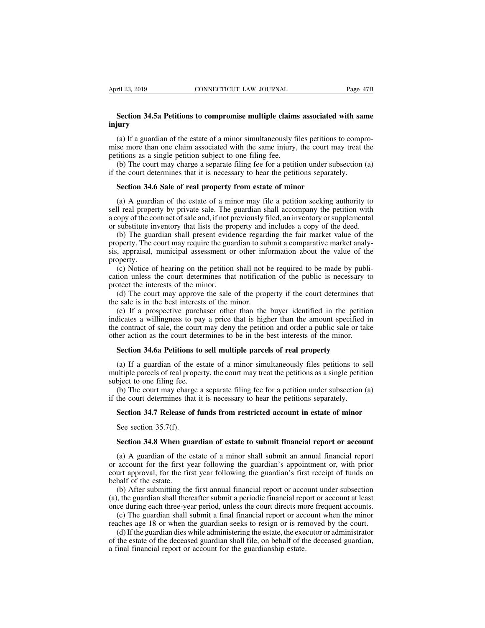## **EXECTIVE SECTION SECTION CONNECTICUT LAW JOURNAL** Page 47B<br> **Section 34.5a Petitions to compromise multiple claims associated with same**<br> **SECUTE 2008 injury**

(a) If a guardian of the estate of a minor simultaneously files petitions to compromise in a guardian of the estate of a minor simultaneously files petitions to compro-<br>se more than one claim associated with the same injur **Section 34.5a Petitions to compromise multiple claims associated with same injury**<br>(a) If a guardian of the estate of a minor simultaneously files petitions to compromise more than one claim associated with the same inju **Section 34.5a Petitions to compromise multiple claims**<br>injury<br>(a) If a guardian of the estate of a minor simultaneously fi<br>mise more than one claim associated with the same injury,<br>petitions as a single petition subject t Section 34.5a Petitions to compromise multiple claims associated with same<br>jury<br>(a) If a guardian of the estate of a minor simultaneously files petitions to compro-<br>se more than one claim associated with the same injury, Section 34.5a Petitions to compromise multiple claims associated with sample in the court of the estate of a minor simultaneously files petitions to compromise more than one claim associated with the same injury, the court (a) If a guardian of the estate of a minor simultaneously files petitions<br>se more than one claim associated with the same injury, the court m<br>titions as a single petition subject to one filing fee.<br>(b) The court may charge

se more than one claim associated with the same injury, the court may treat the<br>titions as a single petition subject to one filing fee.<br>(b) The court may charge a separate filing fee for a petition under subsection (a)<br>the petitions as a single petition subject to one filing fee.<br>
(b) The court may charge a separate filing fee for a petition under subsection (a)<br>
if the court determines that it is necessary to hear the petitions separately.<br> (b) The court may charge a separate filing fee for a petition under subsection (a) if the court determines that it is necessary to hear the petitions separately.<br> **Section 34.6 Sale of real property from estate of minor**<br> if the court determines that it is necessary to hear the petitions separately.<br> **Section 34.6 Sale of real property from estate of minor**<br>
(a) A guardian of the estate of a minor may file a petition seeking authority to<br>
s Section 34.6 Sale of real property from estate of minor<br>(a) A guardian of the estate of a minor may file a petition seeking authority to<br>Il real property by private sale. The guardian shall accompany the petition with<br>opy

Section 34.6 Sale of real property from estate of minor<br>(a) A guardian of the estate of a minor may file a petition seeking authority to<br>sell real property by private sale. The guardian shall accompany the petition with<br>a (a) A guardian of the estate of a minor may file a petition seeking authority to sell real property by private sale. The guardian shall accompany the petition with a copy of the contract of sale and, if not previously file property. (c) Notice of hearing on the petition shall not be required to be made by publi-<br>(b) The guardian shall present evidence regarding the fair market value of the<br>(b) The guardian shall present evidence regarding the fair mar cated by or the contract of state and, in not previously fried, an inventory of supplementation or substitute inventory that lists the property and includes a copy of the deed.<br>
(b) The guardian shall present evidence rega (b) The guardian shall present evidently that has the property. The court may require the guas sis, appraisal, municipal assessment of property.<br>(c) Notice of hearing on the petition cation unless the court determines that (d) The guaranal shall present evidence regalating the fall intitiate of the operty. The court may require the guardian to submit a comparative market analy-<br>
(e) Notice of hearing on the petition shall not be required to

sis, appraisal, municipal assessment or other informations, appraisal, municipal assessment or other information unless the court determines that notification protect the interests of the minor.<br>(d) The court may approve t

(e) If a prospective purchaser other than the buyer identified in the petition unless the court determines that notification of the public is necessary to the interests of the minor.<br>(d) The court may approve the sale of t (c) Notice of hearing on the petition shall not be required to be made by publication unless the court determines that notification of the public is necessary to protect the interests of the minor.<br>
(d) The court may appr (c) Notice of nearing on the petition shall not be required to be made by pair<br>cation unless the court determines that notification of the public is necessary to<br>protect the interests of the minor.<br>(d) The court may appro d) The court mere the minor.<br>
(d) The court may approve the sale of the property if the court determines that<br>
the sale is in the best interests of the minor.<br>
(e) If a prospective purchaser other than the buyer identified (d) The court may approve the sale of the property if the court determines the sale is in the best interests of the minor.<br>
(e) If a prospective purchaser other than the buyer identified in the petitionicates a willingness (e) If a prospective purchaser other than the buyer identified in the petition dicates a willingness to pay a price that is higher than the amount specified in e contract of sale, the court may deny the petition and order indicates a willingness to pay a price that is higher than the amount specified in<br>the contract of sale, the court may deny the petition and order a public sale or take<br>other action as the court determines to be in the bes

the contract of sale, the court if<br>other action as the court deter<br>**Section 34.6a Petitions to**<br>(a) If a guardian of the est<br>multiple parcels of real propert<br>subject to one filing fee.<br>(b) The court may charge a<br>if the cou The court determines to be in the best interests of the minor.<br> **Section 34.6a Petitions to sell multiple parcels of real property**<br>
(a) If a guardian of the estate of a minor simultaneously files petitions to sell<br>
altipl Section 34.6a Petitions to sell multiple parcels of real property<br>
(a) If a guardian of the estate of a minor simultaneously files petitions to s<br>
multiple parcels of real property, the court may treat the petitions as a s (a) If a guardian of the estate of a minor simultaneously files petitions to sell altiple parcels of real property, the court may treat the petitions as a single petition bject to one filing fee.<br>(b) The court may charge a Il tiple parcels of real prop<br>bject to one filing fee.<br>(b) The court may charge<br>the court determines that<br>**Section 34.7 Release of**<br>See section 35.7(f).<br>**Section 34.8 When guar** 

(b) The court may charge a separate filing fee for a petition under subsection (a) the court determines that it is necessary to hear the petitions separately.<br>**Section 34.7 Release of funds from restricted account in esta** 

(a) A guardian of the estate of a minor shall submit financial report or account<br>(a) A guardian of the estate of a minor shall submit financial report or account<br>(a) A guardian of the estate of a minor shall submit an annu Section 34.7 Release of funds from restricted account in estate of minor<br>See section 35.7(f).<br>Section 34.8 When guardian of estate to submit financial report or account<br>(a) A guardian of the estate of a minor shall submit See section 35.7(f).<br>Section 34.8 When guardian of estate to submit financial report or account<br>(a) A guardian of the estate of a minor shall submit an annual financial report<br>or account for the first year following the gu See section 35.7(f).<br>
Section 34.8 When gu<br>
(a) A guardian of the or<br>
or account for the first y<br>
court approval, for the fin<br>
behalf of the estate.<br>
(b) After submitting the<br>
(a), the guardian shall there Section 34.8 When guardian of estate to submit financial report or account (a) A guardian of the estate of a minor shall submit an annual financial report account for the first year following the guardian's appointment or, Section 34.8 When guardian of estate to submit financial report or account<br>
(a) A guardian of the estate of a minor shall submit an annual financial report<br>
or account for the first year following the guardian's appointme (a) A guardian of the estate of a minor shall submit an annual financial report or account for the first year following the guardian's appointment or, with prior court approval, for the first year following the guardian's (a) A guardian of the estate of a finited shall submit an annual final final report account for the first year following the guardian's appointment or, with prior urt approval, for the first year following the guardian's

reaction of the first year following the guardian's depondenced by which provided a behalf of the estate.<br>
(b) After submitting the first annual financial report or account under subsection<br>
(a), the guardian shall thereaf half of the estate.<br>(b) After submitting the first annual financial report or account under subsection<br>, the guardian shall thereafter submit a periodic financial report or account at least<br>ce during each three-year period (b) After submitting the first annual financial report or account under subsection (a), the guardian shall thereafter submit a periodic financial report or account at least once during each three-year period, unless the co

(a), the guardian shall thereafter submit a periodic financial report or accounting each three-year period, unless the court directs mo (c) The guardian shall submit a final financial report or acc reaches age 18 or when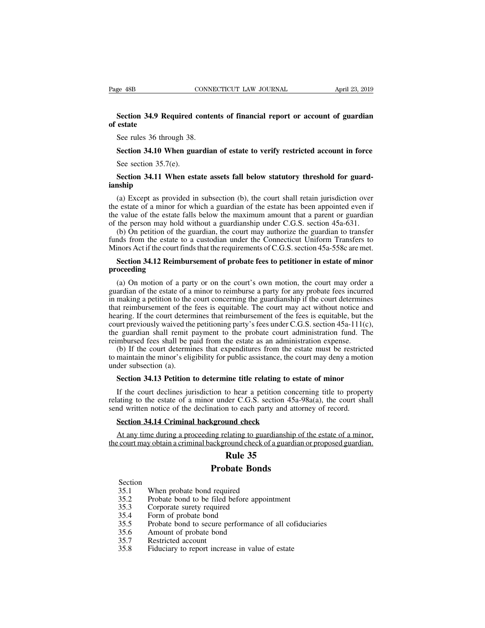## **Section 34.9 Required contents of financial report or account of guardian**<br>
Section 34.9 Required contents of financial report or account of guardian<br>
Securies 26 through 28 Page 48B<br> **Section 34.9 Re**<br> **of estate**<br>
See rules 36 three EVEL EXERCT<br>
Section 34.9 Required content<br>
estate<br>
See rules 36 through 38.<br>
Section 34.10 When guardia **Section 34.9 Required contents of financial report or account of guardian estate**<br>See rules 36 through 38.<br>**Section 34.10 When guardian of estate to verify restricted account in force**<br>See section 35.7(e). Section 34.9 Required c<br>estate<br>See rules 36 through 38.<br>Section 34.10 When gua<br>See section 35.7(e).<br>Section 34.11 When estation

## **Section 34.10 When guardian of estate to verify restricted account in force**<br>
Section 34.10 When guardian of estate to verify restricted account in force<br>
Section 34.11 When estate assets fall below statutory threshold fo **ianship**

Section 34.10 When guardian of estate to verify restricted account in force<br>See section 35.7(e).<br>Section 34.11 When estate assets fall below statutory threshold for guard-<br>nship<br>(a) Except as provided in subsection (b), t Section 34.10 When guardian of estate to verify restricted account in force<br>See section 35.7(e).<br>Section 34.11 When estate assets fall below statutory threshold for guard-<br>ianship<br>(a) Except as provided in subsection (b), See section 35.7(e).<br>
Section 34.11 When estate assets fall below statutory threshold for guard-<br>
ianship<br>
(a) Except as provided in subsection (b), the court shall retain jurisdiction over<br>
the estate of a minor for whic **Section 34.11 When estate assets fall below statutory threshold for guardianship**<br>(a) Except as provided in subsection (b), the court shall retain jurisdiction over<br>the estate of a minor for which a guardian of the estat Section 34.11 When estate assets fall below statutory threshold for guard-<br>aship<br>(a) Except as provided in subsection (b), the court shall retain jurisdiction over<br>e estate of a minor for which a guardian of the estate ha **EXECUTE:** (a) Except as provided in subsection (b), the court shall retain jurisdiction over the estate of a minor for which a guardian of the estate has been appointed even if the value of the estate falls below the max (a) Except as provided in subsection (b), the court shall retain jurisdiction over<br>the estate of a minor for which a guardian of the estate has been appointed even if<br>the value of the estate falls below the maximum amount **Section 34.12 Reimbursement of probate fees to petitioner in estate of minor conditions and the person may hold without a guardianship under C.G.S. section 45a-631.<br>
(b) On petition of the guardian, the court may authoriz** 

### **proceeding**

(b) On petition of the guardian, the court may authorize the guardian to transfer of the state to a custodian under the Connecticut Uniform Transfers to inors Act if the court finds that the requirements of C.G.S. section funds from the estate to a custodian under the Connecticut Uniform Transfers to<br>Minors Act if the court finds that the requirements of C.G.S. section 45a-558c are met.<br>Section 34.12 Reimbursement of probate fees to petitio Minors Act if the court finds that the requirements of C.G.S. section 45a-558c are met.<br> **Section 34.12 Reimbursement of probate fees to petitioner in estate of minor**<br> **proceeding**<br>
(a) On motion of a party or on the cou **Example 1 and Solutions and the requirements of crossisted in the foother in extate of minor proceeding**<br>
(a) On motion of a party or on the court's own motion, the court may order a<br>
guardian of the estate of a minor to **Section 34.12 Reimbursement of probate fees to petitioner in estate of minor**<br>**proceeding**<br>(a) On motion of a party or on the court's own motion, the court may order a<br>guardian of the estate of a minor to reimburse a par proceeding<br>(a) On motion of a party or on the court's own motion, the court may order a<br>guardian of the estate of a minor to reimburse a party for any probate fees incurred<br>in making a petition to the court concerning the (a) On motion of a party or on the court's own motion, the court may order a guardian of the estate of a minor to reimburse a party for any probate fees incurred in making a petition to the court concerning the guardiansh (a) On motion of a party or on the court's own motion, the court may order a guardian of the estate of a minor to reimburse a party for any probate fees incurred in making a petition to the court concerning the guardiansh atural of the estate of a filmot to removals a party for any probate recs incurred<br>making a petition to the court concerning the guardianship if the court determines<br>at reimbursement of the fees is equitable. The court may In making a pethon to the collect concerning the guardiansinp if the court determines<br>that reimbursement of the fees is equitable. The court may act without notice and<br>hearing. If the court determines that reimbursement of that remodiscinent of the<br>hearing. If the court detern<br>court previously waived the<br>the guardian shall remit preimbursed fees shall be p<br>(b) If the court determin<br>to maintain the minor's elig<br>under subsection (a).<br>**Section** urt previously waived the petitioning party's fees under C.G.S. section 45a-111(c),<br>
E guardian shall remit payment to the probate court administration fund. The<br>
mbursed fees shall be paid from the estate as an administra

If the court declines in the proton to determine and annihistation expense.<br>
(b) If the court determines that expenditures from the estate must be restricted maintain the minor's eligibility for public assistance, the cou relating to the court determines that expenditures from the estate must be restricted to maintain the minor's eligibility for public assistance, the court may deny a motion under subsection (a).<br> **Section 34.13 Petition to** to maintain the minor's eligibility for public assistance, the court may deny a motion<br>under subsection (a).<br>**Section 34.13 Petition to determine title relating to estate of minor**<br>If the court declines jurisdiction to hea der subsection (a).<br> **Section 34.13 Petition to determine title relating to es**<br>
If the court declines jurisdiction to hear a petition conce<br>
ating to the estate of a minor under C.G.S. section 45a<br>
and written notice of t Section 34.13 Petition to determine title relating to estate of minor<br>If the court declines jurisdiction to hear a petition concerning title to property<br>ating to the estate of a minor under C.G.S. section 45a-98a(a), the If the court declines jurisdiction to hear a petition concerning title to property<br>relating to the estate of a minor under C.G.S. section 45a-98a(a), the court shall<br>send written notice of the declination to each party and to hear a petition conce<br>der C.G.S. section 45a<br>n to each party and atte<br>und check<br>elating to guardianship<br>round check of a guardia<br>**Rule 35**<br>bate Bonds

r under C.G.S. section 45a-9<br>hation to each party and attor<br>kground check<br>mg relating to guardianship of<br>ackground check of a guardian<br>**Rule 35**<br>**Probate Bonds**<br>required At any time during a proceeding relating to guardicular court may obtain a criminal background check of a<br> **Rule 35**<br> **Probate Bonds**<br>
Section<br>
35.1 When probate bond required<br>
35.2 Probate bond to be filed before appoint:

- Section<br>35.1 When probate bond required 35.1 When probate bond require<br>35.2 Probate bond to be filed<br>35.3 Corporate surety require<br>35.4 Form of probate bond<br>35.5 Probate bond to secure p<br>35.6 Amount of probate bond<br>35.7 Restricted account<br>35.8 Fiduciary to repor
- **EXECUTE AT ALL SET ALL STARK CONTEX CONTEX CONTINUES SECTION**<br>35.1 **Probate Bonds**<br>35.2 Probate bond to be filed before appointment<br>35.3 Corporate surety required<br>35.4 Form of probate bond **25.1**<br> **25.3**<br> **25.1**<br> **25.1**<br> **25.1**<br> **25.2**<br> **25.2**<br> **25.3**<br> **25.3**<br> **25.3**<br> **25.4**<br> **25.4**<br> **35.4**<br> **35.5**<br> **25.4**<br> **25.4**<br> **25.4**<br> **25.4**<br> **25.4**<br> **25.4**<br> **25.4**<br> **25.4**<br> **25.4**<br> **25.4**<br> **25.4**<br> **25.4**<br> **25.4**<br> **25.4 Probate Be**<br>
Section<br>
35.1 When probate bond required<br>
35.2 Probate bond to be filed before a<br>
35.3 Corporate surety required<br>
35.4 Form of probate bond<br>
35.5 Probate bond to secure performal<br>
35.6 Amount of probate bond Section<br>
35.1 When probate bond required<br>
35.2 Probate bond to be filed before app<br>
35.3 Corporate surety required<br>
35.4 Form of probate bond<br>
35.5 Probate bond to secure performance<br>
35.6 Amount of probate bond<br>
35.7 Rest
- 
- 
- **Probate Bonds**<br>
Section<br>
35.1 When probate bond required<br>
35.2 Probate bond to be filed before appointment<br>
35.3 Corporate surety required<br>
35.4 Form of probate bond<br>
35.5 Probate bond to secure performance of all cofiduc 35.2 Probate bond included<br>35.2 Probate bond to be filed before appointment<br>35.3 Corporate surety required<br>35.4 Form of probate bond<br>35.5 Probate bond<br>35.6 Amount of probate bond<br>35.7 Restricted account<br>35.8 Fiduciary to r
- 
- 
-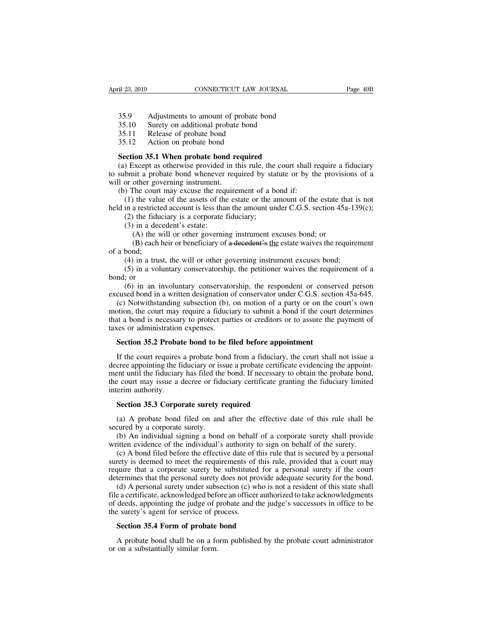<sup>2</sup> Example 23, 2019<br>
35.9 Adjustments to amount of probate bond<br>
35.10 Surety on additional probate bond<br>
35.11 Release of probate bond <sup>21</sup> 23, 2019<br>
<sup>21</sup> 23, 2019<br>
<sup>35.9</sup> Adjustments to amount of probate bond<br>
<sup>35.10</sup> Surety on additional probate bond<br>
<sup>35.11</sup> Release of probate bond<br>
<sup>35.12</sup> Action on probate bond Example 123, 2019<br>
35.9 Adjustments to amount of probate 1<br>
35.10 Surety on additional probate bond<br>
35.11 Release of probate bond<br>
35.12 Action on probate bond <sup>21</sup> 23, 2019<br>
<sup>21</sup> 23, 2019<br>
<sup>35.9</sup> Adjustments to amount of probate<br>
<sup>35.10</sup> Surety on additional probate bond<br>
<sup>35.11</sup> Release of probate bond<br>
<sup>35.12</sup> Action on probate bond required<br> **Section 35.1 When probate bond re** 

- 
- 
- 

**SECUTE:** 35.9 Adjustments to amount of probate bond<br>
35.10 Surety on additional probate bond<br>
35.11 Release of probate bond<br>
35.12 Action on probate bond<br> **Section 35.1 When probate bond required**<br>
(a) Except as otherwise (a) Except as otherwise probate bond<br>
S5.10 Surety on additional probate bond<br>
S5.11 Release of probate bond<br>
Section 35.1 When probate bond required<br>
(a) Except as otherwise provided in this rule, the court shall require Adjustments to amount of probate bond<br>35.10 Surety on additional probate bond<br>35.11 Release of probate bond<br>35.12 Action on probate bond<br>Section 35.1 When probate bond required<br>(a) Except as otherwise provided in this rule 35.10 Surety on additional probate<br>35.11 Release of probate bond<br>35.12 Action on probate bond<br>Section 35.1 When probate bond re<br>(a) Except as otherwise provided in th<br>to submit a probate bond whenever requile<br>(b) The cour (b) The court may excuse the required<br>(a) Except as otherwise provided in this rule, the court shall r<br>submit a probate bond whenever required by statute or by the<br>l or other governing instrument.<br>(b) The court may excuse (1) the value of the probate bond **required**<br>
(1) Except as otherwise provided in this rule, the court shall require a fiduciary<br>
bmit a probate bond whenever required by statute or by the provisions of a<br>
or other govern **Section 35.1 When probate bond required**<br>
(a) Except as otherwise provided in this rule, the court shall require a fiduciary<br>
to submit a probate bond whenever required by statute or by the provisions of a<br>
will or other (2) Except as otherwise provided in this rule, the bmit a probate bond whenever required by sta or other governing instrument.<br>
(2) The court may excuse the requirement of a b (1) the value of the assets of the estate or

bmit a probate bond whenever<br>bmit a probate bond whenever<br>or other governing instrument.<br>The court may excuse the requality<br>(1) the value of the assets of the<br>in a restricted account is less than<br>(2) the fiduciary is a cor other governing instrument.<br>
The court may excuse the requirement of a bond if:<br>
the value of the assets of the estate or the amount of the estate than<br>
a restricted account is less than the amount under C.G.S. section 45a The court may excuse the requirement of a bond if:<br>
the value of the assets of the estate or the amount of the estate that is not<br>
a restricted account is less than the amount under C.G.S. section 45a-139(c);<br>
the fiduciar (1) the value<br>held in a restricte<br>(2) the fidue<br>(3) in a dec<br>(A) the w<br>(B) each l<br>of a bond;<br>(4) in a trus<br>(5) in a volue

in a restricted account is less than the amount under C.G.S. section 45a-139<br>(2) the fiduciary is a corporate fiduciary;<br>(3) in a decedent's estate:<br>(A) the will or other governing instrument excuses bond; or<br>(B) each hei (2) the fiduciary is a corporate fiduciary;<br>
(3) in a decedent's estate:<br>
(A) the will or other governing instrument excuses bond; or<br>
(B) each heir or beneficiary of a decedent's the estate waives the requirement<br>
bond;<br> (3) in a dea<br>
(A) the v<br>
(B) each<br>
of a bond;<br>
(4) in a tru<br>
(5) in a void;<br>
or<br>
(6) in an inexcused bond in (A) the will or other governing instrument excuses bond; (B) each heir or beneficiary of a decedent's the estate waives the requirement bond;<br>(4) in a trust, the will or other governing instrument excuses bond;<br>(5) in a v

(B) each heir or beneficiary of a decedent's the estate waives the requirement<br>of a bond;<br>(4) in a trust, the will or other governing instrument excuses bond;<br>(5) in a voluntary conservatorship, the petitioner waives the (4) in a trust, the will or other governing instrument excuses bond;<br>
(5) in a voluntary conservatorship, the petitioner waives the requirement of a<br>
nd; or<br>
(6) in an involuntary conservatorship, the respondent or conser (4) in a trust, the will or other governing instrument excuses bond;<br>(5) in a voluntary conservatorship, the petitioner waives the requirement of a<br>bond; or<br>(6) in an involuntary conservatorship, the respondent or conserve (5) in a bond is necessary conservatorship, the petitioner waives the requirement of a<br>bond; or<br>(6) in an involuntary conservatorship, the respondent or conserved person<br>excused bond in a written designation of conservato bond; or (6) in a voluntary conservatorship<br>bond; or (6) in an involuntary conservators excused bond in a written designation (6), motion, the court may require a fiducia<br>that a bond is necessary to protect part taxes or (6) in an involuntary conservatorship, the respondent or conservated bond in a written designation of conservator under C.G.S. section (c) Notwithstanding subsection (b), on motion of a party or on the otion, the court may (c) Notwithstanding subsection (b), on motion of a party or on the court's own<br>btion, the court may require a fiduciary to submit a bond if the court determines<br>at a bond is necessary to protect parties or creditors or to

motion, the court may require a fiduciary to submit a bond if the court determines<br>that a bond is necessary to protect parties or creditors or to assure the payment of<br>taxes or administration expenses.<br>**Section 35.2 Probat** that a bond is necessary to protect parties or creditors or to assure the payment of taxes or administration expenses.<br> **Section 35.2 Probate bond to be filed before appointment**<br>
If the court requires a probate bond from taxes or administration expenses.<br>
Section 35.2 Probate bond to be filed before appointment<br>
If the court requires a probate bond from a fiduciary, the court shall not issue a<br>
decree appointing the fiduciary or issue a pr **Section 35.2 Probat**<br>If the court requires<br>decree appointing the fi<br>ment until the fiduciary<br>the court may issue a contention authority.<br>**Section 35.3 Corpo** If the court requires a probate bond from a fiduciary, cree appointing the fiduciary or issue a probate certificate ent until the fiduciary has filed the bond. If necessary te court may issue a decree or fiduciary certific cree appointing the fiduciary or issue a probate certificate evidencing the appoint-<br>ent until the fiduciary has filed the bond. If necessary to obtain the probate bond,<br>e court may issue a decree or fiduciary certificate ment until the fiduciary has filed the bond. If necessary to obtain the probate bond,<br>the court may issue a decree or fiduciary certificate granting the fiduciary limited<br>interim authority.<br>**Section 35.3 Corporate surety r** 

Execut may issue a decree or fiduciary certificate granting the fiduciary limited<br>erim authority.<br>Section 35.3 Corporate surety required<br>(a) A probate bond filed on and after the effective date of this rule shall be<br>cured

interim authority.<br> **Section 35.3 Corporate surety required**<br>
(a) A probate bond filed on and after the effective date of this rule shall be<br>
secured by a corporate surety.<br>
(b) An individual signing a bond on behalf of a Section 35.3 Corporate surety required<br>
(a) A probate bond filed on and after the effective date of this rule shall be<br>
cured by a corporate surety.<br>
(b) An individual signing a bond on behalf of a corporate surety shall p **Section 35.5 Corporate surety required**<br>(a) A probate bond filed on and after the effective date of this rule shall be<br>secured by a corporate surety.<br>(b) An individual signing a bond on behalf of a corporate surety shall (a) A probate bond filed on and after the effective date of this rule shall be secured by a corporate surety.<br>
(b) An individual signing a bond on behalf of a corporate surety shall provide written evidence of the individ (a) A proced some med on and anter the encenve date or ans rate shart be<br>secured by a corporate surety.<br>(b) An individual signing a bond on behalf of a corporate surety shall provide<br>written evidence of the individual's au (b) An individual signing a bond on behalf of a corporate surety shall provide<br>itten evidence of the individual's authority to sign on behalf of the surety.<br>(c) A bond filed before the effective date of this rule, that is

(b) Tim individual signing a bond of behalf of a corporate safety shall provide written evidence of the individual's authority to sign on behalf of the surety.<br>
(c) A bond filed before the effective date of this rule, pro of deeds, appointing the judge of process.<br>
Successors in our contact the secured by a personal surety is deemed to meet the requirements of this rule, provided that a court may require that a corporate surety be substitu (c) A bond included to the encerator date of surety is deemed to meet the requirements of require that a corporate surety be substituted determines that the personal surety does not pro(d) A personal surety under subsecti quire that a corporate surety be substituted for a<br>termines that the personal surety does not provide<br>(d) A personal surety under subsection (c) who is is<br>a careficate, acknowledged before an officer author<br>deeds, appointi (d) A personal surety under subsection (c) who is not a resident of this state shall e a certificate, acknowledged before an officer authorized to take acknowledgements deeds, appointing the judge of probate and the judge file a certificate, acknowledged before of deeds, appointing the judge of p<br>the surety's agent for service of pr<br>**Section 35.4 Form of probate**<br>A probate bond shall be on a for on a substantially similar form.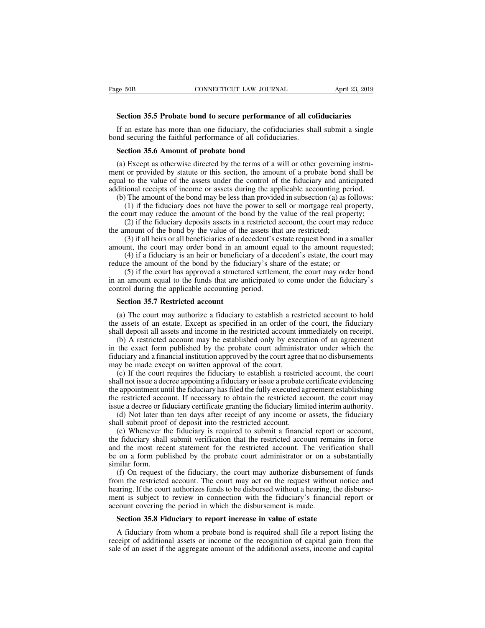**SECTICUS** EXTREMAL **SECTION CONNECTICUT LAW JOURNAL Section 35.5 Probate bond to secure performance of all cofiduciaries**<br>
If an estate has more than one fiduciary, the cofiduciaries shall submit a single Section 35.5 Probate bond to secure performance of all cofiduciaries<br>If an estate has more than one fiduciary, the cofiduciaries shall submit a single<br>and securing the faithful performance of all cofiduciaries.<br>Section 35. Page 50B CONNECTICUT LAW JOURNAL<br> **Section 35.5 Probate bond to secure performance of all cof**<br>
If an estate has more than one fiduciary, the cofiduciaries sha<br>
bond securing the faithful performance of all cofiduciaries.<br> **Section 35.5 Probate bond to secure performance**<br>If an estate has more than one fiduciary, the cofiducial<br>nd securing the faithful performance of all cofiducial<br>**Section 35.6 Amount of probate bond**<br>(a) Except as otherwis

Section 35.5 Probate bond to secure performance of all cofiduciaries<br>If an estate has more than one fiduciary, the cofiduciaries shall submit a single<br>nd securing the faithful performance of all cofiduciaries.<br>Section 35.6 Section 35.5 Probate bond to secure performance of all conductaries<br>If an estate has more than one fiduciary, the cofiduciaries shall submit a single<br>bond securing the faithful performance of all cofiduciaries.<br>Section 35. If an estate has more than one fiduciary, the cofiduciaries shall submit a single<br>bond securing the faithful performance of all cofiduciaries.<br>**Section 35.6 Amount of probate bond**<br>(a) Except as otherwise directed by the additional receipts of income or sasets during the power to sell or mortgage real property,<br>
(a) Except as otherwise directed by the terms of a will or other governing instrument or provided by statute or this section, the (a) Except as otherwise directed by the terms of a will or other governing instru-<br>(a) Except as otherwise directed by the terms of a will or other governing instru-<br>ent or provided by statute or this section, the amount o **COMET ACT CONDEGO EXECT CONDEGO EXECT** EXCEPT AS ONEXCEPT AS otherwise directed by the terms of a will or other governing instru-<br>or provided by statute or this section, the amount of a probate bond shall be<br>to the value (a) Except as otherwise directed by the terms of a will or other governing instrument or provided by statute or this section, the amount of a probate bond shall be equal to the value of the assets under the control of the Except as once wise directed by the terms of a will of once governing instead or provided by statute or this section, the amount of a probate bond shall be 1 to the value of the assets under the control of the fiduciary a the amount of the bond by the value of the assets that are restricted;<br>
(b) The amount of the bond may be less than provided in subsection (a) as f<br>
(b) The amount of the bond may be less than provided in subsection (a) as

(3) if all heirs or all beneficiaries of a decedent's estate, the court may order that if a fiduciary does not have the power to sell or mortgage real property, (1) if the fiduciary does not have the power to sell or mortg

additional receipts of meome of assets during the applicable accounting period.<br>
(b) The amount of the bond may be less than provided in subsection (a) as follows:<br>
(1) if the fiduciary does not have the power to sell or m (1) if the fiduciary does not have the power to sell or mortgage real property, ourt may reduce the amount of the bond by the value of the real property; (2) if the fiduciary deposits assets in a restricted account, the c

(1) It the fiductary does not have the power to sell of indicating the court may reduce the amount of the bond by the value of the real property:<br>
(2) if the fiduciary deposits assets in a restricted account, the court ma out may reduce the amount of the bond by the value of the real property,<br>(2) if the fiduciary deposits assets in a restricted account, the court may reduce<br>mount of the bond by the value of the assets that are restricted;<br> (2) if the funds to the value of the assets that are restricted;<br>the amount of the bond by the value of the assets that are restricted;<br>(3) if all heirs or all beneficiaries of a decedent's estate request bond in a smalle the amount of the bond by the value of the assess that<br>
(3) if all heirs or all beneficiaries of a decedent's es<br>
amount, the court may order bond in an amount equ<br>
(4) if a fiduciary is an heir or beneficiary of a dec<br>
re **Section** 35.7 **Restricted account** (4) if a fiduciary is an heir or beneficial<br>duce the amount of the bond by the fiduce (5) if the court has approved a structur<br>an amount equal to the funds that are an<br>ntrol during the a

(a) The court may authorize a fiduciary is share of the estate; or<br>
(5) if the court has approved a structured settlement, the court may order bond<br>
an amount equal to the funds that are anticipated to come under the fiduc (5) if the court has approved a structured settlement, the court may order bond<br>in an amount equal to the funds that are anticipated to come under the fiduciary's<br>control during the applicable accounting period.<br>**Section 3** Shall deposite all assets and income in the restricted account and amount equal to the funds that are anticipated to come under the fiduciary's control during the applicable accounting period.<br> **Section 35.7 Restricted acc** 

(b) A restricted accounting the applicable accounting period.<br>
Section 35.7 Restricted account<br>
(a) The court may authorize a fiduciary to establish a restricted account to hold<br>
e assets of an estate. Except as specified Section 35.7 Restricted account<br>
(a) The court may authorize a fiduciary to establish a restricted account to hold<br>
the assets of an estate. Except as specified in an order of the court, the fiduciary<br>
shall deposit all as **Section 35.7 Restricted account**<br>
(a) The court may authorize a fiduciary to establish a restricted account to hold<br>
the assets of an estate. Except as specified in an order of the court, the fiduciary<br>
shall deposit all (a) The court may authorize a fiduciary to establish a restricted account to hold<br>the assets of an estate. Except as specified in an order of the court, the fiduciary<br>shall deposit all assets and income in the restricted a (a) The court may authorize a nuuclary to establish a restricted account to note<br>
a sseets of an estate. Except as specified in an order of the court, the fiduciary<br>
all deposit all assets and income in the restricted acco

in a decree appoint is a fiduciary or issue a probate certificate videosity of the count in the exact form published by the probate count administrator under which the fiduciary and a financial institution approved by the Shan deposit an assets and medine in the restricted account inimetatatry on recept.<br>
(b) A restricted account may be established only by execution of an agreement<br>
in the exact form published by the probate court administ (b) A restricted account hray be established only by execution of an agreement<br>in the exact form published by the probate court administrator under which the<br>fiduciary and a financial institution approved by the court agr in the exact form published by the probate contradinimistator under which the fiduciary and a financial institution approved by the court agree that no disbursements may be made except on written approval of the court.<br>
(c (d) If the court required in statution approved by the court agree that no disbutes intensity be made except on written approval of the court.<br>
(c) If the court requires the fiduciary to establish a restricted account, the (c) If the court requires the fiduciary to establish a restricte<br>shall not issue a decree appointing a fiduciary or issue a probate of<br>the appointment until the fiduciary has filed the fully executed ag<br>the restricted acco (e) It in court requires the fiduciary to establish a festicate account, the coard<br>all not issue a decree appointing a fiduciary or issue a <del>probate</del> certificate evidencing<br>e restricted account. If necessary to obtain the

Shall not issue a decree appointing a nuderally of issue a probate ecriticate evidenting<br>the appointment until the fiduciary has filed the fully executed agreement establishing<br>the restricted account. If necessary to obtai the appointment until the inductary has filed the ruly executed agreement establishing<br>the restricted account. If necessary to obtain the restricted account, the court may<br>issue a decree or <del>fiduciary</del> certificate granting the restricted account. It increased y to obtain the restricted account, the court may<br>issue a decree or <del>fiduciary</del> certificate granting the fiduciary limited interim authority.<br>(d) Not later than ten days after receipt o similar decree of HR<br>
(d) Not later that<br>
shall submit proof<br>
(e) Whenever the<br>
the fiduciary shall<br>
and the most rece<br>
be on a form pub<br>
similar form.<br>
(f) On request c<br>
from the restricted (d) Not fact than ich days ance recept of any income of assets, the houctary<br>all submit proof of deposit into the restricted account.<br>(e) Whenever the fiduciary is required to submit a financial report or account,<br>fiduciar shan submit proof of deposit into the restricted account.<br>
(e) Whenever the fiduciary is required to submit a financial report or account,<br>
the fiduciary shall submit verification that the restricted account remains in for

(c) whenever the nuteraly is reducted to submit a miancial report of account, the fiduciary shall submit verification that the restricted account remains in force and the most recent statement for the restricted account. T ment is subject to review in connection with the fiduciary's financial be on a form published by the probate court administrator or on a substantially similar form.<br>
(f) On request of the fiduciary, the court may authorize and the most recent statement for the restricted account. The vertified on a form published by the probate court administrator or on a similar form.<br>
(f) On request of the fiduciary, the court may authorize disbursem<br>
from milar form.<br>
(f) On request of the fiduciary, the court may authorize disbursement of<br>
om the restricted account. The court may act on the request without not<br>
aring. If the court authorizes funds to be disbursed without a A fiduciary from whom a probate bond is required shall file a report listing. If the court authorizes funds to be disbursed without a hearing, the disburse-<br>ent is subject to review in connection with the fiduciary's finan Fractional assets or income or the recognitional assets, income and capital of an asset of an asset if the aggregate amount of the additional assets or income or the recognition of example. Section 35.8 Fiduciary to report

Sale of a and the alternation with the fiduciary's financial report or account covering the period in which the disbursement is made.<br>Section 35.8 Fiduciary to report increase in value of estate<br>A fiduciary from whom a pro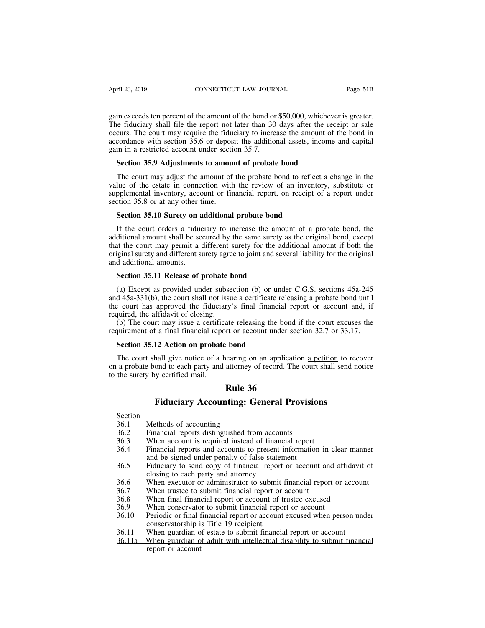April 23, 2019 CONNECTICUT LAW JOURNAL Page 51B<br>gain exceeds ten percent of the amount of the bond or \$50,000, whichever is greater.<br>The fiduciary shall file the report not later than 30 days after the receipt or sale<br>occu April 23, 2019 CONNECTICUT LAW JOURNAL Page 51B<br>gain exceeds ten percent of the amount of the bond or \$50,000, whichever is greater.<br>The fiduciary shall file the report not later than 30 days after the receipt or sale<br>occu April 23, 2019 **CONNECTICUT LAW JOURNAL** Page 51B<br>gain exceeds ten percent of the amount of the bond or \$50,000, whichever is greater.<br>The fiduciary shall file the report not later than 30 days after the receipt or sale<br>oc April 23, 2019 CONNECTICUT LAW JOURNAL Page 51B<br>gain exceeds ten percent of the amount of the bond or \$50,000, whichever is greater.<br>The fiduciary shall file the report not later than 30 days after the receipt or sale<br>occu gain exceeds ten percent of the amount of the bond or<br>The fiduciary shall file the report not later than 30<br>occurs. The court may require the fiduciary to increa<br>accordance with section 35.6 or deposit the addition<br>gain in in exceeds ten percent of the amount of the bond or \$50,000, whicheve<br>ee fiduciary shall file the report not later than 30 days after the rec<br>curs. The court may require the fiduciary to increase the amount of t<br>cordance w is external file the report not later than 30 days after the receipt or sale<br>curs. The court may require the fiduciary to increase the amount of the bond in<br>cordance with section 35.6 or deposit the additional assets, inco

occurs. The court may require the fiduciary to increase the amount of the bond in accordance with section 35.6 or deposit the additional assets, income and capital gain in a restricted account under section 35.7.<br>**Section** accordance with section 35.6 or deposit the additional assets, income and capital<br>gain in a restricted account under section 35.7.<br>**Section 35.9 Adjustments to amount of probate bond**<br>The court may adjust the amount of the gain in a restricted account under sectical<br>Section 35.9 Adjustments to amour<br>The court may adjust the amount of<br>value of the estate in connection with<br>supplemental inventory, account or fir<br>section 35.8 or at any other ti **Section 35.9 Adjustments to amount of probate bond**<br>The court may adjust the amount of the probate bond to reflect<br>lue of the estate in connection with the review of an inventor<br>pplemental inventory, account or financial The court may adjust the amount of the probate bond to reflect a change in the<br>lue of the estate in connection with the review of an inventory, substitute or<br>pplemental inventory, account or financial report, on receipt of

value of the estate in connection with the review of an inventory, substitute or supplemental inventory, account or financial report, on receipt of a report under section 35.8 or at any other time.<br> **Section 35.10 Surety o** supplemental inventory, account or financial report, on receipt of a report under<br>section 35.8 or at any other time.<br>**Section 35.10 Surety on additional probate bond**<br>If the court orders a fiduciary to increase the amount section 35.8 or at any other time.<br>
Section 35.10 Surety on additional probate bond<br>
If the court orders a fiduciary to increase the amount of a probate bond, the<br>
additional amount shall be secured by the same surety as t **Section 35.10 Surety on a**<br>If the court orders a fiduc<br>additional amount shall be see<br>that the court may permit a coriginal surety and different su<br>and additional amounts.<br>**Section 35.11 Release of p** If the court orders a fiduciary to increase the amoditional amount shall be secured by the same surety at the court may permit a different surety for the addiginal surety and different surety agree to joint and several dif ditional amount shall be secured by the same surety as the original bond, except<br>at the court may permit a different surety for the additional amount if both the<br>iginal surety and different surety agree to joint and severa

that the court may permit a different surety for the additional amount if both the original surety and different surety agree to joint and several liability for the original and additional amounts.<br> **Section 35.11 Release** original surety and different surety agree to joint and several liability for the original<br>and additional amounts.<br>**Section 35.11 Release of probate bond**<br>(a) Except as provided under subsection (b) or under C.G.S. section and additional amounts.<br> **Section 35.11 Release of probate b**<br>
(a) Except as provided under subse<br>
and 45a-331(b), the court shall not issue<br>
the court has approved the fiduciary<br>
required, the affidavit of closing.<br>
(b) T Section 35.11 Release of probate bond<br>
(a) Except as provided under subsection (b) or under C.G.S. sections 45a-245<br>
d 45a-331(b), the court shall not issue a certificate releasing a probate bond until<br>
e court has approv **Section 35.11 Release of probate bond**<br>(a) Except as provided under subsection (b) or under C.G.S. sections 45a-245 and 45a-331(b), the court shall not issue a certificate releasing a probate bond until the court has app (a) Except as provided under subsection (b) or und d 45a-331(b), the court shall not issue a certificate re e court has approved the fiduciary's final financial quired, the affidavit of closing.<br>(b) The court may issue a c

Execut has approved the fiduciary's final financial report or account and, if quired, the affidavit of closing.<br>
(b) The court may issue a certificate releasing the bond if the court excuses the quirement of a final financ required, the affidavit of closing.<br>
(b) The court may issue a certificate releasing the bond if the court excuses the<br>
requirement of a final financial report or account under section 32.7 or 33.17.<br> **Section 35.12 Actio** (b) The court may issue a certific<br>requirement of a final financial repo<br>**Section 35.12 Action on probate**<br>The court shall give notice of a h<br>on a probate bond to each party and<br>to the surety by certified mail. France Teleasing the bond intervalse the bond intervalse the section of the section of the addression of the section of the section of the section of the section of the section of the section of the section of the section **Figure 12 Action on probate bond**<br>**Fiduciary Accounting:** General Provisions of a setting on an application a petition to recond to each party and attorney of record. The court shall send not<br>by certified mail.<br>**Rule 36**<br> The surety by certified mail.<br> **Rule 36.1**<br> **Rule 36.1**<br> **Section**<br>
36.1 Methods of accounting: G<br>
36.2 Financial reports distinguished fro<br>
36.3 When account is required instead

Section

- 
- 
- 
- **36.1 Rule 36**<br>**Rule 36.1 Fiduciary Accounting: General Provision**<br>Section<br>36.1 Methods of accounting<br>36.2 Financial reports distinguished from accounts<br>36.3 When account is required instead of financial report<br>36.4 Fi **36.1 Fiduciary Accounting: General Provisions**<br>36.1 Methods of accounting<br>36.2 Financial reports distinguished from accounts<br>36.3 When account is required instead of financial report<br>36.4 Financial reports and accounts to Fiduciary Accounting: General Provisions<br>
36.1 Methods of accounting<br>
36.2 Financial reports distinguished from accounts<br>
36.3 When account is required instead of financial report<br>
36.4 Financial reports and accounts to pr **Fiduciary Accounting: General Provision**<br>Methods of accounting<br>Financial reports distinguished from accounts<br>When account is required instead of financial report<br>Financial reports and accounts to present information<br>and b Section<br>
36.1 Methods of accounting<br>
36.2 Financial reports distinguished from accounts<br>
36.3 When account is required instead of financial report<br>
36.4 Financial reports and accounts to present information in clear manner Methods of accounting<br>Financial reports distinguished from accounts<br>When account is required instead of financial<br>Financial reports and accounts to present inf<br>and be signed under penalty of false statemer<br>Fiduciary to sen 36.2 Financial reports distinguished from accounts<br>36.3 When account is required instead of financial report<br>36.4 Financial reports and accounts to present information in clear manner<br>36.5 Fiduciary to send copy of financi 36.3 When account is required instead of financial report<br>36.3 When account is required instead of financial report<br>36.4 Financial reports and accounts to present information in<br>36.5 Fiduciary to send copy of financial rep 36.3 When account is required instead of miancial report<br>36.4 Financial reports and accounts to present information in clear mann<br>36.5 Fiduciary to send copy of financial report or account and affidavit<br>closing to each par
- Financial reports and accounts to present information in cited<br>and be signed under penalty of false statement<br>36.5 Fiduciary to send copy of financial report or account and aff<br>closing to each party and attorney<br>36.6 When
- 
- 
- 
- 
- 36.5 Fiduciary to send copy of financial report or account and affidavit of closing to each party and attorney<br>36.6 When executor or administrator to submit financial report or account<br>36.7 When trustee to submit financial Platerary to send copy of miancial report<br>closing to each party and attorney<br>When executor or administrator to submit<br>When trustee to submit financial report or<br>When final financial report or account of<br>Periodic or final f 36.6 When executor or administrator to submit financial report or account 36.7 When trustee to submit financial report or account 36.8 When final financial report or account of trustee excused 36.9 When conservator to subm 36.7 When trustee to submit financial report or account<br>36.8 When final financial report or account<br>36.8 When final financial report or account of trustee excused<br>36.9 When conservator to submit financial report or account When final finant<br>When final finant<br>When conservatorship i<br>conservatorship i<br>When guardian of<br>the guardian of<br>report or account
- 
-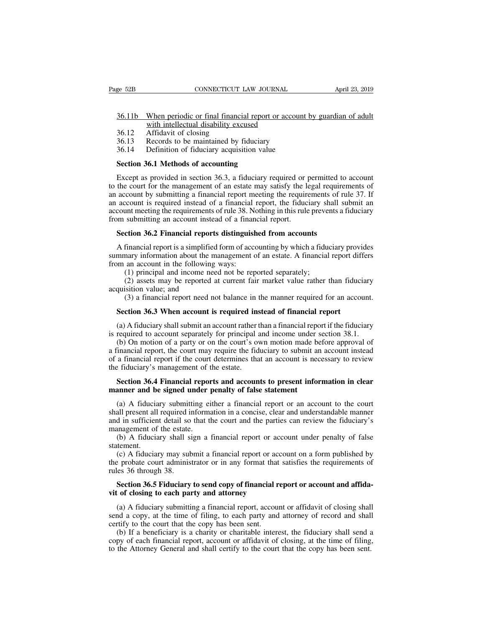## EXEMBED SER THE CONNECTICUT CAW JOURNAL April 23, 2019<br>36.11b When periodic or final financial report or account by guardian of adult<br>36.12 Affidavit of closing CONNECTICUT LAW JOURNAL<br>When periodic or final financial report or acce<br>with intellectual disability excused<br>Affidavit of closing<br>Records to be maintained by fiduciary EXEMELT CONNECTICUT 1<br>
36.11b When periodic or final financia<br>
36.12 Affidavit of closing<br>
36.13 Records to be maintained by fi<br>
36.14 Definition of fiduciary acquisit ge 52B CONNECTICUT LAW JOURNAL<br>
36.11b When periodic or final financial report or account<br>
with intellectual disability excused<br>
36.12 Affidavit of closing<br>
36.13 Records to be maintained by fiduciary<br>
36.14 Definition of 36.11b When periodic or final financial report or account<br>with intellectual disability excused<br>36.12 Affidavit of closing<br>36.13 Records to be maintained by fiduciary<br>36.14 Definition of fiduciary acquisition value<br>Section **S6.11b** When periodic or final financial report with intellectual disability excused<br>36.12 Affidavit of closing<br>36.13 Records to be maintained by fiduciary<br>36.14 Definition of fiduciary acquisition value<br>**Section 36.1 Met**

- 
- 
- 

with intellectual disability excused<br>
36.12 Affidavit of closing<br>
36.13 Records to be maintained by fiduciary<br>
36.14 Definition of fiduciary acquisition value<br> **Section 36.1 Methods of accounting**<br>
Except as provided in se 16.12 Affidavit of closing<br>
36.13 Records to be maintained by fiduciary<br>
36.14 Definition of fiduciary acquisition value<br> **Section 36.1 Methods of accounting**<br>
Except as provided in section 36.3, a fiduciary required or pe 36.13 Records to be maintained by fiduciary<br>36.14 Definition of fiduciary acquisition value<br>**Section 36.1 Methods of accounting**<br>Except as provided in section 36.3, a fiduciary required or permitted to account<br>to the court 36.14 Definition of fiduciary acquisition value<br> **Section 36.1 Methods of accounting**<br>
Except as provided in section 36.3, a fiduciary required or permitted to account<br>
to the court for the management of an estate may sati **Section 36.1 Methods of accounting**<br>Except as provided in section 36.3, a fiduciary required or permitted to account<br>to the court for the management of an estate may satisfy the legal requirements of<br>an account by submitt Section 36.1 Methods of accounting<br>Except as provided in section 36.3, a fiduciary required or p<br>to the court for the management of an estate may satisfy the lean<br>an account by submitting a financial report meeting the req Except as provided in section 36.3, a fiduciary required or permitted to the court for the management of an estate may satisfy the legal require account by submitting a financial report meeting the requirements of ri accou account by submitting a financial report meeting the requirements of rule 37. If<br>account is required instead of a financial report, the fiduciary shall submit an<br>count meeting the requirements of rule 38. Nothing in this r an account is required instead of a financial report, the fiduciary shall submit an account meeting the requirements of rule 38. Nothing in this rule prevents a fiduciary from submitting an account instead of a financial r

account meeting the requirements of rule 38. Not<br>from submitting an account instead of a finan<br>**Section 36.2 Financial reports distinguish**<br>A financial report is a simplified form of acco<br>summary information about the mana submitting an account instead of a financial report.<br> **ction 36.2 Financial reports distinguished from accounts**<br>
financial report is a simplified form of accounting by which a fidular<br>
nary information about the managemen (2) assets may be reported at current fair market value rather than fiduciary provides thangularly information about the management of an estate. A financial report differs an account in the following ways:<br>
(1) principal **Section 36.2 Financial report**<br>A financial report is a simplified<br>summary information about the n<br>from an account in the following<br>(1) principal and income nee<br>(2) assets may be reported<br>acquisition value; and<br>(3) a fina financial report is a simplified form of accounting by which a fiduciary provides<br>mary information about the management of an estate. A financial report differs<br>an account in the following ways:<br>(1) principal and income ne

mmary information about the management of an estate. A financial report diff<br>
om an account in the following ways:<br>
(1) principal and income need not be reported separately;<br>
(2) assets may be reported at current fair mark

(1) principal and income need not be reported separately;<br>
(2) assets may be reported at current fair market value rather than fiduciary<br>
quisition value; and<br>
(3) a financial report need not balance in the manner require

(2) assets may be reported at current fair market value rather than fiduciary acquisition value; and (3) a financial report need not balance in the manner required for an account.<br>**Section 36.3 When account is required in** (3) a financial report need not balance in the manner required for an account.<br> **Section 36.3 When account is required instead of financial report**<br>
(a) A fiduciary shall submit an account rather than a financial report if (3) a financial report need not balance in the manner required for an account.<br> **Section 36.3 When account is required instead of financial report**<br>
(a) A fiduciary shall submit an account rather than a financial report i **Section 36.3 When account is required instead of financial report**<br>
(a) A fiduciary shall submit an account rather than a financial report if the fiduciary<br>
is required to account separately for principal and income unde Section 36.3 When account is required in<br>
(a) A fiduciary shall submit an account rather t<br>
is required to account separately for principal  $\infty$ <br>
(b) On motion of a party or on the court's over<br>
a financial report, the c (a) A fiduciary shall submit an account rather than a financial report if the fiduciary required to account separately for principal and income under section 38.1.<br>
(b) On motion of a party or on the court's own motion mad is required to account separately for principal and income under s<br>(b) On motion of a party or on the court's own motion made be<br>a financial report, the court may require the fiduciary to submit an<br>of a financial report if

Financial report, the court may require the fiduciary to submit an account instead a financial report if the court determines that an account is necessary to review efiduciary's management of the estate.<br>Section 36.4 Finan of a financial report if the court determines that an account is necessary to review<br>the fiduciary's management of the estate.<br>**Section 36.4 Financial reports and accounts to present information in clear<br>manner and be sign** in the fiduciary's management of the estate.<br> **Section 36.4 Financial reports and accounts to present information in clear**<br>
manner and be signed under penalty of false statement<br>
(a) A fiduciary submitting either a financ **Section 36.4 Financial report<br>manner and be signed under<br>(a) A fiduciary submitting ei<br>shall present all required inform<br>and in sufficient detail so that t<br>management of the estate.<br>(b) A fiduciary shall sign a<br>statement.** Section 36.4 Financial reports and accounts to present information in clear<br>anner and be signed under penalty of false statement<br>(a) A fiduciary submitting either a financial report or an account to the court<br>all present (a) A fiduciary submitting either a financial report or an account to the court<br>all present all required information in a concise, clear and understandable manner<br>d in sufficient detail so that the court and the parties ca (a) A indictary submitting cities a financial report of an account to the court<br>shall present all required information in a concise, clear and understandable manner<br>and in sufficient detail so that the court and the parti

statement.

shan pessent an required in<br>and in sufficient detail so<br>management of the estate.<br>(b) A fiduciary shall si<br>statement.<br>(c) A fiduciary may sub<br>the probate court adminis<br>rules 36 through 38.<br>**Section 36.5 Fiduciary** anagement of the estate.<br>
(b) A fiduciary shall sign a financial report or account under penalty of false<br>
tement.<br>
(c) A fiduciary may submit a financial report or account on a form published by<br>
e probate court administr (b) A fiduciary shall sign a financial report or acc<br>statement.<br>(c) A fiduciary may submit a financial report or acc<br>the probate court administrator or in any format that<br>rules 36 through 38.<br>**Section 36.5 Fiduciary to sen** 

(c) A fiduciary may submit a financial report or account on a form published by<br>e probate court administrator or in any format that satisfies the requirements of<br>les 36 through 38.<br>**Section 36.5 Fiduciary to send copy of f** the probate court administrator or in any format that satisfies the requirements of<br>rules 36 through 38.<br>**Section 36.5 Fiduciary to send copy of financial report or account and affida-<br>vit of closing to each party and atto** rules 36 through 38.<br> **Section 36.5 Fiduciary to send copy of financial r**<br> **vit of closing to each party and attorney**<br>
(a) A fiduciary submitting a financial report, accousend a copy, at the time of filing, to each party Section 36.5 Fiduciary to send copy of financial report or account and affida-<br>t of closing to each party and attorney<br>(a) A fiduciary submitting a financial report, account or affidavit of closing shall<br>nd a copy, at the Section 36.5 Fiduciary to send copy of financial report or account and affidavit of closing to each party and attorney<br>
(a) A fiduciary submitting a financial report, account or affidavit of closing shall<br>
send a copy, at vit of closing to each party and attorney<br>
(a) A fiduciary submitting a financial report, account or affidavit of closing shall<br>
send a copy, at the time of filing, to each party and attorney of record and shall<br>
certify t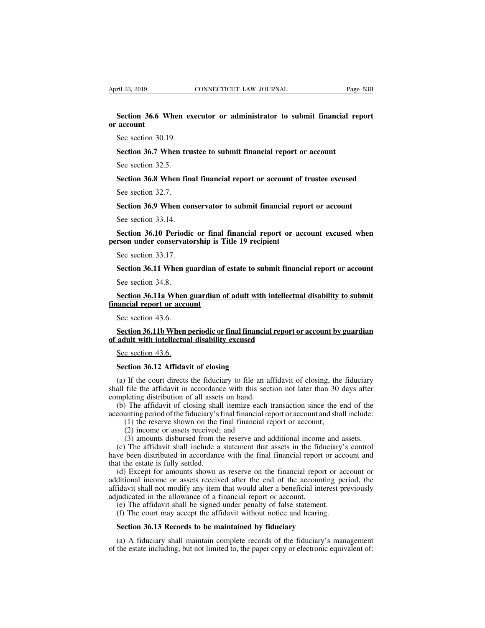**EXECTIVE SECTION CONNECTICUT LAW JOURNAL** Page 53B<br> **Section 36.6 When executor or administrator to submit financial report**<br>
Second the 30.10 **or** April 23, 2019<br>**Section 36.6 W**<br>**See section 30.1** <u>ril 23, 2019</u><br> **Section 36.6 When ex**<br> **account**<br> **See section 30.19.**<br> **Section 36.7 When tru Section 36.6 When executor or administrator to submit financial reacount**<br>See section 30.19.<br>**Section 36.7 When trustee to submit financial report or account**<br>See section 32.5. Section 36.6 When e<br>account<br>See section 30.19.<br>Section 36.7 When tr<br>See section 32.5.<br>Section 36.8 When fil **See section 30.19.**<br>**Section 36.7 When trustee to submit financial report or account**<br>See section 32.5.<br>**Section 36.8 When final financial report or account of trustee excused**<br>See section 32.7.

See section 30.19.<br>Section 36.7 When tr<br>See section 32.5.<br>Section 36.8 When film<br>See section 32.7.<br>Section 36.9 When co Section 36.7 When trustee to submit financial report or account<br>See section 32.5.<br>Section 36.8 When final financial report or account of trustee excused<br>See section 32.7.<br>Section 36.9 When conservator to submit financial r

See section 32.5.<br>
Section 36.8 When final<br>
See section 32.7.<br>
Section 36.9 When cor<br>
See section 33.14.<br>
Section 36.10 Periodic<br>
Theory and a concentrate **Section 36.8 When final financial report or account of trustee excused**<br>See section 32.7.<br>**Section 36.9 When conservator to submit financial report or account**<br>See section 33.14.<br>**Section 36.10 Periodic or final financial** See section 32.7.<br> **person 36.9 When conservator to submit financial rep**<br>
See section 33.14.<br> **person 36.10 Periodic or final financial report or ac**<br> **person under conservatorship is Title 19 recipient**<br>
See section 33.1 Section 36.9 When cor<br>See section 33.14.<br>Section 36.10 Periodic<br>rson under conservato<br>See section 33.17.<br>Section 36.11 When gu See section 33.14.<br> **Section 36.10 Periodic or final financial report or account excused when rson under conservatorship is Title 19 recipient**<br>
See section 33.17.<br> **Section 36.11 When guardian of estate to submit financia** Section 36.10 Periodi<br>
rson under conservat<br>
See section 33.17.<br>
Section 36.11 When g<br>
See section 34.8.<br>
Section 36.11a When

**Section 36.11 When guardian of estate to submit financial report or account**<br>Section 36.11 When guardian of estate to submit financial report or account<br>See section 34.8.<br>Section 36.11a When guardian of adult with intelle See section 33.17.<br> **Section 36.11 When guardian of**<br>
See section 34.8.<br> **<u>Section 36.11a When guardian of</u>inancial report or account**<br>
See section 43.6. Section 36.11 When g<br>See section 34.8.<br>Section 36.11a When<br>ancial report or acco<br>See section 43.6.<br>Section 36.11b When Section 34.8.<br> **Section 36.11a When guardian of adult with intellectual disability to submit<br>
ancial report or account<br>
Sec section 43.6.<br>
Section 36.11b When periodic or final financial report or account by guardian<br>
adul** See section 34.8.<br> **Section 36.11a When guardian of adult with intellect**<br> **financial report or account**<br>
See section 43.6.<br> **Section 36.11b When periodic or final financial report**<br>
of adult with intellectual disability e Section 36.11a When guardian of adult with intellectual disability to submit<br>financial report or account<br>See section 43.6.<br>Section 36.11b When periodic or final financial report or account by guardian<br>of adult with intelle

# See section 43.6.<br> **Section 36.11b When periodic or final financial disability excused**<br> **See section 43.6.**<br> **Section 36.12 Affidavit of closing**<br>
(a) If the court directs the fiduciary to file and all the contract of the

Section 36.11b When periodic or final financial report or account by guardian<br>adult with intellectual disability excused<br>See section 43.6.<br>Section 36.12 Affidavit of closing<br>(a) If the court directs the fiduciary to file a Section 36.110 When periodic or mail manicial report or account by guardian<br>of adult with intellectual disability excused<br>See section 36.12 Affidavit of closing<br>(a) If the court directs the fiduciary to file an affidavit o See section 43.6.<br>See section 43.6.<br>Section 36.12 Affidavit of closing<br>(a) If the court directs the fiduciary to file an at<br>shall file the affidavit in accordance with this sect<br>completing distribution of all assets on han See section 43.6.<br>
Section 36.12 Affidavit of closing<br>
(a) If the court directs the fiduciary to file an affidavit of closing, the fiduciary<br>
all file the affidavit in accordance with this section not later than 30 days af **Section 36.12 Affidavit of closing**<br>
(a) If the court directs the fiduciary to file an affidavit of closing, the fiduciary<br>
shall file the affidavit in accordance with this section not later than 30 days after<br>
completing **Compose 12 Affidavit of closing**<br>(1) If the court directs the fiduciary to file an affidavit of closing, the<br>file the affidavit in accordance with this section not later than 30 c<br>(1) oleting distribution of all assets o If the court directs the fiduciary to file an a<br>file the affidavit in accordance with this sec<br>oleting distribution of all assets on hand.<br>The affidavit of closing shall itemize each<br>unting period of the fiduciary's final If the court directs the inductary to the an armudavit of closing, the inductary<br>file the affidavit in accordance with this section not later than 30 days after<br>oleting distribution of all assets on hand.<br>The affidavit of

metric and and include a statement that section include that 30 days atternate mpleting distribution of all assets on hand.<br>
(b) The affidavit of closing shall itemize each transaction since the end of the counting period ompleting usurbution of an assets on hand.<br>
(b) The affidavit of closing shall itemize each transaction since the end of the<br>
accounting period of the fiduciary's final financial report or account and shall include:<br>
(1) t (b) The amdavit of closing share<br>accounting period of the fiduciary's (1) the reserve shown on the 1<br>(2) income or assets received;<br>(3) amounts disbursed from th<br>(c) The affidavit shall include a<br>have been distributed in a

(1) the reserve shown on the financial report or account and shari include.<br>
(1) the reserve shown on the final financial report or account;<br>
(2) income or assets received; and<br>
(3) amounts disbursed from the reserve and a (1) the reserve shown on the final financial report of account,<br>
(2) income or assets received; and<br>
(3) amounts disbursed from the reserve and additional income and assets.<br>
(c) The affidavit shall include a statement th (2) moome of assets received, and<br>
(3) amounts disbursed from the reserve and additional income and assets.<br>
(c) The affidavit shall include a statement that assets in the fiduciary's control<br>
have been distributed in acc (b) amounts usbursed from the reserve and additional meont<br>(c) The affidavit shall include a statement that assets in the fid<br>have been distributed in accordance with the final financial report<br>that the estate is fully set (e) The affidavit shall include a statement that assets in the Hudelary we been distributed in accordance with the final financial report or acc<br>at the estate is fully settled.<br>(d) Except for amounts shown as reserve on th (d) Except for amounts shown as reserve on the financial report of accept the estate is fully settled.<br>
(d) Except for amounts shown as reserve on the financial report or acceptional income or assets received after the end (d) Except for amounts shown as reserve on the financial report of ditional income or assets received after the end of the accounting idavit shall not modify any item that would alter a beneficial interegudicated in the al Fridavit shall not modify any item that would alter a beneficial interest previously<br>judicated in the allowance of a financial report or account.<br>(e) The affidavit shall be signed under penalty of false statement.<br>(f) The

adjudicated in the allowance of a financial report or account.<br>
(e) The affidavit shall be signed under penalty of false statement.<br>
(f) The court may accept the affidavit without notice and hearing.<br> **Section 36.13 Record**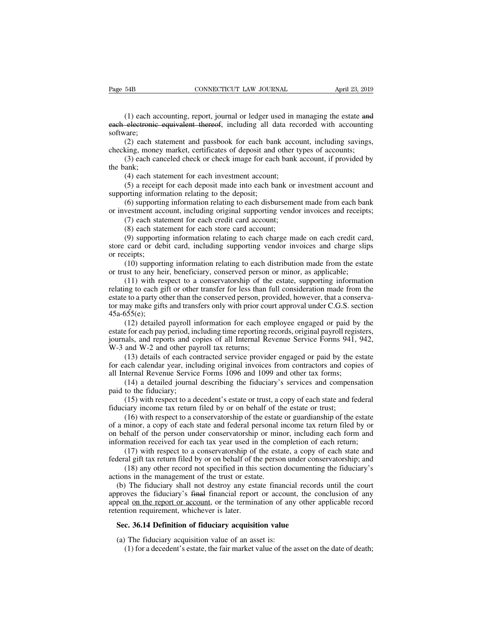(1) each accounting, report, journal or ledger used in managing the estate and electronic equivalent thereof, including all data recorded with accounting vare; Page 54B CONNECTICUT LAW JOURNAL April 23, 2019<br>
(1) each accounting, report, journal or ledger used in managing the estate and<br>
each electronic equivalent thereof, including all data recorded with accounting<br>
software;<br>
( software; (1) each accounting, report, journal or ledger used in managing the estate and electronic equivalent thereof, including all data recorded with accounting vare;<br>(2) each statement and passbook for each bank account, includi (1) each accounting, report, journal or ledger used in managing the estate and each electronic equivalent thereof, including all data recorded with accounting software;<br>
(2) each statement and passbook for each bank accoun (1) each accounting, report, journal or ledger used in managing the estate and electronic equivalent thereof, including all data recorded with accounting vare;<br>(2) each statement and passbook for each bank account, includi (1) each aceach electronic<br>software;<br> $(2)$  each s<br>checking, mone<br> $(3)$  each cannot<br>the bank;<br> $(4)$  each st<br> $(5)$  a recei electronic equivalent thereof, including all data recallectronic equivalent thereof, including all data recallections;<br>(2) each statement and passbook for each bank account;<br>(3) each canceled check or check image for each

vare;<br>(2) each statement and passbook for each bank account, including savings,<br>king, money market, certificates of deposit and other types of accounts;<br>(3) each canceled check or check image for each bank account, if prov (2) each statement and passbook for each ban checking, money market, certificates of deposit and (3) each canceled check or check image for each bank;<br>(4) each statement for each investment account (5) a receipt for each

king, money market, certificates of deposit and other types of accounts;<br>(3) each canceled check or check image for each bank account, if provided by<br>ank;<br>(4) each statement for each investment account;<br>(5) a receipt for e (3) each canceled check or check image for each bank account, if provided by<br>the bank;<br>(4) each statement for each investment account;<br>(5) a receipt for each deposit made into each bank or investment account and<br>supportin ank;<br>(4) each statement for each investment account;<br>(5) a receipt for each deposit made into each bank or<br>orting information relating to the deposit;<br>(6) supporting information relating to each disburseme<br>vestment account (4) each statement for each investment account;<br>(5) a receipt for each deposit made into each bank or<br>orting information relating to the deposit;<br>(6) supporting information relating to each disburseme<br>vestment account, in

(5) a receipt for each deposit made into each bank or investment account and<br>orting information relating to the deposit;<br>(6) supporting information relating to each disbursement made from each bank<br>vestment account, includ supporting information relating to the deposit;<br>
(6) supporting information relating to each disbursement made from each bank<br>
or investment account, including original supporting vendor invoices and receipts;<br>
(7) each st (6) supportin<br>or investment acc<br>(7) each stat<br>(8) each stat<br>(9) supportin<br>store card or del<br>or receipts;<br>(10) support<br>or trust to any he vestment account, including original supporting vendor invoices and receipts;<br>(7) each statement for each credit card account;<br>(8) each statement for each store card account;<br>(9) supporting information relating to each cha (7) each statement for each credit card account;<br>
(8) each statement for each store card account;<br>
(9) supporting information relating to each charge made on each credit card<br>
store card or debit card, including supporting

(8) each statement for each store card account;<br>(9) supporting information relating to each charge made on each credit card,<br>card or debit card, including supporting vendor invoices and charge slips<br>ceipts;<br>(10) supportin (9) supporting information relating to each charge made on each credit card, store card or debit card, including supporting vendor invoices and charge slips or receipts;<br>(10) supporting information relating to each distri store card or debit card, including supporting vendor invoices and charge slips<br>or receipts;<br>(10) supporting information relating to each distribution made from the estate<br>or trust to any heir, beneficiary, conserved perso or receipts;<br>
(10) supporting information relating to each distribution made from the estate<br>
or trust to any heir, beneficiary, conserved person or minor, as applicable;<br>
(11) with respect to a conservatorship of the est 45a-655(e); (11) with respect to a conserved person or minor, as applicable;<br>(11) with respect to a conservatorship of the estate, supporting information<br>ng to each gift or other transfer for less than full consideration made from the (11) with respect to a conservatorship of the estate, supporting information relating to each gift or other transfer for less than full consideration made from the estate to a party other than the conserved person, provid (11) what respect to a conservatorship of the estate, supporting information<br>relating to each gift or other transfer for less than full consideration made from the<br>estate to a party other than the conserved person, provide

Framing to each girt of other transfer for less than if<br>estate to a party other than the conserved person, protor may make gifts and transfers only with prior coor<br>45a-655(e);<br>(12) detailed payroll information for each er<br> (12) detailed payroll information for each employee engaged or paid by the for each pay period, including time reporting records, original payroll registers, (12) detailed payroll information for each employee engaged or p 45a-655(e);<br>
(12) detailed payroll information for each employee engaged or paid by the<br>
estate for each pay period, including time reporting records, original payroll registers,<br>
journals, and reports and copies of all I (12) detailed payroll information for each employee engaged or paid by estate for each pay period, including time reporting records, original payroll regist journals, and reports and copies of all Internal Revenue Service (15) extended payford including time reporting records, original payroll registers, als, and reports and copies of all Internal Revenue Service Forms 941, 942, and W-2 and other payroll tax returns;<br>(13) details of each c

journals, and reports and c<br>W-3 and W-2 and other pa<br>(13) details of each co<br>for each calendar year, incl<br>all Internal Revenue Servic<br>(14) a detailed journa<br>paid to the fiduciary;<br>(15) with respect to a d<br>fiduciary income and W-2 and other payroll tax returns;<br>(13) details of each contracted service provider engaged or paid by the estate<br>ach calendar year, including original invoices from contractors and copies of<br>ternal Revenue Service For (13) details of each contracted service provider engaged or paid by the for each calendar year, including original invoices from contractors and cop all Internal Revenue Service Forms 1096 and 1099 and other tax forms; (1

ach calendar year, including original invoices from contractors and copies of ternal Revenue Service Forms 1096 and 1099 and other tax forms;<br>(14) a detailed journal describing the fiduciary's services and compensation<br>to all Internal Revenue Service Forms 1096 and 1099 and other tax forms;<br>
(14) a detailed journal describing the fiduciary's services and compensation<br>
paid to the fiduciary;<br>
(15) with respect to a decedent's estate or trust (14) a detailed journal describing the fiduciary's services and compensation paid to the fiduciary;<br>
(15) with respect to a decedent's estate or trust, a copy of each state and federal fiduciary income tax return filed by paid to the fiduciary;<br>
(15) with respect to a decedent's estate or trust, a copy of each state and federal<br>
fiduciary income tax return filed by or on behalf of the estate or trust;<br>
(16) with respect to a conservatorship (15) with respect to a decedent's estate or trust, a copy of each state and federal<br>iary income tax return filed by or on behalf of the estate or trust;<br>(16) with respect to a conservatorship of the estate or guardianship fiduciary income tax return filed by or on behalf of the estate or trust;<br>(16) with respect to a conservatorship of the estate or guardianship of the estate<br>of a minor, a copy of each state and federal personal income tax (16) with respect to a conservatorship of the estate or guardianship of the estate minor, a copy of each state and federal personal income tax return filed by or ehalf of the person under conservatorship or minor, includin action of a minor, a copy of each state and federal personal is<br>on behalf of the person under conservatorship or min<br>information received for each tax year used in the con<br>(17) with respect to a conservatorship of the esta

behalf of the person under conservatorship or minor, including each form and<br>
cormation received for each tax year used in the completion of each return;<br>
(17) with respect to a conservatorship of the estate, a copy of eac information received for each tax year used in the completion of each return;<br>(17) with respect to a conservatorship of the estate, a copy of each state and<br>federal gift tax return filed by or on behalf of the person under (17) with respect to a conservatorship of the estate, a copy of each state and federal gift tax return filed by or on behalf of the person under conservatorship; and (18) any other record not specified in this section doc federal gift tax return filed by or on behalf of th<br>(18) any other record not specified in this<br>actions in the management of the trust or estat<br>(b) The fiduciary shall not destroy any esta<br>approves the fiduciary's <del>final</del> (18) any other record not specified in this section documentin<br>tions in the management of the trust or estate.<br>(b) The fiduciary shall not destroy any estate financial record<br>proves the fiduciary's final financial report o (b) The fiduciary shall not destroy any estate financia proves the fiduciary's final financial report or account peal on the report or account, or the termination of any ention requirement, whichever is later.<br>Sec. 36.14 by the fiduciary's final financial report or account, the conclusion of any<br>al <u>on the report or account</u>, or the termination of any other applicable record<br>tion requirement, whichever is later.<br>**c. 36.14 Definition of f**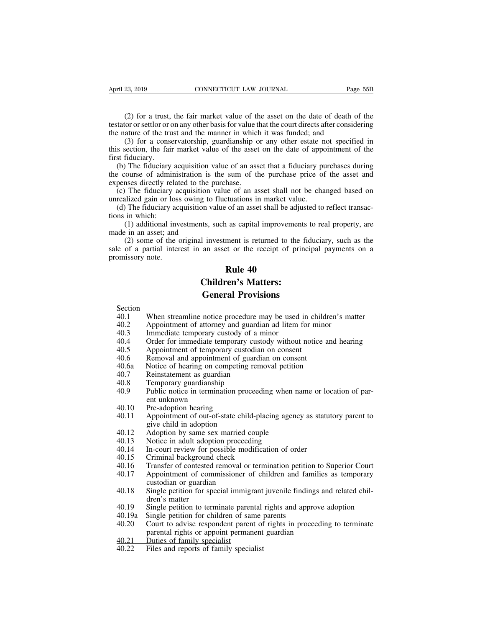(2) for a trust, the fair market value of the asset on the date of death of the coror or settlor or on any other basis for value that the court directs after considering ature of the trust and the manner in which it was fu the same of the trust, the fair market value of the asset on the date of death of the extator or settlor or on any other basis for value that the court directs after considering the nature of the trust and the manner in wh April 23, 2019 CONNECTICUT LAW JOURNAL Page<br>
(2) for a trust, the fair market value of the asset on the date of death of<br>
testator or settlor or on any other basis for value that the court directs after conside<br>
the nature

(2) for a trust, the fair market value of the asset on the date of death of the corror settlor or on any other basis for value that the court directs after considering ature of the trust and the manner in which it was fund (2) for a trust, the fair market value of the asset on the date of death of the testator or settlor or on any other basis for value that the court directs after considering the nature of the trust and the manner in which i (2) for a trust,<br>testator or settlor or c<br>the nature of the tru<br>(3) for a conse<br>this section, the fail<br>first fiduciary.<br>(b) The fiduciary<br>the course of admi

(2) for a trust, the fair market value of the asset on the date of death of the stator or settlor or on any other basis for value that the court directs after considering e nature of the trust and the manner in which it wa (2) for a trust, the ran market value of the asset of the taat of death of the testator or settlor or on any other basis for value that the court directs after considering the nature of the trust and the manner in which i relation of scaling of the trust and the manner in which<br>
(3) for a conservatorship, guardianship c<br>
this section, the fair market value of the asset<br>
first fiduciary.<br>
(b) The fiduciary acquisition value of an ass<br>
the co (3) for a conservatorship, guardianship or any other estate not specified in s section, the fair market value of the asset on the date of appointment of the st fiduciary.<br>
(b) The fiduciary acquisition value of an asset th (3) for a conservatorship, guardianship or any other estate in<br>this section, the fair market value of the asset on the date of apport<br>first fiduciary.<br>(b) The fiduciary acquisition value of an asset that a fiduciary pu<br>th (b) The fiduciary acquisition value of an asset on the date of appointment of the st fiduciary.<br>
(b) The fiduciary acquisition value of an asset that a fiduciary purchases during<br>
e course of administration is the sum of t the course of admin<br>the course of admin<br>expenses directly relations<br>(c) The fiduciary<br>unrealized gain or loss<br>(d) The fiduciary a<br>tions in which:<br>(1) additional in<br>made in an asset; and The inductary acquisition value of an asset that a huddrary purchases during<br>course of administration is the sum of the purchase price of the asset and<br>ness directly related to the purchase.<br>The fiduciary acquisition valu

the couse of administration is<br>expenses directly related to the p<br>(c) The fiduciary acquisition<br>unrealized gain or loss owing to<br>(d) The fiduciary acquisition v:<br>tions in which:<br>(1) additional investments, s<br>made in an ass The fiduciary acquisition value of an asset shall not be changed based on alized gain or loss owing to fluctuations in market value.<br>The fiduciary acquisition value of an asset shall be adjusted to reflect transacin which: (c) The Hudelary acquisition value of an asset shall not be elanged based on<br>unrealized gain or loss owing to fluctuations in market value.<br>(d) The fiduciary acquisition value of an asset shall be adjusted to reflect tran (d) The fiduciary actions in which:<br>(d) The fiduciary actions in which:<br>(1) additional inv<br>made in an asset; and<br>(2) some of the osale of a partial inter<br>promissory note. Extractions in maker values<br>of an asset shall be adj<br>as capital improvement<br>ment is returned to the<br>set or the receipt of pr<br>**Rule 40**<br>cen's Matters: The state of the scapital improvements<br>
L investment is returned to the fidel<br>
an asset or the receipt of princi<br> **Children's Matters:**<br> **Ceneral Provisions** External as capital improvements in<br>an asset or the receipt of princip<br>**Rule 40**<br>**Children's Matters:**<br>**General Provisions**<br>notice procedure may be used in c

- Section<br>40.1 When streamline notice procedure may be used in children's matter **20.1 Rule 40<br>
20.1 Children's Matters:**<br> **40.1** When streamline notice procedure may be used in children's matter<br>
40.2 Appointment of attorney and guardian ad litem for minor<br>
40.3 Immediate temporary custody of a minor **EXECUTE:**<br> **EXECUTE:**<br> **Children's Matters:**<br> **General Provisions**<br>
Section<br>
40.1 When streamline notice procedure may be used in children's main-<br>
40.2 Appointment of attorney and guardian ad litem for minor<br>
40.3 Immedi **Children's Matters:**<br> **General Provisions**<br>
Section<br>
40.1 When streamline notice procedure may be used<br>
40.2 Appointment of attorney and guardian ad litem 1<br>
40.3 Immediate temporary custody of a minor<br>
40.4 Order for imm **EXECUTE:**<br> **CED CORRECTS:**<br> **CED CORRECTS:**<br>
40.1 When streamline notice procedure may be used in children's matter<br>
40.2 Appointment of attorney and guardian ad litem for minor<br>
40.4 Order for immediate temporary custody **General Provisions**<br>
Section<br>
40.1 When streamline notice procedure may be used in chil<br>
40.2 Appointment of attorney and guardian ad litem for mi<br>
40.3 Immediate temporary custody of a minor<br>
40.4 Order for immediate tem Section<br>
40.1 When streamline notice procedure may be used in child<br>
40.2 Appointment of attorney and guardian ad litem for mind<br>
40.3 Immediate temporary custody of a minor<br>
40.4 Order for immediate temporary custody with 40.1 When streamline notice procedure may be used in children'<br>40.2 Appointment of attorney and guardian ad litem for minor<br>40.3 Immediate temporary custody of a minor<br>40.4 Order for immediate temporary custody without not
- 
- 
- 
- 
- 
- 
- 
- 
- 40.2 Appointment of attorney and guardian<br>40.2 Appointment of attorney and guardian<br>40.3 Immediate temporary custody of a m<br>40.4 Order for immediate temporary custodian<br>40.6 Removal and appointment of guardian<br>40.6 Notice 40.3 Immediate temporary custody of a<br>40.3 Immediate temporary custody of a<br>40.4 Order for immediate temporary custodia<br>40.6 Removal and appointment of guard<br>40.6 Notice of hearing on competing rer<br>40.7 Reinstatement as gu 40.3 Inimediate temporary custody or a filmor<br>40.4 Order for immediate temporary custody without notice and hearing<br>40.5 Appointment of temporary custodian on consent<br>40.6 Removal and appointment of guardian on consent<br>40. Solder for infinedate ten<br>Appointment of tempora<br>Removal and appointme<br>Notice of hearing on con<br>Reinstatement as guardia<br>Temporary guardianship<br>Public notice in termina<br>ent unknown<br>Pre-adoption hearing<br>Appointment of out-o 40.5 Appointment of temporary custom<br>40.6 Removal and appointment of guaranties<br>40.6 Notice of hearing on competing<br>40.7 Reinstatement as guardian<br>40.8 Temporary guardianship<br>40.9 Public notice in termination pro<br>ent unkno 40.6 Reinoval and appointment of guardian of consent<br>40.6 Notice of hearing on competing removal petition<br>40.7 Reinstatement as guardian<br>40.8 Temporary guardianship<br>40.9 Public notice in termination proceeding when name or Notice of hearing of competing a<br>Reinstatement as guardian<br>Temporary guardianship<br>Public notice in termination procent<br>unknown<br>Pre-adoption hearing<br>Appointment of out-of-state child<br>give child in adoption<br>Adoption by same 40.7 Reinstatement as guardian<br>
40.8 Temporary guardianship<br>
40.9 Public notice in termination proceeding when na<br>
ent unknown<br>
40.10 Pre-adoption hearing<br>
40.11 Appointment of out-of-state child-placing agenc<br>
give child 40.9 Public notice in termination proceeding when r<br>
40.9 Public notice in termination proceeding when r<br>
40.10 Pre-adoption hearing<br>
40.11 Appointment of out-of-state child-placing agene<br>
give child in adoption<br>
40.12 Ado
- 
- 40.3<br>
Hubit holder in definition proceeding witch hand of form<br>
ent unknown<br>
40.10 Pre-adoption hearing<br>
40.11 Appointment of out-of-state child-placing agency as statu<br>
give child in adoption<br>
40.12 Adoption by same sex m 40.10 Pre-adoption hearing<br>40.11 Appointment of out-of-state child-placi<br>give child in adoption<br>40.12 Adoption by same sex married couple<br>40.13 Notice in adult adoption proceeding<br>40.14 In-court review for possible modific 40.10 Tre-adoption heating<br>40.11 Appointment of out-of-state child-placing agency as statutory parent to<br>give child in adoption<br>40.12 Adoption by same sex married couple<br>40.13 Notice in adult adoption proceeding<br>40.14 In-c
- 
- 
- 
- 
- 
- 40.11 Appointment of out-of-state cinic-pracing agency as statutory parent to<br>give child in adoption<br>40.12 Adoption by same sex married couple<br>40.13 Notice in adult adoption proceeding<br>40.14 In-court review for possible mo
- give cinium adoption<br>Adoption by same sex married c<br>Notice in adult adoption proceed<br>In-court review for possible mod<br>Criminal background check<br>Transfer of contested removal or<br>Appointment of commissioner c<br>custodian or gu 40.12 Adoption by same sex married couple<br>40.13 Notice in adult adoption proceeding<br>40.14 In-court review for possible modification of order<br>40.15 Criminal background check<br>40.16 Transfer of contested removal or terminatio Notice in adult alop<br>In-court review for p<br>Criminal background<br>Transfer of contested<br>Appointment of concustodian or guardia<br>Single petition for sp<br>dren's matter<br>Single petition to ter<br>Single petition for ch 40.15 Criminal background check<br>40.15 Criminal background check<br>40.16 Transfer of contested removal or termination petition to Superior Court<br>40.17 Appointment of commissioner of children and families as temporary<br>custodia
- 
- 
- 40.19 Criminal background click<br>40.16 Transfer of contested removal or termination petition<br>40.17 Appointment of commissioner of children and fam<br>custodian or guardian<br>40.18 Single petition for special immigrant juvenile f 40.17 Appointment of contested relinval of definition pertiod to superformed and the absolution or guardian and families as temporary custodian or guardian and families and related children's matter and is matter and in pr Appointment of commissioner of emailer and families<br>custodian or guardian<br>Single petition for special immigrant juvenile findings and<br>ren's matter<br>Single petition to terminate parental rights and approve a<br>Single petition 40.18 Single petition for special immig<br>dren's matter<br>40.19 Single petition to terminate pare<br>40.19 Single petition for children of sa<br>40.20 Court to advise respondent pare<br>parental rights or appoint perma<br>40.21 Duties of 40.19 Single petition for special immigrant<br>dren's matter<br>40.19 Single petition to terminate parental<br>40.20 Court to advise respondent parent of<br>parental rights or appoint permanent<br>40.21 Duties of family specialist<br>40.22
- 
-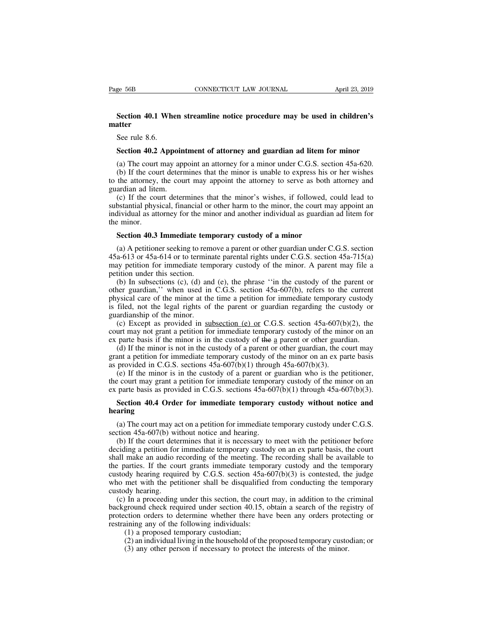## **Section 40.1 When streamline notice procedure may be used in children's**<br>
Section 40.1 When streamline notice procedure may be used in children's<br>
Securie 8.6 **matter** ge 56B<br>Section 40.1 Whe<br>atter<br>See rule 8.6.<br>Section 40.2 App **Section 40.1 When streamline notice procedure may be used in children's**<br>See rule 8.6.<br>**Section 40.2 Appointment of attorney and guardian ad litem for minor**<br>(a) The court may appoint an attorney for a minor under C.G.S.

Section 40.1 When streamline notice procedure may be used in children's<br>steter<br>See rule 8.6.<br>Section 40.2 Appointment of attorney and guardian ad litem for minor<br>(a) The court may appoint an attorney for a minor under C.G. Section 40.1 When streamline notice procedure may be used in children's<br>satter<br>See rule 8.6.<br>Section 40.2 Appointment of attorney and guardian ad litem for minor<br>(a) The court may appoint an attorney for a minor under C.G. See rule 8.6.<br>
Section 40.2 Appointment of attorney and guardian ad litem for minor<br>
(a) The court may appoint an attorney for a minor under C.G.S. section 45a-620.<br>
(b) If the court determines that the minor is unable to See rule 8.6.<br> **Section 40.2 Appoin**<br>
(a) The court may app<br>
(b) If the court detern<br>
to the attorney, the cou<br>
guardian ad litem.<br>
(c) If the court deter<br>
substantial physical, fina

Section 40.2 Appointment of attorney and guardian ad litem for minor<br>(a) The court may appoint an attorney for a minor under C.G.S. section 45a-620.<br>(b) If the court determines that the minor is unable to express his or he **Section 40.2 Appointment of attorney and guardian ad litem for minor**<br>(a) The court may appoint an attorney for a minor under C.G.S. section 45a-620.<br>(b) If the court determines that the minor is unable to express his or (a) The court may appoint an attorney for a minor under C.G.S. section 45a-620.<br>
(b) If the court determines that the minor is unable to express his or her wishes<br>
to the attorney, the court may appoint the attorney to se (a) The court<br>
(b) If the court<br>
to the attorney,<br>
guardian ad lite<br>
(c) If the cous<br>
substantial phys<br>
individual as att<br>
the minor.<br> **Section 40.3** the attorney, the court may appoint the attorney to serve as both a<br>ardian ad litem.<br>(c) If the court determines that the minor's wishes, if followed, c<br>bstantial physical, financial or other harm to the minor, the court m (c) If the court determines that the minor's wishes, if followed, could lead to bstantial physical, financial or other harm to the minor, the court may appoint an dividual as attorney for the minor and another individual

substantial physical, financial or other harm to the minor, the court may appoint an individual as attorney for the minor and another individual as guardian ad litem for the minor.<br>Section 40.3 Immediate temporary custody individual as attorney for the minor and another individual as guardian ad litem for<br>the minor.<br>**Section 40.3 Immediate temporary custody of a minor**<br>(a) A petitioner seeking to remove a parent or other guardian under C.G From the minor.<br> **Section 40.3 Immediate tem**<br>
(a) A petitioner seeking to rem<br>  $45a-613$  or  $45a-614$  or to termin<br>
may petition for immediate tem<br>
petition under this section.<br>
(b) In subsections (c), (d) and<br>
other gua Section 40.3 Immediate temporary custody of a minor<br>
(a) A petitioner seeking to remove a parent or other guardian under C.G.S. section<br>
a-613 or 45a-614 or to terminate parental rights under C.G.S. section 45a-715(a)<br>
ay

**Section 40.3 Immediate temporary custody of a minor**<br>
(a) A petitioner seeking to remove a parent or other guardian under C.G.S. section  $45a-613$  or  $45a-614$  or to terminate parental rights under C.G.S. section  $45a-71$ (a) A petitioner seeking to remove a parent or other guardian under C.G.S. section 45a-613 or 45a-614 or to terminate parental rights under C.G.S. section 45a-715(a) may petition for immediate temporary custody of the min (a) A pethology setting to remove a parent or other guardian under C.G.S. section 45a-613 or 45a-614 or to terminate parental rights under C.G.S. section 45a-715(a) may petition for immediate temporary custody of the mino  $\frac{4}{3}$  a-013 of  $\frac{4}{3}$  a-014 of to term<br>may petition for immediate tem<br>petition under this section.<br>(b) In subsections (c), (d) and<br>other guardian," when used in<br>physical care of the minor at the<br>is filed, not the l (b) In subsections (c), (d) and (e), the phrase "in the custody of the parent or defined in C.G.S. section 45a-607(b), refers to the current ysical care of the minor at the time a petition for immediate temporary custody (b) In subsections (c), (d) and (e), the phrase "in the custody of the parent or other guardian," when used in C.G.S. section 45a-607(b), refers to the current physical care of the minor at the time a petition for immedia (b) in subsections (c), (d) and (c), the pinase in the custody of the parent of other guardian," when used in C.G.S. section 45a-607(b), refers to the current physical care of the minor at the time a petition for immediat for guardian, when used in C.O.S. section 45a-007(0), telers to the current spical care of the minor at the time a petition for immediate temporary custody of ardianship of the minor.<br>(c) Except as provided in <u>subsection</u>

physical cate of the fillmot at the time a petition for fillmotal temporary eustody or guardianship of the minor.<br>
(c) Except as provided in subsection (e) or C.G.S. section 45a-607(b)(2), the court may not grant a petiti as med, not the regal rights of the patent or guardian regarding the cualculariship of the minor.<br>
(c) Except as provided in <u>subsection (e) or</u> C.G.S. section 45a-607(b)<br>
court may not grant a petition for immediate temp (c) Except as provided in <u>subsection (e) or</u> C.G.S. section 45a-607(b)(2), the urt may not grant a petition for immediate temporary custody of the minor on an parte basis if the minor is in the custody of the a parent or

(c) Except as provided in <u>subsection (e) of</u> C.G.S. section 45a-007(0)(2), the court may not grant a petition for immediate temporary custody of the minor on an ex parte basis if the minor is in the custody of a parent o externally not graint a petrition for immediate temporary custody of the filmot of an ex parte basis if the minor is in the custody of a parent or other guardian, the court may grant a petition for immediate temporary cus (d) If the minor is not in the custody of a parent or other guardian, the court may<br>ant a petition for immediate temporary custody of the minor on an ex parte basis<br>provided in C.G.S. sections 45a-607(b)(1) through 45a-60

(e) If the minor is in the custody of a parent or guardian who is the petitioner,<br>court may grant a petition for immediate temporary custody of the minor on an<br>parte basis as provided in C.G.S. sections 45a-607(b)(1) thro the court may grant a petition for immediate temporary<br>ex parte basis as provided in C.G.S. sections  $45a-60$ <br>Section 40.4 Order for immediate temporary<br>hearing<br>(a) The court may act on a petition for immediate te<br>section

### **hearing**

Figure basis as provided in C.G.S. sections  $45a-607(b)(1)$  through  $45a-607(b)(3)$ .<br>Section 40.4 Order for immediate temporary custody without notice and aring<br>(a) The court may act on a petition for immediate temporary cust **Section 40.4 Order for immediate temporary custody without notice and hearing**<br>(a) The court may act on a petition for immediate temporary custody under C.G.S.<br>section 45a-607(b) without notice and hearing.<br>(b) If the co Section 40.4 Order for immediate temporary custody without notice and<br>hearing<br>(a) The court may act on a petition for immediate temporary custody under C.G.S.<br>section 45a-607(b) without notice and hearing.<br>(b) If the cour hearing<br>
(a) The court may act on a petition for immediate temporary custody under C.G.S.<br>
section 45a-607(b) without notice and hearing.<br>
(b) If the court determines that it is necessary to meet with the petitioner befor (a) The court may act on a petition for immediate temporary custody under C.G.S. section 45a-607(b) without notice and hearing.<br>
(b) If the court determines that it is necessary to meet with the petitioner before deciding (a) The court may act on a petition for immediate temporary custody under C.O.S.<br>section 45a-607(b) without notice and hearing.<br>(b) If the court determines that it is necessary to meet with the petitioner before<br>deciding (b) If the court dete<br>deciding a petition for<br>shall make an audio r<br>the parties. If the cou<br>custody hearing requi<br>who met with the pet<br>custody hearing.<br>(c) In a proceeding<br>background check req (c) In the court determines that it is necessary to meet with the pertrioner before exiding a petition for immediate temporary custody on an ex parte basis, the court all make an audio recording of the meeting. The record declaing a pethod for infiniculate temporary custody of an ex parte basis, the contributed shall make an audio recording of the meeting. The recording shall be available to the parties. If the court grants immediate tempor shan make an addo recolong of the incernig. The recolong shan be avariable to<br>the parties. If the court grants immediate temporary custody and the temporary<br>custody hearing required by C.G.S. section  $45a-607(b)(3)$  is cont

in the court grants immediate temporary<br>custody hearing required by C.G.S. section 45a-6<br>who met with the petitioner shall be disqualified<br>custody hearing.<br>(c) In a proceeding under this section, the court<br>background check (a) a proposed temporary custom 45<br>
met with the petitioner shall be disqualify<br>
dy hearing.<br>
In a proceeding under this section, the control of the proposed temporary custodian;<br>
(1) a proposed temporary custodian;<br>
(2) (2) an individual living in the household of the proposed temporary (3) any other permine in the household of the proposed temporary custodian; (2) an individual living in the household of the proposed temporary custodian; (3) In a proceeding under this section, the court may, in addition to the c<br>ground check required under section 40.15, obtain a search of the reg<br>ction orders to determine whether there have been any orders protec<br>ining an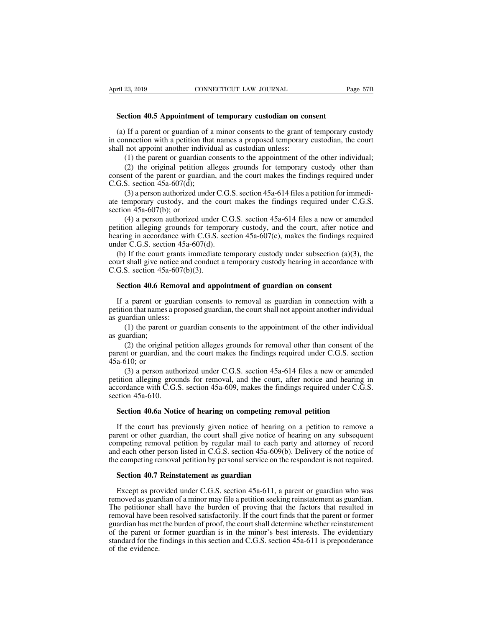**EXECTICUS EXECTICUS CONNECTICUT LAW JOURNAL**<br> **Section 40.5 Appointment of temporary custodian on consent**<br>
(a) If a parent or guardian of a minor consents to the grant of temporary or (a) If a parent or guardian of a minor consents to the grant of temporary custodian on consent<br>
(a) If a parent or guardian of a minor consents to the grant of temporary custody<br>
connection with a petition that names a pro Section 40.5 Appointment of temporary custodian on consent<br>
(a) If a parent or guardian of a minor consents to the grant of temporary custody<br>
in connection with a petition that names a proposed temporary custodian, the co Section 40.5 Appointment of temporary custodian on co<br>
(a) If a parent or guardian of a minor consents to the grant of<br>
in connection with a petition that names a proposed temporary<br>
shall not appoint another individual as (1) the parent or guardian of temporary custodian on consent<br>
If a parent or guardian of a minor consents to the grant of temporary custody<br>
nection with a petition that names a proposed temporary custodian, the court<br>
not

**ction 40.5 Appointment of temporary custodian on consent**<br>If a parent or guardian of a minor consents to the grant of temporary custody<br>nnection with a petition that names a proposed temporary custodian, the court<br>not ap (a) If a parent or guardian of a minor consents to the grant of temporary custody<br>in connection with a petition that names a proposed temporary custodian, the court<br>shall not appoint another individual as custodian unless (a) If a parent or guardian of a<br>in connection with a petition that<br>shall not appoint another individe<br>(1) the parent or guardian cc<br>(2) the original petition all<br>consent of the parent or guardian<br>C.G.S. section  $45a-607(d$ 

nnection with a petition that names a proposed temporary custodian, the court<br>not appoint another individual as custodian unless:<br>(1) the parent or guardian consents to the appointment of the other individual;<br>(2) the orig shall not appoint another individual as custodian unless:<br>
(1) the parent or guardian consents to the appointment of the other individual;<br>
(2) the original petition alleges grounds for temporary custody other than<br>
conse (1) the parent or guardian<br>
(2) the original petition<br>
consent of the parent or guard<br>
C.G.S. section  $45a-607(d)$ ;<br>
(3) a person authorized un<br>
ate temporary custody, and t<br>
section  $45a-607(b)$ ; or<br>
(4) a person authorize

(2) the original petition alleges grounds for temporary custody other than ent of the parent or guardian, and the court makes the findings required under S. section 45a-607(d);<br>S. section 45a-607(d);<br>(3) a person authoriz consent of the parent or guardian, and the court makes the findings required under C.G.S. section 45a-607(d);<br>
(3) a person authorized under C.G.S. section 45a-614 files a petition for immedi-<br>
ate temporary custody, and C.G.S. section 45a-607(d);<br>
(3) a person authorized under C.G.S. section 45a-614 files a petition for immedi-<br>
ate temporary custody, and the court makes the findings required under C.G.S.<br>
section 45a-607(b); or<br>
(4) a p (3) a person authorized under C.G..<br>ate temporary custody, and the court<br>section 45a-607(b); or<br>(4) a person authorized under C.C<br>petition alleging grounds for tempora<br>hearing in accordance with C.G.S. sect<br>under C.G.S. s Extemporary custody, and the court makes the findings required under C.G.S.<br>ction 45a-607(b); or<br>(4) a person authorized under C.G.S. section 45a-614 files a new or amended<br>tition alleging grounds for temporary custody, a section 45a-607(b); or<br>
(4) a person authorized under C.G.S. section 45a-614 files a new or amended<br>
petition alleging grounds for temporary custody, and the court, after notice and<br>
hearing in accordance with C.G.S. sect (4) a person authorized under<br>petition alleging grounds for temp<br>hearing in accordance with C.G.S.<br>under C.G.S. section  $45a-607(d)$ .<br>(b) If the court grants immediate<br>court shall give notice and conduct<br>C.G.S. section  $45$ 

Ition analysing grounds for temporary custody, and the court, after notice aring in accordance with C.G.S. section 45a-607(c), makes the findings reder C.G.S. section 45a-607(d).<br>(b) If the court grants immediate temporary der C.G.S. section 45a-607(d).<br>
(b) If the court grants immediate temporary custody under subsection (a)(3), the<br>
urt shall give notice and conduct a temporary custody hearing in accordance with<br>
G.S. section 45a-607(b)(3

(b) If the court grants immediate temporary custody under subsection (a)(3), the court shall give notice and conduct a temporary custody hearing in accordance with C.G.S. section 45a-607(b)(3).<br> **Section 40.6 Removal and** court shall give notice and<br>C.G.S. section 45a-607(b<br>**Section 40.6 Removal**<br>If a parent or guardian<br>petition that names a prope<br>as guardian unless:<br>(1) the parent or gua<br>as guardian; (1) the parent or guardian consents to removal as guardian on consent<br>a parent or guardian consents to removal as guardian in connection with a<br>on that names a proposed guardian, the court shall not appoint another indivi **Section 40.6 Re**<br>If a parent or g<br>petition that names<br>as guardian unless<br>(1) the parent<br>as guardian;<br>(2) the origin<br>parent or guardian

(2) the original petition alleges grounds for removal as guardian in connection with a on that names a proposed guardian, the court shall not appoint another individual andian unless:<br>
(1) the parent or guardian consents t If a parent or guardian consents to removal as guardian in connection with a<br>petition that names a proposed guardian, the court shall not appoint another individual<br>as guardian unless:<br>(1) the parent or guardian consents petition that names as<br>as guardian unless:<br>(1) the parent<br>as guardian;<br>(2) the origina<br>parent or guardian,<br>45a-610; or<br>(3) a person a<br>petition alleging gi

in andian unless:<br>
(1) the parent or guardian consents to the appointment of the other individual<br>
inardian;<br>
(2) the original petition alleges grounds for removal other than consent of the<br>
tor guardian, and the court mak (1) the parent or guardian consents to the appointment of the other individual<br>as guardian;<br>(2) the original petition alleges grounds for removal other than consent of the<br>parent or guardian, and the court makes the findi as guardian;<br>
(2) the original petition alleges grounds for removal other than consent of the<br>
parent or guardian, and the court makes the findings required under C.G.S. section<br>
45a-610; or<br>
(3) a person authorized under (2) the original p<br>parent or guardian, an<br> $45a-610$ ; or<br>(3) a person auth<br>petition alleging grou<br>accordance with C.G.'s<br>section  $45a-610$ .<br>**Section 40.6a Notic** relit or guardian, and the court makes the intitings required under C.O.S. section a-610; or<br>a-610; or<br>(3) a person authorized under C.G.S. section 45a-614 files a new or amende<br>tition alleging grounds for removal, and the (3) a person authorized under C.G.S. section  $45a-614$  files a new or amended<br>tition alleging grounds for removal, and the court, after notice and hearing in<br>cordance with C.G.S. section  $45a-609$ , makes the findings requ

petition alleging grounds for removal, and the court, after notice and hearing in accordance with C.G.S. section 45a-609, makes the findings required under C.G.S. section 45a-610.<br>Section 40.6a Notice of hearing on competi accordance with C.G.S. section 45a-609, makes the findings required under C.G.S.<br>section 45a-610.<br>**Section 40.6a Notice of hearing on competing removal petition**<br>If the court has previously given notice of hearing on a pet section 45a-610.<br>
Section 40.6a Notice of hearing on competing removal petition<br>
If the court has previously given notice of hearing on a petition to remove a<br>
parent or other guardian, the court shall give notice of heari Section 40.6a Notice of hearing on competing removal petition<br>If the court has previously given notice of hearing on a petition to remove a<br>parent or other guardian, the court shall give notice of hearing on any subsequent If the court has previously given notice of hearing c<br>rent or other guardian, the court shall give notice of h<br>mpeting removal petition by regular mail to each par<br>d each other person listed in C.G.S. section 45a-609(b)<br>e rent or other guardian, the court shall give notice of hearing on any subsequent<br>mpeting removal petition by regular mail to each party and attorney of record<br>d each other person listed in C.G.S. section 45a-609(b). Delive

competing removal petition by regular mail to each party and attorney of record<br>and each other person listed in C.G.S. section 45a-609(b). Delivery of the notice of<br>the competing removal petition by personal service on the and each other person listed in C.G.S. section  $45a-609(b)$ . Delivery of the notice of<br>the competing removal petition by personal service on the respondent is not required.<br>**Section 40.7 Reinstatement as guardian**<br>Except a frem competing removal petition by personal service on the respondent is not required.<br>
Section 40.7 Reinstatement as guardian<br>
Except as provided under C.G.S. section 45a-611, a parent or guardian who was<br>
removed as guar **Section 40.7 Reinstatement as guardian**<br>Except as provided under C.G.S. section 45a-611, a parent or guardian who was<br>removed as guardian of a minor may file a petition seeking reinstatement as guardian.<br>The petitioner s **Secuon 40.7 Kemstatement as guardian**<br>Except as provided under C.G.S. section 45a-611, a parent or guardian who was<br>removed as guardian of a minor may file a petition seeking reinstatement as guardian.<br>The petitioner sha Except as provided under C.G.S. section 45a-611, a parent or guardian who was<br>removed as guardian of a minor may file a petition seeking reinstatement as guardian.<br>The petitioner shall have the burden of proving that the f Except as provided under C.G.S. section  $45a-611$ , a parent or guardian who was<br>removed as guardian of a minor may file a petition seeking reinstatement as guardian.<br>The petitioner shall have the burden of proving that th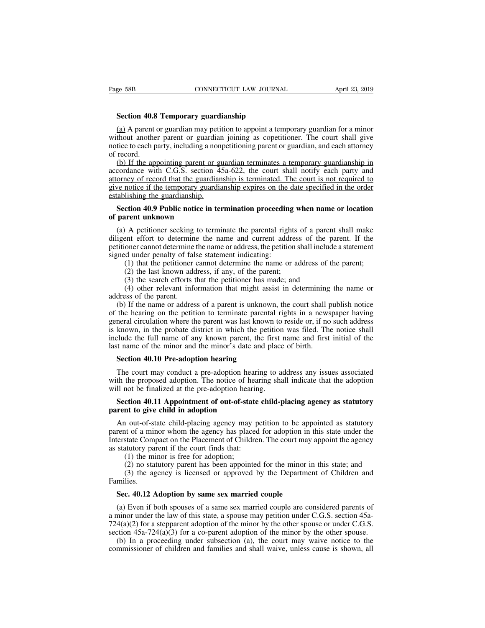**SEP SEP CONNECTICUT LAW JOURNAL**<br> **Section 40.8 Temporary guardianship**<br> **Section 40.8 Temporary guardianship**<br> **SECTION 40.8 Temporary guardianship**<br> **SECTION** 4 temporary and a series of the set of the second series and (a) A parent or guardian may petition to appoint a temporary guardian for a minor<br>
(b) A parent or guardian may petition to appoint a temporary guardian for a minor<br>
thout another parent or guardian joining as copetitioner Example 58B<br>
Section 40.8 Temporary guardianship<br>
(a) A parent or guardian may petition to appoint a temporary guardian for a minor<br>
without another parent or guardian joining as copetitioner. The court shall give<br>
notice notice to each **40.8 Temporary guardianship**<br> **notice to each party of the party suardianship**<br>
(a) A parent or guardian may petition to appoint a temporary guardian for a minor<br>
without another parent or guardian joining **Section 40.8**<br>(a) A parent of<br>without anothe<br>notice to each p<br>of record.<br>(b) If the app<br>accordance with Section 40.8 Temporary guardianship<br>
(a) A parent or guardian may petition to appoint a temporary guardian for a minor<br>
thout another parent or guardian joining as copetitioner. The court shall give<br>
tice to each party, i

**Section 40.8 Temporary guardianship**<br>
(a) A parent or guardian may petition to appoint a temporary guardian for a minor<br>
without another parent or guardian joining as copetitioner. The court shall give<br>
notice to each pa (a) A parent or guardian may petition to appoint a temporary guardian for a minor without another parent or guardian joining as copetitioner. The court shall give notice to each party, including a nonpetitioning parent or given by the temporary and interpret in temporary guardian in the among without another parent or guardian joining as copetitioner. The court shall give notice to each party, including a nonpetitioning parent or guardian, without aboute parent or guardian<br>notice to each party, including a non<br>of record.<br>(b) If the appointing parent or g<br>accordance with C.G.S. section 4<br>attorney of record that the guardian<br>establishing the guardianship.<br>Sect record.<br>
(b) If the appointing parent or guardian terminates a temporary guardianship in<br>
cordance with C.G.S. section 45a-622, the court shall notify each party and<br>
orney of record that the guardianship is terminated. Th (b) If the appointing parent or<br>accordance with C.G.S. section<br>attorney of record that the guard<br>give notice if the temporary guar<br>establishing the guardianship.<br>**Section 40.9 Public notice in**<br>of parent unknown<br>(a) A peti (a) A petitioner seeking to terminate the parental rights of a parent shall make we notice if the temporary guardianship expires on the date specified in the order abilishing the guardianship.<br>Section 40.9 Public notice in

diversion of the temporary guardianship expires on the date specified in the order establishing the guardianship.<br>Section 40.9 Public notice in termination proceeding when name or location<br>of parent unknown<br>(a) A petitione period in the entitial shall period in the video-<br>establishing the guardianship.<br>**Section 40.9 Public notice in termination proceeding when name or location**<br>of parent unknown<br>(a) A petitioner seeking to terminate the pare **Section 40.9 Public notice in termination proceeding**<br>of **parent unknown**<br>(a) A petitioner seeking to terminate the parental righ<br>diligent effort to determine the name and current add<br>petitioner cannot determine the name (1) that the petitioner cannot determine the parent and the parent shall make the entitioner seeking to terminate the parental rights of a parent shall make ent effort to determine the name and current address of the paren (2) A petitioner seeking to terminate the parental rights<br>
ent effort to determine the name and current address<br>
oner cannot determine the name or address, the petition s<br>
d under penalty of false statement indicating:<br>
(1 (3) A petitioner seeking to terminate the parental rights of a parent effort to determine the name and current address of the parent coner cannot determine the name or address, the petition shall include d under penalty of (4) other is example to commate the parent and rights of a parent share matter effort to determine the name and current address of the parent. If the oner cannot determine the name or address, the petition shall include a dingent error to determine<br>petitioner cannot determine<br>signed under penalty of fal<br>(1) that the petitioner<br>(2) the last known add<br>(3) the search efforts t<br>(4) other relevant infor<br>address of the parent.<br>(b) If the name or

(b) If the name or address of a parent is unknown, the court shall publish notice as satement (2) the last known address, if any, of the parent;<br>
(2) the last known address, if any, of the parent;<br>
(3) the search efforts t signed under penaty of raise statement indicating.<br>
(1) that the petitioner cannot determine the name or address of the parent;<br>
(2) the last known address, if any, of the parent;<br>
(3) the search efforts that the petitione (1) that the pethoner cannot determine the hardle or address of the parent,<br>
(2) the last known address, if any, of the parent;<br>
(3) the search efforts that the petitioner has made; and<br>
(4) other relevant information tha (2) the last known address, if any, of the patent,<br>
(3) the search efforts that the petitioner has made; and<br>
(4) other relevant information that might assist in determining the name or<br>
address of the parent.<br>
(b) If the (3) the scalar enors that the pethodic has made, and<br>
(4) other relevant information that might assist in determining the name or<br>
address of the parent.<br>
(b) If the name or address of a parent is unknown, the court shall ( $\rightarrow$ ) offer relevant information that inight assist in determining<br>address of the parent.<br>(b) If the name or address of a parent is unknown, the court shall p<br>of the hearing on the petition to terminate parental rights i (b) If the name or address of a parent is unknow<br>the hearing on the petition to terminate parenta<br>neral circulation where the parent was last known<br>known, in the probate district in which the petitle<br>clude the full name of The court may conduct a pre-adoption hearing of address and a pre-adoption where the parent was last known to reside or, if no such address known, in the probate district in which the petition was filed. The notice shall c where the proposed adoption is known, in the probate district in which the petition was filed. The notice shall include the full name of any known parent, the first name and first initial of the last name of the minor and

is known, in the proced ulstrict in which the peditoric<br>include the full name of any known parent, the first<br>last name of the minor and the minor's date and place<br>**Section 40.10 Pre-adoption hearing**<br>The court may conduct It name of the minor and the minor's date and place of birth.<br> **Section 40.10 Pre-adoption hearing**<br>
The court may conduct a pre-adoption hearing to address any issues associated<br>
th the proposed adoption. The notice of he **Section 40.10 Pre-adoption hearing**<br>The court may conduct a pre-adoption hear<br>with the proposed adoption. The notice of hea<br>will not be finalized at the pre-adoption hearin<br>**Section 40.11 Appointment of out-of-state**<br>pare

The court may conduct a pre-adoption hearing to address any issues associated<br>th the proposed adoption. The notice of hearing shall indicate that the adoption<br>Il not be finalized at the pre-adoption hearing.<br>**Section 40.11** in the proposed adoption. The notice of hearing to state and indicate that the adoption will not be finalized at the pre-adoption hearing.<br>Section 40.11 Appointment of out-of-state child-placing agency as statutory parent will not be finalized at the pre-adoption hearing shall mated that the displacint will not be finalized at the pre-adoption hearing.<br> **Section 40.11 Appointment of out-of-state child-placing agency as statutory** parent to From the set manned at the pre-adeption nearing<br> **Section 40.11 Appointment of out-of-state**<br>
parent to give child in adoption<br>
An out-of-state child-placing agency may pe<br>
parent of a minor whom the agency has placed<br>
Int ction 40.11 Appointment of out-of-stat<br>int to give child in adoption<br>in out-of-state child-placing agency may<br>it of a minor whom the agency has place<br>state Compact on the Placement of Childr<br>atutory parent if the court fin no statutory and in adoption<br>
in out-of-state child-placing agency may petition to be appointed as statutory<br>
in to f a minor whom the agency has placed for adoption in this state under the<br>
state Compact on the Placement (3) the agency may petition to be appointed as statutory<br>to the a minor whom the agency has placed for adoption in this state under the<br>state Compact on the Placement of Children. The court may appoint the agency<br>tuttory p Exercistate Compact on the Placement of Children. The court may<br>statutory parent if the court finds that:<br>(1) the minor is free for adoption;<br>(2) no statutory parent has been appointed for the minor in<br>(3) the agency is li

Families.

(1) the minor is free for adoption;<br>
(2) no statutory parent has been appointed for the minor in this state; and<br>
(3) the agency is licensed or approved by the Department of Children and<br>
milies.<br> **Sec. 40.12 Adoption by** (2) no statutory parent has been appointed for the minor in this state; and<br>
(3) the agency is licensed or approved by the Department of Children and<br>
Families.<br> **Sec. 40.12 Adoption by same sex married couple**<br>
(a) Even The state of the minor in this state, and<br>
(3) the agency is licensed or approved by the Department of Children and<br>
Families.<br> **Sec. 40.12 Adoption by same sex married couple**<br>
(a) Even if both spouses of a same sex marr Families.<br>Sec. 40.12 Adoption by same sex married couple<br>(a) Even if both spouses of a same sex married couple are considered parents of<br>a minor under the law of this state, a spouse may petition under C.G.S. section 45a-Sec. 40.12 Adoption by same sex married couple<br>(a) Even if both spouses of a same sex married couple are considered parents of<br>ninor under the law of this state, a spouse may petition under C.G.S. section 45a-<br>4(a)(2) for Sec. 40.12 Adoption by same sex married couple<br>(a) Even if both spouses of a same sex married couple are considered parents of<br>a minor under the law of this state, a spouse may petition under C.G.S. section 45a-<br>724(a)(2)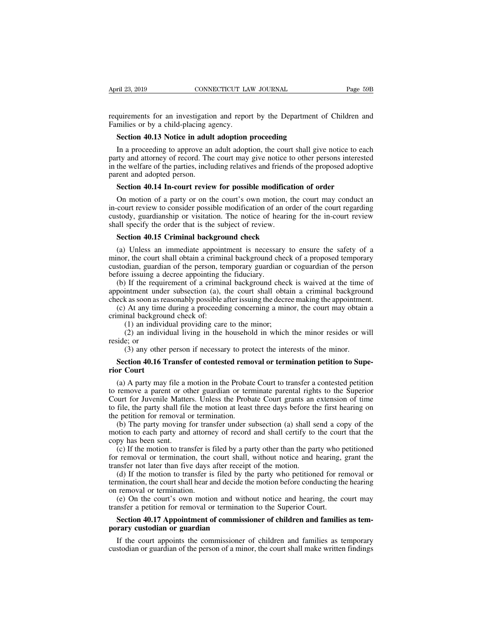Final 23, 2019<br>
Figure 23, 2019<br>
Figure 2019<br>
Figure 2019<br>
Figure 2019<br>
Figure 2019<br>
Figure 2019<br>
Families or by a child-placing agency.<br>
Section 40.13 Notice in adult adoption proceeding Families or by a child-placing agency.<br>Families or by a child-placing agency.<br>**Section 40.13 Notice in adult adoption SECTE AND SECTICUT CONNECTICUT LAW JOURNAL**<br> **Section 40.13 Notice in adult adoption proceeding**<br> **Section 40.13 Notice in adult adoption proceeding**<br>
In a proceeding to approve an adult adoption, the court shall given th

quirements for an investigation and report by the Department of Children and<br>milies or by a child-placing agency.<br>**Section 40.13 Notice in adult adoption proceeding**<br>In a proceeding to approve an adult adoption, the court requirements for an investigation and report by the Department of Children and<br>Families or by a child-placing agency.<br>**Section 40.13 Notice in adult adoption proceeding**<br>In a proceeding to approve an adult adoption, the co in the particular sequirements for an investigation and report by the Department of Children and<br>Families or by a child-placing agency.<br>**Section 40.13 Notice in adult adoption proceeding**<br>In a proceeding to approve an adul Families or by a child-placing age<br>Families or by a child-placing age<br>Section 40.13 Notice in adult<br>In a proceeding to approve an<br>party and attorney of record. The<br>in the welfare of the parties, inclu<br>parent and adopted pe **Section 40.13 Notice in adult adoption proceeding**<br>In a proceeding to approve an adult adoption, the court shall give notice to earty and attorney of record. The court may give notice to other persons interest<br>the welfare In a proceeding to approve an adult adoption, the court shall give notice to each<br>rty and attorney of record. The court may give notice to other persons interested<br>the welfare of the parties, including relatives and friend

In a proceeding to approve an addit atoption, the court shall give hotted to each party and attorney of record. The court may give notice to other persons interested in the welfare of the parties, including relatives and f party and attority of record. The court may give notice to other persons interested<br>in the welfare of the parties, including relatives and friends of the proposed adoptive<br>parent and adopted person.<br>**Section 40.14 In-court** m the weitare of the parties, including relatives and friends<br>parent and adopted person.<br>**Section 40.14 In-court review for possible modificat**<br>On motion of a party or on the court's own motion, t<br>in-court review to consid **Section 40.14 In-court review for possible modificatio**<br>On motion of a party or on the court's own motion, the<br>court review to consider possible modification of an orde<br>stody, guardianship or visitation. The notice of hea (a) On motion of a party or on the court's own motion, the court may conduct an court review to consider possible modification of an order of the court regarding stody, guardianship or visitation. The notice of hearing for

In motion of a party of off the court sown motion, the court may conduct an in-court review to consider possible modification of an order of the court regarding custody, guardianship or visitation. The notice of hearing fo m-court review to consider possible modification of an order of the court regarding<br>custody, guardianship or visitation. The notice of hearing for the in-court review<br>shall specify the order that is the subject of review.<br> custody, guardianship or visitation. The notice of hearing for the in-court review<br>shall specify the order that is the subject of review.<br>**Section 40.15 Criminal background check**<br>(a) Unless an immediate appointment is nec Section 40.15 Criminal background check<br>
(a) Unless an immediate appointment is necessary to ensure the safety of a<br>
nor, the court shall obtain a criminal background check of a proposed temporary<br>
stodian, guardian of the **Section 40.15 Criminal background check**<br>(a) Unless an immediate appointment is necessary to ensure the safety of a<br>minor, the court shall obtain a criminal background check of a proposed temporary<br>custodian, guardian of (a) Unless an immediate appointment is necessary to ensure the safety of a minor, the court shall obtain a criminal background check of a proposed temporary custodian, guardian of the person, temporary guardian or coguardi (a) Oness an immediate appointment is inceeding to ensure the safety of a<br>nor, the court shall obtain a criminal background check of a proposed temporary<br>stodian, guardian of the person, temporary guardian or coguardian of

minor, the court shan obtain a crimini<br>custodian, guardian of the person, ter-<br>before issuing a decree appointing the<br>(b) If the requirement of a criminia<br>appointment under subsection (a), t<br>check as soon as reasonably pos between the person, temporary guardian of<br>e issuing a decree appointing the fiduciary.<br>If the requirement of a criminal background check<br>intment under subsection (a), the court shall obtain<br>as as soon as reasonably possibl (2) an individual background check is waived at the time of intment under subsection (a), the court shall obtain a criminal background ck as soon as reasonably possible after issuing the decree making the appointment. At a (b) If the requirement und<br>appointment und<br>check as soon as i<br>(c) At any tim<br>criminal backgro<br>(1) an indiv<br>(2) an indiv<br>reside; or<br>(3) any othe<br>Section 40 16

munent under subsection (a), the court shart obtain a criminal background chases as soon as reasonably possible after issuing the decree making the appointment At any time during a proceeding concerning a minor, the court (c) At any time during a proceeding concerning a minor, the court may obtain a<br>minal background check of:<br>(1) an individual providing care to the minor;<br>(2) an individual living in the household in which the minor resides criminal backgrous<br>
(1) an individ<br>
(2) an individ<br>
reside; or<br>
(3) any other<br> **Section 40.16 T**<br> **rior Court**<br>
(a) A party may<br>
to remove a person

(1) an individual living in the household in which the minor resides or will<br>ide; or<br>(3) any other person if necessary to protect the interests of the minor.<br>**Section 40.16 Transfer of contested removal or termination pet** to remove a parent or other guardian or termination petition to Superior Court<br>
(a) A party may file a motion in the Probate Court to transfer a contested petition<br>
to remove a parent or other guardian or termination peti Court for Juvenile Matters. Unless the Probate Court to transfer a contested petition of Superior Court<br>
(a) A party may file a motion in the Probate Court to transfer a contested petition<br>
to remove a parent or other gua **Section 40.16 Transfer of contested removal or termination petition to Superior Court**<br>
(a) A party may file a motion in the Probate Court to transfer a contested petition<br>
to remove a parent or other guardian or termina **Section 40.16 Transfer of contested remorior Court**<br>(a) A party may file a motion in the Probatto<br>to remove a parent or other guardian or term<br>Court for Juvenile Matters. Unless the Probatto<br>file, the party shall file the (a) A party may file a motion in the Probate Court to transfer a contested petition remove a parent or other guardian or terminate parental rights to the Superior wurt for Juvenile Matters. Unless the Probate Court grants (a) A party may file a motion in the Probate Court to transfer a contested petition<br>to remove a parent or other guardian or terminate parental rights to the Superior<br>Court for Juvenile Matters. Unless the Probate Court gra (a) A party may file a 1<br>to remove a parent or ot<br>Court for Juvenile Matte<br>to file, the party shall file<br>the petition for removal (b) The party moving<br>motion to each party and<br>copy has been sent.<br>(c) If the motion to trar Ferrove a parent of other guardian of defining parental rights to the superior<br>ourt for Juvenile Matters. Unless the Probate Court grants an extension of time<br>file, the party shall file the motion at least three days befor

For removal or termination, the court shall, without notice and hearting on the petition for removal or termination.<br>
(b) The party moving for transfer under subsection (a) shall send a copy of the motion to each party and to file, the party shall file the motion at least three days before the first hearing on<br>the petition for removal or termination.<br>(b) The party moving for transfer under subsection (a) shall send a copy of the<br>motion to ea (b) The party moving for transfer under subsection (a) shall send a copy of the otion to each party and attorney of record and shall certify to the court that the py has been sent.<br>(c) If the motion to transfer is filed by (b) The party inoving for dansier dider subsection (a) shart send a copy of the motion to each party and attorney of record and shall certify to the court that the copy has been sent.<br>
(c) If the motion to transfer is fil motion to each party and attorned<br>copy has been sent.<br>(c) If the motion to transfer is<br>for removal or termination, the<br>transfer not later than five days<br>(d) If the motion to transfer is<br>termination, the court shall hear a<br> (c) If the motion to transfer is filed by a party other than the party who petitioned<br>
r removal or termination, the court shall, without notice and hearing, grant the<br>
nsfer not later than five days after receipt of the

(c) If the motion to transfer is filed by a party other than the party who p<br>for removal or termination, the court shall, without notice and hearing,<br>transfer not later than five days after receipt of the motion.<br>(d) If t If the court appoints the commissioner of children and families as temporary<br> **Section** 40.17 Appointment of commissioner of children and hearing<br> **Section 40.17 Appointment of commissioner of children and families as tem-**(d) If the motion to transfer is filed by the<br>termination, the court shall hear and decide th<br>on removal or termination.<br>(e) On the court's own motion and with<br>transfer a petition for removal or terminatio<br>**Section 40.17 A** 

If the court shall head and decide the hotton before conducting the hearing<br>
(e) On the court's own motion and without notice and hearing, the court may<br>
nsfer a petition for removal or termination to the Superior Court.<br> (e) On the court's own motion and without notice and hearing, the court may transfer a petition for removal or termination to the Superior Court.<br> **Section 40.17 Appointment of commissioner of children and families as tem-**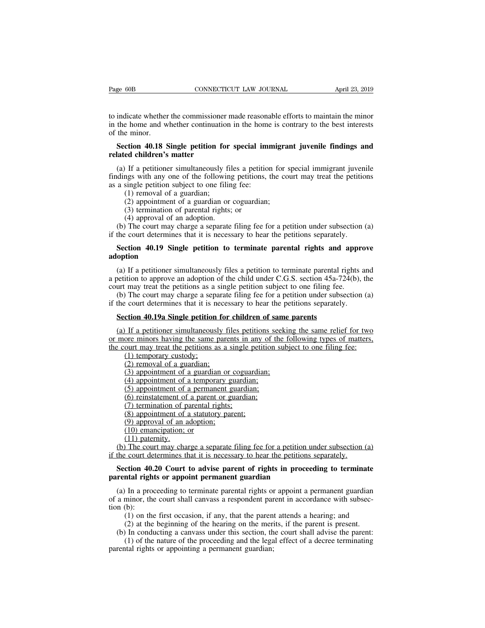The Fage 60B<br>
CONNECTICUT LAW JOURNAL<br>
to indicate whether the commissioner made reasonable efforts to maintain the minor<br>
in the home and whether continuation in the home is contrary to the best interests<br>
of the minor. Page 60B CONNECTICUT LAW JOURNAL April 23, 2019<br>to indicate whether the commissioner made reasonable efforts to maintain the minor<br>in the home and whether continuation in the home is contrary to the best interests<br>of the m Page 60B<br>to indicate whether<br>in the home and w<br>of the minor.<br>Section 40.18 s **Section 40.18 Single petition for special immigrant juvenile findings and**<br> **Section 40.18 Single petition for special immigrant juvenile findings and**<br> **Section 40.18 Single petition for special immigrant juvenile findin** to indicate whether the commissioner<br>in the home and whether continuation<br>of the minor.<br>**Section 40.18 Single petition for related children's matter**<br>(a) If a petitioner simultaneously

indicate whether the commissioner made reasonable efforts to maintain the minor<br>the home and whether continuation in the home is contrary to the best interests<br>the minor.<br>**Section 40.18 Single petition for special immigran** in the home and whether continuation in the home is contrary to the best interests<br>of the minor.<br>**Section 40.18 Single petition for special immigrant juvenile findings and<br>related children's matter<br>(a) If a petitioner simu** of the minor.<br> **Section 40.18 Single petition for special imrelated children's matter**<br>
(a) If a petitioner simultaneously files a petition<br>
findings with any one of the following petitions, t<br>
as a single petition subject **Section 40.18 Single petition for special immigrant juvenile findings and related children's matter**<br>(a) If a petitioner simultaneously files a petition for special immigrant juvenile findings with any one of the followi (2) applement of a guardian or special immigranced children's matter<br>
If a petitioner simultaneously files a petition for s<br>
ngs with any one of the following petitions, the co<br>
single petition subject to one filing fee:<br> **ed children's matter**<br>
If a petitioner simultaneously files a petiti<br>
ngs with any one of the following petitions<br>
single petition subject to one filing fee:<br>
(1) removal of a guardian;<br>
(2) appointment of a guardian or c If a petitioner simultaneously fil<br>ngs with any one of the following<br>single petition subject to one filin<br>(1) removal of a guardian;<br>(2) appointment of a guardian or<br>(3) termination of parental rights;<br>(4) approval of an a (a) If a petitioner simulatiously files a petition to special filing and juvenic<br>dings with any one of the following petitions, the court may treat the petitions<br>a single petition subject to one filing fee:<br>(1) removal of

- 
- 
- 
- 

if the court and single per court in the court of a guardian;<br>
(1) removal of a guardian;<br>
(2) appointment of a guardian or coguardian;<br>
(3) termination of parental rights; or<br>
(4) approval of an adoption.<br>
(b) The court m

## (1) removal of a guardian;<br>
(2) appointment of a guardian or coguardian;<br>
(3) termination of parental rights; or<br>
(4) approval of an adoption.<br>
(b) The court may charge a separate filing fee for a petition under subsectio **adoption**

(4) approval of an adoption.<br>
(b) The court may charge a separate filing fee for a petition under subsection (a) the court determines that it is necessary to hear the petitions separately.<br> **Section 40.19 Single petition** (b) The court may charge a separate filing fee for a petition under subsection (a) if the court determines that it is necessary to hear the petitions separately.<br> **Section 40.19 Single petition to terminate parental right** if the court determines that it is necessary to hear the petitions separately.<br> **Section 40.19 Single petition to terminate parental rights and appr**<br> **adoption**<br>
(a) If a petitioner simultaneously files a petition to term Section 40.19 Single petition to terminate parental rights and approve<br>option<br>(a) If a petitioner simultaneously files a petition to terminate parental rights and<br>petition to approve an adoption of the child under C.G.S. **Section 40.19 Single petition to terminate parental rights and approachly adoption**<br>(a) If a petitioner simultaneously files a petition to terminate parental rights a<br>a petition to approve an adoption of the child under (a) If a petitioner simultaneously files a petition to terminate parental relation to approve an adoption of the child under C.G.S. section 45a-72 urt may treat the petitions as a single petition subject to one filing fee.

betition to approve an adoption of the child under C.G.S. section 45a-724(b), the<br>urt may treat the petitions as a single petition subject to one filing fee.<br>(b) The court may charge a separate filing fee for a petition un court may treat the petitions as a single petition subject to one filing fee.<br>
(b) The court may charge a separate filing fee for a petition under subsection (a)<br>
if the court determines that it is necessary to hear the pe (b) The court may charge a separate filing fee for a petition under subsection (a) if the court determines that it is necessary to hear the petitions separately.<br> **Section 40.19a Single petition for children of same paren** (1) court determines that it is n<br> **ction 40.19a Single petition**<br>
If a petitioner simultaneous<br>
ore minors having the same<br>
ourt may treat the petitions a<br>
(1) temporary custody;<br>
(2) removal of a guardian;<br>
(3) appointme **ction 40.19a Single petition for**<br>If a petitioner simultaneously five minors having the same pare<br>ourt may treat the petitions as a<br>(1) temporary custody;<br>(2) removal of a guardian;<br>(3) appointment of a guardian or<br>(4) a (3) apple **2013** a Single petition for children of same<br>in If a petitioner simultaneously files petitions seekinc<br>ore minors having the same parents in any of the f-<br>ourt may treat the petitions as a single petition subje If a petitioner simultaneously files petitions se<br>ore minors having the same parents in any of th<br>ourt may treat the petitions as a single petition<br>(1) temporary custody;<br>(2) removal of a guardian;<br>(3) appointment of a te The permonder simultaneously lies permons se<br>ore minors having the same parents in any of th<br>ourt may treat the petitions as a single petition (1)<br>temporary custody;<br>(2) removal of a guardian;<br>(3) appointment of a temporar (6) out may treat the petitions as a single petition<br>(1) temporary custody;<br>(2) removal of a guardian;<br>(3) appointment of a guardian or coguardian;<br>(4) appointment of a temporary guardian;<br>(5) appointment of a parent or gu

(1) temporary custody;<br>(2) removal of a guardian;<br>(3) appointment of a guardian or cogual<br>(3) appointment of a temporary guardia<br>(5) appointment of a permanent guardia<br>(6) reinstatement of a parent or guardia<br>(7) terminat (2) removal of a guardian;<br>(2) removal of a guardian;<br>(3) appointment of a guardian or coguardian;<br>(4) appointment of a temporary guardian;<br>(5) appointment of a parent or guardian;<br>(6) reinstatement of a parent or guardia (2) conoval of a guardian,<br>
(3) appointment of a guardian or c<br>
(4) appointment of a temporary gu<br>
(5) appointment of a parent or gu<br>
(6) reinstatement of a parent or gu<br>
(7) termination of parental rights;<br>
(8) appointme

(3) appointment of a guardial (4) appointment of a temporary (5) appointment of a permance (6) reinstatement of a parent (7) termination of parental right) (8) appointment of a statutor (9) approval of an adoption; (10) e (4) appointment of (5) appointment of (6) einstatement of (6) reinstatement of (7) termination of p<br>(8) appointment of (8) appointment of (9) approval of an a (10) emancipation; (11) paternity. The court determines the co (b) depointment of a permanent guatural,<br>
(b) reinstatement of a parent or guardian;<br>
(d) termination of parental rights;<br>
(e) approval of an adoption;<br>
(l) emancipation; or<br>
(l) mancipation; or<br>
(l) The court may charge (b) termination of parental rights:<br>
(c) termination of parental rights:<br>
(e) approval of an adoption:<br>
(b) emancipation: or<br>
(l) emancipation: or<br>
(l) Datermines that it is necessary to hear the petition under subsection **Section 40.20** Court to advise parent of rights in proceeding to terminate (10) emancipation; or (11) paternity.<br>
(b) The court may charge a separate filing fee for a petition under subsection (a) the court determines tha (9) approval of an adoption;<br>
(10) emancipation; or<br>
(11) paternity.<br>
(b) The court may charge a separate filing fee for a petition if<br>
if the court determines that it is necessary to hear the petitions<br> **Section 40.20 Cou** 

(11) paternity.<br>
(b) The court may charge a separate filing fee for a petition under subsection (a) the court determines that it is necessary to hear the petitions separately.<br> **Section 40.20 Court to advise parent of rig** (b) The court may charge a separate filing fee for a petition under subsection (a) if the court determines that it is necessary to hear the petitions separately.<br> **Section 40.20 Court to advise parent of rights in proceed** if the court de<br> **Section 40.**<br> **parental right**<br>
(a) In a proco<br>
of a minor, the<br>
(b):<br>
(1) on the<br>
(2) at the (1) on the first occasion, if any, that the parent specifical divise the parent specifical rights or appoint a permanent guardian minor, the court shall canvass a respondent parent in accordance with subsection.<br>
(1) on th (1) at the beginning of the parent of rights in proceeding to terminate intal rights or appoint permanent guardian<br>
In a proceeding to terminate parental rights or appoint a permanent guardian<br>
minor, the court shall canv **rental rights or appoint permanent guardian**<br>(a) In a proceeding to terminate parental rights or appoint a permanent guardian<br>a minor, the court shall canvass a respondent parent in accordance with subsec-<br>in (b):<br>(1) on In a proceeding to terminate parental rights or appoint a permanent guardian minor, the court shall canvass a respondent parent in accordance with subsec-<br>(b):<br>(1) on the first occasion, if any, that the parent attends a h of a minor, the court shall canvass a respondent parent in accordance with subsection (b):<br>
(1) on the first occasion, if any, that the parent attends a hearing; and<br>
(2) at the beginning of the hearing on the merits, if t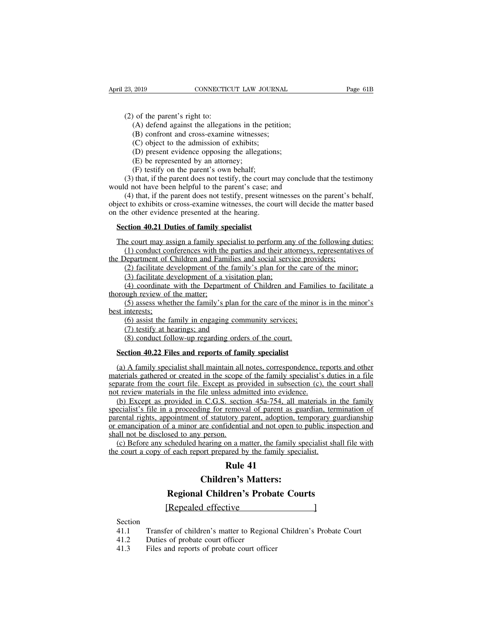23, 2019<br>
23, 2019<br>
(2) of the parent's right to:<br>
(A) defend against the allegatio<br>
(B) confront and cross-examin (2019) CONNECTICUT LAW JOURNAL<br>
(A) defend against the allegations in the petition;<br>
(B) confront and cross-examine witnesses;<br>
(C) object to the admission of exhibits; 2019 CONNECTICUT LAW JOURNAL<br>
(A) defend against the allegations in the petition<br>
(B) confront and cross-examine witnesses;<br>
(C) object to the admission of exhibits;<br>
(D) present evidence opposing the allegations; (2019) CONNECTICUT LAW JOURN<br>
(6) of the parent's right to:<br>
(6) defend against the allegations in the petit<br>
(6) confront and cross-examine witnesses;<br>
(C) object to the admission of exhibits;<br>
(D) present evidence opposi (A) defend against the allegations in the petition;<br>(B) confront and cross-examine witnesses;<br>(C) object to the admission of exhibits;<br>(D) present evidence opposing the allegations;<br>(E) be represented by an attorney;<br>(F) t (2) of the parent's right to:<br>
(A) defend against the allegations in the petition;<br>
(B) confront and cross-examine witnesses;<br>
(C) object to the admission of exhibits;<br>
(D) present evidence opposing the allegations;<br>
(E)

(A) defend against the allegations in the peti(B) confront and cross-examine witnesses;<br>(C) object to the admission of exhibits;<br>(C) object to the admission of exhibits;<br>(D) present evidence opposing the allegation<br>(E) be (A) defend against the allegations in the petition;<br>
(B) confront and cross-examine witnesses;<br>
(C) object to the admission of exhibits;<br>
(D) present evidence opposing the allegations;<br>
(E) be represented by an attorney;<br>

(B) confront and cross-examine witnesses;<br>
(C) object to the admission of exhibits;<br>
(D) present evidence opposing the allegations;<br>
(E) be represented by an attorney;<br>
(F) testify on the parent's own behalf;<br>
(3) that, if (C) object to the admission of exhibits;<br>
(D) present evidence opposing the allegations;<br>
(E) be represented by an attorney;<br>
(F) testify on the parent's own behalf;<br>
(3) that, if the parent does not testify, the court ma (D) present evidence opposing the allegations;<br>
(E) be represented by an attorney;<br>
(F) testify on the parent's own behalf;<br>
(3) that, if the parent does not testify, the court may conclude that the testimony<br>
would not h (E) be represented by an attorney;<br>
(F) testify on the parent's own behalf;<br>
(3) that, if the parent does not testify, the court m<br>
would not have been helpful to the parent's case; an<br>
(4) that, if the parent does not te (F) testiry on the parent s own benair;<br>
(3) that, if the parent does not testify, the court n<br>
uuld not have been helpful to the parent's case; an<br>
(4) that, if the parent does not testify, present w<br>
ject to exhibits or build not have been helpful to the parent's case; and<br>
(4) that, if the parent does not testify, present witnesses on the parent's behalf,<br>
ject to exhibits or cross-examine witnesses, the court will decide the matter base (4) that, if the parent does not testify, present witnesses on the parent's behalf,<br>t to exhibits or cross-examine witnesses, the court will decide the matter based<br>e other evidence presented at the hearing.<br>**ction 40.21 D** 

object to exhibits or cross-examine witnesses, the court will decide the matter<br>on the other evidence presented at the hearing.<br>Section 40.21 Duties of family specialist<br>The court may assign a family specialist to perform (2) facilitate development of the family specialist<br>
(1) conduct conferences with the parties and their attorneys, representatives of<br>
(1) conduct conferences with the parties and their attorneys, representatives of<br>
Depar (3) factor 40.21 Duties of family specialist<br>
(1) conduct conferences with the parties and their att<br>
(1) conduct conferences with the parties and their att<br>
lepartment of Children and Families and social serv<br>
(2) facilit (1) conduct conferences with the parties and their attorneys, representatives of<br>(1) conduct conferences with the parties and their attorneys, representatives of<br>Department of Children and Families and social service provi The court may assign a family spe<br>
(1) conduct conferences with the<br>
the Department of Children and Fam<br>
(2) facilitate development of the<br>
(3) facilitate development of a v<br>
(4) coordinate with the Departr<br>
thorough revie

(1) conduct conferences with the parties and their attorneys, representatives of<br>Department of Children and Families and social service providers;<br>(2) facilitate development of the family's plan for the care of the minor;<br> the Department of C<br>
(2) facilitate de<br>
(3) facilitate de<br>
(4) coordinate<br>
thorough review of<br>
(5) assess whet<br>
best interests;<br>
(6) assist the fa<br>
(7) testify at he (2) facilitate development of the family's plan for the care (3) facilitate development of a visitation plan;<br>(4) coordinate with the Department of Children and Family<br>ugh review of the matter;<br>(5) assess whether the fami (3) facilitate development of a visitati(4) coordinate with the Department (4) coordinate with the Department (5) assess whether the family's plan for interests; (6) assist the family in engaging com (7) testify at hearin (4) coordinate with the Department of Children and Far<br>ugh review of the matter;<br>(5) assess whether the family's plan for the care of the min<br>interests;<br>(6) assist the family in engaging community services;<br>(7) testify at

thorough review of the matter;<br>
(5) assess whether the family's plan for the care of the minor is in the minor's<br>
best interests;<br>
(6) assist the family in engaging community services;<br>
(7) testify at hearings; and<br>
(8) co (6) assist the family in engaging community services;<br>
(7) testify at hearings; and<br>
(8) conduct follow-up regarding orders of the court.<br> **Section 40.22 Files and reports of family specialist**<br>
(a) A family specialist sha (6) assist the family in engaging community services;<br>
(7) testify at hearings; and<br>
(8) conduct follow-up regarding orders of the court.<br> **Section 40.22 Files and reports of family specialist**<br>
(a) A family specialist sh (7) testify at hearings; and<br>
(8) conduct follow-up regarding orders of the court.<br> **Section 40.22 Files and reports of family specialist**<br>
(a) A family specialist shall maintain all notes, correspondence, reports and oth (8) conduct follow-up regarding orders of the court.<br> **Section 40.22 Files and reports of family specialist**<br>
(a) A family specialist shall maintain all notes, correspondence, re<br>
materials gathered or created in the scop Section 40.22 Files and reports of family specialist<br>
(a) A family specialist shall maintain all notes, correspondence, reports and other<br>
terials gathered or created in the scope of the family specialist's duties in a fil

spection 40.22 Files and reports of family specialist<br>
(a) A family specialist shall maintain all notes, correspondence, reports and other<br>
materials gathered or created in the scope of the family specialist's duties in a (a) A family specialist shall maintain all notes, correspondence, reports and other materials gathered or created in the scope of the family specialist's duties in a file separate from the court file. Except as provided i (a) A ranny specialist shall manual an hotes, correspondence, reports and only materials gathered or created in the scope of the family specialist's duties in a file separate from the court file. Except as provided in sub materials gamered of created in the scope<br>separate from the court file. Except as proteined to any person of review materials in the file unless adm<br>(b) Except as provided in C.G.S. sectifically specialist's file in a proc (b) Except as provided in C.G.S. section 45a-754, all materials in the family ecialist's file in a proceeding for removal of parent as guardian, termination of rental rights, appointment of statutory parent, adoption, temp (b) Except as provided in C.G.S. section 45a-754, all materials in the family specialist's file in a proceeding for removal of parent as guardian, termination of parental rights, appointment of statutory parent, adoption, Example 1524-754, all 1<br>
<u>Rue 1524-754</u>, all 1<br>
<u>Rue 1624</u><br>
<u>Rule 16</u><br> **Rule 41**<br> **Rule 41**<br> **Rule 41**<br> **Rule 41 Contract Control Control Control Control Control Control Control Control Control Control Control Control Control Control Control Control Control Control Control Control Control Control Control Control Control Control Cont** 

F a minor are confidential and not open to public inspect<br>sed to any person.<br>cheduled hearing on a matter, the family specialist shall f<br>f each report prepared by the family specialist.<br>**Rule 41**<br>**Children's Matters:**<br>**Reg** Scheduled hearing on a matter, the family specialist shall<br>of each report prepared by the family specialist.<br> **Rule 41**<br> **Children's Matters:**<br> **Regional Children's Probate Courts**<br>
[Repealed effective<br>
]

**Section** 

**Example 12.1 Concident Courts**<br> **Example 12.1 Concident Courts**<br> **Example 12.1 Concident Court**<br>
41.1 Transfer of children's matter to Regional Children's Probate Court<br>
41.2 Duties of probate court officer<br>
41.3 Files an Regional Children's Prol<br>
[Repealed effective<br>
Section<br>
41.1 Transfer of children's matter to Regio<br>
41.2 Duties of probate court officer<br>
41.3 Files and reports of probate court offi **Example 12.1 Files Accepts Accepts**<br> **Example 25.4 Files and reports of probate court officer**<br>
41.3 Files and reports of probate court officer<br>
41.3 Files and reports of probate court officer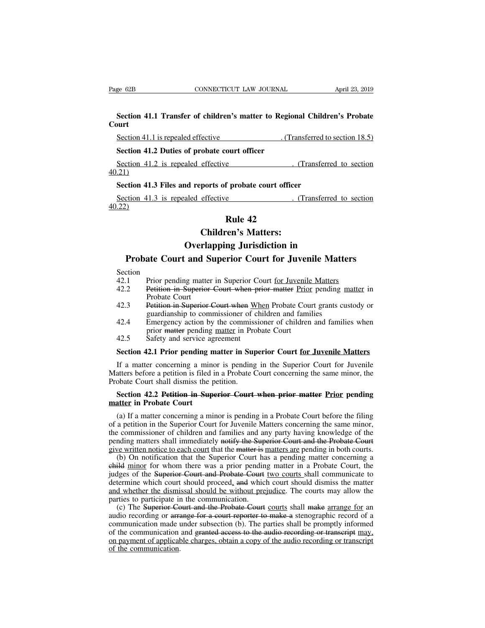## **Section 41.1 Transfer of children's matter to Regional Children's Probate**<br> **Section 41.1 Transfer of children's matter to Regional Children's Probate**<br> **Section 41.1 is repealed offective** (*Transferred* to action 18.5) **Court** Section 41.1 Transfer of children's matter to Regional Children's Probate<br>Section 41.1 Transfer of children's matter to Regional Children's Probate<br>Section 41.1 is repealed effective ... (Transferred to section 18.5)<br>Secti **Section 41.1 Transfer of children's matter to Region<br>
Section 41.1 is repealed effective (Transference)**<br>
Section 41.2 Duties of probate court officer<br>
Section 41.2 is repealed effective Section 41.1 Transfer of children's matter to Regional Children's Probate<br>
Section 41.1 is repealed effective ... (Transferred to section 18.5)<br>
Section 41.2 Duties of probate court officer<br>
...(Transferred to section 21)<br>

40.21) Section 41.1 is repealed effective (Transferred to<br> **Section 41.2 Duties of probate court officer**<br>
Section 41.2 is repealed effective (Transferre<br> **Section 41.3 Files and reports of probate court officer**<br>
Section 41.3 is Section 41.2 Duties of probate court officer<br>
Section 41.2 is repealed effective ... (Transferred to section<br>
...21)<br>
Section 41.3 Files and reports of probate court officer<br>
Section 41.3 is repealed effective ... (Transfe ourt officer<br>
e<br>
f probate court officer<br>
e<br> **Rule 42**<br>
cen's Matters:<br>
<sub>n e</sub> Levi distinctive Effective (Transference)<br>
ports of probate court officer<br>
effective (Transference)<br> **Children's Matters:<br>
rlapping Jurisdiction in** 

40.22) **nd reports of probate court officer<br>
aled effective Court Court (Transferred to<br>
<b>Children's Matters:**<br> **Overlapping Jurisdiction in**<br> **Court for Juvenile Matter** Transferred to section<br>
(Transferred to section<br>
(Probate Court and Superior Court for Juvenile Matters<br>
(Probate Court and Superior Court for Juvenile Matters<br>
(Probate Court and Superior Court for Juvenile Matters<br>
(Prio

- Section<br>42.1 Prior pending matter in Superior Court for Juvenile Matters
- **EXECUTE:**<br> **Children's Matters:**<br> **Court and Superior Court for Juvenile Matters**<br>
Section<br>
42.1 Prior pending matter in Superior Court <u>for Juvenile Matters</u><br>
42.2 Petition in Superior Court when prior matter Prior pendi **EXAMPLE 12.2**<br> **COVERT COUTE:**<br> **COVERT AND SUPERIOR COURT COURT FOR JUVENIE MATTERS**<br>
Section<br>
Prior pending matter in Superior Court <u>for Juvenile Matters</u><br>
42.2 Petition in Superior Court when prior matter Prior pendin **Solution Coverlant Court and S**<br>Prior pending matter<br>Petition in Superior<br>Probate Court<br>Petition in Superior<br>guardianship to com **Probate Court and Superior Court for Juvenile Matters**<br>Section<br>42.1 Prior pending matter in Superior Court <u>for Juvenile Matters</u><br>42.2 Petition in Superior Court when prior matter Prior pending matter in<br>Probate Court<br>42.
- 
- ate Court and Superior Court for Juvenile Matter<br>Prior pending matter in Superior Court <u>for Juvenile Matters</u><br>Petition in Superior Court when prior matter Prior pending m<br>Probate Court<br>Petition in Superior Court when When Section<br>
42.1 Prior pending matter in Superior Court for Juvenile Matters<br>
42.2 Petition in Superior Court when prior matter Prior pending matter in<br>
Probate Court<br>
42.3 Petition in Superior Court when When Probate Court g Prior pending matter in Superior Court <u>for Juvenile</u><br>
Petition in Superior Court when prior matter Prior<br>
Probate Court<br>
Petition in Superior Court when When Probate Court<br>
guardianship to commissioner of children and fam 42.2 Petition in Superior Court when probate Court<br>42.3 Petition in Superior Court when probate Court<br>42.3 Petition in Superior Court when Wh<br>guardianship to commissioner of ch<br>42.4 Emergency action by the commissi<br>prior m Probate Court<br>
42.3 Petition in Superior Court when When Probate Court grants custody or<br>
guardianship to commissioner of children and families when<br>
42.4 Emergency action by the commissioner of children and families when<br>
- 

IF a matter concerning in the Superior Court for Juvenile Matters<br>
42.4 Emergency action by the commissioner of children and families when<br>
prior matter pending matter in Probate Court<br>
42.5 Safety and service agreement<br>
S 42.4 Emergency action by the commissioner of children and families when<br>prior matter pending <u>matter</u> in Probate Court<br>42.5 Safety and service agreement<br>**Section 42.1 Prior pending matter in Superior Court <u>for Juvenile Ma**</u> Probate Court<br>prior matter pending matter in Pro<br>42.5 Safety and service agreement<br>Section 42.1 Prior pending matter in Sup<br>If a matter concerning a minor is pending<br>Matters before a petition is filed in a Probate (<br>Probat 42.5 Safety and service agreement<br> **Section 42.1 Prior pending matter in Superior Court <u>for Juvenile Matters</u><br>
If a matter concerning a minor is pending in the Superior Court for Juvenile<br>
atters before a petition is file Section 42.1 Prior pending m**<br>If a matter concerning a mino<br>Matters before a petition is filed in<br>Probate Court shall dismiss the p<br>**Section 42.2 Petition in Supe**<br>**matter in Probate Court**<br>(a) If a matter concerning a mi

If a matter concerning a minor is pending in the Superior Court for Juvenile<br>atters before a petition is filed in a Probate Court concerning the same minor, the<br>obate Court shall dismiss the petition.<br>**Section 42.2 Petitio** Matters before a petition is filed in a Probate Court concerning the same minor, the<br>Probate Court shall dismiss the petition.<br>Section 42.2 Petition in Superior Court when prior matter Prior pending<br>matter in Probate Court Probate Court shall dismiss the petition.<br> **Section 42.2 Petition in Superior Court when prior matter Prior pending**<br> **Section 42.2 Petition in Superior Court when prior matter Prior pending**<br>
(a) If a matter concerning a Section 42.2 Petition in Superior Court when prior matter Prior pending<br>matter in Probate Court<br>(a) If a matter concerning a minor is pending in a Probate Court before the filing<br>of a petition in the Superior Court for Juv Section 42.2 Petition in Superior Court when prior matter Prior pending<br>matter in Probate Court<br>(a) If a matter concerning a minor is pending in a Probate Court before the filing<br>of a petition in the Superior Court for Juv atter in Probate Court<br>
(a) If a matter concerning a minor is pending in a Probate Court before the filing<br>
a petition in the Superior Court for Juvenile Matters concerning the same minor,<br>
be commissioner of children and (a) If a matter concerning a minor is pending in a Probate Court before the filing<br>of a petition in the Superior Court for Juvenile Matters concerning the same minor,<br>the commissioner of children and families and any party

(a) If a matter concerning a minor is pentuing in a Probate Court before the ring<br>of a petition in the Superior Court for Juvenile Matters concerning the same minor,<br>the commissioner of children and families and any party or a petition in the superior Court for Juvenine Matters concerning the same innior, the commissioner of children and families and any party having knowledge of the pending matters shall immediately notify the Superior Cou and method whether the dismissal should be without prejudice. The courts and make a preding matters shall immediately notify the Superior Court and the Probate Court give written notice to each court that the matter is mat pending matters sian infined actly notify the sup-<br>give written notice to each court that the matter is i<br>(b) On notification that the Superior Court ha<br>child minor for whom there was a prior pendin<br>judges of the Superior-(b) On notification that the Superior Court has a pending m from courts.<br>
(b) On notification that the Superior Court has a pending matter concerning a<br>
idd minor for whom there was a prior pending matter in a Probate Cou (b) On nonneation that the superior Court has a pending matter concerning a<br>child minor for whom there was a prior pending matter in a Probate Court, the<br>judges of the Superior Court and Probate Court <u>two</u> courts shall c

entry in the superior Court and Probate Court two courts shall communicate to determine which court should proceed, and which court should dismiss the matter and whether the dismissal should be without prejudice. The court diately of the communication and granted access to the audio recording or transcript of the communication.<br>
Communication and whether the dismissal should be without prejudice. The courts may allow the parties to participa and whether the dismissal should be without prejudice. The courts may allow the parties to participate in the communication.<br>
(c) The Superior Court and the Probate Court courts shall make arrange for an audio recording or and whence the using<br>parties to participate in<br>(c) The Superior Ce<br>audio recording or arra<br>communication made to<br>on payment of applicat<br>of the communication.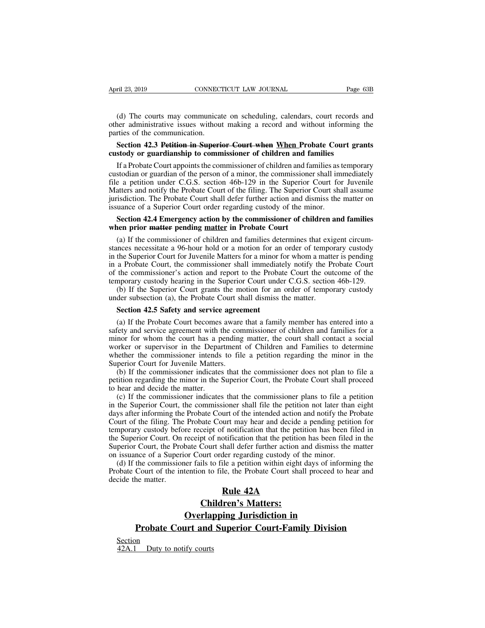(d) The courts may communicate on scheduling, calendars, court records and<br>ear administrative issues without making a record and without informing the<br>rties of the communication. April 23, 2019 CONNECTICUT LAW JOURNAL Page 63B<br>
(d) The courts may communicate on scheduling, calendars, court records and<br>
other administrative issues without making a record and without informing the<br>
parties of the com April 23, 2019 CONNECT<br>
(d) The courts may communicate<br>
other administrative issues withous<br>
parties of the communication.<br>
Section 42.3 Petition in Superi-<br>
custody or quardianship to comm ril 23, 2019 **CONNECTICUT LAW JOURNAL** Page 63B<br>
(d) The courts may communicate on scheduling, calendars, court records and<br>
ner administrative issues without making a record and without informing the<br> **Section 42.3 Petiti** (d) The courts may communicate on scheduling, calendars, court records<br>other administrative issues without making a record and without informing<br>parties of the communication.<br>**Section 42.3 Petition in Superior Court when W** 

(d) The courts may communicate on scheduling, calendars, court records and<br>ner administrative issues without making a record and without informing the<br>reties of the communication.<br>**Section 42.3 Petition in Superior Court w** (d) The courts may communicate on schedumig, calendars, court lecords and<br>other administrative issues without making a record and without informing the<br>parties of the communication.<br>**Section 42.3 Petition in Superior Court** outer administrative issues without making a record and without informing the<br>parties of the communication.<br>**Section 42.3 Petition in Superior Court when When Probate Court grants**<br>custody or guardianship to commissioner o parties of the communication.<br>
Section 42.3 Petition in Superior Court when When Probate Court grants<br>
custody or guardianship to commissioner of children and families<br>
If a Probate Court appoints the commissioner of child Section 42.3 Petition in Superior Court when When Probate Court grants<br>custody or guardianship to commissioner of children and families<br>If a Probate Court appoints the commissioner of children and families as temporary<br>cus custody or guardianship to commissioner of children and families<br>If a Probate Court appoints the commissioner of children and families as t<br>custodian or guardian of the person of a minor, the commissioner shall im<br>file a p If a Probate Court appoints the commissioner of children and families as temporary<br>stodian or guardian of the person of a minor, the commissioner shall immediately<br>e a petition under C.G.S. section 46b-129 in the Superior custodian or guardian of the person of a minor, the commissione<br>file a petition under C.G.S. section 46b-129 in the Superior<br>Matters and notify the Probate Court of the filing. The Superior<br>jurisdiction. The Probate Court E a petition under C.O.S. section 400-129 in the superior Court for Juvenne<br>atters and notify the Probate Court of the filing. The Superior Court shall assume<br>isdiction. The Probate Court shall defer further action and dis

States and holdy the Frobate Court of the Hing. The Superior Court shall assume<br>jurisdiction. The Probate Court shall defer further action and dismiss the matter on<br>issuance of a Superior Court order regarding custody of t jurisdiction. The Frobate Court shall defer future action and distinss the matter on<br>issuance of a Superior Court order regarding custody of the minor.<br>**Section 42.4 Emergency action by the commissioner of children and fam** issuance of a superior Court order regarding custody of the filmor.<br> **Section 42.4 Emergency action by the commissioner of children and families**<br>
when prior <del>matter</del> pending matter in Probate Court<br>
(a) If the commissione **Section 42.4 Emergency action by the commissioner of children and families**<br>when prior matter pending matter in Probate Court<br>(a) If the commissioner of children and families determines that exigent circum-<br>stances necess when prior **matter pending matter in Probate Court**<br>(a) If the commissioner of children and families determines that exigent circum-<br>stances necessitate a 96-hour hold or a motion for an order of temporary custody<br>in the S (a) If the commissioner of children and families determines that exigent circum-<br>mces necessitate a 96-hour hold or a motion for an order of temporary custody<br>the Superior Court for Juvenile Matters for a minor for whom a (a) If the commissioner of emidler and families determines that extra<br>stances necessitate a 96-hour hold or a motion for an order of tempo<br>in the Superior Court for Juvenile Matters for a minor for whom a matter<br>in a Proba the Superior Court for Juvenile Matters for a minor for a Probate Court, the commissioner shall immediate the commissioner's action and report to the Probate mporary custody hearing in the Superior Court unde (b) If the Su

a Frobate Court, the commissioner shart inhinedately houry the Frobate Court<br>the commissioner's action and report to the Probate Court the outcome of the<br>nporary custody hearing in the Superior Court under C.G.S. section 4 of the commissioner s action and report to the Frobate Court the outcome of the<br>temporary custody hearing in the Superior Court under C.G.S. section 46b-129.<br>(b) If the Superior Court grants the motion for an order of temp temporary custody hearing in the superior Court under C.G.S. section 400-129.<br>
(b) If the Superior Court grants the motion for an order of temporary custody<br>
under subsection (a), the Probate Court shall dismiss the matter (b) If the superior Court grains the motion for an order of temporary custody<br>under subsection (a), the Probate Court shall dismiss the matter.<br>**Section 42.5 Safety and service agreement**<br>(a) If the Probate Court becomes Section 42.5 Safety and service agreement<br>
(a) If the Probate Court becomes aware that a family member has entered into a<br>
safety and service agreement with the commissioner of children and families for a<br>
minor for whom t **Section 42.5 Safety and service agree**<br>(a) If the Probate Court becomes aware<br>safety and service agreement with the con<br>minor for whom the court has a pending<br>worker or supervisor in the Department<br>whether the commissione (a) If the Probate Court becomes aware that a family member has entered into a<br>fety and service agreement with the commissioner of children and families for a<br>nor for whom the court has a pending matter, the court shall co (a) If the Frobate Court becomes aware that a family inember has entered into a<br>safety and service agreement with the commissioner of children and families for a<br>minor for whom the court has a pending matter, the court sha saicty and service agreement what if<br>minor for whom the court has a p<br>worker or supervisor in the Depar<br>whether the commissioner intends<br>Superior Court for Juvenile Matters<br>(b) If the commissioner indicates<br>to hear and dec (c) If the commissioner indicates that the commissioner sphering that the perior Court for Juvenile Matters.<br>
(b) If the commissioner intends to file a petition regarding the minor in the perior Court for Juvenile Matters.

worket of supervisor in the Expansion of Cinduci and Tamines to determine<br>whether the commissioner intends to file a petition regarding the minor in the<br>Superior Court for Juvenile Matters.<br>(b) If the commissioner indicate Superior Court for Juvenile Matters.<br>
(b) If the commissioner indicates that the commissioner does not plan to file a<br>
petition regarding the minor in the Superior Court, the Probate Court shall proceed<br>
to hear and decide Superior Court for Juverine Matters.<br>
(b) If the commissioner indicates that the commissioner does not plan to file a<br>
petition regarding the minor in the Superior Court, the Probate Court shall proceed<br>
to hear and decide (b) If the commissioner mateates that the commissioner does not plan to the a<br>petition regarding the minor in the Superior Court, the Probate Court shall proceed<br>to hear and decide the matter.<br>(c) If the commissioner indic from the Superior Court. The Superior Court, the Frobate Court shan proceed<br>to hear and decide the matter.<br>(c) If the commissioner indicates that the commissioner plans to file a petition<br>in the Superior Court, the commiss (c) If the commissioner indicates that the commissioner plans to file a petition<br>in the Superior Court, the commissioner shall file the petition not later than eight<br>days after informing the Probate Court of the intended a (c) If the Commissioner indicates that the commissioner plans to the a p<br>in the Superior Court, the commissioner shall file the petition not later than<br>days after informing the Probate Court of the intended action and noti the superior Court, the commissioner shart the the petition not fater than eight<br>ys after informing the Probate Court of the intended action and notify the Probate<br>curt of the filing. The Probate Court may hear and decide days after morning the Frobate Court of the intention data non and nonly the Frobate<br>Court of the filing. The Probate Court may hear and decide a pending petition for<br>temporary custody before receipt of notification that t Court of the Hing. The<br>temporary custody before<br>the Superior Court, the Pro<br>Superior Court, the Pro<br>on issuance of a Superi<br>(d) If the commissior<br>Probate Court of the in<br>decide the matter. but may near and decide a pend<br>f notification that the petition h<br>otification that the petition has b<br>thall defer further action and dis<br>der regarding custody of the mile a petition within eight days<br>le, the Probate Court pt of notification that the petition l<br>Court shall defer further action and<br>purt order regarding custody of the<br>ils to file a petition within eight da<br>in to file, the Probate Court shall<br>**Rule 42A**<br>**Children's Matters:**<br>**r** 

bate Court shall defer further action and dismiss to<br>or Court order regarding custody of the minor.<br>her fails to file a petition within eight days of infor<br>tention to file, the Probate Court shall proceed to<br>**Rule 42A**<br>**Ch** the commissioner fails to file a petition within eight days of informing the<br>
Court of the intention to file, the Probate Court shall proceed to hear and<br>
he matter.<br> **Probate Court and Superior Court-Family Division**<br> **Pr** 

Section<br>42A.1 Duty to notify courts Chi<br>
<u>Overlay</u><br>
<u>Probate Court and<br>
Section</u><br>
42A.1 Duty to notify courts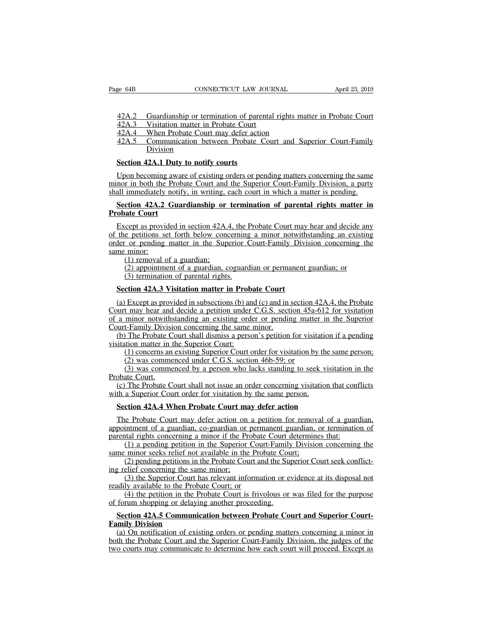42A.2 Guardianship or termination of parental rights matter in Probate Court<br>42A.3 Visitation matter in Probate Court<br>42A.4 When Probate Court may defer action EXTREE CONNECTICUT LAW JOUR<br>
42A.2 Guardianship or termination of parental<br>
42A.3 Visitation matter in Probate Court<br>
42A.4 When Probate Court may defer action<br>
42A.5 Communication between Probate Cour

EXECUTE EXECUTE:<br>
42A.2 Guardianship or termination of parental rights may 42A.3 Visitation matter in Probate Court<br>
42A.4 When Probate Court may defer action<br>
42A.5 Communication between Probate Court and Su<br>
Division EXECUTE SAN EXECUTE THE SUITE OF SAID THE SAN APPILE 23, 2019<br>
42A.2 Guardianship or termination of parental rights matter in Probate Court<br>
42A.3 Visitation matter in Probate Court<br>
42A.4 When Probate Court may defer acti Division **SECTION 42A.2 Constrainship or termination of paremails 42A.3 Visitation matter in Probate Court 42A.4 When Probate Court may defer action 42A.5 Communication between Probate C Division Section 42A.1 Duty to notify courts** 

 $\frac{42A.3}{42A.4}$  Visitation matter in Probate Court<br> $\frac{42A.4}{42A.4}$  When Probate Court may defer action<br> $\frac{42A.5}{42A.5}$  Communication between Probate Court and Superior Court-Family<br>Division<br>Section 42A.1 Duty to not minor in both the Probate Court may defer action<br>
42A.5 Communication between Probate Court and Superior Court-Family<br>
Division<br>
Section 42A.1 Duty to notify courts<br>
Upon becoming aware of existing orders or pending matte Shall immediately notify court and Superior Court-Family<br>
Division<br>
Section 42A.1 Duty to notify courts<br>
Upon becoming aware of existing orders or pending matters concerning the same<br>
minor in both the Probate Court and th **Section 42A.1 Duty to notify courts**<br>
Upon becoming aware of existing orders or pending matters concerning the same<br>
nor in both the Probate Court and the Superior Court-Family Division, a party<br>
all immediately notify, i **Section 42A.1 Duty**<br>
Upon becoming awa<br>
minor in both the Prob<br>
shall immediately notif<br> **Probate Court**<br>
Except as provided in the probations act for

Upon becoming aware of existing orders or pending matters concerning the same<br>nor in both the Probate Court and the Superior Court-Family Division, a party<br>all immediately notify, in writing, each court in which a matter i of the petitions set forth during the period of periods of periods of periods in the period minor in both the Probate Court and the Superior Court-Family Division, a party shall immediately notify, in writing, each court i order or pending matter in the Superior Court-Family Division, a party-<br>shall immediately notify, in writing, each court in which a matter is pending.<br>**Section 42A.2 Guardianship or termination of parental rights matter in** shall immediately notify, in writing, each court in which a matter is pending.<br> **Section 42A.2 Guardianship or termination of parental rights matter in**<br> **Probate Court**<br>
Except as provided in section 42A.4, the Probate Co **component 42A.2 Guardianship or**<br> **ate Court**<br>
cept as provided in section 42A.4<br>
e petitions set forth below conce<br>
or pending matter in the Super<br>
(1) removal of a guardian;<br>
(2) appointment of a guardian, c<br>
(3) termi (2) appointment of a guardian, coguardian or permanent guardian; the appendice any e-petitions set forth below concerning a minor notwithstanding an existing or pending matter in the Superior Court-Family Division concerni (3) termination of the section 42A.4, the H<br>
interpretions set forth below concerning<br>
Concerning matter in the Superior C<br>
(1) removal of a guardian;<br>
(2) appointment of a guardian, coguard<br>
(3) termination of parental ri the petitions set forth below concerning a minor notwiths<br>
der or pending matter in the Superior Court-Family Divis<br>
me minor:<br>
(1) removal of a guardian;<br>
(2) appointment of a guardian, coguardian or permanent<br>
(3) termin

(1) Except as provided in subsections (b) and in section 42A.4, the Probate<br>
(a) Except as provided in subsections (b) and (c) and in section 42A.4, the Probate<br>
(a) Except as provided in subsections (b) and (c) and in sec (1) removal of a guardian;<br>
(2) appointment of a guardian, coguardian or permanent guardian; or<br>
(3) termination of parental rights.<br> **Section 42A.3 Visitation matter in Probate Court**<br>
(a) Except as provided in subsectio (2) appointment of a guardian, coguardian or permanent guardian; or<br>
(3) termination of parental rights.<br> **Section 42A.3 Visitation matter in Probate Court**<br>
(a) Except as provided in subsections (b) and (c) and in sectio Configuration of a guardantic concerning (3) termination of parental rights.<br>Section 42A.3 Visitation matter in Probate Court<br>(a) Except as provided in subsections (b) and (c) and in<br>Court may hear and decide a petition un Section 42A.3 Visitation matter in Probate Court<br>
(a) Except as provided in subsections (b) and (c) and in section 42A.4, the Probate<br>
uurt may hear and decide a petition under C.G.S. section 45a-612 for visitation<br>
a min Section 42A.3 Visitation matter in Proba<br>
(a) Except as provided in subsections (b) and<br>
Court may hear and decide a petition under<br>
of a minor notwithstanding an existing orde<br>
Court-Family Division concerning the same<br>
( Except as provided in subsections (b) and (c) and in section 42A.4, the Probate<br>t may hear and decide a petition under C.G.S. section 45a-612 for visitation<br>minor notwithstanding an existing order or pending matter in the Transport and decide a petition under C.G.S. section 45<br>t may hear and decide a petition under C.G.S. section 45a-<br>minor notwithstanding an existing order or pending matter<br>t-Family Division concerning the same minor.<br>The The may hear and decide a perform under C.O.S. section 45a-012 for visitation<br>minor notwithstanding an existing order or pending matter in the Superior<br>t-Family Division concerning the same minor.<br>The Probate Court shall d of a minor notwithstanding an existing order or pending matter in the Superior<br>Court-Family Division concerning the same minor.<br>(b) The Probate Court shall dismiss a person's petition for visitation if a pending<br>visitation

(1) concerns an existing Superior Court order for visitation by the sa<br>
(2) was commenced under C.G.S. section 46b-59; or<br>
(3) was commenced by a person who lacks standing to seek visita<br>
boate Court.<br>
(c) The Probate Cour

(b) The Probate Court shall dismiss a person's petition for visitation if a pending<br>itation matter in the Superior Court:<br>(1) concerns an existing Superior Court order for visitation by the same person;<br>(2) was commenced u wisitation matter in the Superior Court:<br>(1) concerns an existing Superior Court order for visitation by th<br>(2) was commenced under C.G.S. section 46b-59; or<br>(3) was commenced by a person who lacks standing to seek v<br>Proba

(3) was commenced by a person who lacks standing to seek visitation in the obate Court.<br>
(c) The Probate Court shall not issue an order concerning visitation that conflicts th a Superior Court order for visitation by the Probate Court.<br>
(c) The Probate Court shall not issue an order concerning visitation that conflicts<br>
with a Superior Court order for visitation by the same person.<br> **Section 42A.4 When Probate Court may defer action**<br>
The **Probate Court shall not issue an order concerning visitation that confidential a Superior Court order for visitation by the same person.**<br> **Section 42A.4 When Probate Court may defer action**<br>
The Probate Court may defer (a) a Superior Court-Family of the same person.<br>
a Superior Court order for visitation by the same person.<br>
e Probate Court-may defer action<br>
e Probate Court-may defer action<br>
e Probate Court-may defer action<br>
(a) a guardi Section 42A.4 When Probate Court may defer action<br>The Probate Court may defer action on a petition for removary<br>appointment of a guardian, co-guardian or permanent guardian, o<br>parental rights concerning a minor if the Prob (2) pending periods and the Probate Court may defer action<br>
intment of a guardian, co-guardian or permanent guardian, or termination of<br>
that rights concerning a minor if the Probate Court determines that:<br>
(1) a pending p The Probate Court may defer action on<br>appointment of a guardian, co-guardian or<br>parental rights concerning a minor if the Pro<br>(1) a pending petition in the Superior<br>same minor seeks relief not available in the<br>(2) pending (3) the period is a matrix of a guardian, co-guardian or permanent guardian, or termination of trail rights concerning a minor if the Probate Court determines that:<br>
(1) a pending petition in the Superior Court-Family Divi

appointment of a guardian, co-guardian of perm<br>parental rights concerning a minor if the Probate<br>(1) a pending petition in the Superior Court<br>same minor seeks relief not available in the Prob<br>(2) pending petitions in the P

(1) a pending petition in the Probate Court determines that.<br>
(1) a pending petition in the Superior Court-Family Division concerning the<br>
minor seeks relief not available in the Probate Court;<br>
(2) pending petitions in th

same minor seeks relief not available in the Probate Court;<br>
(2) pending petitions in the Probate Court and the Superior Court seek conflict-<br>
ing relief concerning the same minor;<br>
(3) the Superior Court has relevant info

(a) On notification of existing orders or pending matters concerning a minor in ing relief concerning the sam<br>
(3) the Superior Court h<br>
readily available to the Proba<br>
(4) the petition in the Proba<br>
of forum shopping or delayin<br> **Section 42A.5 Communic<br>
Family Division**<br>
(a) On notification of exiss<br> (3) the Superior Court has relevant information or evidence at its disposal not<br>ddily available to the Probate Court; or<br>(4) the petition in the Probate Court is frivolous or was filed for the purpose<br>forum shopping or de readily available to the Probate Court; or<br>
(4) the petition in the Probate Court is frivolous or was filed for the purpose<br>
of forum shopping or delaying another proceeding.<br> **Section 42A.5 Communication between Probate C** (4) the petition in the Probate Court is frivolous or was filed for the purpose<br>of forum shopping or delaying another proceeding.<br>**Section 42A.5 Communication between Probate Court and Superior Court-**<br>**Family Division**<br>(a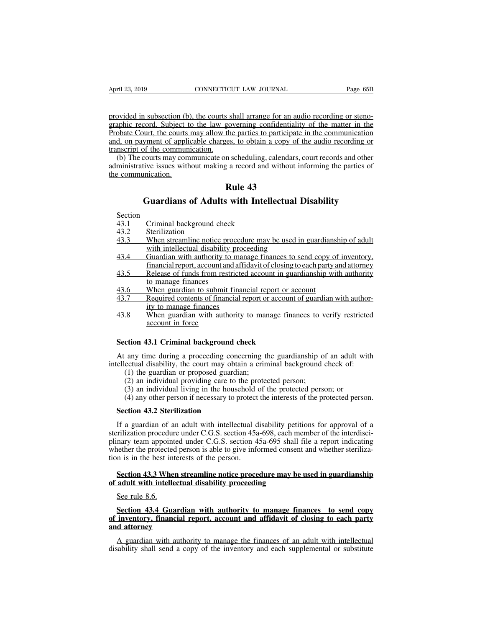April 23, 2019<br>
CONNECTICUT LAW JOURNAL<br>
provided in subsection (b), the courts shall arrange for an audio recording or steno-<br>
graphic record. Subject to the law governing confidentiality of the matter in the<br>
Probate Cou April 23, 2019 CONNECTICUT LAW JOURNAL Page 65B<br>provided in subsection (b), the courts shall arrange for an audio recording or steno-<br>graphic record. Subject to the law governing confidentiality of the matter in the<br>Probat April 23, 2019 CONNECTICUT LAW JOURNAL Page 65B<br>provided in subsection (b), the courts shall arrange for an audio recording or steno-<br>graphic record. Subject to the law governing confidentiality of the matter in the<br>Probat April 23, 2019 CONNECTICUT LAW JOURNAL Page 65B<br>provided in subsection (b), the courts shall arrange for an audio recording or steno-<br>graphic record. Subject to the law governing confidentiality of the matter in the<br>Probat provided in subsection (b), the courts s<br>graphic record. Subject to the law go<br>Probate Court, the courts may allow th<br>and, on payment of applicable charges<br>transcript of the communication.<br>(b) The courts may communicate on by ided in subsection (b), the courts shall arrange for an audio recording or steno-<br>aphic record. Subject to the law governing confidentiality of the matter in the<br>obate Court, the courts may allow the parties to particip provided in subsection (b), the courts shall arrange for an audio recording or steno-<br>graphic record. Subject to the law governing confidentiality of the matter in the<br>Probate Court, the courts may allow the parties to par provided in subsection (b)<br>graphic record. Subject t<br>Probate Court, the courts<br>and, on payment of appli<br>transcript of the commun<br>dministrative issues with<br>the communication. Final analysis of an addressing confidential<br>the parties to participate<br>the parties to participate<br>ges, to obtain a copy of<br>n scheduling, calendars,<br>a a record and without i<br>**Rule 43**<br>with Intellectual

burt, the courts may allow the parties to participate in the communication<br>
syment of applicable charges, to obtain a copy of the audio recording or<br>
f the communication.<br>
courts may communicate on scheduling, calendars, c Example and Solution Communication.<br> **243.1 Criminal background check**<br>
43.1 Criminal background check<br>
43.2 Sterilization<br>
43.3 When streamline notice procedure may

Section

- 
- 
- From Multimation.<br>
Guardians of Adul<br>
Section<br>
43.1 Criminal background c<br>
43.2 Sterilization<br>
<u>43.3 When streamline notice</u><br>
with intellectual disabi **43**<br> **43.4**<br> **43.1**<br> **43.1**<br> **43.1**<br> **43.2**<br> **43.2**<br> **43.3**<br> **43.3**<br> **43.4**<br> **43.4**<br> **43.4**<br> **43.4**<br> **43.4**<br> **43.4**<br> **43.4**<br> **43.4**<br> **43.4**<br> **43.4**<br> **43.4**<br> **43.4**<br> **43.4**<br> **43.4**<br> **43.4**<br> **43.4**<br> **43.4**<br> **43.4**<br> **43.4**<br>
- **Guardians of Adults with Intellectual I**<br>Criminal background check<br>Sterilization<br>When streamline notice procedure may be used in<br>with intellectual disability proceeding<br>Guardian with authority to manage finances to se<br>fin Guardians of Adults with Intellectual Disability<br>Section<br>43.1 Criminal background check<br>43.2 Sterilization<br>43.3 When streamline notice procedure may be used in guardianship of adult<br>with intellectual disability proceeding<br> Criminal background check<br>Sterilization<br>When streamline notice procedure may be used in guardianship of adult<br>with intellectual disability proceeding<br>Guardian with authority to manage finances to send copy of inventory.<br>fi 43.1 Criminal background check<br>
43.2 Sterilization<br>
43.3 When streamline notice procedure may be used in guardianship of adult<br>
with intellectual disability proceeding<br>
43.4 Guardian with authority to manage finances to se Erifization<br>Sterilization<br>When streamline notice processity<br>with intellectual disability p<br>Guardian with authority to r<br>financial report, account and Release of funds from restrict<br>to manage finances<br>When guardian to submi 43.3 When streamline notice procedure may be used in guardians<br>
with intellectual disability proceeding<br>
43.4 Guardian with authority to manage finances to send copy of<br>
financial report, account and affidavit of closing t 43.3 When steamline holes procedure may be used in guardianship or additional with intellectual disability proceeding<br>43.4 Guardian with authority to manage finances to send copy of inventory, financial report, account and with included us aboutly procedured in<br>Guardian with authority to man<br>financial report, account and affile<br>Release of funds from restricted<br>to manage finances<br>When guardian with authority<br>account in force
- 43.4 Cuardian with authority to manage mances to send copy of inventory,<br>financial report, account and affidavit of closing to each party and attorney<br>43.5 Release of funds from restricted account in guardianship with auth miancial report, account and<br>
Release of funds from rest<br>
to manage finances<br>
When guardian to submit<br>
Required contents of finances<br>
When guardian with auther<br>
account in force<br>
3.1 Criminal backgroun
- 
- 
- **SECUTE:** When guardian to submit financial report or a<br>
43.7 Required contents of financial report or account<br>
ity to manage finances<br>
43.8 When guardian with authority to manage financial<br>
account in force<br> **Section 43.1**

At any time during a proceeding concerning the guardianship of an adult with<br>education 43.1 Criminal background check<br>At any time during a proceeding concerning the guardianship of an adult with<br>ellectual disability, the c If the manage infinites<br>
43.8 When guardian with authority to manage finances to verify restricted<br>
account in force<br> **Section 43.1 Criminal background check**<br>
At any time during a proceeding concerning the guardianship of (a) when guardian whil additionly to main<br>account in force<br>ction 43.1 Criminal background check<br>any time during a proceeding concerning th<br>ectual disability, the court may obtain a crim<br>(1) the guardian or proposed guardia (2) an individual background check<br>(2) any time during a proceeding concerning the guardianship of<br>ectual disability, the court may obtain a criminal background<br>(1) the guardian or proposed guardian;<br>(2) an individual prov (3) an individual background check<br>any time during a proceeding concerning the guardianship of an adult wi<br>ectual disability, the court may obtain a criminal background check of:<br>(1) the guardian or proposed guardian;<br>(2) (4) any time during a proceeding concerning the guardianship of an adult with ectual disability, the court may obtain a criminal background check of:<br>(1) the guardian or proposed guardian;<br>(2) an individual providing care At any time during a proceeding concellectual disability, the court may obta (1) the guardian or proposed guardia (2) an individual providing care to t (3) an individual living in the house (4) any other person if necessar

- 
- 
- 
- 

(1) the guardian or proposed guardian;<br>
(2) an individual providing care to the protected person;<br>
(3) an individual living in the household of the protected person; or<br>
(4) any other person if necessary to protect the in (2) an individual providing care to the protected person;<br>
(3) an individual living in the household of the protected person; or<br>
(4) any other person if necessary to protect the interests of the protected person.<br> **Secti** (3) an individual living in the household of the protected person; or<br>
(4) any other person if necessary to protect the interests of the protected person.<br> **Section 43.2 Sterilization**<br>
If a guardian of an adult with inte (4) any other person if necessary to protect the interests of the protected person.<br> **Section 43.2 Sterilization**<br>
If a guardian of an adult with intellectual disability petitions for approval of a<br>
sterilization procedur Section 43.2 Sterilization<br>
If a guardian of an adult with intellectual d<br>
sterilization procedure under C.G.S. section 45a<br>
plinary team appointed under C.G.S. section 4<br>
whether the protected person is able to give info<br> If a guardian of an adult with intellectual disability petitions for approval of a rilization procedure under C.G.S. section 45a-698, each member of the interdiscinary team appointed under C.G.S. section 45a-695 shall file It a guardian of an adult with intellectual disability peut<br>sterilization procedure under C.G.S. section 45a-698, each me<br>plinary team appointed under C.G.S. section 45a-695 shall<br>whether the protected person is able to gi mary team appoint<br>
nether the protected<br>
in is in the best int<br>
Section 43.3 Whe<br>
adult with intelle<br>
See rule 8.6.<br>
Section 43.4 Gua

**Section 43.3 When streamline notice procedure may be used in guardianship adult with intellectual disability proceeding<br>See rule 8.6.<br>Section 43.4 Guardian with authority to manage finances to send copy<br>inventory, financi Section 43.3 When streamline notice procedure may be used in guardianship**<br>of adult with intellectual disability proceeding<br>See rule 8.6.<br>Section 43.4 Guardian with authority to manage finances to send copy<br>of inventory, **Section 43.3 When strain**<br>of adult with intellectual<br>Section 43.4 Guardia<br>of inventory, financial<br>and attorney<br>A guardian with author See rule 8.6.<br>Section 43.4 Guardian with authority to manage finances to send copy<br>inventory, financial report, account and affidavit of closing to each party<br>d attorney<br>A guardian with authority to manage the finances of See rule 8.6.<br>Section 43.4 Guardian with authority to manage finances to send copy<br>of inventory, financial report, account and affidavit of closing to each party<br>and attorney<br>A guardian with authority to manage the finance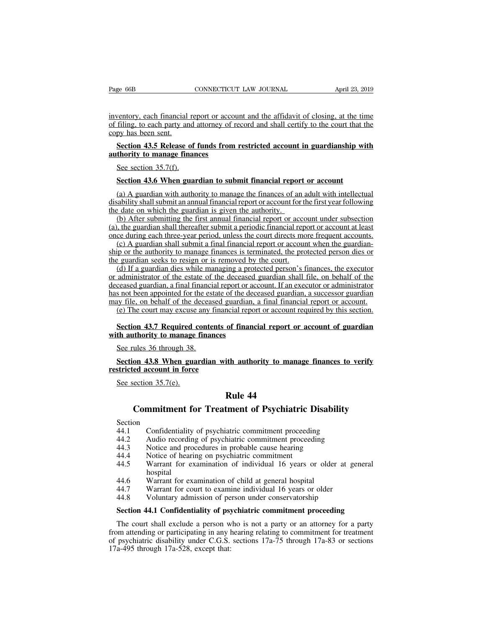Page 66B<br>
CONNECTICUT LAW JOURNAL<br>
inventory, each financial report or account and the affidavit of closing, at the time<br>
of filing, to each party and attorney of record and shall certify to the court that the<br>
copy has be Page 66B CONNECTICUT LAW JOURNAL April 23, 2019<br>inventory, each financial report or account and the affidavit of closing, at the time<br>of filing, to each party and attorney of record and shall certify to the court that the<br> Page 66B<br>inventory, each financial<br>of filing, to each party and<br>copy has been sent.<br>Section 43.5 Release **Section 43.5 Release of funds from restricted account in guardianship with**<br>Section 43.5 Release of funds from restricted account in guardianship with<br>thority to manage finances inventory, each financial report or accord filing, to each party and attorney of r<br>copy has been sent.<br>**Section 43.5 Release of funds from**<br>**authority to manage finances**<br>See section 35.7(f). ventory, each financial re<br>filing, to each party and<br>py has been sent.<br>Section 43.5 Release of<br>thority to manage finan<br>See section 35.7(f).<br>Section 43.6 When guar

# **Section 43.5 Release of funds from restricted account in guardianship withority to manage finances**<br>
Section 43.5 Release of funds from restricted account in guardianship withority to manage finances<br>
See section 35.7(f).

Section 43.5 Release of funds from restricted account in guardianship with<br>thority to manage finances<br>See section 35.7(f).<br>Section 43.6 When guardian to submit financial report or account<br>(a) A guardian with authority to Section 43.5 Release of funds from restricted account in guardianship with<br>authority to manage finances<br>See section 35.7(f).<br>Section 43.6 When guardian to submit financial report or account<br>(a) A guardian with authority t See section 35.7(f).<br>See section 35.7(f).<br>Section 43.6 When guardian to submit financial report<br>(a) A guardian with authority to manage the finances of an<br>disability shall submit an annual financial report or account for<br> See section 35.7(f).<br>
Section 43.6 When guardian to submit financial report or account<br>
(a) A guardian with authority to manage the finances of an adult with intellectual<br>
sability shall submit an annual financial report o Section 43.6 When guardian to submit financial report or account<br>
(a) A guardian with authority to manage the finances of an adult with intellectual<br>
disability shall submit an annual financial report or account for the f Section 43.6 When guardian to submit financial report or account<br>
(a) A guardian with authority to manage the finances of an adult with intellectual<br>
disability shall submit an annual financial report or account for the fi

(a) A guardian with authority to manage the finances of an adult with intellectual<br>ability shall submit an annual financial report or account for the first year following<br>e date on which the guardian is given the authorit (a) A guatural with authority to manage the mances of an addit with interlectual disability shall submit an annual financial report or account for the first year following the date on which the guardian is given the autho disability shall subfinit an annual infinited report of account for the date on which the guardian is given the authority.<br>
(b) After submitting the first annual financial report or acco<br>
(a), the guardian shall thereafter

(b) After submitting the first annual financial report or account under subsection<br>t, the guardian shall thereafter submit a periodic financial report or account at least<br>ce during each three-year period, unless the court (a) Anti- submining the rist annual miancial report of account untier subsection<br>(a), the guardian shall thereafter submit a periodic financial report or account at least<br>once during each three-year period, unless the cour (a), the guardian shall dicterate should a periodic infinite and perform at least<br>once during each three-year period, unless the court directs more frequent accounts.<br>(c) A guardian shall submit a final financial report or once during each direct-year period, unless the contributed strict requent accounts.<br>
(c) A guardian shall submit a final financial report or account when the guardian-<br>
ship or the authority to manage finances is terminat ship or the authority to manage finances is terminated, the protected person dies or<br>the guardian seeks to resign or is removed by the court.<br>(d) If a guardian dies while managing a protected person's finances, the executo Explorate and seeks to resign or is removed by the court.<br>
(d) If a guardian seeks to resign or is removed by the court.<br>
(d) If a guardian dies while managing a protected person's finances, the executor<br>
administrator of (a) If a guardian dies while managing a protected person's imances, the executor<br>administrator of the estate of the deceased guardian shall file, on behalf of the<br>ceased guardian, a final financial report or account. If an or administrator of the estate of the deceased<br>deceased guardian, a final financial report or a<br>has not been appointed for the estate of the de<br>may file, on behalf of the deceased guardian,<br>(e) The court may excuse any fin S not been appointed for the estay file, on behalf of the decease (e) The court may excuse any 1<br>Section 43.7 Required conte<br>th authority to manage financy See rules 36 through 38.<br>Section 43.8 When guardiancy

# **Figure 13.7 Required contents of Section 43.7 Required contents of Sec rules 36 through 38.**<br>See rules 36 through 38.<br>Section 43.8 When guardian wit restricted account in force See section 35.7(e).

## **Solution 43.7 Required contents of financial report or account required by this section.**<br> **Section 43.7 Required contents of financial report or account of guardian**<br> **Section 43.8 When guardian with authority to manage** Section 43.7 Required C<br>th authority to manage<br>See rules 36 through 38.<br>Section 43.8 When gua<br>stricted account in force<br>See section 35.7(e). of financial report of<br>ith authority to mana<br>Rule 44<br>tment of Psychiatr The subset of through 28.<br> **Commitment in force**<br> **Commitment for Treatment of Psychiatric Disability**<br>
Commitment for Treatment of Psychiatric Disability<br>
Confidentiality of psychiatric commitment proceeding

# See section 35.7(e).<br> **Rule 44**<br> **Commitment for Treatment of Psychiatric Disability**<br>
Section<br>
44.1 Confidentiality of psychiatric commitment proceeding<br>
44.2 Audio recording of psychiatric commitment proceeding<br>
44.3 Not **EXECUTE:**<br> **Rule 44**<br> **Commitment for Treatment of Psychiatric Disability**<br>
Section<br>
44.1 Confidentiality of psychiatric commitment proceeding<br>
44.2 Audio recording of psychiatric commitment proceeding<br>
44.3 Notice and pr

- Section<br>44.1 Confidentiality of psychiatric commitment proceeding
- 
- 
- 
- **244**<br> **244**<br> **244**<br> **244.1**<br> **244.1**<br> **244.2**<br> **244.2**<br> **24.3**<br>
Notice and procedures in probable cause hearing<br> **44.4**<br> **24.4**<br> **24.4**<br> **24.4**<br> **24.4**<br> **24.4**<br> **24.4**<br> **24.4**<br> **24.4**<br> **24.5**<br> **24.7**<br> **24.7**<br> **24.7**<br> **24. Commitment for Treatment of Psychiatric 1**<br>Section<br>44.1 Confidentiality of psychiatric commitment proceedi<br>44.2 Audio recording of psychiatric commitment proceed<br>44.3 Notice and procedures in probable cause hearing<br>44.4 N **Commitment for Treatment of Psychiatric Disability**<br>Section<br>44.1 Confidentiality of psychiatric commitment proceeding<br>44.2 Audio recording of psychiatric commitment proceeding<br>44.3 Notice and procedures in probable cause hospital 44.1 Confidentiality of psychiatric commitment proceeding<br>44.2 Audio recording of psychiatric commitment proceeding<br>44.3 Notice and procedures in probable cause hearing<br>44.4 Notice of hearing on psychiatric commitment<br>44.5 44.2 Audio recording of psychiatric communicant proceding<br>44.2 Audio recording of psychiatric commitment proceeding<br>44.4 Notice of hearing on psychiatric commitment<br>44.5 Warrant for examination of individual 16 years or ol 44.2 Addio recolong of psychiatric commitment proceeding<br>44.3 Notice and procedures in probable cause hearing<br>44.4 Notice of hearing on psychiatric commitment<br>44.5 Warrant for examination of individual 16 years or older at A4.4 Notice of hearing on psychiatric commitment<br>
44.5 Warrant for examination of individual 16 years or older at general<br>
44.6 Warrant for examination of child at general hospital<br>
44.7 Warrant for court to examine indivi
- 
- 
- 

The court shall exclude a person who is not a party or an attorney for a party<br>
A4.6 Warrant for examination of child at general hospital<br>
44.7 Warrant for court to examine individual 16 years or older<br>
44.8 Voluntary admi 44.6 Warrant for examination of child at general hospital<br>44.7 Warrant for court to examine individual 16 years or older<br>44.8 Voluntary admission of person under conservatorship<br>**Section 44.1 Confidentiality of psychiatric** 44.7 Warrant for court to examine individual 16 years or older<br>44.8 Voluntary admission of person under conservatorship<br>**Section 44.1 Confidentiality of psychiatric commitment proceeding**<br>The court shall exclude a person w 44.7 Warrant for court to examine individual 16 years or older<br>44.8 Voluntary admission of person under conservatorship<br>**Section 44.1 Confidentiality of psychiatric commitment proceeding**<br>The court shall exclude a person w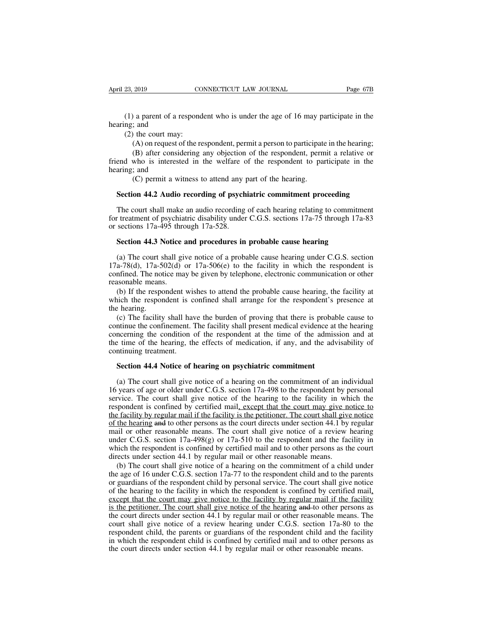(1) a parent of a respondent who is under the age of 16 may participate in the ng; and (2) the court may: April 23, 2019<br>
(1) a parent of a re<br>
hearing; and<br>
(2) the court may:<br>
(A) on request of 23, 2019 CO<br>
(1) a parent of a respond<br>
ng; and<br>
(2) the court may:<br>
(A) on request of the re<br>
(B) after considering (A) on request of the respondent who is under the age of 16 may participate in the respondent who is under the age of 16 may participate in the respondent and the court may:<br>(A) on request of the respondent, permit a perso

(B) a parent of a respondent who is under the age of 16 may participate in the court may:<br>
(A) on request of the respondent, permit a person to participate in the hearing;<br>
(B) after considering any objection of the respon (1) a parent of a respondent who is under the age of 16 may participate in the hearing; and (2) the court may: (A) on request of the respondent, permit a person to participate in the hearing; (B) after considering any obj (1) a parent of a re<br>hearing; and<br>(2) the court may:<br>(A) on request of<br>(B) after consider<br>friend who is intereste<br>hearing; and<br>(C) permit a wit (A) on request of the respondent, permit a person to participate (A) on request of the respondent, permit a person to participate (B) after considering any objection of the respondent, permit who is interested in the welfa (A) on request of the respondent, permit a person to participate in the hearing;<br>
(B) after considering any objection of the respondent, permit a relative or<br>
end who is interested in the welfare of the respondent to parti

(B) atter constdering any objection of the respondent, permit a relative or<br>end who is interested in the welfare of the respondent to participate in the<br>aring; and<br>(C) permit a witness to attend any part of the hearing.<br> friend who is interested in the weirare of the respondent to participate in the hearing; and (C) permit a witness to attend any part of the hearing.<br> **Section 44.2 Audio recording of psychiatric commitment proceeding**<br>
The nearing; and<br>
(C) permit a witness to attend any p<br> **Section 44.2 Audio recording of psych**<br>
The court shall make an audio recording<br>
for treatment of psychiatric disability under<br>
or sections 17a-495 through 17a-528.<br> **Se Section 44.2 Audio recording of psychiatric commitment proceeding**<br>The court shall make an audio recording of each hearing relating to commitm<br>retreatment of psychiatric disability under C.G.S. sections 17a-75 through 17a

The court shall make an audio recording of each hearing relating to commitment<br>t treatment of psychiatric disability under C.G.S. sections 17a-75 through 17a-83<br>sections 17a-495 through 17a-528.<br>**Section 44.3 Notice and p** The court shall make an audio recording of each hearing relating to commitment<br>for treatment of psychiatric disability under C.G.S. sections 17a-75 through 17a-83<br>or sections 17a-495 through 17a-528.<br>**Section 44.3 Notice** for treatment of psychiatric disability under C.G.S. sections  $17a-75$  through  $17a-83$  or sections  $17a-495$  through  $17a-528$ .<br> **Section 44.3 Notice and procedures in probable cause hearing**<br>
(a) The court shall give no or sections  $17a-495$  thro<br> **Section 44.3 Notice**:<br>
(a) The court shall gi<br>  $17a-78(d)$ ,  $17a-502(d)$ <br>
confined. The notice ma<br>
reasonable means.<br>
(b) If the respondent which the respondent is Section 44.3 Notice and procedures in probable cause hearing<br>(a) The court shall give notice of a probable cause hearing under C.G.S. section<br>a-78(d), 17a-502(d) or 17a-506(e) to the facility in which the respondent is<br>nf (a) The court shall give notice of a probable cause hearing under C.G.S. section 17a-78(d), 17a-502(d) or 17a-506(e) to the facility in which the respondent is confined. The notice may be given by telephone, electronic co (a) The court s<br>17a-78(d), 17a-56<br>confined. The not<br>reasonable means<br>(b) If the respon<br>which the respon<br>the hearing.<br>(c) The facility<br>continue the confi (a), 17a-502(d) or 17a-506(e) to the facility in which the respondent is infined. The notice may be given by telephone, electronic communication or other assonable means.<br>(b) If the respondent wishes to attend the probabl

confined. The notice may be given by telephone, electronic communication or other<br>reasonable means.<br>(b) If the respondent wishes to attend the probable cause hearing, the facility at<br>which the respondent is confined shall reasonable means.<br>(b) If the respondent wishes to attend the probable cause hearing, the facility at which the respondent is confined shall arrange for the respondent's presence at the hearing.<br>(c) The facility shall have (b) If the respondent wishes to attend the probable cause hearing, the facility at which the respondent is confined shall arrange for the respondent's presence at the hearing.<br>
(c) The facility shall have the burden of pro which the respondent is c<br>the hearing.<br>(c) The facility shall have<br>continue the confinement.<br>The facility shall have<br>the time of the hearing, the<br>continuing treatment.<br>Section 44.4 Notice of l E mearing.<br>
(c) The facility shall have the burden of proving that there is probab<br>
intinue the confinement. The facility shall present medical evidence at<br>
ncerning the condition of the respondent at the time of the admis ntinue the confinement. The facility shall present medical evidence at the hearing<br>ncerning the condition of the respondent at the time of the admission and at<br>e time of the hearing, the effects of medication, if any, and

concerning the condition of the respondent at the time of the admission and at<br>the time of the hearing, the effects of medication, if any, and the advisability of<br>continuing treatment.<br>**Section 44.4 Notice of hearing on ps** the time of the hearing, the effects of medication, if any, and the advisability of<br>continuing treatment.<br>Section 44.4 Notice of hearing on psychiatric commitment<br>(a) The court shall give notice of a hearing on the commitm **Section 44.4 Notice of hearing on psychiatric commitment**<br>
(a) The court shall give notice of a hearing on the commitment of an individual<br>
16 years of age or older under C.G.S. section  $17a-498$  to the respondent by per **Section 44.4 Notice of hearing on psychiatric commitment**<br>(a) The court shall give notice of a hearing on the commitment of an individual<br>16 years of age or older under C.G.S. section  $17a-498$  to the respondent by perso Section 44.4 Notice of nearing on psychiatric commitment<br>
(a) The court shall give notice of a hearing on the commitment of an individual<br>
16 years of age or older under C.G.S. section 17a-498 to the respondent by persona (a) The court shall give notice of a hearing on the commitment of an individual 16 years of age or older under C.G.S. section 17a-498 to the respondent by personal service. The court shall give notice of the hearing to th (a) The court shall give holded of a healing on the communicant of all hidrographs of age or older under C.G.S. section 17a-498 to the respondent by personal service. The court shall give notice of the hearing to the faci Fo years of age of other under C.G.S. section 17a-4-98 to the respondent by personal service. The court shall give notice of the hearing to the facility in which the respondent is confined by certified mail, except that t service. The court shall give notice of the hearing to the facility in which the respondent is confined by certified mail, except that the court may give notice to the facility by regular mail if the facility is the petiti Facility by regular mail if the facility is the petitioner. The court shall give notice the hearing and to other persons as the court directs under section 44.1 by regular ail or other reasonable means. The court shall gi the hearing and to other persons as the court directs under section 44.1 by regular mail or other reasonable means. The court shall give notice of a review hearing under C.G.S. section 17a-498(g) or 17a-510 to the respond

or the respondent child give notices and the respondent and the facility in mail or other reasonable means. The court shall give notice of a review hearing under C.G.S. section 17a-498(g) or 17a-510 to the respondent and man of other reasonator measurements. The coard similar extends the facility in which the respondent is confined by certified mail and to other persons as the court directs under section 44.1 by regular mail or other reas which the respondent is confined by certified mail and to other persons as the court<br>directs under section 44.1 by regular mail or other reasonable means.<br>(b) The court shall give notice of a hearing on the commitment of is the court shall give notice of the hearing on the court shall during the court shall give notice of a hearing on the commitment of a child under the age of 16 under C.G.S. section 17a-77 to the respondent child and to (b) The court shall give notice of a hearing on the commitment of a child under the age of 16 under C.G.S. section 17a-77 to the respondent child and to the parents or guardians of the respondent child by personal service (b) The court shall give hotice of a healing of the commitment of a clind under<br>the age of 16 under C.G.S. section 17a-77 to the respondent child and to the parents<br>or guardians of the respondent child by personal service. ince age of 10 under C.G.3. section 17a-77 to the respondent child and to the parents or guardians of the respondent child by personal service. The court shall give notice of the hearing to the facility in which the respon or guardians of the respondent child by personal service. The court shall give notice<br>of the hearing to the facility in which the respondent is confined by certified mail,<br>except that the court may give notice to the facil of the nearing to the factify in which the respondent is comined by certified in<br>except that the court may give notice to the facility by regular mail if the faci<br>is the petitioner. The court shall give notice of the heari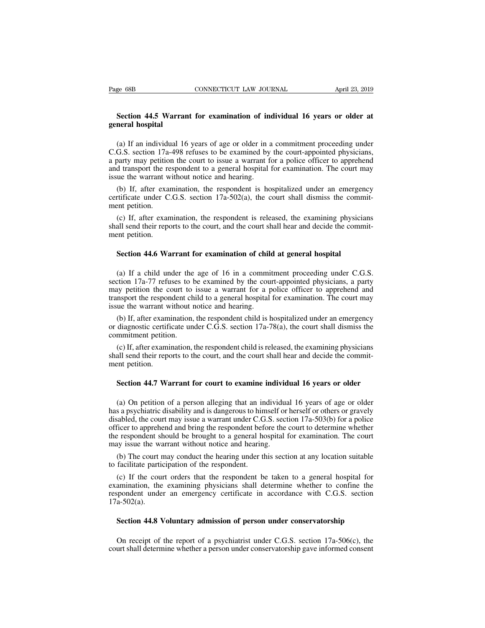# **Section 44.5 Warrant for examination of individual 16 years or older at** Page 68B<br>**Section 44.5 Warra**<br>**general hospital**<br>(a) If an individual 1

(a) If an individual 16 years of age or older in a commitment proceeding under at the set in a commitment proceeding under (a) If an individual 16 years of age or older in a commitment proceeding under G.S. section 17a-498 Section 44.5 Warrant for examination of individual 16 years or older at general hospital<br>(a) If an individual 16 years of age or older in a commitment proceeding under<br>C.G.S. section 17a-498 refuses to be examined by the c Section 44.5 Warrant for examination of individual 16 years or older at general hospital<br>(a) If an individual 16 years of age or older in a commitment proceeding under<br>C.G.S. section 17a-498 refuses to be examined by the c **Section 44.5 Warrant for examination of individual 16 years or older at general hospital**<br>(a) If an individual 16 years of age or older in a commitment proceeding under C.G.S. section 17a-498 refuses to be examined by the **general hospital**<br>
(a) If an individual 16 years of age or older in a<br>
C.G.S. section 17a-498 refuses to be examined by<br>
a party may petition the court to issue a warrant f<br>
and transport the respondent to a general hosp (a) If an individual 16 years of age or older in a commitment proceeding under G.S. section 17a-498 refuses to be examined by the court-appointed physicians, party may petition the court to issue a warrant for a police of (a) If an individual 16 years of age or older in a commitment proceeding under C.G.S. section 17a-498 refuses to be examined by the court-appointed physicians, a party may petition the court to issue a warrant for a polic C.G.S. section 17a-<br>a party may petition<br>and transport the re<br>issue the warrant w<br>(b) If, after exan<br>certificate under C<br>ment petition.<br>(c) If, after exan<br>shall send their reno

batty may petition the court to issue a warrant for a poince officer to apprenent d transport the respondent to a general hospital for examination. The court may ue the warrant without notice and hearing.<br>
(b) If, after ex shall send the respondent to a general hospital for examination. The court hay<br>issue the warrant without notice and hearing.<br>(b) If, after examination, the respondent is hospitalized under an emergency<br>certificate under C. Solution in Warrant W<br>
(b) If, after exameterificate under C<br>
ment petition.<br>
(c) If, after exametering their report<br>
shall send their report<br> **Section 44.6 Wa** 

rtificate under C.G.S. section 17a-502(a), the court shall dismiss the comment petition.<br>
(c) If, after examination, the respondent is released, the examining physic<br>
all send their reports to the court, and the court shal

(c) If, after examination, the respondent is released, the examining physicians<br>all send their reports to the court, and the court shall hear and decide the commit-<br>ent petition.<br>Section 44.6 Warrant for examination of chi shall send their reports to the court, and the court shall hear and decide the commit-<br>ment petition.<br>Section 44.6 Warrant for examination of child at general hospital<br>(a) If a child under the age of 16 in a commitment pro ment petition.<br>
Section 44.6 Warrant for examination of child at general hospital<br>
(a) If a child under the age of 16 in a commitment proceeding under C.G.S.<br>
section 17a-77 refuses to be examined by the court-appointed ph Section 44.6 Warrant for examination of child at general hospital<br>
(a) If a child under the age of 16 in a commitment proceeding under C.G.S.<br>
section 17a-77 refuses to be examined by the court-appointed physicians, a part **Section 44.6 Warrant for examination of child**<br>(a) If a child under the age of 16 in a commi<br>section 17a-77 refuses to be examined by the cour<br>may petition the court to issue a warrant for a p<br>transport the respondent ch (a) If a child under the age of 16 in a commitment proceeding under C.G.S.<br>ction 17a-77 refuses to be examined by the court-appointed physicians, a party<br>ay petition the court to issue a warrant for a police officer to ap (a) If a child under the age of 16 in a commitment proceeding under C.G.S.<br>section 17a-77 refuses to be examined by the court-appointed physicians, a party<br>may petition the court to issue a warrant for a police officer to section 17a-77 refuses to b<br>may petition the court to<br>transport the respondent ch<br>issue the warrant without r<br>(b) If, after examination,<br>or diagnostic certificate une<br>commitment petition.<br>(c) If, after examination,<br>shall s

(b) If, after examination, the respondent child is hospitalized under an emergency diagnostic certificate under C.G.S. section 17a-78(a), the court shall dismiss the minitment petition.<br>(c) If, after examination, the respo

Frank shall send their reports to the court, and the court shall hear and decide the committent petition.<br>
(b) If, after examination, the respondent child is hospitalized under an emergency<br>
or diagnostic certificate under issue the warrant w<br>
(b) If, after exam<br>
or diagnostic certific<br>
commitment petitio<br>
(c) If, after examinshall send their report<br>
ment petition.<br>
Section 44.7 Wa diagnostic certificate under C.G.S. section 17a-78(a), the court shall dismiss the<br>mmitment petition.<br>(c) If, after examination, the respondent child is released, the examining physicians<br>all send their reports to the cour

(c) If, after examination, the respondent child is released, the examining physicians<br>all send their reports to the court, and the court shall hear and decide the commit-<br>ent petition.<br>Section 44.7 Warrant for court to ex shall send their reports to the court, and the court shall hear and decide the commit-<br>ment petition.<br>Section 44.7 Warrant for court to examine individual 16 years or older<br>(a) On petition of a person alleging that an indi ment petition.<br>Section 44.7 Warrant for court to examine individual 16 years or older<br>(a) On petition of a person alleging that an individual 16 years of age or older<br>has a psychiatric disability and is dangerous to himsel **Section 44.7 Warrant for court to examine individual 16 years or older**<br>(a) On petition of a person alleging that an individual 16 years of age or older<br>has a psychiatric disability and is dangerous to himself or herself **Section 44.7 Warrant for court to examine individual 16 years or older**<br>(a) On petition of a person alleging that an individual 16 years of age or older<br>has a psychiatric disability and is dangerous to himself or herself (a) On petition of a person alleging that an individual<br>has a psychiatric disability and is dangerous to himself or<br>disabled, the court may issue a warrant under C.G.S. sect<br>officer to apprehend and bring the respondent be (a) On petition of a person alleging that an individual 16 years of age or older<br>s a psychiatric disability and is dangerous to himself or herself or others or gravely<br>sabled, the court may issue a warrant under C.G.S. se has a psychiatric disability and is dangerous to him<br>disabled, the court may issue a warrant under C.G<br>officer to apprehend and bring the respondent bef<br>the respondent should be brought to a general hc<br>may issue the warran (c) If the court may issue a warrant under C.O.S. section 17a-505(b) for a point-<br>ficer to apprehend and bring the respondent before the court to determine whether<br>e respondent should be brought to a general hospital for e

of the respondent should be brought to a general hospital for examination. The court<br>the respondent should be brought to a general hospital for examination. The court<br>may issue the warrant without notice and hearing.<br>(b) T respondent should be bought to a general hospital for examination. The court<br>may issue the warrant without notice and hearing.<br>(b) The court may conduct the hearing under this section at any location suitable<br>to facilitate 17a-502(a). facilitate participation of the respondent.<br>
(c) If the court orders that the respondent be taken to a general hospital for<br>
amination, the examining physicians shall determine whether to confine the<br>
spondent under an eme amination, the examining physicians shall determine whether to confine the<br>spondent under an emergency certificate in accordance with C.G.S. section<br>a-502(a).<br>Section 44.8 Voluntary admission of person under conservatorshi

respondent under an emergency certificate in accordance with C.G.S. section 17a-502(a).<br> **Section 44.8 Voluntary admission of person under conservatorship**<br>
On receipt of the report of a psychiatrist under C.G.S. section 1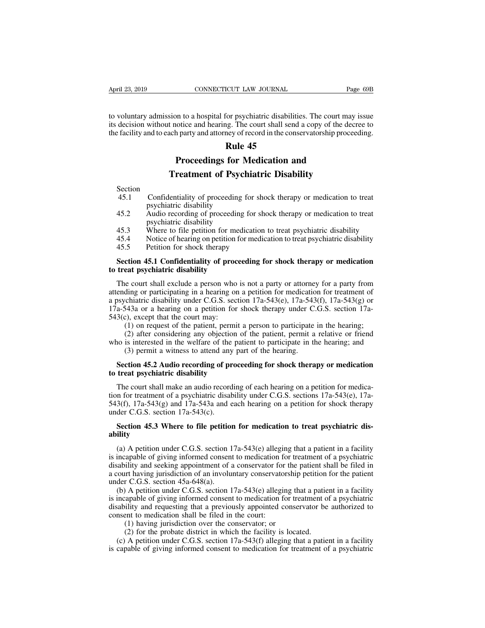April 23, 2019 CONNECTICUT LAW JOURNAL Page 69B<br>to voluntary admission to a hospital for psychiatric disabilities. The court may issue<br>its decision without notice and hearing. The court shall send a copy of the decree to<br>t April 23, 2019 CONNECTICUT LAW JOURNAL Page 69B<br>to voluntary admission to a hospital for psychiatric disabilities. The court may issue<br>its decision without notice and hearing. The court shall send a copy of the decree to<br>t April 23, 2019 CONNECTICUT LAW JOURNAL Page 69B<br>to voluntary admission to a hospital for psychiatric disabilities. The court may issue<br>its decision without notice and hearing. The court shall send a copy of the decree to<br>t **Rule 12 ANDEL EXECUTE LAW JOURNAL**<br>
For psychiatric disabilition<br> **Rule 45**<br> **Rule 45**<br> **Rule 45 Proceedings for Medication and**<br> **Proceedings for Medication and**<br> **Proceedings for Medication and**<br> **Proceedings for Medication and**<br> **Proceedings for Medication and**<br> **Proceedings for Medication and** STR INTER THE CONTROVERT ISSNET THE COULD INTERNATION INTERNATION IN THE COULD INTERNATIONAL THE USE OF PROCEEDING **THE PROCEEDING SET PROCEEDING THE PROCEEDING SET PROCEEDING THE PROCEEDING THE PROCEEDING THE PROCEEDING** 

Section

- **EXECUTE:**<br> **EXECUTE:**<br> **EXECUTE:**<br> **EXECUTE:**<br> **EXECUTE:**<br> **EXECUTE:**<br> **EXECUTE:**<br> **EXECUTE:**<br> **EXECUTE:**<br>
Confidentiality of proceeding for shock therapy or medication to treat<br>
psychiatric disability<br>
Audio recording of
- **Proceedings for M<br>Treatment of Psych**<br>Confidentiality of proceeding for<br>psychiatric disability<br>Audio recording of proceeding for **Example 15.3** Proceedings for Medication and<br>Treatment of Psychiatric Disability<br>Section<br>45.1 Confidentiality of proceeding for shock therapy or medication to treat<br>psychiatric disability<br>45.3 Where to file petition for m Treatment of Psych<br>Confidentiality of proceeding for<br>psychiatric disability<br>Audio recording of proceeding for<br>psychiatric disability<br>Where to file petition for medic<br>Notice of hearing on petition for Freatment of Psychiatric Disability<br>
45.1 Confidentiality of proceeding for shock therapy or medication to treat<br>
psychiatric disability<br>
45.2 Audio recording of proceeding for shock therapy or medication to treat<br>
psychia Section<br>
45.1 Confidentiality of proceeding for shock therapy or medication to treat<br>
psychiatric disability<br>
45.2 Audio recording of proceeding for shock therapy or medication to treat<br>
psychiatric disability<br>
45.3 Where 45.1 Confidentiality of proceeding for show psychiatric disability<br>45.2 Audio recording of proceeding for shops psychiatric disability<br>45.3 Where to file petition for medication<br>45.4 Notice of hearing on petition for media psychiatric disability<br>45.2 Audio recording of proceeding for shock therapy or medication to treat<br>psychiatric disability<br>45.3 Where to file petition for medication to treat psychiatric disability<br>45.4 Notice of hearing on
- 
- 
- 

# 45.2 Audio recording of proceeding<br>psychiatric disability<br>45.3 Where to file petition for med<br>45.4 Notice of hearing on petition for<br>45.5 Petition for shock therapy<br>**Section 45.1 Confidentiality of proces**<br>**to treat psychi**

45.3 Where to file petition for medication to treat psychiatric disability<br>45.4 Notice of hearing on petition for medication to treat psychiatric disability<br>45.5 Petition for shock therapy<br>**Section 45.1 Confidentiality of** 45.4 Notice of hearing on petition for medication to treat psychiatric disability<br>45.5 Petition for shock therapy<br>**Section 45.1 Confidentiality of proceeding for shock therapy or medication**<br>**to treat psychiatric disabili** 45.5 Petition for shock therapy<br> **Section 45.1 Confidentiality of proceeding for shock therapy or medication**<br> **to treat psychiatric disability**<br>
The court shall exclude a person who is not a party or attorney for a party **174.643** Section 45.1 Confidentiality of proceeding for shock therapy or medication<br>to treat psychiatric disability<br>The court shall exclude a person who is not a party or attorney for a party from<br>attending or participat **Section 45.1 Confidentiality of procto**<br>to treat psychiatric disability<br>The court shall exclude a person who<br>attending or participating in a hearing or<br>a psychiatric disability under C.G.S. sec<br> $17a-543a$  or a hearing on eat psychiatric disability<br>
e court shall exclude a person who is not a party or attorney for a party from<br>
ding or participating in a hearing on a petition for medication for treatment of<br>
chiatric disability under C.G.S e court shall exclude a person who is not a party or attorney for a party from<br>ding or participating in a hearing on a petition for medication for treatment of<br>chiatric disability under C.G.S. section 17a-543(e), 17a-543(f The court shall exclude a person who is not a party of adolney for a party from<br>attending or participating in a hearing on a petition for medication for treatment of<br>a psychiatric disability under C.G.S. section 17a-543(e ding of participating in a hearing of a petrition for incurreductive chiatric disability under C.G.S. section 17a-543(e), 17a-543<br>543a or a hearing on a petition for shock therapy under C.<br>2), except that the court may:<br>(1 a-543a or a hearing on a petition for shock therapy under C.G.S. section 17a-<br>3(c), except that the court may:<br>(1) on request of the patient, permit a person to participate in the hearing;<br>(2) after considering any objecti

# 543(c), except that the court may:<br>
(1) on request of the patient, permit<br>
(2) after considering any objection combined who is interested in the welfare of the pata<br>
(3) permit a witness to attend any patients of the pati

(2) after considering any objection of the patient, permit a relative or friend<br>no is interested in the welfare of the patient to participate in the hearing; and<br>(3) permit a witness to attend any part of the hearing.<br>**Se** who is interested in the welfare of the patient to participate in the hearing; and (3) permit a witness to attend any part of the hearing.<br> **Section 45.2 Audio recording of proceeding for shock therapy or medication**<br> **to** (3) permit a witness to attend any part of the hearing.<br> **Section 45.2 Audio recording of proceeding for shock therapy or medication**<br> **to treat psychiatric disability**<br>
The court shall make an audio recording of each hea Section 45.2 Audio recording of pr<br>to treat psychiatric disability<br>The court shall make an audio record<br>tion for treatment of a psychiatric disab<br>543(f), 17a-543(g) and 17a-543a and e<br>under C.G.S. section 17a-543(c).<br>Sect **Section 45.3 Where to file petition for medication to treat psychiatric disability under C.G.S. sections 17a-543(e), 17a-3(f), 17a-543(g) and 17a-543a and each hearing on a petition for shock therapy der C.G.S. section 17** In for treatment of a psychiatric disability under C.G.S. sections  $17a-543(e)$ ,  $17a-3(f)$ ,  $17a-543(g)$  and  $17a-543(a)$  and each hearing on a petition for shock therapy der C.G.S. section  $17a-543(c)$ .<br>**Section 45.3 Where t** 

### **ability**

543(f), 17a-543(g) and 17a-543a and each hearing on a petition for shock therapy<br>under C.G.S. section 17a-543(c).<br>**Section 45.3 Where to file petition for medication to treat psychiatric dis-**<br>ability<br>(a) A petition under under C.G.S. section 17a-543(c).<br> **Section 45.3 Where to file petition for medication to treat psychiatric dis-**<br> **ability**<br>
(a) A petition under C.G.S. section 17a-543(e) alleging that a patient in a facility<br>
is incapab **Section 45.3 Where to file petition for medication to treat psychiatric disability**<br>
(a) A petition under C.G.S. section 17a-543(e) alleging that a patient in a facility<br>
is incapable of giving informed consent to medica Section 45.3 Where to file petition<br>ability<br>(a) A petition under C.G.S. section 1<br>is incapable of giving informed consen<br>disability and seeking appointment of a<br>a court having jurisdiction of an involu<br>under C.G.S. section ility<br>(a) A petition under C.G.S. section 17a-543(e) alleging that a patient in a facility<br>incapable of giving informed consent to medication for treatment of a psychiatric<br>ability and seeking appointment of a conservator (a) A petition under C.G.S. section 17a-543(e) alleging that a patient in a facility<br>is incapable of giving informed consent to medication for treatment of a psychiatric<br>disability and seeking appointment of a conservator (a) A petition under C.O.3. section 17a-543(e) and a patch in a racing<br>is incapable of giving informed consent to medication for treatment of a psychiatric<br>disability and seeking appointment of a conservator for the patie

is incapable of giving informed consent to included<br>disability and seeking appointment of a conservator for<br>a court having jurisdiction of an involuntary conservator<br>under C.G.S. section  $45a-648(a)$ .<br>(b) A petition under In thaving jurisdiction of an involuntary conservator for the<br>
Intr having jurisdiction of an involuntary conservatorship<br>
r C.G.S. section 45a-648(a).<br>
A petition under C.G.S. section 17a-543(e) alleging the<br>
apable of gi It having jurisdiction of an involutionary conservatorsing peritoric C.G.S. section 45a-648(a).<br>
A petition under C.G.S. section 17a-543(e) alleging that a patie appable of giving informed consent to medication for treatme (b) A petition under C.G.S. section 17a-543(e) alleging that a patient in a facility incapable of giving informed consent to medication for treatment of a psychiatric ability and requesting that a previously appointed con (b) A petition under C.G.S. section 17a 3-5(c) alreging that a patient in a racinty is incapable of giving informed consent to medication for treatment of a psychiatric disability and requesting that a previously appointe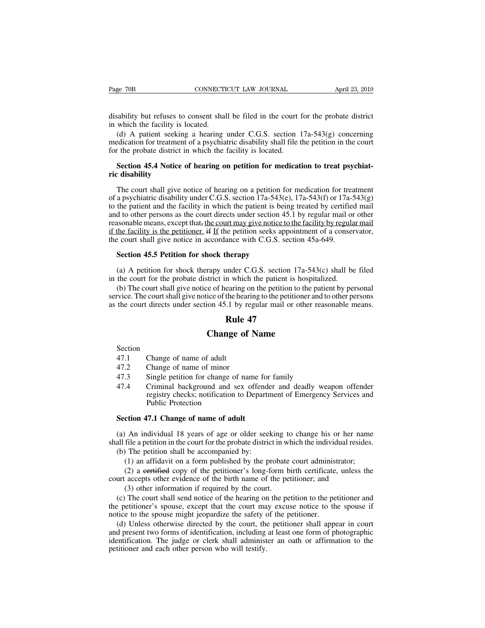Page 70B<br>
CONNECTICUT LAW JOURNAL<br>
disability but refuses to consent shall be filed in the court for the probate district<br>
in which the facility is located.<br>
(d) A patient seeking a hearing under C.G.S. section 17a-543(g) Page 70B CONNECTI<br>disability but refuses to consent shal<br>in which the facility is located.<br>(d) A patient seeking a hearing<br>medication for treatment of a psychia

(d) dee TOB<br>
(d) A patient seeking a hearing under C.G.S. section 17a-543(g) concerning<br>
(d) A patient seeking a hearing under C.G.S. section 17a-543(g) concerning<br>
edication for treatment of a psychiatric disability shall medication for treatment of a psychiatric disability shall file the probate district<br>
in which the facility is located.<br>
(d) A patient seeking a hearing under C.G.S. section 17a-543(g) concerning<br>
medication for treatment disability but refuses to consent shall be filed in the court in which the facility is located.<br>
(d) A patient seeking a hearing under C.G.S. section 1 medication for treatment of a psychiatric disability shall file to the Substituted that the facility is located.<br>
(d) A patient seeking a hearing under C.G.S. section 17a-543(g) concerning<br>
dication for treatment of a psychiatric disability shall file the petition in the court<br>
r the probate disability but relases to<br>in which the facility is let<br>(d) A patient seeking<br>medication for treatment<br>for the probate district in<br>**Section 45.4 Notice c**<br>**ric disability**<br>The court shall give n

(d) A patient seeking a hearing under C.G.S. section  $17a-543(g)$  concerning<br>edication for treatment of a psychiatric disability shall file the petition in the court<br>r the probate district in which the facility is located. medication for treatment of a psychiatric disability shall file the petition in the court<br>for the probate district in which the facility is located.<br>**Section 45.4 Notice of hearing on petition for medication to treat psych** for the probate district in which the facility is located.<br> **Section 45.4 Notice of hearing on petition for medication to treat psychiat-**<br> **The court shall give notice of hearing on a petition for medication for treatmen Section 45.4 Notice of hearing on petition for medication to treat psychiat-**<br>ric disability<br>The court shall give notice of hearing on a petition for medication for treatment<br>of a psychiatric disability under C.G.S. sect **Section 45.4 Notice or nearing on petition for medication to treat psychiat-**<br> **ric disability**<br>
The court shall give notice of hearing on a petition for medication for treatment<br>
of a psychiatric disability under C.G.S. The court shall give notice of hearing on a petition for medication for treatment<br>of a psychiatric disability under C.G.S. section 17a-543(e), 17a-543(f) or 17a-543(g)<br>to the patient and the facility in which the patient The court shall give notice of hearing on a petition for medication for tree<br>of a psychiatric disability under C.G.S. section 17a-543(e), 17a-543(f) or 17a-<br>to the patient and the facility in which the patient is being tre a psychiatric disability under C.G.S. section 17a-543(<br>the patient and the facility in which the patient is beid to other persons as the court directs under section 4<br>asonable means, except that, <u>the court may give notice</u> (a) A petition for shock therapy under C.G.S. section 17a-543(c) shall be filed the court shall give notice in accordance with C.G.S. section 45a-649.<br>Section 45.5 Petitioner. if If the petition seeks appointment of a cons reasonable means, except that, the court may give notice to the facility by regula<br>if the facility is the petitioner. if If the petition seeks appointment of a conser<br>the court shall give notice in accordance with C.G.S.

The fact that is the petitioner. Here is a conservator, the court shall give notice in accordance with C.G.S. section 45a-649.<br> **Section 45.5 Petition for shock therapy**<br>
(a) A petition for shock therapy under C.G.S. sect Section 45.5 Petition for shock therapy<br>
(a) A petition for shock therapy<br>
(a) A petition for shock therapy under C.G.S. section 17a-543(c) shall be filed<br>
in the court for the probate district in which the patient is hos **Section 45.5 Petition for shock therapy**<br>
(a) A petition for shock therapy under C.G.S. section  $17a-543(c)$  shall be filed<br>
in the court for the probate district in which the patient is hospitalized.<br>
(b) The court shall **Example 4**<br> **Runder C.G.S.** section 17<br> **Rule 7**<br> **Rule 47**<br> **Rule 47**<br> **Rule 47**<br> **Rule 47** rapy under C.G.S. section 17a-54<br>strict in which the patient is hosp-<br>te of hearing on the petition to the<br>ice of the hearing to the petitioner a<br>ion 45.1 by regular mail or other<br>**Rule 47**<br>**Change of Name** the court directs under section 45.1 by i<br> **Rule**<br> **Change of**<br>
Section<br>
47.1 Change of name of adult<br>
47.2 Change of name of minor<br>
47.3 Single petition for change of name

Section

- 
- 
- **Example 41<br>
Change of 1**<br>
Section<br>
47.1 Change of name of adult<br>
47.2 Change of name of minor<br>
47.3 Single petition for change of name 47.4 Criminal background and sex of
- **Change of Name**<br>
Section<br>
47.1 Change of name of adult<br>
47.2 Change of name of minor<br>
47.3 Single petition for change of name for family<br>
47.4 Criminal background and sex offender and deadly wear<br>
registry checks; notific **Change of Name**<br>
47.1 Change of name of adult<br>
47.2 Change of name of minor<br>
47.3 Single petition for change of name for family<br>
47.4 Criminal background and sex offender and deadly weapon offender<br>
registry checks; notif Change of name of adult<br>Change of name of minor<br>Single petition for change of name for family<br>Criminal background and sex offender and deadly weapon offender<br>registry checks; notification to Department of Emergency Service Change of name of adult<br>Change of name of minor<br>Single petition for change of<br>Criminal background and s<br>registry checks; notification<br>Public Protection<br>7.1 Change of name of adu 47.2 Change of name of minor<br>47.3 Single petition for change of name for<br>47.4 Criminal background and sex offend<br>registry checks; notification to Departr<br>Public Protection<br>**Section 47.1 Change of name of adult**<br>(a) An indi (47.3 Single petition for change of name for family<br>
47.4 Criminal background and sex offender and deadly weapon offender<br>
registry checks; notification to Department of Emergency Services and<br>
Public Protection<br>
Section 4 47.4 Criminal background and sex offender and deadly weapon offender<br>registry checks; notification to Department of Emergency Services and<br>Public Protection<br>Section 47.1 Change of name of adult<br>(a) An individual 18 years o

registry checks; notification to Departm<br>Public Protection<br>Section 47.1 Change of name of adult<br>(a) An individual 18 years of age or older seek<br>all file a petition in the court for the probate distric<br>(b) The petition shal (1) an individual 18 years of age or older seeking to change his or her name file a petition in the court for the probate district in which the individual resides.<br>The petition shall be accompanied by:<br>(1) an affidavit on (2) a certified copy of the petitioner's long-form birth certified apetition in the court for the probate district in which the individual resides.<br>The petition shall be accompanied by:<br>(1) an affidavit on a form published (a) An individual 18 years of age or older seeking to change his or her na shall file a petition in the court for the probate district in which the individual resid (b) The petition shall be accompanied by:<br>
(1) an affida An individual 18 years of age or older seeking the file a petition in the court for the probate district in w<br>
(1) an affidavit on a form published by the probate<br>
(2) a eertified copy of the petitioner's long-form b<br>
acce

all file a petition in the court for the probate district in which the individual resides.<br>
(b) The petition shall be accompanied by:<br>
(1) an affidavit on a form published by the probate court administrator;<br>
(2) a eertifi (b) The petition shall be accompanied by:<br>
(1) an affidavit on a form published by the probate court administrator;<br>
(2) a eertified copy of the petitioner's long-form birth certificate, unless the<br>
court accepts other ev (1) an affidavit on a form published by the probate court adminisi<br>
(2) a eertified copy of the petitioner's long-form birth certificate<br>
court accepts other evidence of the birth name of the petitioner; and<br>
(3) other inf

(2) a eertified copy of the petitioner's long-form birth certificate, unless the urt accepts other evidence of the birth name of the petitioner; and (3) other information if required by the court.<br>(c) The court shall send court accepts other evidence of the birth name of the petitioner; and<br>
(3) other information if required by the court.<br>
(c) The court shall send notice of the hearing on the petition to the petitioner and<br>
the petitioner's (3) other information if required by the court.<br>
(c) The court shall send notice of the hearing on the petition to the petitioner and<br>
the petitioner's spouse, except that the court may excuse notice to the spouse if<br>
noti (c) The court shall send notice of the hearing or<br>the petitioner's spouse, except that the court ma<br>notice to the spouse might jeopardize the safety (<br>(d) Unless otherwise directed by the court, the<br>and present two forms o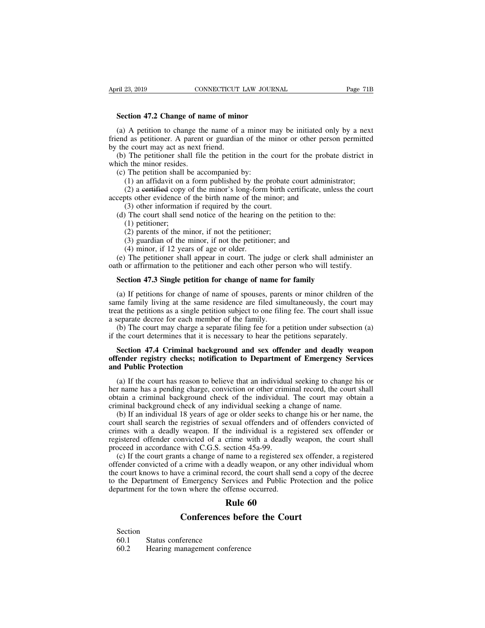**FILE 23, 2019**<br>**Section 47.2 Change of name of minor**<br>(a) A petition to change the name of a minor may (a) A petition to change the name of a minor may be initiated only by a next<br>end as petition to change the name of a minor may be initiated only by a next<br>end as petitioner. A parent or guardian of the minor or other perso Friend as petitioner. A parent or guardian of the minor and the minimal or a part or guardian of the minor or other person permitted by the court may act as next friend.<br>
(b) The petitioner shall file the petition in the c **Section 47.2 Change of name of minute Section 47.2 Change of name of minute (a)** A petition to change the name of  $\mathbf{f}$  friend as petitioner. A parent or guardian by the court may act as next friend. (b) The petitione Section 47.2 Change of name of minor<br>
(a) A petition to change the name of a minor may be initiated only by a next<br>
end as petitioner. A parent or guardian of the minor or other person permitted<br>
the court may act as next **Section 47.2 Change of name of minor**<br>
(a) A petition to change the name of a minor may be initiated only by a next<br>
friend as petitioner. A parent or guardian of the minor or other person permitted<br>
by the court may act Section 47.2 Change of name of minor<br>
(a) A petition to change the name of a minor in<br>
end as petitioner. A parent or guardian of the r<br>
the court may act as next friend.<br>
(b) The petitioner shall file the petition in the (1) A petition to change the name of a minor may be initiated only by a next<br>d as petitioner. A parent or guardian of the minor or other person permitted<br>e court may act as next friend.<br>The petitioner shall file the petiti The petition is entailed to the minor and density of the minor of the minor of the perition permitted e court may act as next friend.<br>
The petitioner shall file the petition in the court for the probate district in the mi

by the court may act as next friend.<br>
(b) The petitioner shall file the petition in the court for the probat<br>
which the minor resides.<br>
(c) The petition shall be accompanied by:<br>
(1) an affidavit on a form published by the (3) or the petitioner shall file the petition in the court<br>therefore shall file the petition in the court<br>therefore information shall be accompanied by:<br>(1) an affidavit on a form published by the probate<br>(2) a eertified c (c) The petitioner shall the use petition in the court for the probate distinction the minor resides.<br>
(c) The petition shall be accompanied by:<br>
(1) an affidavit on a form published by the probate court administrator;<br>
( The petition shall 1<br>(1) an affidavit on a<br>(2) a eertified copy<br>(3) other evidence of<br>(3) other information<br>(3) other information<br>(1) petitioner;<br>(2) parents of the m<br>(3) guardian of the 1 (1) an affidavit on a form published by the probate (2) a certified copy of the minor's long-form birth c ots other evidence of the birth name of the minor; a (3) other information if required by the court. The court shal (2) a eertified copy of the minor's long-form birth certificate, us other evidence of the birth name of the minor; and (3) other information if required by the court.<br>The court shall send notice of the hearing on the peti

(4) difference of the birth name of the 1<br>(3) other evidence of the birth name of the 1<br>(3) other information if required by the court shall send notice of the hearing<br>(1) petitioner;<br>(2) parents of the minor, if not the (3) other information if required by the court.<br>
(d) The court shall send notice of the hearing on the petition to the:<br>
(1) petitioner;<br>
(2) parents of the minor, if not the petitioner;<br>
(3) guardian of the minor, if not (d) The court shall send notice of the hearing on the petition to the:<br>
(1) petitioner;<br>
(2) parents of the minor, if not the petitioner;<br>
(3) guardian of the minor, if not the petitioner; and<br>
(4) minor, if 12 years of a (1) petitioner;<br>
(2) parents of the minor, if not the petitioner;<br>
(3) guardian of the minor, if not the petitioner; and<br>
(4) minor, if 12 years of age or older.<br>
(e) The petitioner shall appear in court. The judge or cle

(3) guardian of the minor, if not the petitioner; and<br>
(4) minor, if 12 years of age or older.<br>
(e) The petitioner shall appear in court. The judge or clerk shall administer an<br>
th or affirmation to the petitioner and eac (4) minor, if 12 years of age or older.<br>
(e) The petitioner shall appear in court. The judge or clerk shall administer an<br>
oath or affirmation to the petitioner and each other person who will testify.<br> **Section 47.3 Singl** (e) The petitioner shall appear in court. The judge or clerk shall administer an oath or affirmation to the petitioner and each other person who will testify.<br> **Section 47.3 Single petition for change of name for family**<br> oath or affirmation to the petitioner and each other per<br> **Section 47.3 Single petition for change of name for**<br>
(a) If petitions for change of name of spouses, parer<br>
same family living at the same residence are filed sim Section 47.3 Single petition for change of name for family<br>
(a) If petitions for change of name of spouses, parents or minor children of the<br>
me family living at the same residence are filed simultaneously, the court may<br> **Section 47.3 Single petition for change of name for family**<br>(a) If petitions for change of name of spouses, parents or minor children of t<br>same family living at the same residence are filed simultaneously, the court m<br>tr (a) If petitions for change of name of spouses, parents or minor children of the<br>me family living at the same residence are filed simultaneously, the court may<br>at the petitions as a single petition subject to one filing fe same family living at the same residence are filed simultaneously, the court may<br>treat the petitions as a single petition subject to one filing fee. The court shall issue<br>a separate decree for each member of the family.<br>(b

# treat the petitions as a single petition<br>a separate decree for each member<br>(b) The court may charge a separ<br>if the court determines that it is nee<br>**Section 47.4 Criminal backgroven**<br>**offender registry checks; notifica**<br>**an**

(b) The court may charge a separate filing fee for a petition under subsection (a) the court determines that it is necessary to hear the petitions separately.<br>Section 47.4 Criminal background and sex offender and deadly we if the court determines that it is necessary to hear the petitions separately.<br> **Section 47.4 Criminal background and sex offender and deadly weapon**<br> **offender registry checks; notification to Department of Emergency Serv** Section 47.4 Criminal background and sex offender and deadly weapon<br>offender registry checks; notification to Department of Emergency Services<br>and Public Protection<br>(a) If the court has reason to believe that an individual Section 47.4 Criminal background and sex offender and deadly wea<br>offender registry checks; notification to Department of Emergency Serv<br>and Public Protection<br>(a) If the court has reason to believe that an individual seekin (a) If the court has reason to believe that an individual seeking to change his or (a) If the court has reason to believe that an individual seeking to change his or name has a pending charge, conviction or other criminal

and Public Protection<br>(a) If the court has reason to believe that an individual seeking to change his or<br>her name has a pending charge, conviction or other criminal record, the court shall<br>obtain a criminal background chec (a) If the court has reason to believe that an individual seeking to change his or<br>her name has a pending charge, conviction or other criminal record, the court shall<br>obtain a criminal background check of the individual. T (a) If the court has reason to believe that an intervidual secking to change ins of<br>her name has a pending charge, conviction or other criminal record, the court shall<br>obtain a criminal background check of any individual net hanne has a pentang enarge, conviction of other entired<br>obtain a criminal background check of the individual.<br>criminal background check of any individual seeking a (b) If an individual 18 years of age or older seeks to dant a criminal background crick of the marvidual. The court may botant a<br>minal background check of any individual seeking a change of name.<br>(b) If an individual 18 years of age or older seeks to change his or her name, th criminal background check of any marvidual secking a change of name.<br>
(b) If an individual 18 years of age or older seeks to change his or her name, the<br>
court shall search the registries of sexual offenders and of offende

(b) It all matividual to years of age of onder secks to enalige ins of net name, the court shall search the registries of sexual offenders and of offenders convicted of crimes with a deadly weapon. If the individual is a r Follo  $\epsilon_0$ <br>
Count shall scale the registives of sexual offenders and of offenders convicted of<br>
crimes with a deadly weapon. If the individual is a registered sex offender or<br>
registered offender convicted of a crime wi department for the town where the offense occurred.<br>
Rule 60<br>
Rule 60<br>
Rule 60<br>
Rule 60<br>
Rule 60<br>
Rule 60<br>
Rule 60 France with a deadly were<br>crime with a deadly weetion 45a-99.<br>name to a registered se<br>deadly weapon, or any<br>ecord, the court shall se<br>ervices and Public Pro<br>offense occurred.<br>**Rule 60**<br>ss before the Cour With C.G.S. section 45a-99.<br>
Its a change of name to a registered sex offende<br>
a crime with a deadly weapon, or any other ind<br>
re a criminal record, the court shall send a copy<br>
Emergency Services and Public Protection as<br> France Conferences<br>
Section<br>
Section<br>
Section<br>
60.1 Status conference<br>
60.2 Hearing management confe

## Section<br>60.1

Rule 6<br>
Rule 6<br>
Conferences beform<br>
Section<br>
60.1 Status conference<br>
60.2 Hearing management conference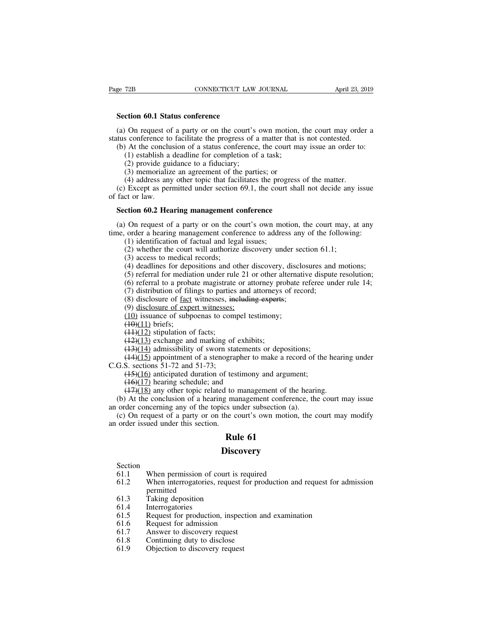**SECTION SECTION SECTION**<br> **Section 60.1 Status conference**<br>
(a) On request of a party or on the court' (a) On request of a party or on the court's own motion, the court may order a<br>
(a) On request of a party or on the court's own motion, the court may order a<br>
tus conference to facilitate the progress of a matter that is no Status conference<br>Section 60.1 Status conference<br>(a) On request of a party or on the court's own motion, the court may order<br>status conference to facilitate the progress of a matter that is not contested.<br>(b) At the conclu Section 60.1 Status conference<br>
(a) On request of a party or on the court's own motion, the court may order a<br>
tus conference to facilitate the progress of a matter that is not contested.<br>
(b) At the conclusion of a statu (1) complements of a party or on the court's own motion,<br>s conference to facilitate the progress of a matter that if<br>a deadline for completion of a task;<br>(2) provide guidance to a fiduciary;<br>(3) memorialize an agreement of **ction 60.1 Status conference**<br>
On request of a party or on the court's<br>
s conference to facilitate the progress of a<br>
At the conclusion of a status conference<br>
(1) establish a deadline for completion of<br>
(2) provide guida **component COMET COMET CONTECT**<br>(3) On request of a party or on the court's own motion,<br>s conference to facilitate the progress of a matter that if<br>(4) At the conclusion of a status conference, the court ma<br>(1) establish (4) on request of a party or on the court's own motion, the court may orde<br>s conference to facilitate the progress of a matter that is not contested.<br>At the conclusion of a status conference, the court may issue an order t

(a) On request of a party of on the court s own motion, the court may ofter a<br>tus conference to facilitate the progress of a matter that is not contested.<br>(b) At the conclusion of a status conference, the court may issue datas coincrence to<br>
(b) At the conclu-<br>
(1) establish a<br>
(2) provide gui<br>
(3) memorializ<br>
(4) address any<br>
(c) Except as period fact or law.<br> **Section 60.2 Hea** (1) establish a deadline for completion of a task;<br>
(2) provide guidance to a fiduciary;<br>
(3) memorialize an agreement of the parties; or<br>
(4) address any other topic that facilitates the progress (c) Except as permitted

(3) memorialize an agreement of the parties; or<br>
(4) address any other topic that facilitates the progress of the matter.<br>
(c) Except as permitted under section 69.1, the court shall not decide any issue<br>
fact or law.<br> **S** (4) address any other topic that facilitates the progress of the matter.<br>
(c) Except as permitted under section 69.1, the court shall not decide any issue<br>
of fact or law.<br> **Section 60.2 Hearing management conference**<br>
(a Except as permitted under section 69.1, the court<br>ct or law.<br>**ction 60.2 Hearing management conference**<br> $\theta$  On request of a party or on the court's own mo<br>order a hearing management conference to addres<br> $(1)$  identificat (2) contracts of a party or on the court's own motion, the court may, a order a hearing management conference to address any of the followin (1) identification of factual and legal issues;<br>(2) whether the court will author **Section 60.2 Hearing management conference**<br>
(a) On request of a party or on the court's own motion, the court may, at any<br>
time, order a hearing management conference to address any of the following:<br>
(1) identification (4) deadlines for depositions and other discovery, the court may, at any order a hearing management conference to address any of the following:<br>
(1) identification of factual and legal issues;<br>
(2) whether the court will On request of a party or on the court's own motion, the court may, at any<br>order a hearing management conference to address any of the following:<br>(1) identification of factual and legal issues;<br>(2) whether the court will a (6) referral to a party of on the court s own motion, the court may, at any order a hearing management conference to address any of the following:<br>
(1) identification of factual and legal issues;<br>
(2) whether the court wi

(1) identification of factual and legal issues;<br>(2) whether the court will authorize discovery under section 61.1;<br>(3) access to medical records;<br>(4) deadlines for depositions and other discovery, disclosures and<br>(5) refe (1) disclosure of actual and legal issues,<br>
(2) whether the court will authorize discovery under sec<br>
(3) access to medical records;<br>
(4) deadlines for depositions and other discovery, discloses<br>
(5) referral to a probate (2) whether the court win admorted the<br>
(3) access to medical records;<br>
(4) deadlines for depositions and other c<br>
(5) referral for mediation under rule 21 c<br>
(6) referral to a probate magistrate or att<br>
(7) distribution (3) access to included records,<br>
(4) deadlines for depositions and other discovery, discl<br>
(5) referral for mediation under rule 21 or other alternat<br>
(6) referral to a probate magistrate or attorney probate<br>
(7) distribu

(4) dealines for depth<br>
(5) referral for mediat<br>
(6) referral to a proba<br>
(7) distribution of fili<br>
(8) disclosure of fact<br>
(9) disclosure of expe<br>
(10) issuance of subp<br>
(40)(11) briefs;<br>
(41)(12) stipulation of (42)(13) (5) ferental to incurred interference (6) referral to a probate magistrate (7) distribution of filings to parties (8) disclosure of fact witnesses; in (9) disclosure of expert witnesses; (10) issuance of subpoenas to com

(7) distribution of filings to parties and attorneys<br>(7) distribution of filings to parties and attorneys<br>(8) disclosure of fact witnesses, including experts<br>(9) disclosure of expert witnesses;<br>(10) issuance of subpoenas (*1*) distribution of finity to partics and attomlys of fiecting<br>
(8) disclosure of fact witnesses; including experts;<br>
(9) disclosure of expert witnesses;<br>
(10) issuance of subpoenas to compel testimony;<br>
(40)(11) briefs (b) disclosure of <u>ract</u> whilesses, <del>including experts</del>,<br>(9) disclosure of expert witnesses;<br>(10) issuance of subpoenas to compel testimony;<br>(+4)(11) briefs;<br>(+4)(12) stipulation of facts;<br>(+3)(14) admissibility of sworn (9) disclosure of expert whilesses,<br>
(10) issuance of subpoenas to com<br>  $(10)(11)$  briefs;<br>  $(1+)(12)$  stipulation of facts;<br>  $(12)(13)$  exchange and marking of<br>  $(13)(14)$  admissibility of sworn sta<br>  $(14)(15)$  appointment of (16) issuance of subpoental to comper testimony,<br>
(16)(11) briefs;<br>
(14)(12) stipulation of facts;<br>
(14)(13) exchange and marking of exhibits;<br>
(14)(15) appointment of a stenographer to make a record of the<br>
S. sections 5  $(14)(12)$  stipulation of facts;<br> $(12)(13)$  exchange and marking of exhibit<br> $(13)(14)$  admissibility of sworn statements<br> $(14)(15)$  appointment of a stenographer to<br>S. sections 51-72 and 51-73;<br> $(15)(16)$  anticipated duration

(12)(13) exchange and marking of exhibits;<br>(12)(13) exchange and marking of exhibits;<br>(14)(15) appointment of a stenographer to make a record of the hearing.<br>S. sections 51-72 and 51-73;<br>(15)(16) anticipated duration of t ( $\frac{1}{2}$ ) Collarge and marking of exhibits,<br>
( $\frac{1}{3}$ )( $\frac{1}{4}$ ) admissibility of sworn statements or depositions;<br>
( $\frac{1}{4}$ )( $\frac{15}{15}$ ) appointment of a stenographer to make a record of the hearing under<br>
G.S. s (14)(15) appointment of a stenographer to make a record of<br>C.G.S. sections 51-72 and 51-73;<br>(15)(16) anticipated duration of testimony and argument;<br>(16)(17) hearing schedule; and<br>(17)(18) any other topic related to manag (1+7)(12) appointment of a succepture in make a record of the hearing under<br>
G.S. sections 51-72 and 51-73;<br>
(1+3)(16) anticipated duration of testimony and argument;<br>
(1+7)(18) any other topic related to management of th 2.6.3. sections  $51-72$  and  $51-75$ ,<br>  $(15)(16)$  anticipated duration of tes<br>  $(16)(17)$  hearing schedule; and<br>  $(17)(18)$  any other topic related to<br>
(b) At the conclusion of a hearing man order concerning any of the topics Example 1 as a set in the set in the set in the set in the set in the set of the set of the set of the set of the set of the set of the set of the set of the set of the set of the set of the set of the set of the set of th

### **Discovery**

### Section<br>61.1

- 
- (e) on request of a party of on the coart s own motion,<br>order issued under this section.<br>**Rule 61**<br>Section<br>61.1 When permission of court is required<br>61.2 When interrogatories, request for production and<br>permitted **EXECUTE:**<br> **EXECUTE:**<br> **EXECUTE:**<br> **EXECUTE:**<br> **EXECUTE:**<br> **SECUTE:**<br> **SECUTE:**<br> **SECUTE:**<br> **SECUTE:**<br> **SECUTE:**<br> **SECUTE:**<br> **SECUTE:**<br> **SECUTE:**<br> **SECUTE:**<br> **SECUTE:**<br> **SECUTE:**<br> **SECUTE:**<br> **SECUTE:**<br> **SECUTE:**<br> **SECUTE:** permitted<br>Taking deposition **Disc**<br> **Section**<br>
61.1 When permission of court is<br>
61.2 When interrogatories, request<br>
permitted<br>
61.3 Taking deposition<br>
61.4 Interrogatories<br>
61.5 Request for production, inspe Section<br>61.1 When permission of cc<br>61.2 When interrogatories, r<br>61.3 Taking deposition<br>61.4 Interrogatories<br>61.5 Request for production<br>61.6 Request for admission Section<br>61.1 When permission of court is required<br>61.2 When interrogatories, request for production and request for ad<br>for a Taking deposition<br>61.4 Interrogatories<br>61.5 Request for production, inspection and examination<br>61 61.1 When permission of court is request<br>61.2 When interrogatories, request for<br>61.3 Taking deposition<br>61.4 Interrogatories<br>61.5 Request for production, inspectio<br>61.6 Request for admission<br>61.7 Answer to discovery request 61.2 When interrogatories, request for p<br>formal of the interrogatories, request for p<br>formal discovery request<br>formal discovery request<br>formal discovery request<br>formal discovery request<br>formal discovery request<br>formal disc Figure 1.2<br>
Formative during deposition<br>
61.3 Taking deposition<br>
61.5 Request for production, inspection an<br>
61.6 Request for admission<br>
61.7 Answer to discovery request<br>
61.8 Continuing duty to disclose<br>
61.9 Objection to
- 
- 
- 
- 
- 61.3 Taking deposition<br>61.4 Interrogatories<br>61.5 Request for production, inspec<br>61.6 Request for admission<br>61.7 Answer to discovery request<br>61.8 Continuing duty to disclose<br>61.9 Objection to discovery request
- 
-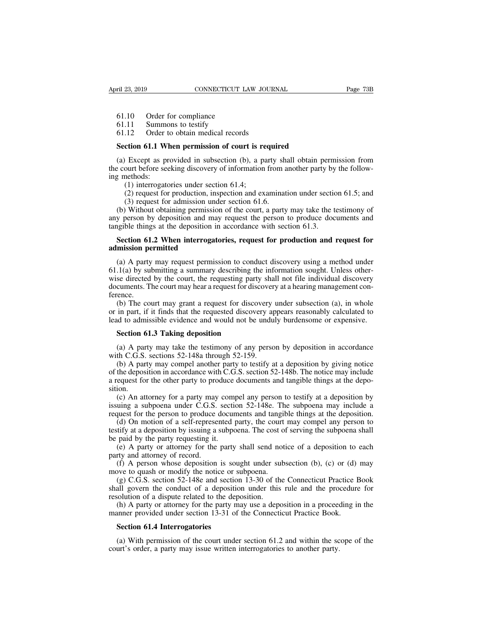ril 23, 2019<br>
61.10 Order for compliance<br>
61.11 Summons to testify<br>
61.12 Order to obtain medical records ril 23, 2019<br>61.10 Order for compliance<br>61.11 Summons to testify<br>61.12 Order to obtain medical record

# ril 23, 2019<br>61.10 Order for compliance<br>61.11 Summons to testify<br>61.12 Order to obtain medical records<br>Section 61.1 When permission of court is requi

**SECTION CONNECTICUT LAW JOURNAL**<br> **SECTION 61.10** Order for compliance<br> **Section 61.1 When permission of court is required**<br> **Section 61.1 When permission of court is required**<br> **Section 61.1 When permission of court is r** (a) Except as provided in subsection<br>
(a) Except as provided in subsection (b), a party shall obtain permission from<br>
(a) Except as provided in subsection (b), a party shall obtain permission from<br>  $\frac{1}{2}$  court before s 61.10 Order for compliance<br>61.11 Summons to testify<br>61.12 Order to obtain medical records<br>**Section 61.1 When permission of court is required**<br>(a) Except as provided in subsection (b), a party shall obtain permission from<br> 61.11 Summo<br>61.12 Order to<br>**Section 61.1 WI**<br>(a) Except as pr<br>the court before see<br>ing methods:<br>(1) interrogato<br>(2) request for (12) Order to obtain medical records<br> **ction 61.1 When permission of court is re**<br>
Except as provided in subsection (b), a pa<br>
ourt before seeking discovery of information<br>
nethods:<br>
(1) interrogatories under section 61.4 (2) required<br>
(2) Except as provided in subsection (b), a party shall obtain permission from<br>
ourt before seeking discovery of information from another party by the follow-<br>
(1) interrogatories under section 61.4;<br>
(2) req **ction 61.1 When permission of court is required**<br>( $\beta$ ) Except as provided in subsection (b), a party shourt before seeking discovery of information from a<br>nethods:<br>(1) interrogatories under section 61.4;<br>(2) request for (a) Except as provided in subsection (b), a party shall obtain permission from<br>e court before seeking discovery of information from another party by the follow-<br>g methods:<br>(1) interrogatories under section 61.4;<br>(2) reque

(a) Except as provided in subsection (b), a party shari obtain permission from<br>the court before seeking discovery of information from another party by the follow-<br>ing methods:<br>(1) interrogatories under section 61.4;<br>(2) r the court before seeking discovery of information from another party by<br>ing methods:<br>(1) interrogatories under section 61.4;<br>(2) request for production, inspection and examination under sectio<br>(3) request for admission und (1) interrogatories under section 61.4;<br>
(2) request for production, inspection and examination under section 61.5; and<br>
(3) request for admission under section 61.6.<br>
(b) Without obtaining permission of the court, a part (2) request for production, in<br>
(3) request for admission und<br>
(b) Without obtaining permissic<br>
any person by deposition and ma<br>
tangible things at the deposition in<br> **Section 61.2 When interrogat<br>
admission permitted**<br>
(

(b) Without obtaining permission of the court, a party may take the testimony of y person by deposition and may request the person to produce documents and gible things at the deposition in accordance with section 61.3. S any person by deposition and may request the person to produce documents and<br>tangible things at the deposition in accordance with section 61.3.<br>**Section 61.2 When interrogatories, request for production and request for<br>adm** tangible things at the deposition in accordance with section 61.3.<br> **Section 61.2 When interrogatories, request for production and request for**<br> **admission permitted**<br>
(a) A party may request permission to conduct discove **Section 61.2 When interrogatories, request for production and request for admission permitted**<br>(a) A party may request permission to conduct discovery using a method under<br>61.1(a) by submitting a summary describing the i ference. mission permitted<br>
(a) A party may request permission to conduct discovery using a method under<br>  $.1(a)$  by submitting a summary describing the information sought. Unless other-<br>
se directed by the court, the requesting pa (a) A party may request permission to conduct discovery using a method under  $61.1(a)$  by submitting a summary describing the information sought. Unless otherwise directed by the court, the requesting party shall not file (a) A party may request permission to conduct uscovery using a method under  $61.1(a)$  by submitting a summary describing the information sought. Unless otherwise directed by the court, the requesting party shall not file i

se directed by the court, the requesting party<br>cuments. The court may hear a request for disc<br>ence.<br>(b) The court may grant a request for discove<br>in part, if it finds that the requested discover<br>and to admissible evidence (b) The court may grant a request for discovery under subsection (a), in whole<br>in part, if it finds that the requested discovery appears reasonably calculated to<br>id to admissible evidence and would not be unduly burdensome (b) The court may grant a request for discovery<br>or in part, if it finds that the requested discovery ap<br>lead to admissible evidence and would not be undu<br>**Section 61.3 Taking deposition**<br>(a) A party may take the testimony

in part, if it finds that the requested discovery appears reasonably calculated to<br>id to admissible evidence and would not be unduly burdensome or expensive.<br>**Section 61.3 Taking deposition**<br>(a) A party may take the testim lead to admissible evidence and would not be unduly burdensome or expensive.<br> **Section 61.3 Taking deposition**<br>
(a) A party may take the testimony of any person by deposition in accordance<br>
with C.G.S. sections 52-148a thr **Section 61.3 Taking deposition**<br>
(a) A party may take the testimony of any person by deposition in accordance<br>
with C.G.S. sections 52-148a through 52-159.<br>
(b) A party may compel another party to testify at a deposition sition. (a) A party may take the testimony of any person by deposition in accordance th C.G.S. sections 52-148a through 52-159.<br>
(b) A party may compel another party to testify at a deposition by giving notice the deposition in a (a) A party may take the testhology of any person by deposition in accordance with C.G.S. sections 52-148a through 52-159.<br>
(b) A party may compel another party to testify at a deposition by giving notice of the depositio whit C.O.S. sections  $32-148a$  diloted  $32-139$ .<br>
(b) A party may compel another party to testify at a deposition by giving notice<br>
of the deposition in accordance with C.G.S. section 52-148b. The notice may include<br>
a re (b) A party may compet another party to testify at a deposition by giving notice the deposition in accordance with C.G.S. section 52-148b. The notice may include equest for the other party to produce documents and tangibl

of the deposition in accordance with C.O.S. section 52-1460. The hottee may include<br>a request for the other party to produce documents and tangible things at the depo-<br>sition.<br>(c) An attorney for a party may compel any per a request for the other party to produce<br>sition.<br>(c) An attorney for a party may comp<br>issuing a subpoena under C.G.S. section<br>request for the person to produce docure<br>(d) On motion of a self-represented p<br>testify at a depo (c) An attorney for a party may compel any person to testify at a deposition by uing a subpoena under C.G.S. section 52-148e. The subpoena may include a quest for the person to produce documents and tangible things at the

(c) An attorney for a party may<br>issuing a subpoena under C.G.S.<br>request for the person to produce (d) On motion of a self-represe<br>testify at a deposition by issuing a be<br>paid by the party requesting it.<br>(e) A party or atto (d) A person to produce documents and tangible things at the deposition.<br>
(d) On motion of a self-represented party, the court may compel any person to<br>
tify at a deposition by issuing a subpoena. The cost of serving the request for the person to produce documents and tangual<br>
(d) On motion of a self-represented party, the court<br>
testify at a deposition by issuing a subpoena. The cost of<br>
be paid by the party requesting it.<br>
(e) A party or

(g) On motion of a scri-represented party, the court may comper any person to trify at a deposition by issuing a subpoena. The cost of serving the subpoena shall paid by the party requesting it.<br>(e) A party or attorney fo shall govern the party in the party may use a deposition in a proceeding in the party of a deposition is sought under subsection (b), (c) or (d) may move to quash or modify the notice or subpoena.<br>
(g) C.G.S. section 52-14 be paid by the party requesting it.<br>
(e) A party or attorney for the party shall send no<br>
party and attorney of record.<br>
(f) A person whose deposition is sought under su<br>
move to quash or modify the notice or subpoena.<br>
(g (c) A party or attorney for the party shall send holted or a deposition to each<br>rty and attorney of record.<br>(f) A person whose deposition is sought under subsection (b), (c) or (d) may<br>we to quash or modify the notice or s (f) A person whose deposition is sought under subsection (b), (c) or (d) move to quash or modify the notice or subpoena.<br>
(g) C.G.S. section 52-148e and section 13-30 of the Connecticut Practice I shall govern the conduct move to quash or modify the notice or subpoena.<br>
(g) C.G.S. section 52-148e and section 13-30 of the Connecticut Practice Book<br>
shall govern the conduct of a deposition under this rule and the procedure for<br>
resolution of all govern the conduct of a deposition under this rule and the procedure for solution of a dispute related to the deposition.<br>(h) A party or attorney for the party may use a deposition in a proceeding in the numer provided

resolution of a dispute related to the deposition.<br>
(h) A party or attorney for the party may use a deposition in a proceed<br>
manner provided under section 13-31 of the Connecticut Practice Book.<br> **Section 61.4 Interrogator**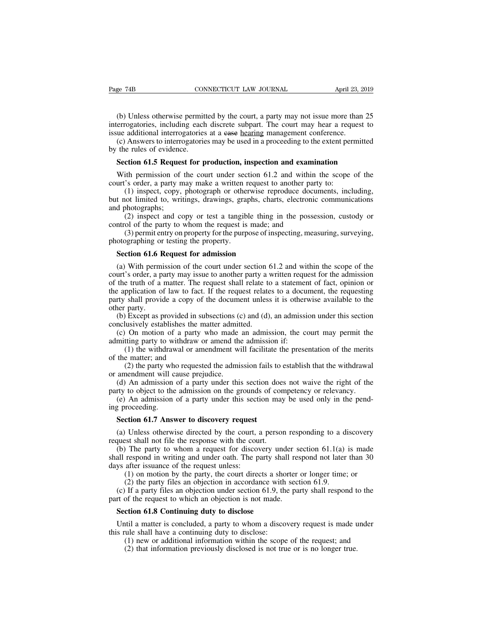(b) Unless otherwise permitted by the court, a party may not issue more than 25<br>errogatories, including each discrete subpart. The court may hear a request to<br>ue additional interrogatories at a ease <u>hearing</u> management co Fage 74B CONNECTICUT LAW JOURNAL April 23, 2019<br>
(b) Unless otherwise permitted by the court, a party may not issue more than 25<br>
interrogatories, including each discrete subpart. The court may hear a request to<br>
issue add Fage 74B CONNECTICUT LAW JOURNAL April 23, 2<br>
(b) Unless otherwise permitted by the court, a party may not issue more than<br>
interrogatories, including each discrete subpart. The court may hear a request<br>
issue additional i (b) Unless otherwise permitted by the court, a party may not issue more than 25<br>
(b) Unless otherwise permitted by the court, a party may not issue more than 25<br>
errogatories, including each discrete subpart. The court may (b) Unless otherwise permit<br>interrogatories, including each<br>issue additional interrogatories<br>(c) Answers to interrogatorie<br>by the rules of evidence.<br>**Section 61.5 Request for p** (b) Unless otherwise permitted by the court, a party may not issue more than 25 errogatories, including each discrete subpart. The court may hear a request to use additional interrogatories at a e<del>ase hearing</del> management c (b) omess once wise permitted by the court, a party may not issue inote than 2.5 errogatories, including each discrete subpart. The court may hear a request to ue additional interrogatories at a ease <u>hearing</u> management

metrogatories, including each district subpate. The court may hear a requissue additional interrogatories at a ease hearing management conference.<br>
(c) Answers to interrogatories may be used in a proceeding to the extent p (additional interrogatories at a ease <u>idealing</u> management conference.)<br>
Answers to interrogatories may be used in a proceeding to the extent permitted<br>
e rules of evidence.<br> **ction 61.5 Request for production, inspection** by the rules of evidence.<br> **Section 61.5 Request for production, inspection and examination**<br>
With permission of the court under section 61.2 and within the scope of the<br>
court's order, a party may make a written request Section 61.5 Reques<br>With permission of<br>court's order, a party m<br>(1) inspect, copy,<br>but not limited to, writ<br>and photographs;<br>(2) inspect and cc<br>control of the party to (2) inspection of the court under section of 1.2 and within the scope of the correlation of the court under section 61.2 and within the scope of the correlation of the court are a written request to another party to:<br>
(1) With permission of the court under section 61.2 and within court's order, a party may make a written request to another part (1) inspect, copy, photograph or otherwise reproduce documbut not limited to, writings, drawings, (3) permission of the contributed section 01.2 and within the scope of the<br>
3's order, a party may make a written request to another party to:<br>
(1) inspect, copy, photograph or otherwise reproduce documents, including,<br>
in Figure 3 offers, a party may make a written 1<br>
(1) inspect, copy, photograph or other<br>
but not limited to, writings, drawings, grap<br>
and photographs;<br>
(2) inspect and copy or test a tangib<br>
control of the party to whom the t not limited to, writings, drawings, graphs, chard photographs;<br>
(2) inspect and copy or test a tangible thing<br>
ntrol of the party to whom the request is made; a<br>
(3) permit entry on property for the purpose of ins<br>
otogr

(2) inspect and copy or test a tangible thing in the possession, custody or ntrol of the party to whom the request is made; and (3) permit entry on property for the purpose of inspecting, measuring, surveying, otographing (2) inspect and copy of test a tanguote timig in the possession, eastody of control of the party to whom the request is made; and (3) permit entry on property for the purpose of inspecting, measuring, surveying, photograp (3) permit entry of whom the request is matter, and<br>
(3) permit entry on property for the purpose of inspecting, measuring, surveying,<br>
photographing or testing the property.<br> **Section 61.6 Request for admission**<br>
(a) Wit (5) permit entry on property for the parpose of inspecting, measuring, surveying, photographing or testing the property.<br> **Section 61.6 Request for admission**<br>
(a) With permission of the court under section 61.2 and withi **Section 61.6 Request for admission**<br>
(a) With permission of the court under section 61.2 and within the scope of the<br>
court's order, a party may issue to another party a written request for the admission<br>
of the truth of **Section 61.6 F**<br>(a) With permi<br>court's order, a p<br>of the truth of a<br>the application of<br>party shall provid<br>other party.<br>(b) Except as p<br>conclusively esta (a) With permission of the court under section 61.2 and within the scope of the urt's order, a party may issue to another party a written request for the admission the truth of a matter. The request shall relate to a stat (a) while permission of the contributed section (court's order, a party may issue to another party a of the truth of a matter. The request shall relate to the application of law to fact. If the request relate party shall p In the truth of a party may issue to another party a written request for the admission<br>the truth of a matter. The request shall relate to a statement of fact, opinion or<br>e application of law to fact. If the request relates of the train of a matter. The request shall relate to a statement<br>the application of law to fact. If the request relates to a docu<br>party shall provide a copy of the document unless it is other<br>other party.<br>(b) Except as pr (1) the party who requested the admission fails to establish that the withdrawal (2) the party who requested the admission, the court may permit the merits of a party who made an admission, the court may permit the thing p

party shan provide a copy of<br>other party.<br>(b) Except as provided in s<br>conclusively establishes the r<br>(c) On motion of a party<br>admitting party to withdraw (1) the withdrawal or an<br>of the matter; and<br>(2) the party who reques

party.<br>
Except as provided in subsections (c) and (d), an admission under this section<br>
lusively establishes the matter admitted.<br>
On motion of a party who made an admission, the court may permit the<br>
tting party to withdr (b) Except as provided in subsections (conclusively establishes the matter admit<br>(c) On motion of a party who made<br>admitting party to withdraw or amend the<br>(1) the withdrawal or amendment wi<br>of the matter; and<br>(2) the par (c) On motion of a party who made an admission, the court may permit the mitting party to withdraw or amend the admission if:<br>
(1) the withdrawal or amendment will facilitate the presentation of the merits the matter; and<br>

(1) the withdrawal or amendment will facilitate the presentation of the merits<br>the matter; and<br>(2) the party who requested the admission fails to establish that the withdrawal<br>amendment will cause prejudice.<br>(d) An admiss (2) the party who requested the admission fails to amendment will cause prejudice.<br>
(d) An admission of a party under this section do<br>
try to object to the admission on the grounds of co<br>
(e) An admission of a party under

(c) On motion or a party who made an admission, the court may permit the admitting party to withdraw or amendment will facilitate the presentation of the merits of the matter; and (2) the party who requested the admission (1) the windraw<br>of the matter; and<br>(2) the party who<br>or amendment will c:<br>(d) An admission<br>party to object to the<br>(e) An admission<br>ing proceeding.<br>**Section 61.7** Answ

(d) An admission of a party under this section does not waive the right of the<br>rty to object to the admission on the grounds of competency or relevancy.<br>(e) An admission of a party under this section may be used only in t

(a) An admission of a party under this section does<br>party to object to the admission on the grounds of con<br>(e) An admission of a party under this section may<br>ing proceeding.<br>**Section 61.7 Answer to discovery request**<br>(a) U (e) An admission of a party under this section may be used only in the pend-<br>g proceeding.<br>**Section 61.7 Answer to discovery request**<br>(a) Unless otherwise directed by the court, a person responding to a discovery<br>quest sha Section 61.7 Answer to discovery request<br>
(a) Unless otherwise directed by the court, a person responding to a discovery<br>
request shall not file the response with the court.<br>
(b) The party to whom a request for discovery **Section 61.7 Answer to discovery request**<br>(a) Unless otherwise directed by the court, a<br>request shall not file the response with the cour<br>(b) The party to whom a request for discov<br>shall respond in writing and under oath **ction 61.7 Answer to discovery request**<br>
Unless otherwise directed by the court, a person responding to a discovery<br>
set shall not file the response with the court.<br>
The party to whom a request for discovery under sectio Unless otherwise directed by the court, a person responding to a dest shall not file the response with the court.<br>
The party to whom a request for discovery under section 61.1(a) respond in writing and under oath. The part (a) Omess onlet wise unected by the court, a person responding to a discovery quest shall not file the response with the court.<br>
(b) The party to whom a request for discovery under section 61.1(a) is made<br>
all respond in request shall not the the response with the court.<br>
(b) The party to whom a request for discovery under shall respond in writing and under oath. The party shall res<br>
days after issuance of the request unless:<br>
(1) on motio all respond in writing and under oath. The party sha<br>ys after issuance of the request unless:<br>(1) on motion by the party, the court directs a sha<br>(2) the party files an objection in accordance with<br>(c) If a party files an

(1) on motion by the party, the court directs a shorter or longer time; or<br>
(2) the party files an objection in accordance with section 61.9.<br>
(c) If a party files an objection under section 61.9, the party shall respond (1) on motion by the party, the coard directs a shot (2) the party files an objection in accordance with (c) If a party files an objection under section 61.9, the part of the request to which an objection is not made.<br>Sec (2) the party files an objection in accordance with section 01.9.<br>If a party files an objection under section 61.9, the party shall respond to the<br>of the request to which an objection is not made.<br>**ction 61.8 Continuing d** 

(2) that information previously disclosed is not true or is no longer true.<br>
(2) that information previously disclose.<br>
(1) new or additional information within the scope of the request; and<br>
(2) that information previousl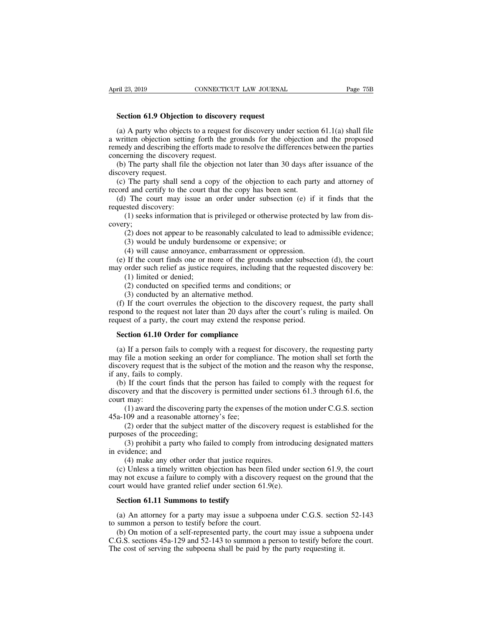**FREE 23, 2019**<br>**Section 61.9 Objection to discovery request**<br>(a) A party who objects to a request for discovery und (a) A party who objection to discovery request<br>
(a) A party who objects to a request for discovery under section 61.1(a) shall file<br>
written objection setting forth the grounds for the objection and the proposed<br>
medy and April 23, 2019 CONNECTICUT LAW JOURNAL Page 75B<br> **Section 61.9 Objection to discovery request**<br>
(a) A party who objects to a request for discovery under section 61.1(a) shall file<br>
a written objection setting forth the gro **EXECT AND SURVEY SURVEY SURVEY THE EFTOM SECTOR SECTOM CONNECTIC LAW JOURNAL** Fage 150 Fage 150 Section 61.9 Objection to discovery request<br>
(a) A party who objects to a request for discovery under section 61.1(a) shall **Section 61.9 Objection to discovery**<br>(a) A party who objects to a request f<br>a written objection setting forth the g<br>remedy and describing the efforts made to<br>concerning the discovery request.<br>(b) The party shall file the Section 61.9 Objection to discovery request<br>
(a) A party who objects to a request for discovery under section 61.1(a) shall file<br>
written objection setting forth the grounds for the objection and the proposed<br>
medy and des Section 61.9 Object<br>
(a) A party who object<br>
a written objection sett<br>
remedy and describing the<br>
concerning the discover<br>
(b) The party shall fi<br>
discovery request.<br>
(c) The party shall section and certify to the (a) A party who objects to a request for discovery under section 61.1(a) shall file<br>written objection setting forth the grounds for the objection and the proposed<br>medy and describing the efforts made to resolve the differ record and describing forth the grounds for the objection<br>remedy and describing the efforts made to resolve the differences b<br>concerning the discovery request.<br>(b) The party shall file the objection not later than 30 days medy and describing the efforts made to resolve the differences between the parties<br>norening the discovery request.<br>(b) The party shall file the objection not later than 30 days after issuance of the<br>icovery request.<br>(c) T

(1) The party shall file the objection not later than 30 days after issuance of the wery request.<br>
The party shall send a copy of the objection to each party and attorney of d and certify to the court that the copy has bee

France oncerning the discovery r<br>concerning the discovery r<br>(b) The party shall file t<br>discovery request.<br>(c) The party shall send<br>record and certify to the c<br>(d) The court may issued discovery:<br>(1) seeks information<br>cover The party shall send a copy of the objection to each party and attorney of d and certify to the court that the copy has been sent.<br>
The court may issue an order under subsection (e) if it finds that the steed discovery:<br>
( d and certify to the court that the copy has been sent.<br>
) The court may issue an order under subsection (e)<br>
sted discovery:<br>
(1) seeks information that is privileged or otherwise protec<br>
(3) does not appear to be reasona The court may issue an order under subsection (e) if it<br>steed discovery:<br>(1) seeks information that is privileged or otherwise protected l<br>y;<br>(2) does not appear to be reasonably calculated to lead to admi<br>(3) would be und

covery; (1) seeks information that is privileged or otherwise protected by law from dis-<br>very;<br>(2) does not appear to be reasonably calculated to lead to admissible evidence;<br>(3) would be unduly burdensome or expensive; or<br>(4) wil (1) seeks information that is privileged or otherwise protected by law from dis-<br>covery;<br>(2) does not appear to be reasonably calculated to lead to admissible evidence;<br>(3) would be unduly burdensome or expensive; or<br>(4)

(2) does not appear to be rea<br>(3) would be unduly burder<br>(4) will cause annoyance, e<br>If the court finds one or m<br>order such relief as justice r<br>(1) limited or denied;<br>(2) conducted on specified<br>(3) conducted by an alterna (2) does not appear to be reasonably calculated to lead to ad (3) would be unduly burdensome or expensive; or (4) will cause annoyance, embarrassment or oppression. If the court finds one or more of the grounds under subs

(3) would be unduly burdensome or expensiv<br>(4) will cause annoyance, embarrassment or or<br>If the court finds one or more of the grounds<br>order such relief as justice requires, including<br>(1) limited or denied;<br>(2) conducted (4) will cause annoyance, embarrassment or oppression.<br>
(e) If the court finds one or more of the grounds under subsection (d), the court<br>
ay order such relief as justice requires, including that the requested discovery b (e) If the court finds one or more of the grounds under subsection (d), the court<br>may order such relief as justice requires, including that the requested discovery be:<br>(1) limited or denied;<br>(2) conducted on specified ter may order such relief as justice requires, including that the requeste (1) limited or denied;<br>(2) conducted on specified terms and conditions; or (3) conducted by an alternative method.<br>(f) If the court overrules the objec (1) Influed or denied;<br>
(2) conducted on specified terms and conditio<br>
(3) conducted by an alternative method.<br>
(f) If the court overrules the objection to the d<br>
spond to the request not later than 20 days after<br>
quest of

(3) conducted by an alternative method.<br>
(f) If the court overrules the objection to the discovery request, the party shall<br>
spond to the request not later than 20 days after the court's ruling is mailed. On<br>
quest of a p (f) If the court overrules the objection to the discovery request, the party shall<br>respond to the request not later than 20 days after the court's ruling is mailed. On<br>request of a party, the court may extend the response respond to the request not later than 20 days after the court's ruling is mailed. On<br>request of a party, the court may extend the response period.<br>**Section 61.10 Order for compliance**<br>(a) If a person fails to comply with a request of a party, the court<br> **Section 61.10 Order for**<br>
(a) If a person fails to con<br>
may file a motion seeking an<br>
discovery request that is the :<br>
if any, fails to comply.<br>
(b) If the court finds that<br>
discovery and th Section 61.10 Order for compliance<br>(a) If a person fails to comply with a request for discovery, the requesting party<br>ay file a motion seeking an order for compliance. The motion shall set forth the<br>scovery request that is **Section 61.10 Order for compliance**<br>(a) If a person fails to comply with a request for discovery, the requesting party<br>may file a motion seeking an order for compliance. The motion shall set forth the<br>discovery request t (a) If a person<br>may file a motion<br>discovery request<br>if any, fails to cc<br>(b) If the cour<br>discovery and tha<br>court may:<br>(1) award the<br>45a-109 and a re The a motion seeking an order for compliance. The motion shall set forth the overy request that is the subject of the motion and the reason why the response, y, fails to comply.<br>
If the court finds that the person has fai

may the ambient state at is the subject of the motion<br>discovery request that is the subject of the motion<br>if any, fails to comply.<br>(b) If the court finds that the person has faid<br>iscovery and that the discovering party the (3) prohibit a party who failed to comply from introducing designated matters of the procedures of the matter of the discovery and that the discovery is permitted under sections 61.3 through 61.6, the may:<br>
(1) award the d (b) If the court finds that the p<br>discovery and that the discovery is<br>court may:<br>(1) award the discovering part<br>45a-109 and a reasonable attorney<br>(2) order that the subject mat<br>purposes of the proceeding;<br>(3) prohibit a pa very and that the discovery is permitted under sections 61.3 through 61.6, the may:<br>
(1) award the discovering party the expenses of the motion under C.G.S. section<br>
(09 and a reasonable attorney's fee;<br>
(2) order that the

court may:<br>
(1) award the discoveriant<br>
45a-109 and a reasonable a<br>
(2) order that the subje<br>
purposes of the proceeding;<br>
(3) prohibit a party wh<br>
in evidence; and<br>
(4) make any other ord<br>
(c) Unless a timely writte

(1) award the discovering party the expenses of the motion under C.G.S. section 45a-109 and a reasonable attorney's fee;<br>
(2) order that the subject matter of the discovery request is established for the purposes of the p (c) and a reasonable attorney's fee;<br>
(2) order that the subject matter of the discovery request is established for the<br>
rposes of the proceeding;<br>
(3) prohibit a party who failed to comply from introducing designated mat (2) order that the subject matter of the discovery request is established for the<br>purposes of the proceeding;<br>(3) prohibit a party who failed to comply from introducing designated matters<br>in evidence; and<br>(4) make any oth purposes of the proceeding;<br>
(3) prohibit a party who failed to comply from introducin<br>
evidence; and<br>
(4) make any other order that justice requires.<br>
(c) Unless a timely written objection has been filed under<br>
may not ex (3) pronibit a party who railed to comply free<br>
evidence; and<br>
(4) make any other order that justice require<br>
(c) Unless a timely written objection has been<br>
ay not excuse a failure to comply with a discover<br>
urt would hav (4) make any other order that justice requires.<br>
(c) Unless a timely written objection has been filed under section 61.9, the court<br>
ay not excuse a failure to comply with a discovery request on the ground that the<br>
urt w (c) Unless a timely written objection has been filed may not excuse a failure to comply with a discovery court would have granted relief under section 61.9(e)<br>**Section 61.11 Summons to testify**<br>(a) An attorney for a party

(b) on motion of a self-represented party, the court may issue a subpoena under C.G.S. section 52-143<br>(a) An attorney for a party may issue a subpoena under C.G.S. section 52-143<br>summon a person to testify before the court court would have granted relief under section 61.9(e).<br> **Section 61.11 Summons to testify**<br>
(a) An attorney for a party may issue a subpoena under C.G.S. section 52-143<br>
to summon a person to testify before the court.<br>
(b) Section 61.11 Summons to testify<br>
(a) An attorney for a party may issue a subpoena under C.G.S. section<br>
to summon a person to testify before the court.<br>
(b) On motion of a self-represented party, the court may issue a sub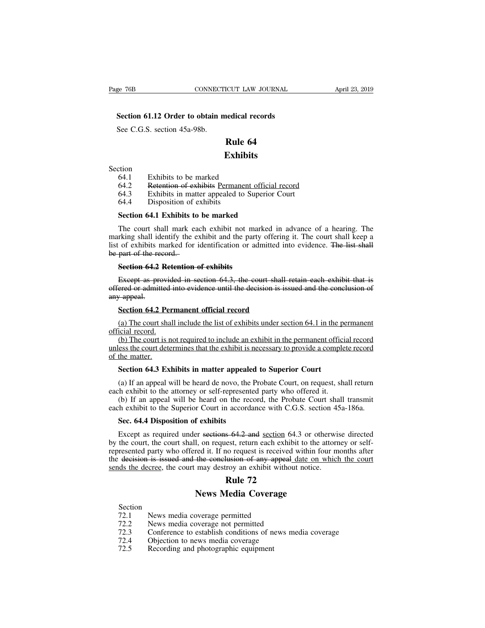### EXTERNAL CONNECTICUT LAW JOURNAL<br> **Section 61.12 Order to obtain medical records**<br>
See C.G.S. section 45a-98b. EXECT<br>Section 61.12 Order to obtain n<br>See C.G.S. section 45a-98b.

### **Exhibits**

Section

- 
- See C.G.S. section 45a-98b.<br> **Rule 64**<br> **Exhibit**<br>
ction<br>
64.1 Exhibits to be marked<br>
64.2 Retention of exhibits Permanent 64.3 Exhibits in matter appealed to Su **Rule 64<br>
Exhibits<br>
Exhibits<br>
Exhibits<br>
Cion<br>
64.1 Exhibits to be marked<br>
64.2 Retention of exhibits Permanent official record<br>
64.3 Exhibits in matter appealed to Superior Court<br>
64.4 Disposition of exhibits Exhibits<br>
Exhibits<br>
64.1** Exhibits to be marked<br>
64.2 Retention of exhibits Permanent official record<br>
64.3 Exhibits in matter appealed to Superior Court<br>
64.4 Disposition of exhibits<br>
Section 64.1 Exhibits to be marked Exhib<br>
tion<br>
64.1 Exhibits to be marked<br>
64.2 Retention of exhibits Permanen<br>
64.3 Exhibits in matter appealed to 3<br>
64.4 Disposition of exhibits<br>
Section 64.1 Exhibits to be marked
- 
- 

EXHIBITS<br>
64.1 Exhibits to be marked<br>
64.2 Retention of exhibits Permanent official<br>
64.3 Exhibits in matter appealed to Superior<br>
64.4 Disposition of exhibits<br> **Section 64.1 Exhibits to be marked**<br>
The court shall mark ea 64.1 Exhibits to be marked<br>64.2 Retention of exhibits Permanent official record<br>64.3 Exhibits in matter appealed to Superior Court<br>64.4 Disposition of exhibits<br>Section 64.1 Exhibits to be marked<br>The court shall mark each e Exhibits in matter appealed to Superior Court<br>64.3 Exhibits in matter appealed to Superior Court<br>64.4 Disposition of exhibits<br>**Section 64.1 Exhibits to be marked**<br>The court shall mark each exhibit not marked in advance of list of exhibits marked for identification or admitted into evidence. The list shall 64.4 Disposition of<br> **Section 64.1 Exhibits t**<br>
The court shall mark e<br>
marking shall identify the<br>
list of exhibits marked for<br>
be part of the record.<br> **Section 64.2 Retention Section 64.1 Exhibits to be marked**<br>The court shall mark each exhibit not marking shall identify the exhibit and the party<br>of exhibits marked for identification or adipart of the record.-<br>**Section 64.2 Retention of exhibi** The court shall mark each exhibit not marked in advance of a hearing. The rking shall identify the exhibit and the party offering it. The court shall keep a of exhibits marked for identification or admitted into evidence. marking shall identify the exhibit and the party offering it. The court shall keep a<br>list of exhibits marked for identification or admitted into evidence. The list shall<br>be part of the record.<br>**Section 64.2 Retention of ex** 

First diversion in the list of exhibits in<br>the part of the receptor of the recept as properties of example and the section of the recept as properties.<br>Section 64.2 models part of the record.<br> **Section 64.2 Retention of exhibits**<br>
Except as provided in section 64.3, the court shall-<br>
ered or admitted into evidence until the decision is is:<br>
<del>/</del> appeal.<br> **Section 64.2 Permanent official recor** Section 64.2 Retention of exhibits<br>
Except as provided in section 64.3, the court shall retain each exhibit that is<br>
ered or admitted into evidence until the decision is issued and the conclusion of<br>
(a) The court shall in Except as provid<br>offered or admitted in<br>any appeal.<br>Section 64.2 Per<br>(a) The court shal<br>official record.<br>(b) The court is no<br>unless the court deter

(a) The court shall include the list of exhibits under section 4.1 in the permanent official record<br>(a) The court shall include the list of exhibits under section 64.1 in the permanent icial record.<br>(b) The court is not r any appeal.<br> **Section 64.2 Permanent official record**<br>
(a) The court shall include the list of exhibits under section 64.1 in the permanent<br>
official record.<br>
(b) The court is not required to include an exhibit in the perm Section 64.2 Pe<br>
(a) The court shape<br>
official record.<br>
(b) The court is in unless the court detail<br>
of the matter.<br>
Section 64.3 Ex **Section 64.2 Permanent official record**<br> **Section 64.1 in the picial record.**<br> **(b)** The court is not required to include an exhibit in the permanent officies<br>
set to court determines that the exhibit is necessary to prov (b) The court is not required to include an exhibit in the permanent official record<br>ess the court determines that the exhibit is necessary to provide a complete record<br>the matter.<br>**Section 64.3 Exhibits in matter appealed** (b) The court is not required to include an exhibit in the permanent offici-<br>unless the court determines that the exhibit is necessary to provide a comple<br>of the matter.<br>**Section 64.3 Exhibits in matter appealed to Superio** (b) If an appeal will be heard on the recordance with C.G.S. section 45a-186a.<br>
Section 64.3 Exhibits in matter appealed to Superior Court<br>
(a) If an appeal will be heard de novo, the Probate Court, on request, shall retu

**Section 64.3 Exhibits in matter appealed**<br>(a) If an appeal will be heard de novo, the lest<br>h exhibit to the attorney or self-represente<br>(b) If an appeal will be heard on the rece<br>the exhibit to the Superior Court in accor

exhibits in matter appealed to Superior Court<br>
(a) If an appeal will be heard de novo, the Probate Court, on request, shall return<br>
each exhibit to the attorney or self-represented party who offered it.<br>
(b) If an appeal w

(a) If an appeal will be heard de novo, the Probate Court, on request, shall return<br>th exhibit to the attorney or self-represented party who offered it.<br>(b) If an appeal will be heard on the record, the Probate Court shal by the court shall, on request and sections of any who offered it.<br>
(b) If an appeal will be heard on the record, the Probate Court shall transmit<br>
each exhibit to the Superior Court in accordance with C.G.S. section 45a-1 (b) If an appeal will be heard on the record, the Probate Court shall transmit each exhibit to the Superior Court in accordance with C.G.S. section  $45a-186a$ .<br>Sec. 64.4 Disposition of exhibits<br>Except as required under se each exhibit to the Superior Court in accordance with C.G.S. section 45a-186a.<br> **Sec. 64.4 Disposition of exhibits**<br>
Except as required under <del>sections 64.2 and</del> <u>section</u> 64.3 or otherwise directed<br>
by the court, the cou Sec. 64.4 Disposition of exhibits<br>Except as required under sections 64.2 and <u>section</u> 64.3 or otherwis<br>by the court, the court shall, on request, return each exhibit to the attorre<br>represented party who offered it. If no **Rule 72**<br> **Rule 72**<br> **Rule 72**<br> **Rule 72**<br> **Rule 72**<br> **Rule 72**<br> **Rule 72**<br> **Rule 72** Fr sections 64.2 and <u>section</u> 64.3 or oth<br>
I, on request, return each exhibit to the a<br>
red it. If no request is received within fo<br>
the conclusion of any appeal date on y<br>
may destroy an exhibit without notice.<br> **Rule 72** Extends the decree, the court may destroy an exhibit with<br> **Rule 72**<br> **Rule 72**<br> **Rule 72**<br> **Rule 72**<br> **Rule 72**<br> **Rule 72**<br> **PERENTE ANDE 12**<br> **RENTE 22**<br> **PERENTE ANDE 22**<br>
News media coverage permitted<br>
T2.2 News media

Section<br>72.1

- 
- 
- 12.1 Mews Media Coverage<br>
12.2 News Media Coverage<br>
12.2 News media coverage permitted<br>
12.2 News media coverage permitted<br>
12.2 News media coverage not permitted<br>
12.3 Conference to establish conditions of news media 272. **12.3 Conference Theory Conference to establish conditions of news media coverage**<br> **12.2** News media coverage permitted<br>
12.2 Conference to establish conditions of news media coverage<br>
12.4 Objection to news media coverag **12.4 Section**<br>
72.1 News media coverage permitted<br>
72.2 News media coverage permitted<br>
72.3 Conference to establish conditions of news r<br>
72.4 Objection to news media coverage<br>
72.5 Recording and photographic equipment
- 
- **News Media Cover:**<br>
T2.1 News media coverage permitted<br>
T2.2 News media coverage not permitted<br>
T2.3 Conference to establish conditions of n<br>
T2.4 Objection to news media coverage<br>
T2.5 Recording and photographic equipmen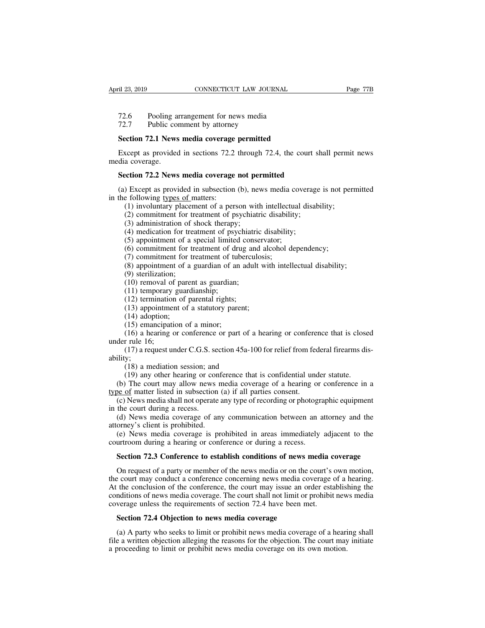- <sup>21</sup> 23, 2019<br>
<sup>21</sup> 23, 2019<br>
<sup>22.6</sup> Pooling arrangement for news media<br>
<sup>72.7</sup> Public comment by attorney
- 

# <sup>21</sup> 23, 2019<br>
<sup>21</sup> 23, 2019<br>
<sup>72.6</sup> Pooling arrangement for news media<br>
<sup>72.7</sup> Public comment by attorney<br> **Section 72.1 News media coverage permitted**

**SECTE AT A FORTIGAL EXAMPLE 123, 2019**<br> **Section 72.1 Pooling arrangement for news media 72.7 Public comment by attorney**<br> **Section 72.1 News media coverage permitted**<br> **Except as provided in sections 72.2 through 72.** Factor Pooling arrangement for news media<br>
Factor 72.1 News media coverage permitted<br>
Except as provided in sections 72.2 through 72.4, the court shall permit news<br>
dia coverage.<br>
Section 72.2 News media coverage net neuri 72.6 Pooling a<br>72.7 Public con<br>**Section 72.1 News**<br>Except as provided<br>media coverage.<br>**Section 72.2 News** Fraction 72.1 News media coverage permitted<br>Except as provided in sections 72.2 through 72.4, the court shadia coverage.<br>**Section 72.2 News media coverage not permitted**<br>(a) Except as provided in subsection (b), news media Section 72.1 News media coverage permitted<br>Except as provided in sections 72.2 through 72.4, the court shall permit news<br>dia coverage.<br>Section 72.2 News media coverage not permitted<br>(a) Except as provided in subsection (b) Except as provided in sections 72.2<br>media coverage.<br>**Section 72.2 News media coverage**<br>(a) Except as provided in subsection<br>in the following <u>types of</u> matters:<br>(1) involuntary placement of a per:<br>(2) commitment for treat (1) involuted in sections 72.2 through 72.4, the court shall permit<br>a coverage.<br> **Subsetion 72.2 News media coverage not permitted**<br>
(1) Except as provided in subsection (b), news media coverage is not per<br>
e following typ

(2) a coverage.<br>
(2) except as provided in subsection (b), news media coverage<br>
(b) Except as provided in subsection (b), news media coverage<br>
(d) involuntary placement of a person with intellectual disability;<br>
(2) commit ection 72.2 News media coverage not per<br>
(b) Except as provided in subsection (b), nevertilly following types of matters:<br>
(1) involuntary placement of a person with<br>
(2) commitment for treatment of psychiatric<br>
(3) admini (4) examples a sprovided in subsection (b), news media coverage following types of matters:<br>
(1) involuntary placement of a person with intellectual disa<br>
(2) commitment for treatment of psychiatric disability;<br>
(3) admini (5) approvided in subsection (b), news media cover following types of matters:<br>
(1) involuntary placement of a person with intellectual<br>
(2) commitment for treatment of psychiatric disability;<br>
(3) administration of shock (1) commitment for treatment of drug and alcohol dependency;<br>
(1) involuntary placement of a person with intellectual disability;<br>
(2) commitment for treatment of psychiatric disability;<br>
(3) administration of shock thera

(1) involuntary placement of a person with intellect<br>(2) commitment for treatment of psychiatric disabili<br>(3) administration of shock therapy;<br>(4) medication for treatment of psychiatric disability<br>(5) appointment of a sp

(3) administration of a<br>
(3) administration of s<br>
(4) medication for trea<br>
(5) appointment of a s<br>
(6) commitment for tr<br>
(7) commitment of a g<br>
(9) sterilization;<br>
(10) removal of paren<br>
(11) temporary guardi

(2) an intertually protection of a performant of psychiatric disability;<br>
(3) administration of shock therapy;<br>
(4) medication for treatment of psychiatric disability;<br>
(5) appointment of a special limited conservator;<br>
( (4) medication for treatment of psychiatric<br>(5) appointment of a special limited consection<br>(6) commitment for treatment of drug and<br>(7) commitment for treatment of tubercule<br>(8) appointment of a guardian of an adult<br>(9) (6) appointment of a special initial condensity (6) commitment for treatment of drug an (7) commitment for treatment of tubercu (8) appointment of a guardian of an adul (9) sterilization;<br>(10) removal of parent as guardia (7) commitment for treatment of angle and<br>
(7) commitment for treatment of tuberculosis<br>
(8) appointment of a guardian of an adult wi<br>
(9) sterilization;<br>
(10) removal of parent as guardian;<br>
(11) temporary guardianship;<br>

(1) included to the detailed of psycosometric (5) appointment of a special limited (6) commitment for treatment of draw (7) commitment of a guardian of a (9) sterilization;<br>(10) removal of parent as guardian; (11) tempora

(8) appointment of a<br>(8) appointment of a<br>(9) sterilization;<br>(10) removal of pare<br>(11) temporary guare<br>(12) termination of  $(13)$  appointment of<br>(14) adoption;<br>(15) emancipation of (16) a hearing or component (9) sterilization;<br>(9) sterilization;<br>(10) removal of parent as guardian;<br>(11) temporary guardianship;<br>(12) termination of parental rights;<br>(13) appointment of a statutory pare<br>(14) adoption;<br>(15) emancipation of a minor; (10) removal of parent as guardian;<br>
(11) temporary guardianship;<br>
(12) termination of parental rights;<br>
(13) appointment of a statutory parent;<br>
(14) adoption;<br>
(15) emancipation of a minor;<br>
(16) a hearing or conference

(10) temporary<br>
(11) temporary<br>
(12) termination<br>
(13) appointme<br>
(14) adoption;<br>
(15) emancipation<br>
(16) a hearing of under rule 16;<br>
(17) a request underly (11) emporary galaxianship,<br>
(12) termination of parental rights;<br>
(13) appointment of a statutory parent;<br>
(14) adoption;<br>
(15) emancipation of a minor;<br>
(16) a hearing or conference or part of a hearing or conference th ability; (14) adoption;<br>
(14) adoption;<br>
(15) emancipation of a minor;<br>
(16) a hearing or conference or part of a<br>
r rule 16;<br>
(17) a request under C.G.S. section 45a-10<br>
y;<br>
(18) a mediation session; and<br>
(19) any other hearing o (1-) alopton,<br>
(15) emancipation of a minor;<br>
(16) a hearing or conference or part of a hearing or conference that is close<br>
r rule 16;<br>
(17) a request under C.G.S. section 45a-100 for relief from federal firearms dis<br>
y; (17) a nearing of conference of part of a healing of conference<br>under rule 16;<br>(17) a request under C.G.S. section 45a-100 for relief from fea<br>ability;<br>(18) a mediation session; and<br>(19) any other hearing or conference tha

(15) emanchpation of a minor,<br>
(16) a hearing or conference or part of a hearing or conference that is closed<br>
der rule 16;<br>
(17) a request under C.G.S. section 45a-100 for relief from federal firearms dis-<br>
ility;<br>
(18) (17) a request under C.G.S. section 45a-100 for relief from federal firearms dis-<br>ility;<br>(18) a mediation session; and<br>(19) any other hearing or conference that is confidential under statute.<br>(b) The court may allow news (18) a mediation session; and<br>
(19) any other hearing or conference that is confidential under statute.<br>
(b) The court may allow news media coverage of a hearing or conference in a<br>
<u>be of</u> matter listed in subsection (a) (b) The court may allow news media coverage of a hearing or conference in a<br><u>be of</u> matter listed in subsection (a) if all parties consent.<br>(c) News media shall not operate any type of recording or photographic equipment<br>

ability;<br>  $(18)$  a mediation session; and<br>  $(19)$  any other hearing or court<br>  $(19)$  any other hearing or court<br>  $(19)$  any other hearing or court<br>  $(2)$  News media shall not operate<br>
in the court during a recess.<br>  $(3)$  (19) any other hearing or conf<br>
(19) any other hearing or conf<br>
(b) The court may allow news no<br>
type of matter listed in subsection (<br>
(c) News media shall not operate a<br>
in the court during a recess.<br>
(d) News media cove (b) The court may allow hews media coverage or a healing of<br>type of matter listed in subsection (a) if all parties consent.<br>(c) News media shall not operate any type of recording or photogra<br>in the court during a recess.<br>( (c) News media shall not operate any type of recording or photographic equipment<br>the court during a recess.<br>(d) News media coverage of any communication between an attorney and the<br>orney's client is prohibited.<br>(e) News me

(d) News media coverage of any communication between an attorney and the orney's client is prohibited.<br>(e) News media coverage is prohibited in areas immediately adjacent to the urtroom during a hearing or conference or du attorney's client is prohibited.<br>
(e) News media coverage is prohibited in areas immediately adjacent to the<br>
courtroom during a hearing or conference or during a recess.<br> **Section 72.3 Conference to establish conditions o** (e) News media coverage is prohibited in areas immediately adjacent to the courtroom during a hearing or conference or during a recess.<br> **Section 72.3 Conference to establish conditions of news media coverage**<br>
On request courtroom during a hearing or conference or during a recess.<br> **Section 72.3 Conference to establish conditions of news media coverage**<br>
On request of a party or member of the news media or on the court's own motion,<br>
the c Section 72.3 Conference to establish conditions of news media c<br>On request of a party or member of the news media or on the court's of<br>the court may conduct a conference concerning news media coverage of<br>At the conclusion On request of a party or member of the news media or on the e court may conduct a conference concerning news media co<br>the conclusion of the conference, the court may issue an on<br>miditions of news media coverage. The court Exercise court may conduct a conference concerning news media coverage of a hearing.<br>the conclusion of the conference, the court may issue an order establishing the<br>nditions of news media coverage. The court shall not limi At the conclusion of the conference, the court may issue an order establishing the conditions of news media coverage. The court shall not limit or prohibit news media coverage unless the requirements of section 72.4 have b

conditions of news media coverage. The court shall not limit or prohibit new<br>coverage unless the requirements of section 72.4 have been met.<br>**Section 72.4 Objection to news media coverage**<br>(a) A party who seeks to limit or